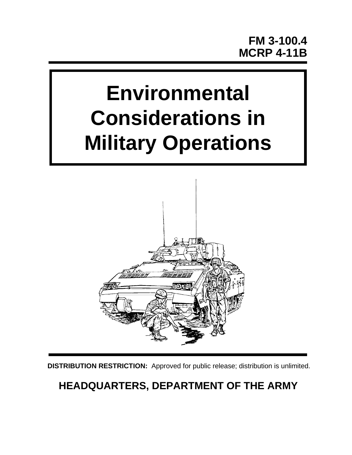# **Environmental Considerations in Military Operations**



**DISTRIBUTION RESTRICTION:** Approved for public release; distribution is unlimited.

# **HEADQUARTERS, DEPARTMENT OF THE ARMY**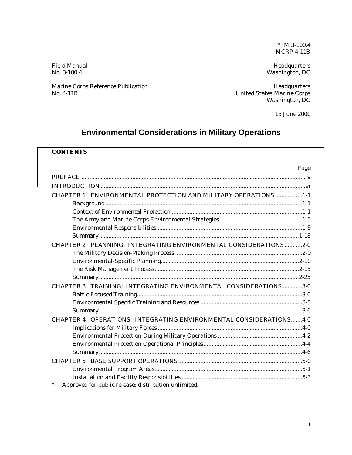\*FM 3-100.4 MCRP 4-11B

Field Manual **Headquarters** No. 3-100.4 Washington, DC

Marine Corps Reference Publication **Marine Corps Reference Publication** Meadquarters

No. 4-11B United States Marine Corps Washington, DC

15 June 2000

# **Environmental Considerations in Military Operations**

# **CONTENTS**

|                                                                   | Page |
|-------------------------------------------------------------------|------|
|                                                                   |      |
|                                                                   |      |
| CHAPTER 1 ENVIRONMENTAL PROTECTION AND MILITARY OPERATIONS 1-1    |      |
|                                                                   |      |
|                                                                   |      |
|                                                                   |      |
|                                                                   |      |
|                                                                   |      |
| CHAPTER 2 PLANNING: INTEGRATING ENVIRONMENTAL CONSIDERATIONS2-0   |      |
|                                                                   |      |
|                                                                   |      |
|                                                                   |      |
|                                                                   |      |
| CHAPTER 3 TRAINING: INTEGRATING ENVIRONMENTAL CONSIDERATIONS 3-0  |      |
|                                                                   |      |
|                                                                   |      |
|                                                                   |      |
| CHAPTER 4 OPERATIONS: INTEGRATING ENVIRONMENTAL CONSIDERATIONS4-0 |      |
|                                                                   |      |
|                                                                   |      |
|                                                                   |      |
|                                                                   |      |
|                                                                   |      |
|                                                                   |      |
|                                                                   |      |
| $*$ Annoual for unlie pelegge distribution unlimited              |      |

Approved for public release; distribution unlimited.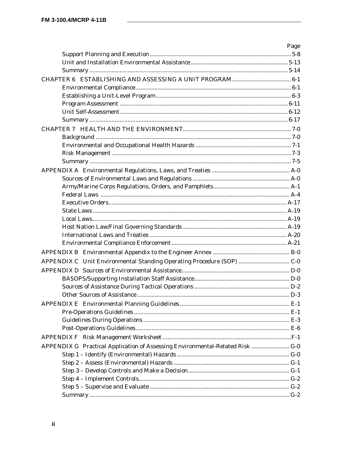|                                                                               | Page |
|-------------------------------------------------------------------------------|------|
|                                                                               |      |
|                                                                               |      |
|                                                                               |      |
|                                                                               |      |
|                                                                               |      |
|                                                                               |      |
|                                                                               |      |
|                                                                               |      |
|                                                                               |      |
|                                                                               |      |
|                                                                               |      |
|                                                                               |      |
|                                                                               |      |
|                                                                               |      |
|                                                                               |      |
|                                                                               |      |
|                                                                               |      |
|                                                                               |      |
|                                                                               |      |
|                                                                               |      |
|                                                                               |      |
|                                                                               |      |
|                                                                               |      |
|                                                                               |      |
|                                                                               |      |
| APPENDIX C Unit Environmental Standing Operating Procedure (SOP)  C-0         |      |
|                                                                               |      |
|                                                                               |      |
|                                                                               |      |
|                                                                               |      |
|                                                                               |      |
|                                                                               |      |
|                                                                               |      |
|                                                                               |      |
|                                                                               |      |
| APPENDIX G Practical Application of Assessing Environmental-Related Risk  G-0 |      |
|                                                                               |      |
|                                                                               |      |
|                                                                               |      |
|                                                                               |      |
|                                                                               |      |
|                                                                               |      |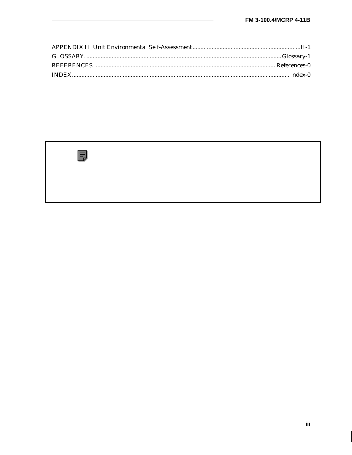

iii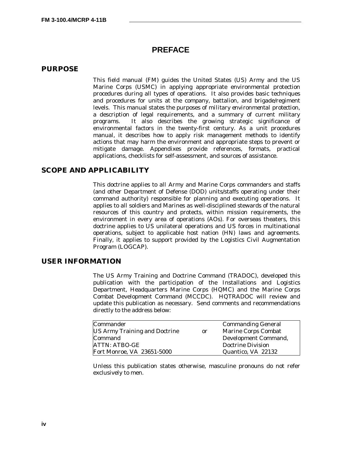# **PREFACE**

#### **PURPOSE**

This field manual (FM) guides the United States (US) Army and the US Marine Corps (USMC) in applying appropriate environmental protection procedures during all types of operations. It also provides basic techniques and procedures for units at the company, battalion, and brigade/regiment levels. This manual states the purposes of *military environmental protection*, a description of legal requirements, and a summary of current military programs. It also describes the growing strategic significance of environmental factors in the twenty-first century. As a unit procedures manual, it describes how to apply risk management methods to identify actions that may harm the environment and appropriate steps to prevent or mitigate damage. Appendixes provide references, formats, practical applications, checklists for self-assessment, and sources of assistance.

# **SCOPE AND APPLICABILITY**

This doctrine applies to all Army and Marine Corps commanders and staffs (and other Department of Defense (DOD) units/staffs operating under their command authority) responsible for planning and executing operations. It applies to all soldiers and Marines as well-disciplined stewards of the natural resources of this country and protects, within mission requirements, the environment in every area of operations (AOs). For overseas theaters, this doctrine applies to US unilateral operations and US forces in multinational operations, subject to applicable host nation (HN) laws and agreements. Finally, it applies to support provided by the Logistics Civil Augmentation Program (LOGCAP).

#### **USER INFORMATION**

The US Army Training and Doctrine Command (TRADOC), developed this publication with the participation of the Installations and Logistics Department, Headquarters Marine Corps (HQMC) and the Marine Corps Combat Development Command (MCCDC). HQTRADOC will review and update this publication as necessary. Send comments and recommendations directly to the address below:

| Commander                            |               | <b>Commanding General</b> |
|--------------------------------------|---------------|---------------------------|
| <b>US Army Training and Doctrine</b> | <sub>or</sub> | Marine Corps Combat       |
| Command                              |               | Development Command,      |
| ATTN: ATBO-GE                        |               | Doctrine Division         |
| Fort Monroe, VA 23651-5000           |               | Quantico, VA 22132        |

Unless this publication states otherwise, masculine pronouns do not refer exclusively to men.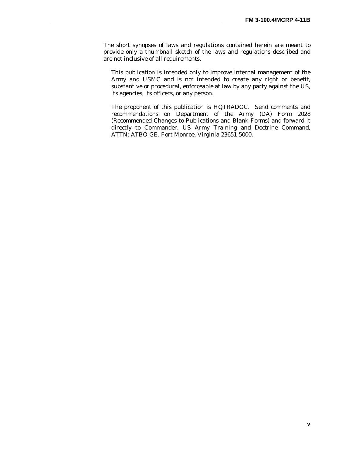The short synopses of laws and regulations contained herein are meant to provide only a thumbnail sketch of the laws and regulations described and are not inclusive of all requirements.

This publication is intended only to improve internal management of the Army and USMC and is not intended to create any right or benefit, substantive or procedural, enforceable at law by any party against the US, its agencies, its officers, or any person.

The proponent of this publication is HQTRADOC. Send comments and recommendations on Department of the Army (DA) Form 2028 (Recommended Changes to Publications and Blank Forms) and forward it directly to Commander, US Army Training and Doctrine Command, ATTN: ATBO-GE, Fort Monroe, Virginia 23651-5000.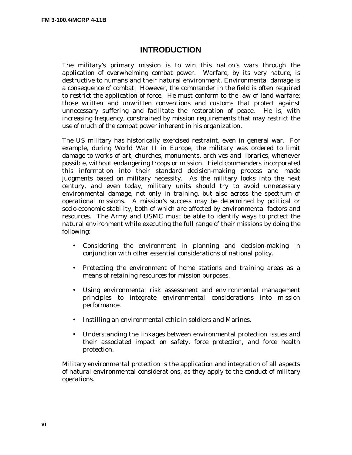# **INTRODUCTION**

The military's primary mission is to win this nation's wars through the application of overwhelming combat power. Warfare, by its very nature, is destructive to humans and their natural environment. Environmental damage is a consequence of combat. However, the commander in the field is often required to restrict the application of force. He must conform to the law of land warfare: those written and unwritten conventions and customs that protect against unnecessary suffering and facilitate the restoration of peace. He is, with increasing frequency, constrained by mission requirements that may restrict the use of much of the combat power inherent in his organization.

The US military has historically exercised restraint, even in general war. For example, during World War II in Europe, the military was ordered to limit damage to works of art, churches, monuments, archives and libraries, whenever possible, without endangering troops or mission. Field commanders incorporated this information into their standard decision-making process and made judgments based on military necessity. As the military looks into the next century, and even today, military units should try to avoid unnecessary environmental damage, not only in training, but also across the spectrum of operational missions. A mission's success may be determined by political or socio-economic stability, both of which are affected by environmental factors and resources. The Army and USMC must be able to identify ways to protect the natural environment while executing the full range of their missions by doing the following:

- Considering the environment in planning and decision-making in conjunction with other essential considerations of national policy.
- Protecting the environment of home stations and training areas as a means of retaining resources for mission purposes.
- Using environmental risk assessment and environmental management principles to integrate environmental considerations into mission performance.
- Instilling an environmental ethic in soldiers and Marines.
- Understanding the linkages between environmental protection issues and their associated impact on safety, force protection, and force health protection.

*Military environmental protection* is the application and integration of all aspects of natural environmental considerations, as they apply to the conduct of military operations.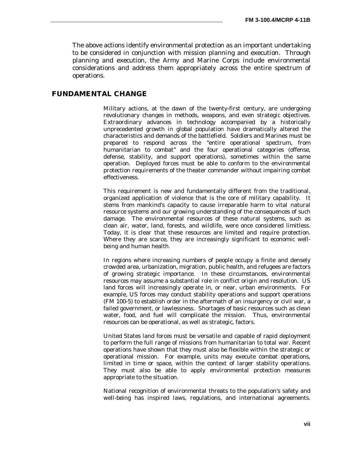The above actions identify environmental protection as an important undertaking to be considered in conjunction with mission planning and execution. Through planning and execution, the Army and Marine Corps include environmental considerations and address them appropriately across the entire spectrum of operations.

## **FUNDAMENTAL CHANGE**

Military actions, at the dawn of the twenty-first century, are undergoing revolutionary changes in methods, weapons, and even strategic objectives. Extraordinary advances in technology accompanied by a historically unprecedented growth in global population have dramatically altered the characteristics and demands of the battlefield. Soldiers and Marines must be prepared to respond across the "entire operational spectrum, from humanitarian to combat" and the four operational categories (offense, defense, stability, and support operations), sometimes within the same operation. Deployed forces must be able to conform to the environmental protection requirements of the theater commander without impairing combat effectiveness.

This requirement is new and fundamentally different from the traditional, organized application of violence that is the core of military capability. It stems from mankind's capacity to cause irreparable harm to vital natural resource systems and our growing understanding of the consequences of such damage. The environmental resources of these natural systems, such as clean air, water, land, forests, and wildlife, were once considered limitless. Today, it is clear that these resources are limited and require protection. Where they are scarce, they are increasingly significant to economic wellbeing and human health.

In regions where increasing numbers of people occupy a finite and densely crowded area, urbanization, migration, public health, and refugees are factors of growing strategic importance. In these circumstances, environmental resources may assume a substantial role in conflict origin and resolution. US land forces will increasingly operate in, or near, urban environments. For example, US forces may conduct stability operations and support operations (FM 100-5) to establish order in the aftermath of an insurgency or civil war, a failed government, or lawlessness. Shortages of basic resources such as clean water, food, and fuel will complicate the mission. Thus, environmental resources can be operational, as well as strategic, factors.

United States land forces must be versatile and capable of rapid deployment to perform the full range of missions from humanitarian to total war. Recent operations have shown that they must also be flexible within the strategic or operational mission. For example, units may execute combat operations, limited in time or space, within the context of larger stability operations. They must also be able to apply environmental protection measures appropriate to the situation.

National recognition of environmental threats to the population's safety and well-being has inspired laws, regulations, and international agreements.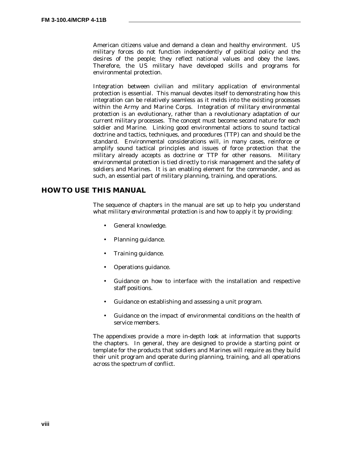American citizens value and demand a clean and healthy environment. US military forces do not function independently of political policy and the desires of the people; they reflect national values and obey the laws. Therefore, the US military have developed skills and programs for environmental protection.

Integration between civilian and military application of environmental protection is essential. This manual devotes itself to demonstrating how this integration can be relatively seamless as it melds into the existing processes within the Army and Marine Corps. Integration of *military environmental protection* is an evolutionary, rather than a revolutionary adaptation of our current military processes. The concept must become second nature for each soldier and Marine. Linking good environmental actions to sound tactical doctrine and tactics, techniques, and procedures (TTP) can and should be the standard. Environmental considerations will, in many cases, reinforce or amplify sound tactical principles and issues of force protection that the military already accepts as doctrine or TTP for other reasons. *Military environmental protection* is tied directly to risk management and the safety of soldiers and Marines. It is an enabling element for the commander, and as such, an essential part of military planning, training, and operations.

# **HOW TO USE THIS MANUAL**

The sequence of chapters in the manual are set up to help you understand what *military environmental protection* is and how to apply it by providing:

- General knowledge.
- Planning guidance.
- Training guidance.
- Operations guidance.
- Guidance on how to interface with the installation and respective staff positions.
- Guidance on establishing and assessing a unit program.
- Guidance on the impact of environmental conditions on the health of service members.

The appendixes provide a more in-depth look at information that supports the chapters. In general, they are designed to provide a starting point or template for the products that soldiers and Marines will require as they build their unit program and operate during planning, training, and all operations across the spectrum of conflict.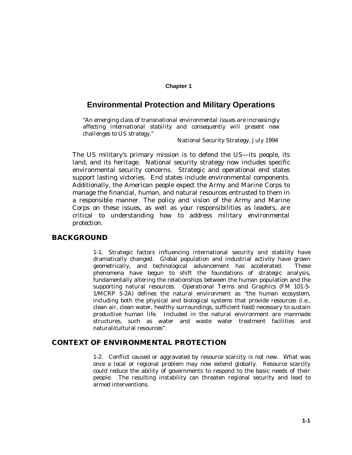#### **Chapter 1**

# **Environmental Protection and Military Operations**

"*An emerging class of transnational environmental issues are increasingly affecting international stability and consequently will present new challenges to US strategy*."

National Security Strategy, July 1994

The US military's primary mission is to defend the US—its people, its land, and its heritage. National security strategy now includes specific environmental security concerns. Strategic and operational end states support lasting victories. End states include environmental components. Additionally, the American people expect the Army and Marine Corps to manage the financial, human, and natural resources entrusted to them in a responsible manner. The policy and vision of the Army and Marine Corps on these issues, as well as your responsibilities as leaders, are critical to understanding how to address *military environmental protection.*

#### **BACKGROUND**

1-1. Strategic factors influencing international security and stability have dramatically changed. Global population and industrial activity have grown geometrically, and technological advancement has accelerated. These phenomena have begun to shift the foundations of strategic analysis, fundamentally altering the relationships between the human population and the supporting natural resources. *Operational Terms and Graphics* (FM 101-5- 1/MCRP 5-2A) defines the natural environment as "the human ecosystem, including both the physical and biological systems that provide resources (i.e., clean air, clean water, healthy surroundings, sufficient food) necessary to sustain productive human life. Included in the natural environment are manmade structures, such as water and waste water treatment facilities and natural/cultural resources".

# **CONTEXT OF ENVIRONMENTAL PROTECTION**

1-2. Conflict caused or aggravated by resource scarcity is not new. What was once a local or regional problem may now extend globally. Resource scarcity could reduce the ability of governments to respond to the basic needs of their people. The resulting instability can threaten regional security and lead to armed interventions.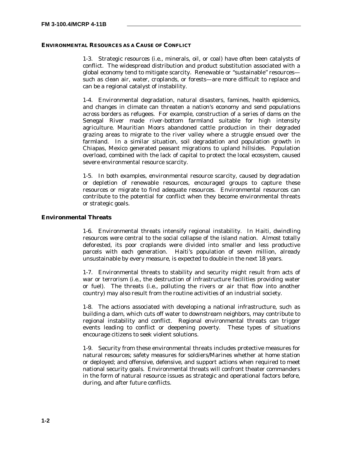#### **ENVIRONMENTAL RESOURCES AS A CAUSE OF CONFLICT**

1-3. Strategic resources (i.e., minerals, oil, or coal) have often been catalysts of conflict. The widespread distribution and product substitution associated with a global economy tend to mitigate scarcity. Renewable or "sustainable" resources such as clean air, water, croplands, or forests—are more difficult to replace and can be a regional catalyst of instability.

1-4. Environmental degradation, natural disasters, famines, health epidemics, and changes in climate can threaten a nation's economy and send populations across borders as refugees. For example, construction of a series of dams on the Senegal River made river-bottom farmland suitable for high intensity agriculture. Mauritian Moors abandoned cattle production in their degraded grazing areas to migrate to the river valley where a struggle ensued over the farmland. In a similar situation, soil degradation and population growth in Chiapas, Mexico generated peasant migrations to upland hillsides. Population overload, combined with the lack of capital to protect the local ecosystem, caused severe environmental resource scarcity.

1-5. In both examples, environmental resource scarcity, caused by degradation or depletion of renewable resources, encouraged groups to capture these resources or migrate to find adequate resources. Environmental resources can contribute to the potential for conflict when they become environmental threats or strategic goals.

#### **Environmental Threats**

1-6. Environmental threats intensify regional instability. In Haiti, dwindling resources were central to the social collapse of the island nation. Almost totally deforested, its poor croplands were divided into smaller and less productive parcels with each generation. Haiti's population of seven million, already unsustainable by every measure, is expected to double in the next 18 years.

1-7. Environmental threats to stability and security might result from acts of war or terrorism (i.e., the destruction of infrastructure facilities providing water or fuel). The threats (i.e., polluting the rivers or air that flow into another country) may also result from the routine activities of an industrial society.

1-8. The actions associated with developing a national infrastructure, such as building a dam, which cuts off water to downstream neighbors, may contribute to regional instability and conflict. Regional environmental threats can trigger events leading to conflict or deepening poverty. These types of situations encourage citizens to seek violent solutions.

1-9. Security from these environmental threats includes protective measures for natural resources; safety measures for soldiers/Marines whether at home station or deployed; and offensive, defensive, and support actions when required to meet national security goals. Environmental threats will confront theater commanders in the form of natural resource issues as strategic and operational factors before, during, and after future conflicts.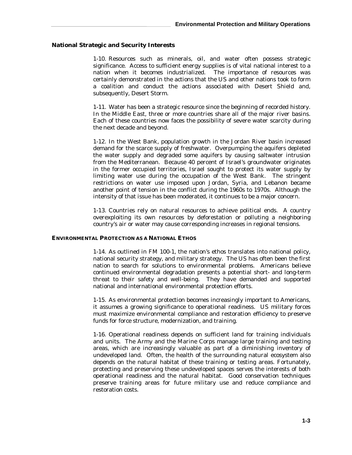#### **National Strategic and Security Interests**

1-10. Resources such as minerals, oil, and water often possess strategic significance. Access to sufficient energy supplies is of vital national interest to a nation when it becomes industrialized. The importance of resources was certainly demonstrated in the actions that the US and other nations took to form a coalition and conduct the actions associated with Desert Shield and, subsequently, Desert Storm.

1-11. Water has been a strategic resource since the beginning of recorded history. In the Middle East, three or more countries share all of the major river basins. Each of these countries now faces the possibility of severe water scarcity during the next decade and beyond.

1-12. In the West Bank, population growth in the Jordan River basin increased demand for the scarce supply of freshwater. Overpumping the aquifers depleted the water supply and degraded some aquifers by causing saltwater intrusion from the Mediterranean. Because 40 percent of Israel's groundwater originates in the former occupied territories, Israel sought to protect its water supply by limiting water use during the occupation of the West Bank. The stringent restrictions on water use imposed upon Jordan, Syria, and Lebanon became another point of tension in the conflict during the 1960s to 1970s. Although the intensity of that issue has been moderated, it continues to be a major concern.

1-13. Countries rely on natural resources to achieve political ends. A country overexploiting its own resources by deforestation or polluting a neighboring country's air or water may cause corresponding increases in regional tensions.

#### **ENVIRONMENTAL PROTECTION AS A NATIONAL ETHOS**

1-14. As outlined in FM 100-1, the nation's ethos translates into national policy, national security strategy, and military strategy. The US has often been the first nation to search for solutions to environmental problems. Americans believe continued environmental degradation presents a potential short- and long-term threat to their safety and well-being. They have demanded and supported national and international environmental protection efforts.

1-15. As environmental protection becomes increasingly important to Americans, it assumes a growing significance to operational readiness. US military forces must maximize environmental compliance and restoration efficiency to preserve funds for force structure, modernization, and training.

1-16. Operational readiness depends on sufficient land for training individuals and units. The Army and the Marine Corps manage large training and testing areas, which are increasingly valuable as part of a diminishing inventory of undeveloped land. Often, the health of the surrounding natural ecosystem also depends on the natural habitat of these training or testing areas. Fortunately, protecting and preserving these undeveloped spaces serves the interests of both operational readiness and the natural habitat. Good conservation techniques preserve training areas for future military use and reduce compliance and restoration costs.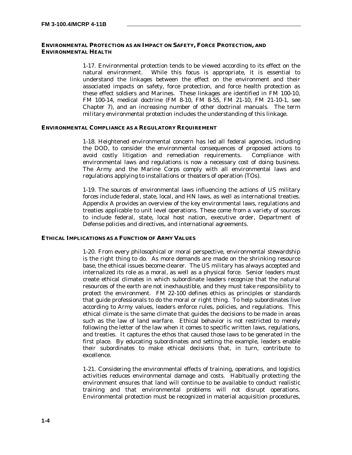#### **ENVIRONMENTAL PROTECTION AS AN IMPACT ON SAFETY, FORCE PROTECTION, AND ENVIRONMENTAL HEALTH**

1-17. Environmental protection tends to be viewed according to its effect on the natural environment. While this focus is appropriate, it is essential to understand the linkages between the effect on the environment and their associated impacts on safety, force protection, and force health protection as these effect soldiers and Marines. These linkages are identified in FM 100-10, FM 100-14, medical doctrine (FM 8-10, FM 8-55, FM 21-10, FM 21-10-1, see Chapter 7), and an increasing number of other doctrinal manuals. The term *military environmental protection* includes the understanding of this linkage.

#### **ENVIRONMENTAL COMPLIANCE AS A REGULATORY REQUIREMENT**

1-18. Heightened environmental concern has led all federal agencies, including the DOD, to consider the environmental consequences of proposed actions to avoid costly litigation and remediation requirements. Compliance with environmental laws and regulations is now a necessary cost of doing business. The Army and the Marine Corps comply with all environmental laws and regulations applying to installations or theaters of operation (TOs).

1-19. The sources of environmental laws influencing the actions of US military forces include federal, state, local, and HN laws, as well as international treaties. Appendix A provides an overview of the key environmental laws, regulations and treaties applicable to unit level operations. These come from a variety of sources to include federal, state, local host nation, executive order, Department of Defense policies and directives, and international agreements.

#### **ETHICAL IMPLICATIONS AS A FUNCTION OF ARMY VALUES**

1-20. From every philosophical or moral perspective, environmental stewardship is the right thing to do. As more demands are made on the shrinking resource base, the ethical issues become clearer. The US military has always accepted and internalized its role as a moral, as well as a physical force. Senior leaders must create ethical climates in which subordinate leaders recognize that the natural resources of the earth are not inexhaustible, and they must take responsibility to protect the environment. FM 22-100 defines ethics as principles or standards that guide professionals to do the moral or right thing. To help subordinates live according to Army values, leaders enforce rules, policies, and regulations. This ethical climate is the same climate that guides the decisions to be made in areas such as the law of land warfare. Ethical behavior is not restricted to merely following the letter of the law when it comes to specific written laws, regulations, and treaties. It captures the ethos that caused those laws to be generated in the first place. By educating subordinates and setting the example, leaders enable their subordinates to make ethical decisions that, in turn, contribute to excellence.

1-21. Considering the environmental effects of training, operations, and logistics activities reduces environmental damage and costs. Habitually protecting the environment ensures that land will continue to be available to conduct realistic training and that environmental problems will not disrupt operations. Environmental protection must be recognized in material acquisition procedures,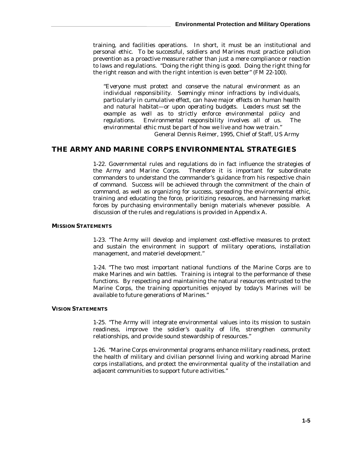training, and facilities operations. In short, it must be an institutional and personal ethic. To be successful, soldiers and Marines must practice pollution prevention as a proactive measure rather than just a mere compliance or reaction to laws and regulations. "Doing the right thing is good. Doing the right thing for the right reason and with the right intention is even better" (FM 22-100).

"*Everyone must protect and conserve the natural environment as an individual responsibility. Seemingly minor infractions by individuals, particularly in cumulative effect, can have major effects on human health and natural habitat—or upon operating budgets. Leaders must set the example as well as to strictly enforce environmental policy and regulations. Environmental responsibility involves all of us. The environmental ethic must be part of how we live and how we train."* General Dennis Reimer, 1995, Chief of Staff, US Army

## **THE ARMY AND MARINE CORPS ENVIRONMENTAL STRATEGIES**

1-22. Governmental rules and regulations do in fact influence the strategies of the Army and Marine Corps. Therefore it is important for subordinate commanders to understand the commander's guidance from his respective chain of command. Success will be achieved through the commitment of the chain of command, as well as organizing for success, spreading the environmental ethic, training and educating the force, prioritizing resources, and harnessing market forces by purchasing environmentally benign materials whenever possible. A discussion of the rules and regulations is provided in Appendix A.

#### **MISSION STATEMENTS**

1-23. "The Army will develop and implement cost-effective measures to protect and sustain the environment in support of military operations, installation management, and materiel development."

1-24. "The two most important national functions of the Marine Corps are to make Marines and win battles. Training is integral to the performance of these functions. By respecting and maintaining the natural resources entrusted to the Marine Corps, the training opportunities enjoyed by today's Marines will be available to future generations of Marines."

#### **VISION STATEMENTS**

1-25. "The Army will integrate environmental values into its mission to sustain readiness, improve the soldier's quality of life, strengthen community relationships, and provide sound stewardship of resources."

1-26. "Marine Corps environmental programs enhance military readiness, protect the health of military and civilian personnel living and working abroad Marine corps installations, and protect the environmental quality of the installation and adjacent communities to support future activities."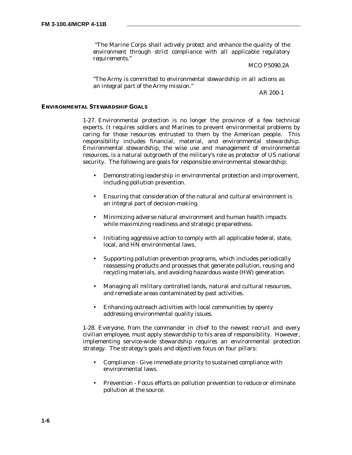*"The Marine Corps shall actively protect and enhance the quality of the environment through strict compliance with all applicable regulatory requirements."*

MCO P5090.2A

*"The Army is committed to environmental stewardship in all actions as an integral part of the Army mission."* 

AR 200-1

#### **ENVIRONMENTAL STEWARDSHIP GOALS**

1-27. Environmental protection is no longer the province of a few technical experts. It requires soldiers and Marines to prevent environmental problems by caring for those resources entrusted to them by the American people. This responsibility includes financial, material, and environmental stewardship. Environmental stewardship, the wise use and management of environmental resources, is a natural outgrowth of the military's role as protector of US national security. The following are goals for responsible environmental stewardship:

- Demonstrating leadership in environmental protection and improvement, including pollution prevention.
- Ensuring that consideration of the natural and cultural environment is an integral part of decision-making.
- Minimizing adverse natural environment and human health impacts while maximizing readiness and strategic preparedness.
- Initiating aggressive action to comply with all applicable federal, state, local, and HN environmental laws.
- Supporting pollution prevention programs, which includes periodically reassessing products and processes that generate pollution, reusing and recycling materials, and avoiding hazardous waste (HW) generation.
- Managing all military controlled lands, natural and cultural resources, and remediate areas contaminated by past activities.
- Enhancing outreach activities with local communities by openly addressing environmental quality issues.

1-28. Everyone, from the commander in chief to the newest recruit and every civilian employee, must apply stewardship to his area of responsibility. However, implementing service-wide stewardship requires an environmental protection strategy. The strategy's goals and objectives focus on four pillars:

- Compliance Give immediate priority to sustained compliance with environmental laws.
- Prevention Focus efforts on pollution prevention to reduce or eliminate pollution at the source.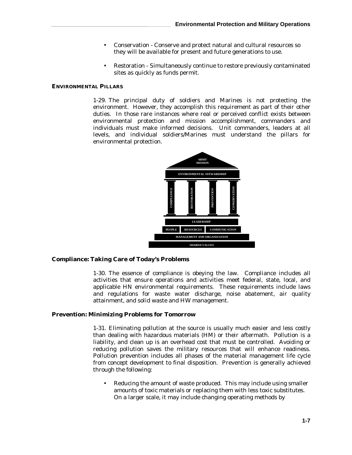- Conservation Conserve and protect natural and cultural resources so they will be available for present and future generations to use.
- Restoration Simultaneously continue to restore previously contaminated sites as quickly as funds permit.

#### **ENVIRONMENTAL PILLARS**

1-29. The principal duty of soldiers and Marines is not protecting the environment. However, they accomplish this requirement as part of their other duties. In those rare instances where real or perceived conflict exists between environmental protection and mission accomplishment, commanders and individuals must make informed decisions. Unit commanders, leaders at all levels, and individual soldiers/Marines must understand the pillars for environmental protection.



#### **Compliance: Taking Care of Today's Problems**

1-30. The essence of compliance is obeying the law. Compliance includes all activities that ensure operations and activities meet federal, state, local, and applicable HN environmental requirements. These requirements include laws and regulations for waste water discharge, noise abatement, air quality attainment, and solid waste and HW management.

#### **Prevention: Minimizing Problems for Tomorrow**

1-31. Eliminating pollution at the source is usually much easier and less costly than dealing with hazardous materials (HM) or their aftermath. Pollution is a liability, and clean up is an overhead cost that must be controlled. Avoiding or reducing pollution saves the military resources that will enhance readiness. Pollution prevention includes all phases of the material management life cycle from concept development to final disposition. Prevention is generally achieved through the following:

• Reducing the amount of waste produced. This may include using smaller amounts of toxic materials or replacing them with less toxic substitutes. On a larger scale, it may include changing operating methods by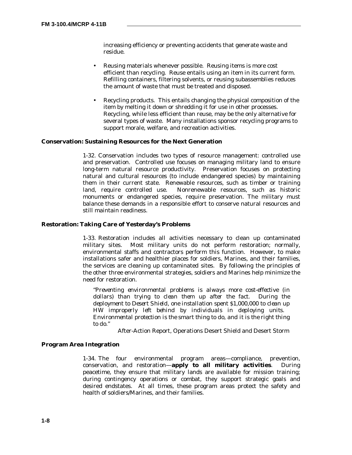increasing efficiency or preventing accidents that generate waste and residue.

- Reusing materials whenever possible. Reusing items is more cost efficient than recycling. Reuse entails using an item in its current form. Refilling containers, filtering solvents, or reusing subassemblies reduces the amount of waste that must be treated and disposed.
- Recycling products. This entails changing the physical composition of the item by melting it down or shredding it for use in other processes. Recycling, while less efficient than reuse, may be the only alternative for several types of waste. Many installations sponsor recycling programs to support morale, welfare, and recreation activities.

#### **Conservation: Sustaining Resources for the Next Generation**

1-32. Conservation includes two types of resource management: controlled use and preservation. Controlled use focuses on managing military land to ensure long-term natural resource productivity. Preservation focuses on protecting natural and cultural resources (to include endangered species) by maintaining them in their current state. Renewable resources, such as timber or training land, require controlled use. Nonrenewable resources, such as historic monuments or endangered species, require preservation. The military must balance these demands in a responsible effort to conserve natural resources and still maintain readiness.

#### **Restoration: Taking Care of Yesterday's Problems**

1-33. Restoration includes all activities necessary to clean up contaminated military sites. Most military units do not perform restoration; normally, environmental staffs and contractors perform this function. However, to make installations safer and healthier places for soldiers, Marines, and their families, the services are cleaning up contaminated sites. By following the principles of the other three environmental strategies, soldiers and Marines help minimize the need for restoration.

*"Preventing environmental problems is always more cost-effective (in dollars) than trying to clean them up after the fact. During the deployment to Desert Shield, one installation spent \$1,000,000 to clean up HW improperly left behind by individuals in deploying units. Environmental protection is the smart thing to do, and it is the right thing to do."*

After-Action Report, Operations Desert Shield and Desert Storm

#### **Program Area Integration**

1-34. The four environmental program areas—compliance, prevention, conservation, and restoration—**apply to all military activities**. During peacetime, they ensure that military lands are available for mission training; during contingency operations or combat, they support strategic goals and desired endstates. At all times, these program areas protect the safety and health of soldiers/Marines, and their families.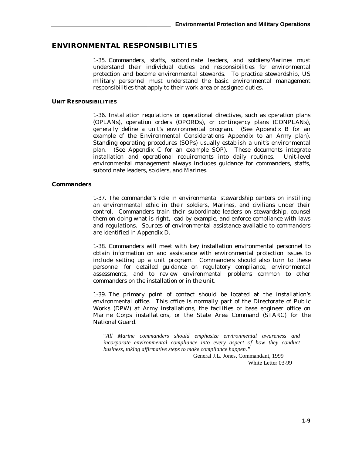## **ENVIRONMENTAL RESPONSIBILITIES**

1-35. Commanders, staffs, subordinate leaders, and soldiers/Marines must understand their individual duties and responsibilities for environmental protection and become environmental stewards. To practice stewardship, US military personnel must understand the basic environmental management responsibilities that apply to their work area or assigned duties.

#### **UNIT RESPONSIBILITIES**

1-36. Installation regulations or operational directives, such as operation plans (OPLANs), operation orders (OPORDs), or contingency plans (CONPLANs), generally define a unit's environmental program. (See Appendix B for an example of the Environmental Considerations Appendix to an Army plan). Standing operating procedures (SOPs) usually establish a unit's environmental plan. (See Appendix C for an example SOP). These documents integrate installation and operational requirements into daily routines. Unit-level environmental management always includes guidance for commanders, staffs, subordinate leaders, soldiers, and Marines.

#### **Commanders**

1-37. The commander's role in environmental stewardship centers on instilling an environmental ethic in their soldiers, Marines, and civilians under their control. Commanders train their subordinate leaders on stewardship, counsel them on doing what is right, lead by example, and enforce compliance with laws and regulations. Sources of environmental assistance available to commanders are identified in Appendix D.

1-38. Commanders will meet with key installation environmental personnel to obtain information on and assistance with environmental protection issues to include setting up a unit program. Commanders should also turn to these personnel for detailed guidance on regulatory compliance, environmental assessments, and to review environmental problems common to other commanders on the installation or in the unit.

1-39. The primary point of contact should be located at the installation's environmental office. This office is normally part of the Directorate of Public Works (DPW) at Army installations, the facilities or base engineer office on Marine Corps installations, or the State Area Command (STARC) for the National Guard.

"*All Marine commanders should emphasize environmental awareness and incorporate environmental compliance into every aspect of how they conduct business, taking affirmative steps to make compliance happen."*

 General J.L. Jones, Commandant, 1999 White Letter 03-99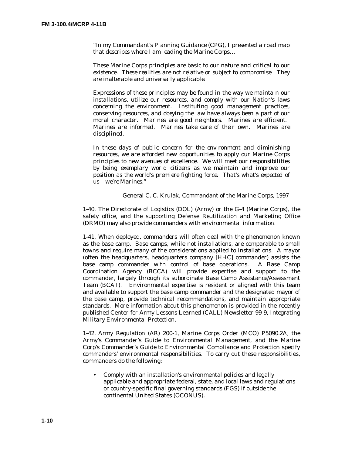"*In my Commandant's Planning Guidance (CPG), I presented a road map that describes where I am leading the Marine Corps…*

*These Marine Corps principles are basic to our nature and critical to our existence. These realities are not relative or subject to compromise. They are inalterable and universally applicable.*

*Expressions of these principles may be found in the way we maintain our installations, utilize our resources, and comply with our Nation's laws concerning the environment. Instituting good management practices, conserving resources, and obeying the law have always been a part of our moral character. Marines are good neighbors. Marines are efficient. Marines are informed. Marines take care of their own. Marines are disciplined.*

*In these days of public concern for the environment and diminishing resources, we are afforded new opportunities to apply our Marine Corps principles to new avenues of excellence. We will meet our responsibilities by being exemplary world citizens as we maintain and improve our position as the world's premiere fighting force. That's what's expected of us – we're Marines."*

General C. C. Krulak, Commandant of the Marine Corps, 1997

1-40. The Directorate of Logistics (DOL) (Army) or the G-4 (Marine Corps), the safety office, and the supporting Defense Reutilization and Marketing Office (DRMO) may also provide commanders with environmental information.

1-41. When deployed, commanders will often deal with the phenomenon known as the base camp. Base camps, while not installations, are comparable to small towns and require many of the considerations applied to installations. A mayor (often the headquarters, headquarters company [HHC] commander) assists the base camp commander with control of base operations. A Base Camp Coordination Agency (BCCA) will provide expertise and support to the commander, largely through its subordinate Base Camp Assistance/Assessment Team (BCAT). Environmental expertise is resident or aligned with this team and available to support the base camp commander and the designated mayor of the base camp, provide technical recommendations, and maintain appropriate standards. More information about this phenomenon is provided in the recently published Center for Army Lessons Learned (CALL) Newsletter 99-9, *Integrating Military Environmental Protection*.

1-42. Army Regulation (AR) 200-1, Marine Corps Order (MCO) P5090.2A, the Army's *Commander's Guide to Environmental Management*, and the Marine Corp's *Commander's Guide to Environmental Compliance and Protection* specify commanders' environmental responsibilities. To carry out these responsibilities, commanders do the following:

• Comply with an installation's environmental policies and legally applicable and appropriate federal, state, and local laws and regulations or country-specific final governing standards (FGS) if outside the continental United States (OCONUS).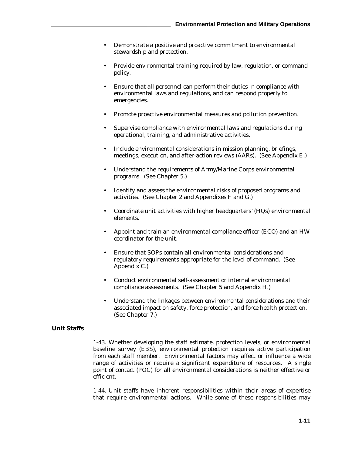- Demonstrate a positive and proactive commitment to environmental stewardship and protection.
- Provide environmental training required by law, regulation, or command policy.
- Ensure that all personnel can perform their duties in compliance with environmental laws and regulations, and can respond properly to emergencies.
- Promote proactive environmental measures and pollution prevention.
- Supervise compliance with environmental laws and regulations during operational, training, and administrative activities.
- Include environmental considerations in mission planning, briefings, meetings, execution, and after-action reviews (AARs). (See Appendix E.)
- Understand the requirements of Army/Marine Corps environmental programs. (See Chapter 5.)
- Identify and assess the environmental risks of proposed programs and activities. (See Chapter 2 and Appendixes  $F$  and  $\hat{G}$ .)
- Coordinate unit activities with higher headquarters' (HQs) environmental elements.
- Appoint and train an environmental compliance officer (ECO) and an HW coordinator for the unit.
- Ensure that SOPs contain all environmental considerations and regulatory requirements appropriate for the level of command. (See Appendix C.)
- Conduct environmental self-assessment or internal environmental compliance assessments. (See Chapter 5 and Appendix H.)
- Understand the linkages between environmental considerations and their associated impact on safety, force protection, and force health protection. (See Chapter 7.)

#### **Unit Staffs**

1-43. Whether developing the staff estimate, protection levels, or environmental baseline survey (EBS), environmental protection requires active participation from each staff member. Environmental factors may affect or influence a wide range of activities or require a significant expenditure of resources. A single point of contact (POC) for all environmental considerations is neither effective or efficient.

1-44. Unit staffs have inherent responsibilities within their areas of expertise that require environmental actions. While some of these responsibilities may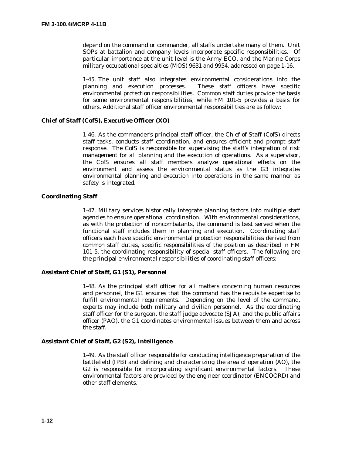depend on the command or commander, all staffs undertake many of them. Unit SOPs at battalion and company levels incorporate specific responsibilities. Of particular importance at the unit level is the Army ECO, and the Marine Corps military occupational specialties (MOS) 9631 and 9954, addressed on page 1-16.

1-45. The unit staff also integrates environmental considerations into the planning and execution processes. These staff officers have specific environmental protection responsibilities. Common staff duties provide the basis for some environmental responsibilities, while FM 101-5 provides a basis for others. Additional staff officer environmental responsibilities are as follow:

#### *Chief of Staff (CofS), Executive Officer (XO)*

1-46. As the commander's principal staff officer, the Chief of Staff (CofS) directs staff tasks, conducts staff coordination, and ensures efficient and prompt staff response. The CofS is responsible for supervising the staff's integration of risk management for all planning and the execution of operations. As a supervisor, the CofS ensures all staff members analyze operational effects on the environment and assess the environmental status as the G3 integrates environmental planning and execution into operations in the same manner as safety is integrated.

#### **Coordinating Staff**

1-47. Military services historically integrate planning factors into multiple staff agencies to ensure operational coordination. With environmental considerations, as with the protection of noncombatants, the command is best served when the functional staff includes them in planning and execution. Coordinating staff officers each have specific environmental protection responsibilities derived from common staff duties, specific responsibilities of the position as described in FM 101-5, the coordinating responsibility of special staff officers. The following are the principal environmental responsibilities of coordinating staff officers:

#### *Assistant Chief of Staff, G1 (S1), Personnel*

1-48. As the principal staff officer for all matters concerning human resources and personnel, the G1 ensures that the command has the requisite expertise to fulfill environmental requirements. Depending on the level of the command, experts may include both military and civilian personnel. As the coordinating staff officer for the surgeon, the staff judge advocate (SJA), and the public affairs officer (PAO), the G1 coordinates environmental issues between them and across the staff.

#### *Assistant Chief of Staff, G2 (S2), Intelligence*

1-49. As the staff officer responsible for conducting intelligence preparation of the battlefield (IPB) and defining and characterizing the area of operation (AO), the G2 is responsible for incorporating significant environmental factors. These environmental factors are provided by the engineer coordinator (ENCOORD) and other staff elements.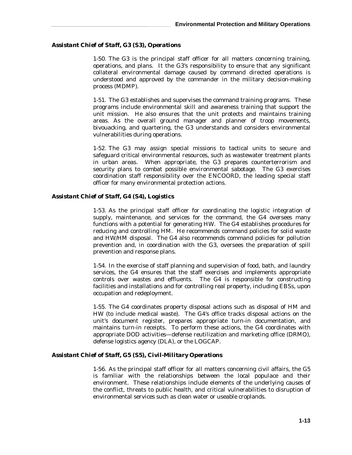#### *Assistant Chief of Staff, G3 (S3), Operations*

1-50. The G3 is the principal staff officer for all matters concerning training, operations, and plans. It the G3's responsibility to ensure that any significant collateral environmental damage caused by command directed operations is understood and approved by the commander in the military decision-making process (MDMP).

1-51. The G3 establishes and supervises the command training programs. These programs include environmental skill and awareness training that support the unit mission. He also ensures that the unit protects and maintains training areas. As the overall ground manager and planner of troop movements, bivouacking, and quartering, the G3 understands and considers environmental vulnerabilities during operations.

1-52. The G3 may assign special missions to tactical units to secure and safeguard critical environmental resources, such as wastewater treatment plants in urban areas. When appropriate, the G3 prepares counterterrorism and security plans to combat possible environmental sabotage. The G3 exercises coordination staff responsibility over the ENCOORD, the leading special staff officer for many environmental protection actions.

#### *Assistant Chief of Staff, G4 (S4), Logistics*

1-53. As the principal staff officer for coordinating the logistic integration of supply, maintenance, and services for the command, the G4 oversees many functions with a potential for generating HW. The G4 establishes procedures for reducing and controlling HM. He recommends command policies for solid waste and HW/HM disposal. The G4 also recommends command policies for pollution prevention and, in coordination with the G3, oversees the preparation of spill prevention and response plans.

1-54. In the exercise of staff planning and supervision of food, bath, and laundry services, the G4 ensures that the staff exercises and implements appropriate controls over wastes and effluents. The G4 is responsible for constructing facilities and installations and for controlling real property, including EBSs, upon occupation and redeployment.

1-55. The G4 coordinates property disposal actions such as disposal of HM and HW (to include medical waste). The G4's office tracks disposal actions on the unit's document register, prepares appropriate turn-in documentation, and maintains turn-in receipts. To perform these actions, the G4 coordinates with appropriate DOD activities—defense reutilization and marketing office (DRMO), defense logistics agency (DLA), or the LOGCAP.

#### *Assistant Chief of Staff, G5 (S5), Civil-Military Operations*

1-56. As the principal staff officer for all matters concerning civil affairs, the G5 is familiar with the relationships between the local populace and their environment. These relationships include elements of the underlying causes of the conflict, threats to public health, and critical vulnerabilities to disruption of environmental services such as clean water or useable croplands.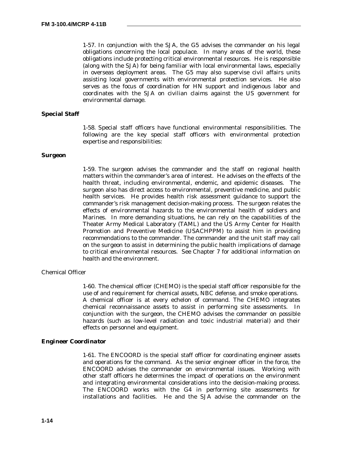1-57. In conjunction with the SJA, the G5 advises the commander on his legal obligations concerning the local populace. In many areas of the world, these obligations include protecting critical environmental resources. He is responsible (along with the SJA) for being familiar with local environmental laws, especially in overseas deployment areas. The G5 may also supervise civil affairs units assisting local governments with environmental protection services. He also serves as the focus of coordination for HN support and indigenous labor and coordinates with the SJA on civilian claims against the US government for environmental damage.

#### **Special Staff**

1-58. Special staff officers have functional environmental responsibilities. The following are the key special staff officers with environmental protection expertise and responsibilities:

#### *Surgeon*

1-59. The surgeon advises the commander and the staff on regional health matters within the commander's area of interest. He advises on the effects of the health threat, including environmental, endemic, and epidemic diseases. The surgeon also has direct access to environmental, preventive medicine, and public health services. He provides health risk assessment guidance to support the commander's risk management decision-making process. The surgeon relates the effects of environmental hazards to the environmental health of soldiers and Marines. In more demanding situations, he can rely on the capabilities of the Theater Army Medical Laboratory (TAML) and the US Army Center for Health Promotion and Preventive Medicine (USACHPPM) to assist him in providing recommendations to the commander. The commander and the unit staff may call on the surgeon to assist in determining the public health implications of damage to critical environmental resources. See Chapter 7 for additional information on health and the environment.

#### Chemical Officer

1-60. The chemical officer (CHEMO) is the special staff officer responsible for the use of and requirement for chemical assets, NBC defense, and smoke operations. A chemical officer is at every echelon of command. The CHEMO integrates chemical reconnaissance assets to assist in performing site assessments. In conjunction with the surgeon, the CHEMO advises the commander on possible hazards (such as low-level radiation and toxic industrial material) and their effects on personnel and equipment.

#### *Engineer Coordinator*

1-61. The ENCOORD is the special staff officer for coordinating engineer assets and operations for the command. As the senior engineer officer in the force, the ENCOORD advises the commander on environmental issues. Working with other staff officers he determines the impact of operations on the environment and integrating environmental considerations into the decision-making process. The ENCOORD works with the G4 in performing site assessments for installations and facilities. He and the SJA advise the commander on the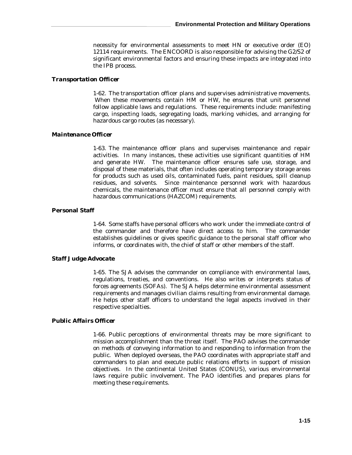necessity for environmental assessments to meet HN or executive order (EO) 12114 requirements. The ENCOORD is also responsible for advising the G2/S2 of significant environmental factors and ensuring these impacts are integrated into the IPB process.

#### *Transportation Officer*

1-62. The transportation officer plans and supervises administrative movements. When these movements contain HM or HW, he ensures that unit personnel follow applicable laws and regulations. These requirements include: manifesting cargo, inspecting loads, segregating loads, marking vehicles, and arranging for hazardous cargo routes (as necessary).

#### *Maintenance Officer*

1-63. The maintenance officer plans and supervises maintenance and repair activities. In many instances, these activities use significant quantities of HM and generate HW. The maintenance officer ensures safe use, storage, and disposal of these materials, that often includes operating temporary storage areas for products such as used oils, contaminated fuels, paint residues, spill cleanup residues, and solvents. Since maintenance personnel work with hazardous chemicals, the maintenance officer must ensure that all personnel comply with hazardous communications (HAZCOM) requirements.

#### **Personal Staff**

1-64. Some staffs have personal officers who work under the immediate control of the commander and therefore have direct access to him. The commander establishes guidelines or gives specific guidance to the personal staff officer who informs, or coordinates with, the chief of staff or other members of the staff.

#### *Staff Judge Advocate*

1-65. The SJA advises the commander on compliance with environmental laws, regulations, treaties, and conventions. He also writes or interprets status of forces agreements (SOFAs). The SJA helps determine environmental assessment requirements and manages civilian claims resulting from environmental damage. He helps other staff officers to understand the legal aspects involved in their respective specialties.

#### *Public Affairs Officer*

1-66. Public perceptions of environmental threats may be more significant to mission accomplishment than the threat itself. The PAO advises the commander on methods of conveying information to and responding to information from the public. When deployed overseas, the PAO coordinates with appropriate staff and commanders to plan and execute public relations efforts in support of mission objectives. In the continental United States (CONUS), various environmental laws require public involvement. The PAO identifies and prepares plans for meeting these requirements.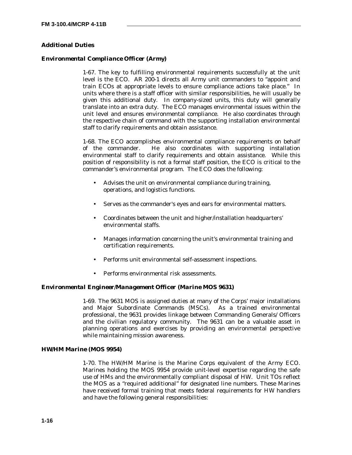#### **Additional Duties**

#### *Environmental Compliance Officer (Army)*

1-67. The key to fulfilling environmental requirements successfully at the unit level is the ECO. AR 200-1 directs all Army unit commanders to "appoint and train ECOs at appropriate levels to ensure compliance actions take place." In units where there is a staff officer with similar responsibilities, he will usually be given this additional duty. In company-sized units, this duty will generally translate into an extra duty. The ECO manages environmental issues within the unit level and ensures environmental compliance. He also coordinates through the respective chain of command with the supporting installation environmental staff to clarify requirements and obtain assistance.

1-68. The ECO accomplishes environmental compliance requirements on behalf of the commander. He also coordinates with supporting installation environmental staff to clarify requirements and obtain assistance. While this position of responsibility is not a formal staff position, the ECO is critical to the commander's environmental program. The ECO does the following:

- Advises the unit on environmental compliance during training, operations, and logistics functions.
- Serves as the commander's eyes and ears for environmental matters.
- Coordinates between the unit and higher/installation headquarters' environmental staffs.
- Manages information concerning the unit's environmental training and certification requirements.
- Performs unit environmental self-assessment inspections.
- Performs environmental risk assessments.

#### *Environmental Engineer/Management Officer (Marine MOS 9631)*

1-69. The 9631 MOS is assigned duties at many of the Corps' major installations and Major Subordinate Commands (MSCs). As a trained environmental professional, the 9631 provides linkage between Commanding Generals/ Officers and the civilian regulatory community. The 9631 can be a valuable asset in planning operations and exercises by providing an environmental perspective while maintaining mission awareness.

#### *HW/HM Marine (MOS 9954)*

1-70. The HW/HM Marine is the Marine Corps equivalent of the Army ECO. Marines holding the MOS 9954 provide unit-level expertise regarding the safe use of HMs and the environmentally compliant disposal of HW. Unit TOs reflect the MOS as a "required additional" for designated line numbers. These Marines have received formal training that meets federal requirements for HW handlers and have the following general responsibilities: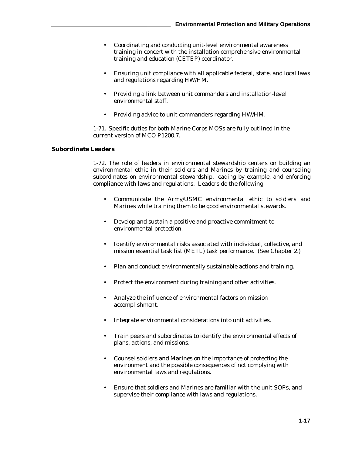- Coordinating and conducting unit-level environmental awareness training in concert with the installation comprehensive environmental training and education (CETEP) coordinator.
- Ensuring unit compliance with all applicable federal, state, and local laws and regulations regarding HW/HM.
- Providing a link between unit commanders and installation-level environmental staff.
- Providing advice to unit commanders regarding HW/HM.

1-71. Specific duties for both Marine Corps MOSs are fully outlined in the current version of MCO P1200.7.

#### **Subordinate Leaders**

1-72. The role of leaders in environmental stewardship centers on building an environmental ethic in their soldiers and Marines by training and counseling subordinates on environmental stewardship, leading by example, and enforcing compliance with laws and regulations. Leaders do the following:

- Communicate the Army/USMC environmental ethic to soldiers and Marines while training them to be good environmental stewards.
- Develop and sustain a positive and proactive commitment to environmental protection.
- Identify environmental risks associated with individual, collective, and mission essential task list (METL) task performance. (See Chapter 2.)
- Plan and conduct environmentally sustainable actions and training.
- Protect the environment during training and other activities.
- Analyze the influence of environmental factors on mission accomplishment.
- Integrate environmental considerations into unit activities.
- Train peers and subordinates to identify the environmental effects of plans, actions, and missions.
- Counsel soldiers and Marines on the importance of protecting the environment and the possible consequences of not complying with environmental laws and regulations.
- Ensure that soldiers and Marines are familiar with the unit SOPs, and supervise their compliance with laws and regulations.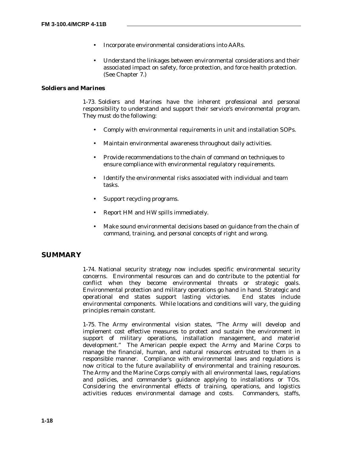- Incorporate environmental considerations into AARs.
- Understand the linkages between environmental considerations and their associated impact on safety, force protection, and force health protection. (See Chapter 7.)

#### **Soldiers and Marines**

1-73. Soldiers and Marines have the inherent professional and personal responsibility to understand and support their service's environmental program. They must do the following:

- Comply with environmental requirements in unit and installation SOPs.
- Maintain environmental awareness throughout daily activities.
- Provide recommendations to the chain of command on techniques to ensure compliance with environmental regulatory requirements.
- Identify the environmental risks associated with individual and team tasks.
- Support recycling programs.
- Report HM and HW spills immediately.
- Make sound environmental decisions based on guidance from the chain of command, training, and personal concepts of right and wrong.

# **SUMMARY**

1-74. National security strategy now includes specific environmental security concerns. Environmental resources can and do contribute to the potential for conflict when they become environmental threats or strategic goals. Environmental protection and military operations go hand in hand. Strategic and operational end states support lasting victories. End states include environmental components. While locations and conditions will vary, the guiding principles remain constant.

1-75. The Army environmental vision states, "The Army will develop and implement cost effective measures to protect and sustain the environment in support of military operations, installation management, and materiel development." The American people expect the Army and Marine Corps to manage the financial, human, and natural resources entrusted to them in a responsible manner. Compliance with environmental laws and regulations is now critical to the future availability of environmental and training resources. The Army and the Marine Corps comply with all environmental laws, regulations and policies, and commander's guidance applying to installations or TOs. Considering the environmental effects of training, operations, and logistics activities reduces environmental damage and costs. Commanders, staffs,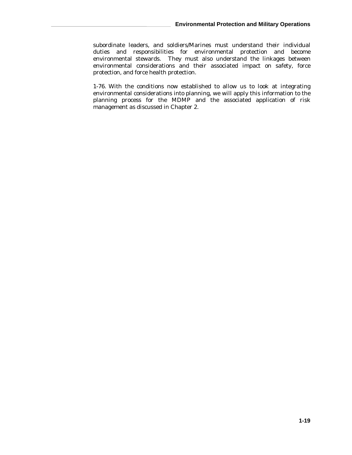subordinate leaders, and soldiers/Marines must understand their individual duties and responsibilities for environmental protection and become environmental stewards. They must also understand the linkages between environmental considerations and their associated impact on safety, force protection, and force health protection.

1-76. With the conditions now established to allow us to look at integrating environmental considerations into planning, we will apply this information to the planning process for the MDMP and the associated application of risk management as discussed in Chapter 2.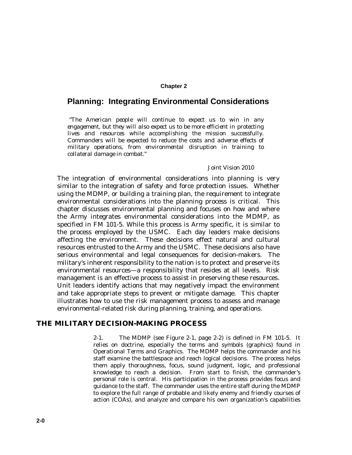#### **Chapter 2**

# **Planning: Integrating Environmental Considerations**

 *"The American people will continue to expect us to win in any engagement, but they will also expect us to be more efficient in protecting lives and resources while accomplishing the mission successfully. Commanders will be expected to reduce the costs and adverse effects of military operations, from environmental disruption in training to collateral damage in combat."*

#### Joint Vision 2010

The integration of environmental considerations into planning is very similar to the integration of safety and force protection issues. Whether using the MDMP, or building a training plan, the requirement to integrate environmental considerations into the planning process is critical. This chapter discusses environmental planning and focuses on how and where the Army integrates environmental considerations into the MDMP, as specified in FM 101-5. While this process is Army specific, it is similar to the process employed by the USMC. Each day leaders make decisions affecting the environment. These decisions effect natural and cultural resources entrusted to the Army and the USMC. These decisions also have serious environmental and legal consequences for decision-makers. The military's inherent responsibility to the nation is to protect and preserve its environmental resources—a responsibility that resides at all levels. Risk management is an effective process to assist in preserving these resources. Unit leaders identify actions that may negatively impact the environment and take appropriate steps to prevent or mitigate damage. This chapter illustrates how to use the risk management process to assess and manage environmental-related risk during planning, training, and operations.

#### **THE MILITARY DECISION-MAKING PROCESS**

2-1. The MDMP (see Figure 2-1, page 2-2) is defined in FM 101-5. It relies on doctrine, especially the terms and symbols (graphics) found in *Operational Terms and Graphics*. The MDMP helps the commander and his staff examine the battlespace and reach logical decisions. The process helps them apply thoroughness, focus, sound judgment, logic, and professional knowledge to reach a decision. From start to finish, the commander's personal role is central. His participation in the process provides focus and guidance to the staff. The commander uses the entire staff during the MDMP to explore the full range of probable and likely enemy and friendly courses of action (COAs), and analyze and compare his own organization's capabilities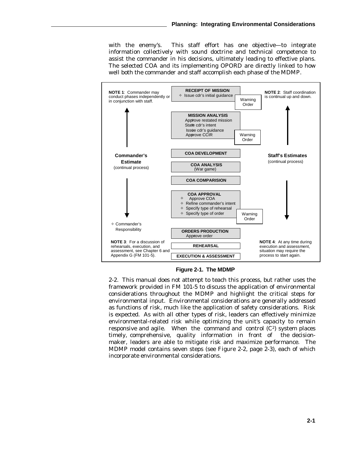with the enemy's. This staff effort has one objective—to integrate information collectively with sound doctrine and technical competence to assist the commander in his decisions, ultimately leading to effective plans. The selected COA and its implementing OPORD are directly linked to how well both the commander and staff accomplish each phase of the MDMP.



**Figure 2-1. The MDMP**

2-2. This manual does not attempt to teach this process, but rather uses the framework provided in FM 101-5 to discuss the application of environmental considerations throughout the MDMP and highlight the critical steps for environmental input. Environmental considerations are generally addressed as functions of risk, much like the application of safety considerations. Risk is expected. As with all other types of risk, leaders can effectively minimize environmental-related risk while optimizing the unit's capacity to remain responsive and agile. When the command and control  $(C<sup>2</sup>)$  system places timely, comprehensive, quality information in front of the decisionmaker, leaders are able to mitigate risk and maximize performance. The MDMP model contains seven steps (see Figure 2-2, page 2-3), each of which incorporate environmental considerations.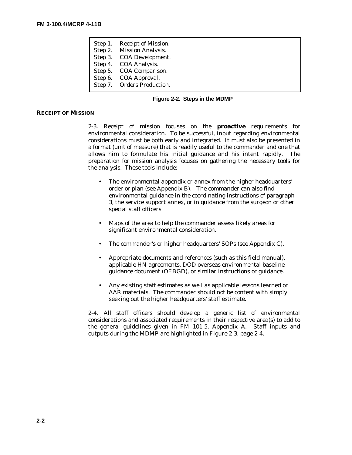|  | Step 1. Receipt of Mission. |
|--|-----------------------------|
|  | Step 2. Mission Analysis.   |
|  | Step 3. COA Development.    |
|  | Step 4. COA Analysis.       |
|  | Step 5. COA Comparison.     |
|  | Step 6. COA Approval.       |
|  | Step 7. Orders Production.  |
|  |                             |

#### **Figure 2-2. Steps in the MDMP**

#### **RECEIPT OF MISSION**

2-3. Receipt of mission focuses on the **proactive** requirements for environmental consideration. To be successful, input regarding environmental considerations must be both early and integrated. It must also be presented in a format (unit of measure) that is readily useful to the commander and one that allows him to formulate his initial guidance and his intent rapidly. The preparation for mission analysis focuses on gathering the necessary tools for the analysis. These tools include:

- The environmental appendix or annex from the higher headquarters' order or plan (see Appendix B). The commander can also find environmental guidance in the coordinating instructions of paragraph 3, the service support annex, or in guidance from the surgeon or other special staff officers.
- Maps of the area to help the commander assess likely areas for significant environmental consideration.
- The commander's or higher headquarters' SOPs (see Appendix C).
- Appropriate documents and references (such as this field manual), applicable HN agreements, DOD overseas environmental baseline guidance document (OEBGD), or similar instructions or guidance.
- Any existing staff estimates as well as applicable lessons learned or AAR materials. The commander should not be content with simply seeking out the higher headquarters' staff estimate.

2-4. All staff officers should develop a generic list of environmental considerations and associated requirements in their respective area(s) to add to the general guidelines given in FM 101-5, Appendix A. Staff inputs and outputs during the MDMP are highlighted in Figure 2-3, page 2-4.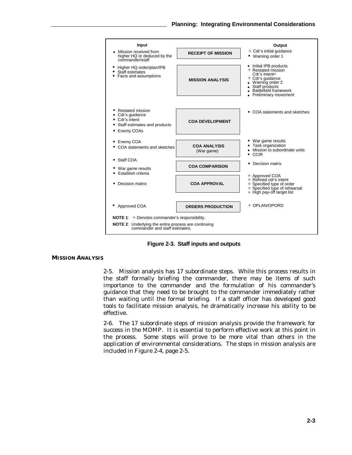

**Figure 2-3. Staff inputs and outputs**

#### **MISSION ANALYSIS**

2-5. Mission analysis has 17 subordinate steps. While this process results in the staff formally briefing the commander, there may be items of such importance to the commander and the formulation of his commander's guidance that they need to be brought to the commander immediately rather than waiting until the formal briefing. If a staff officer has developed good tools to facilitate mission analysis, he dramatically increase his ability to be effective.

2-6. The 17 subordinate steps of mission analysis provide the framework for success in the MDMP. It is essential to perform effective work at this point in the process. Some steps will prove to be more vital than others in the application of environmental considerations. The steps in mission analysis are included in Figure 2-4, page 2-5.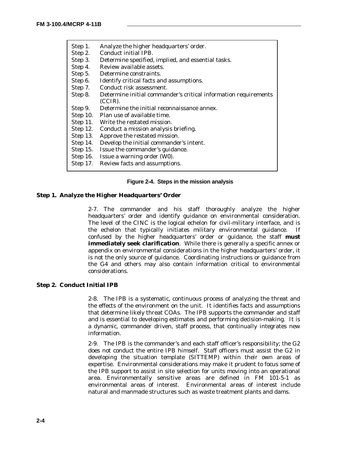| Step 1.  | Analyze the higher headquarters' order.                         |
|----------|-----------------------------------------------------------------|
| Step 2.  | Conduct initial IPB.                                            |
| Step 3.  | Determine specified, implied, and essential tasks.              |
| Step 4.  | Review available assets.                                        |
| Step 5.  | Determine constraints.                                          |
| Step 6.  | Identify critical facts and assumptions.                        |
| Step 7.  | Conduct risk assessment.                                        |
| Step 8.  | Determine initial commander's critical information requirements |
|          | $(CCIR)$ .                                                      |
| Step 9.  | Determine the initial reconnaissance annex.                     |
| Step 10. | Plan use of available time.                                     |
|          | Step 11. Write the restated mission.                            |
| Step 12. | Conduct a mission analysis briefing.                            |
| Step 13. | Approve the restated mission.                                   |
| Step 14. | Develop the initial commander's intent.                         |
| Step 15. | Issue the commander's guidance.                                 |
| Step 16. | Issue a warning order (W0).                                     |
| Step 17. | Review facts and assumptions.                                   |

#### **Figure 2-4. Steps in the mission analysis**

#### **Step 1. Analyze the Higher Headquarters' Order**

2-7. The commander and his staff thoroughly analyze the higher headquarters' order and identify guidance on environmental consideration. The level of the CINC is the logical echelon for civil-military interface, and is the echelon that typically initiates military environmental guidance. If confused by the higher headquarters' order or guidance, the staff **must immediately seek clarification**. While there is generally a specific annex or appendix on environmental considerations in the higher headquarters' order, it is not the only source of guidance. Coordinating instructions or guidance from the G4 and others may also contain information critical to environmental considerations.

#### **Step 2. Conduct Initial IPB**

2-8. The IPB is a systematic, continuous process of analyzing the threat and the effects of the environment on the unit. It identifies facts and assumptions that determine likely threat COAs. The IPB supports the commander and staff and is essential to developing estimates and performing decision-making. It is a dynamic, commander driven, staff process, that continually integrates new information.

2-9. The IPB is the commander's and each staff officer's responsibility; the G2 does not conduct the entire IPB himself. Staff officers must assist the G2 in developing the situation template (SITTEMP) within their own areas of expertise. Environmental considerations may make it prudent to focus some of the IPB support to assist in site selection for units moving into an operational area. Environmentally sensitive areas are defined in FM 101-5-1 as environmental areas of interest. Environmental areas of interest include natural and manmade structures such as waste treatment plants and dams.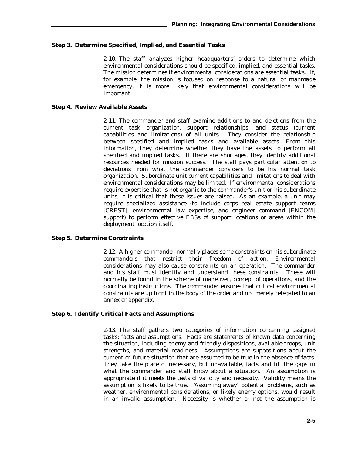#### **Step 3. Determine Specified, Implied, and Essential Tasks**

2-10. The staff analyzes higher headquarters' orders to determine which environmental considerations should be specified, implied, and essential tasks. The mission determines if environmental considerations are essential tasks. If, for example, the mission is focused on response to a natural or manmade emergency, it is more likely that environmental considerations will be important.

#### **Step 4. Review Available Assets**

2-11. The commander and staff examine additions to and deletions from the current task organization, support relationships, and status (current capabilities and limitations) of all units. They consider the relationship between specified and implied tasks and available assets. From this information, they determine whether they have the assets to perform all specified and implied tasks. If there are shortages, they identify additional resources needed for mission success. The staff pays particular attention to deviations from what the commander considers to be his normal task organization. Subordinate unit current capabilities and limitations to deal with environmental considerations may be limited. If environmental considerations require expertise that is not organic to the commander's unit or his subordinate units, it is critical that those issues are raised. As an example, a unit may require specialized assistance (to include corps real estate support teams [CREST], environmental law expertise, and engineer command [ENCOM] support) to perform effective EBSs of support locations or areas within the deployment location itself.

#### **Step 5. Determine Constraints**

2-12. A higher commander normally places some constraints on his subordinate commanders that restrict their freedom of action. Environmental considerations may also cause constraints on an operation. The commander and his staff must identify and understand these constraints. These will normally be found in the scheme of maneuver, concept of operations, and the coordinating instructions. The commander ensures that critical environmental constraints are up front in the body of the order and not merely relegated to an annex or appendix.

#### **Step 6. Identify Critical Facts and Assumptions**

2-13. The staff gathers two categories of information concerning assigned tasks: facts and assumptions. Facts are statements of known data concerning the situation, including enemy and friendly dispositions, available troops, unit strengths, and material readiness. Assumptions are suppositions about the current or future situation that are assumed to be true in the absence of facts. They take the place of necessary, but unavailable, facts and fill the gaps in what the commander and staff know about a situation. An assumption is appropriate if it meets the tests of validity and necessity. Validity means the assumption is likely to be true. "Assuming away" potential problems, such as weather, environmental considerations, or likely enemy options, would result in an invalid assumption. Necessity is whether or not the assumption is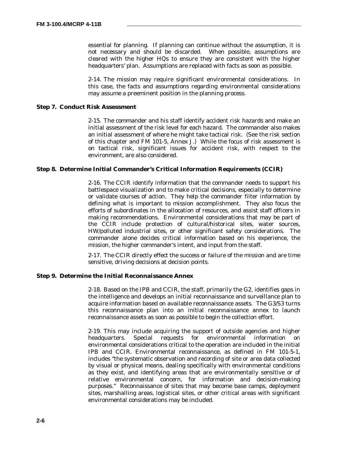essential for planning. If planning can continue without the assumption, it is not necessary and should be discarded. When possible, assumptions are cleared with the higher HQs to ensure they are consistent with the higher headquarters' plan. Assumptions are replaced with facts as soon as possible.

2-14. The mission may require significant environmental considerations. In this case, the facts and assumptions regarding environmental considerations may assume a preeminent position in the planning process.

#### **Step 7. Conduct Risk Assessment**

2-15. The commander and his staff identify accident risk hazards and make an initial assessment of the risk level for each hazard. The commander also makes an initial assessment of where he might take tactical risk. (See the risk section of this chapter and FM 101-5, Annex J.) While the focus of risk assessment is on tactical risk, significant issues for accident risk, with respect to the environment, are also considered.

#### **Step 8. Determine Initial Commander's Critical Information Requirements (CCIR)**

2-16. The CCIR identify information that the commander needs to support his battlespace visualization and to make critical decisions, especially to determine or validate courses of action. They help the commander filter information by defining what is important to mission accomplishment. They also focus the efforts of subordinates in the allocation of resources, and assist staff officers in making recommendations. Environmental considerations that may be part of the CCIR include protection of cultural/historical sites, water sources, HW/polluted industrial sites, or other significant safety considerations. The commander alone decides critical information based on his experience, the mission, the higher commander's intent, and input from the staff.

2-17. The CCIR directly effect the success or failure of the mission and are time sensitive, driving decisions at decision points.

#### **Step 9. Determine the Initial Reconnaissance Annex**

2-18. Based on the IPB and CCIR, the staff, primarily the G2, identifies gaps in the intelligence and develops an initial reconnaissance and surveillance plan to acquire information based on available reconnaissance assets. The G3/S3 turns this reconnaissance plan into an initial reconnaissance annex to launch reconnaissance assets as soon as possible to begin the collection effort.

2-19. This may include acquiring the support of outside agencies and higher headquarters. Special requests for environmental information on environmental considerations critical to the operation are included in the initial IPB and CCIR. Environmental reconnaissance, as defined in FM 101-5-1, includes "the systematic observation and recording of site or area data collected by visual or physical means, dealing specifically with environmental conditions as they exist, and identifying areas that are environmentally sensitive or of relative environmental concern, for information and decision-making purposes." Reconnaissance of sites that may become base camps, deployment sites, marshalling areas, logistical sites, or other critical areas with significant environmental considerations may be included.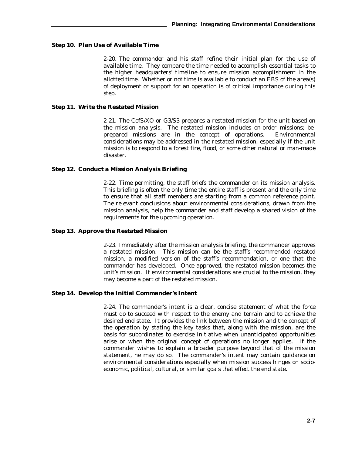#### **Step 10. Plan Use of Available Time**

2-20. The commander and his staff refine their initial plan for the use of available time. They compare the time needed to accomplish essential tasks to the higher headquarters' timeline to ensure mission accomplishment in the allotted time. Whether or not time is available to conduct an EBS of the area(s) of deployment or support for an operation is of critical importance during this step.

#### **Step 11. Write the Restated Mission**

2-21. The CofS/XO or G3/S3 prepares a restated mission for the unit based on the mission analysis. The restated mission includes on-order missions; beprepared missions are in the concept of operations. Environmental considerations may be addressed in the restated mission, especially if the unit mission is to respond to a forest fire, flood, or some other natural or man-made disaster.

#### **Step 12. Conduct a Mission Analysis Briefing**

2-22. Time permitting, the staff briefs the commander on its mission analysis. This briefing is often the only time the entire staff is present and the only time to ensure that all staff members are starting from a common reference point. The relevant conclusions about environmental considerations, drawn from the mission analysis, help the commander and staff develop a shared vision of the requirements for the upcoming operation.

#### **Step 13. Approve the Restated Mission**

2-23. Immediately after the mission analysis briefing, the commander approves a restated mission. This mission can be the staff's recommended restated mission, a modified version of the staff's recommendation, or one that the commander has developed. Once approved, the restated mission becomes the unit's mission. If environmental considerations are crucial to the mission, they may become a part of the restated mission.

#### **Step 14. Develop the Initial Commander's Intent**

2-24. The commander's intent is a clear, concise statement of what the force must do to succeed with respect to the enemy and terrain and to achieve the desired end state. It provides the link between the mission and the concept of the operation by stating the key tasks that, along with the mission, are the basis for subordinates to exercise initiative when unanticipated opportunities arise or when the original concept of operations no longer applies. If the commander wishes to explain a broader purpose beyond that of the mission statement, he may do so. The commander's intent may contain guidance on environmental considerations especially when mission success hinges on socioeconomic, political, cultural, or similar goals that effect the end state.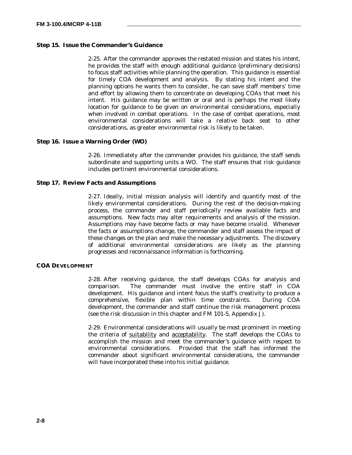## **Step 15. Issue the Commander's Guidance**

2-25. After the commander approves the restated mission and states his intent, he provides the staff with enough additional guidance (preliminary decisions) to focus staff activities while planning the operation. This guidance is essential for timely COA development and analysis. By stating his intent and the planning options he wants them to consider, he can save staff members' time and effort by allowing them to concentrate on developing COAs that meet his intent. His guidance may be written or oral and is perhaps the most likely location for guidance to be given on environmental considerations, especially when involved in combat operations. In the case of combat operations, most environmental considerations will take a relative back seat to other considerations, as greater environmental risk is likely to be taken.

## **Step 16. Issue a Warning Order (WO)**

2-26. Immediately after the commander provides his guidance, the staff sends subordinate and supporting units a WO. The staff ensures that risk guidance includes pertinent environmental considerations.

### **Step 17. Review Facts and Assumptions**

2-27. Ideally, initial mission analysis will identify and quantify most of the likely environmental considerations. During the rest of the decision-making process, the commander and staff periodically review available facts and assumptions. New facts may alter requirements and analysis of the mission. Assumptions may have become facts or may have become invalid. Whenever the facts or assumptions change, the commander and staff assess the impact of these changes on the plan and make the necessary adjustments. The discovery of additional environmental considerations are likely as the planning progresses and reconnaissance information is forthcoming.

## **COA DEVELOPMENT**

2-28. After receiving guidance, the staff develops COAs for analysis and comparison. The commander must involve the entire staff in COA development. His guidance and intent focus the staff's creativity to produce a comprehensive, flexible plan within time constraints. During COA development, the commander and staff continue the risk management process (see the risk discussion in this chapter and FM 101-5, Appendix J).

2-29. Environmental considerations will usually be most prominent in meeting the criteria of suitability and acceptabilit*y*. The staff develops the COAs to accomplish the mission and meet the commander's guidance with respect to environmental considerations. Provided that the staff has informed the commander about significant environmental considerations, the commander will have incorporated these into his initial guidance.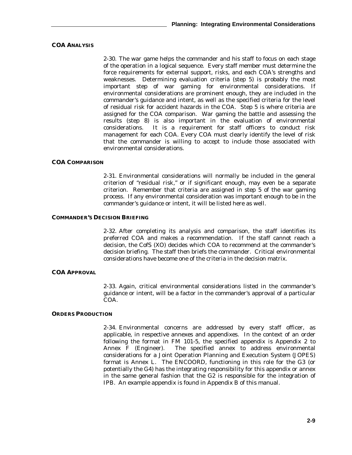## **COA ANALYSIS**

2-30. The war game helps the commander and his staff to focus on each stage of the operation in a logical sequence. Every staff member must determine the force requirements for external support, risks, and each COA's strengths and weaknesses. Determining evaluation criteria (step 5) is probably the most important step of war gaming for environmental considerations. If environmental considerations are prominent enough, they are included in the commander's guidance and intent, as well as the specified criteria for the level of residual risk for accident hazards in the COA. Step 5 is where criteria are assigned for the COA comparison. War gaming the battle and assessing the results (step 8) is also important in the evaluation of environmental considerations. It is a requirement for staff officers to conduct risk management for each COA. Every COA must clearly identify the level of risk that the commander is willing to accept to include those associated with environmental considerations.

#### **COA COMPARISON**

2-31. Environmental considerations will normally be included in the general criterion of "residual risk," or if significant enough, may even be a separate criterion. Remember that criteria are assigned in step 5 of the war gaming process. If any environmental consideration was important enough to be in the commander's guidance or intent, it will be listed here as well.

#### **COMMANDER'S DECISION BRIEFING**

2-32. After completing its analysis and comparison, the staff identifies its preferred COA and makes a recommendation. If the staff cannot reach a decision, the CofS (XO) decides which COA to recommend at the commander's decision briefing. The staff then briefs the commander. Critical environmental considerations have become one of the criteria in the decision matrix.

## **COA APPROVAL**

2-33. Again, critical environmental considerations listed in the commander's guidance or intent, will be a factor in the commander's approval of a particular COA.

#### **ORDERS PRODUCTION**

2-34. Environmental concerns are addressed by every staff officer, as applicable, in respective annexes and appendixes. In the context of an order following the format in FM 101-5, the specified appendix is Appendix 2 to Annex F (Engineer). The specified annex to address environmental considerations for a Joint Operation Planning and Execution System (JOPES) format is Annex L. The ENCOORD, functioning in this role for the G3 (or potentially the G4) has the integrating responsibility for this appendix or annex in the same general fashion that the G2 is responsible for the integration of IPB. An example appendix is found in Appendix B of this manual.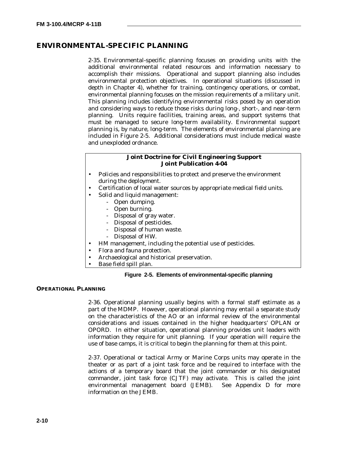## **ENVIRONMENTAL-SPECIFIC PLANNING**

2-35. Environmental-specific planning focuses on providing units with the additional environmental related resources and information necessary to accomplish their missions. Operational and support planning also includes environmental protection objectives. In operational situations (discussed in depth in Chapter 4), whether for training, contingency operations, or combat, environmental planning focuses on the mission requirements of a military unit. This planning includes identifying environmental risks posed by an operation and considering ways to reduce those risks during long-, short-, and near-term planning. Units require facilities, training areas, and support systems that must be managed to secure long-term availability. Environmental support planning is, by nature, long-term. The elements of environmental planning are included in Figure 2-5. Additional considerations must include medical waste and unexploded ordnance.

## **Joint Doctrine for Civil Engineering Support Joint Publication 4-04**

- Policies and responsibilities to protect and preserve the environment during the deployment.
- Certification of local water sources by appropriate medical field units.
	- Solid and liquid management:
		- Open dumping.
		- Open burning.
		- Disposal of gray water.
		- Disposal of pesticides.
		- Disposal of human waste.
		- Disposal of HW.
- HM management, including the potential use of pesticides.
- Flora and fauna protection.
- Archaeological and historical preservation.
- Base field spill plan.

## **Figure 2-5. Elements of environmental-specific planning**

## **OPERATIONAL PLANNING**

2-36. Operational planning usually begins with a formal staff estimate as a part of the MDMP. However, operational planning may entail a separate study on the characteristics of the AO or an informal review of the environmental considerations and issues contained in the higher headquarters' OPLAN or OPORD. In either situation, operational planning provides unit leaders with information they require for unit planning. If your operation will require the use of base camps, it is critical to begin the planning for them at this point.

2-37. Operational or tactical Army or Marine Corps units may operate in the theater or as part of a joint task force and be required to interface with the actions of a temporary board that the joint commander or his designated commander, joint task force (CJTF) may activate. This is called the joint environmental management board (JEMB). See Appendix D for more information on the JEMB.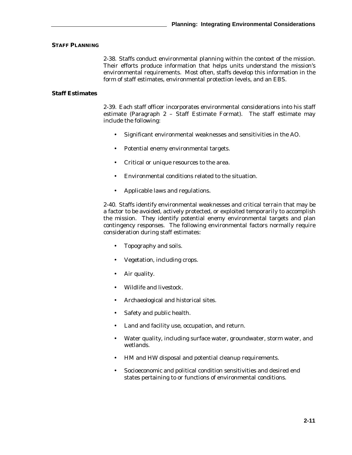## **STAFF PLANNING**

2-38. Staffs conduct environmental planning within the context of the mission. Their efforts produce information that helps units understand the mission's environmental requirements. Most often, staffs develop this information in the form of staff estimates, environmental protection levels, and an EBS.

## **Staff Estimates**

2-39. Each staff officer incorporates environmental considerations into his staff estimate (Paragraph 2 – Staff Estimate Format). The staff estimate may include the following:

- Significant environmental weaknesses and sensitivities in the AO.
- Potential enemy environmental targets.
- Critical or unique resources to the area.
- Environmental conditions related to the situation.
- Applicable laws and regulations.

2-40. Staffs identify environmental weaknesses and critical terrain that may be a factor to be avoided, actively protected, or exploited temporarily to accomplish the mission. They identify potential enemy environmental targets and plan contingency responses. The following environmental factors normally require consideration during staff estimates:

- Topography and soils.
- Vegetation, including crops.
- Air quality.
- Wildlife and livestock.
- Archaeological and historical sites.
- Safety and public health.
- Land and facility use, occupation, and return.
- Water quality, including surface water, groundwater, storm water, and wetlands.
- HM and HW disposal and potential cleanup requirements.
- Socioeconomic and political condition sensitivities and desired end states pertaining to or functions of environmental conditions.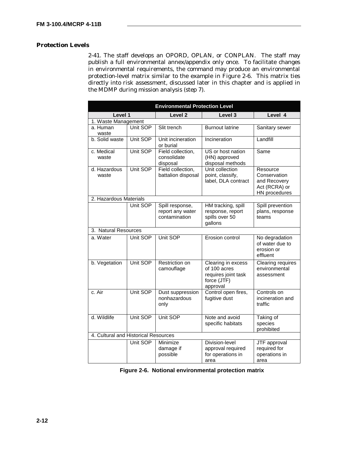## **Protection Levels**

2-41. The staff develops an OPORD, OPLAN, or CONPLAN. The staff may publish a full environmental annex/appendix only once. To facilitate changes in environmental requirements, the command may produce an environmental protection-level matrix similar to the example in Figure 2-6. This matrix ties directly into risk assessment, discussed later in this chapter and is applied in the MDMP during mission analysis (step 7).

| <b>Environmental Protection Level</b> |          |                                                      |                                                                                      |                                                                            |  |
|---------------------------------------|----------|------------------------------------------------------|--------------------------------------------------------------------------------------|----------------------------------------------------------------------------|--|
| Level 1                               |          | Level <sub>2</sub>                                   | Level 3                                                                              | Level 4                                                                    |  |
| 1. Waste Management                   |          |                                                      |                                                                                      |                                                                            |  |
| a. Human<br>waste                     | Unit SOP | Slit trench                                          | <b>Burnout latrine</b>                                                               | Sanitary sewer                                                             |  |
| b. Solid waste                        | Unit SOP | Unit incineration<br>or burial                       | Incineration                                                                         | Landfill                                                                   |  |
| c. Medical<br>waste                   | Unit SOP | Field collection,<br>consolidate<br>disposal         | US or host nation<br>(HN) approved<br>disposal methods                               | Same                                                                       |  |
| d. Hazardous<br>waste                 | Unit SOP | Field collection,<br>battalion disposal              | Unit collection<br>point, classify,<br>label, DLA contract                           | Resource<br>Conservation<br>and Recovery<br>Act (RCRA) or<br>HN procedures |  |
| 2. Hazardous Materials                |          |                                                      |                                                                                      |                                                                            |  |
|                                       | Unit SOP | Spill response,<br>report any water<br>contamination | HM tracking, spill<br>response, report<br>spills over 50<br>gallons                  | Spill prevention<br>plans, response<br>teams                               |  |
| 3. Natural Resources                  |          |                                                      |                                                                                      |                                                                            |  |
| a. Water                              | Unit SOP | Unit SOP                                             | Erosion control                                                                      | No degradation<br>of water due to<br>erosion or<br>effluent                |  |
| b. Vegetation                         | Unit SOP | Restriction on<br>camouflage                         | Clearing in excess<br>of 100 acres<br>requires joint task<br>force (JTF)<br>approval | <b>Clearing requires</b><br>environmental<br>assessment                    |  |
| c. Air                                | Unit SOP | Dust suppression<br>nonhazardous<br>only             | Control open fires,<br>fugitive dust                                                 | Controls on<br>incineration and<br>traffic                                 |  |
| d. Wildlife                           | Unit SOP | Unit SOP                                             | Note and avoid<br>specific habitats                                                  | Taking of<br>species<br>prohibited                                         |  |
| 4. Cultural and Historical Resources  |          |                                                      |                                                                                      |                                                                            |  |
|                                       | Unit SOP | Minimize<br>damage if<br>possible                    | Division-level<br>approval required<br>for operations in<br>area                     | JTF approval<br>required for<br>operations in<br>area                      |  |

 **Figure 2-6. Notional environmental protection matrix**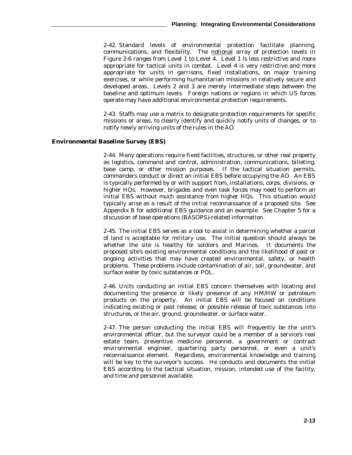2-42. Standard levels of environmental protection facilitate planning, communications, and flexibility. The notional array of protection levels in Figure 2-6 ranges from Level 1 to Level 4. Level 1 is less restrictive and more appropriate for tactical units in combat. Level 4 is very restrictive and more appropriate for units in garrisons, fixed installations, on major training exercises, or while performing humanitarian missions in relatively secure and developed areas. Levels 2 and 3 are merely intermediate steps between the baseline and optimum levels. Foreign nations or regions in which US forces operate may have additional environmental protection requirements.

2-43. Staffs may use a matrix to designate protection requirements for specific missions or areas, to clearly identify and quickly notify units of changes, or to notify newly arriving units of the rules in the AO.

### **Environmental Baseline Survey (EBS)**

2-44. Many operations require fixed facilities, structures, or other real property as logistics, command and control, administration, communications, billeting, base camp, or other mission purposes. If the tactical situation permits, commanders conduct or direct an initial EBS before occupying the AO. An EBS is typically performed by or with support from, installations, corps, divisions, or higher HQs. However, brigades and even task forces may need to perform an initial EBS without much assistance from higher HQs. This situation would typically arise as a result of the initial reconnaissance of a proposed site. See Appendix B for additional EBS guidance and an example. See Chapter 5 for a discussion of base operations (BASOPS)-related information.

2-45. The initial EBS serves as a tool to assist in determining whether a parcel of land is acceptable for military use. The initial question should always be whether the site is healthy for soldiers and Marines. It documents the proposed site's existing environmental conditions and the likelihood of past or ongoing activities that may have created environmental, safety, or health problems. These problems include contamination of air, soil, groundwater, and surface water by toxic substances or POL.

2-46. Units conducting an initial EBS concern themselves with locating and documenting the presence or likely presence of any HM/HW or petroleum products on the property. An initial EBS will be focused on conditions indicating existing or past release, or possible release of toxic substances into structures, or the air, ground, groundwater, or surface water.

2-47. The person conducting the initial EBS will frequently be the unit's environmental officer, but the surveyor could be a member of a service's real estate team, preventive medicine personnel, a government or contract environmental engineer, quartering party personnel, or even a unit's reconnaissance element. Regardless, environmental knowledge and training will be key to the surveyor's success. He conducts and documents the initial EBS according to the tactical situation, mission, intended use of the facility, and time and personnel available.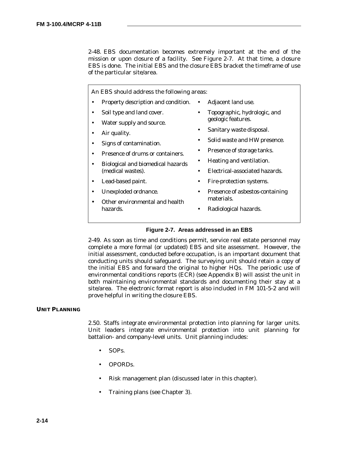2-48. EBS documentation becomes extremely important at the end of the mission or upon closure of a facility. See Figure 2-7. At that time, a closure EBS is done. The initial EBS and the closure EBS bracket the timeframe of use of the particular site/area.

An EBS should address the following areas: • Property description and condition. • • Soil type and land cover. • Water supply and source. • Air quality. • Signs of contamination. • Presence of drums or containers. • Biological and biomedical hazards (medical wastes). • Lead-based paint. • Unexploded ordnance. • Other environmental and health hazards. • Adjacent land use. • Topographic, hydrologic, and geologic features. • Sanitary waste disposal. Solid waste and HW presence. • Presence of storage tanks. • Heating and ventilation. • Electrical-associated hazards. • Fire-protection systems. • Presence of asbestos-containing materials. • Radiological hazards.

## **Figure 2-7. Areas addressed in an EBS**

2-49. As soon as time and conditions permit, service real estate personnel may complete a more formal (or updated) EBS and site assessment. However, the initial assessment, conducted before occupation, is an important document that conducting units should safeguard. The surveying unit should retain a copy of the initial EBS and forward the original to higher HQs. The periodic use of environmental conditions reports (ECR) (see Appendix B) will assist the unit in both maintaining environmental standards and documenting their stay at a site/area. The electronic format report is also included in FM 101-5-2 and will prove helpful in writing the closure EBS.

## **UNIT PLANNING**

2.50. Staffs integrate environmental protection into planning for larger units. Unit leaders integrate environmental protection into unit planning for battalion- and company-level units. Unit planning includes:

- SOPs.
- OPORDs.
- Risk management plan (discussed later in this chapter).
- Training plans (see Chapter 3).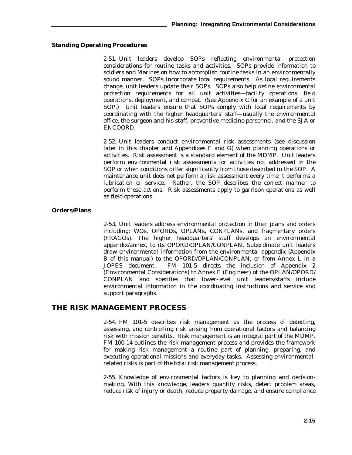## **Standing Operating Procedures**

2-51. Unit leaders develop SOPs reflecting environmental protection considerations for routine tasks and activities. SOPs provide information to soldiers and Marines on how to accomplish routine tasks in an environmentally sound manner. SOPs incorporate local requirements. As local requirements change, unit leaders update their SOPs. SOPs also help define environmental protection requirements for all unit activities—facility operations, field operations, deployment, and combat. (See Appendix C for an example of a unit SOP.) Unit leaders ensure that SOPs comply with local requirements by coordinating with the higher headquarters' staff—usually the environmental office, the surgeon and his staff, preventive medicine personnel, and the SJA or ENCOORD.

2-52. Unit leaders conduct environmental risk assessments (see discussion later in this chapter and Appendixes F and G) when planning operations or activities. Risk assessment is a standard element of the MDMP. Unit leaders perform environmental risk assessments for activities not addressed in the SOP or when conditions differ significantly from those described in the SOP. A maintenance unit does not perform a risk assessment every time it performs a lubrication or service. Rather, the SOP describes the correct manner to perform these actions. Risk assessments apply to garrison operations as well as field operations.

## **Orders/Plans**

2-53. Unit leaders address environmental protection in their plans and orders including: WOs, OPORDs, OPLANs, CONPLANs, and fragmentary orders (FRAGOs). The higher headquarters' staff develops an environmental appendix/annex, to its OPORD/OPLAN/CONPLAN. Subordinate unit leaders draw environmental information from the environmental appendix (Appendix B of this manual) to the OPORD/OPLAN/CONPLAN, or from Annex L in a JOPES document. FM 101-5 directs the inclusion of Appendix 2 (Environmental Considerations) to Annex F (Engineer) of the OPLAN/OPORD/ CONPLAN and specifies that lower-level unit leaders/staffs include environmental information in the coordinating instructions and service and support paragraphs.

## **THE RISK MANAGEMENT PROCESS**

2-54. FM 101-5 describes risk management as the process of detecting, assessing, and controlling risk arising from operational factors and balancing risk with mission benefits. Risk management is an integral part of the MDMP. FM 100-14 outlines the risk management process and provides the framework for making risk management a routine part of planning, preparing, and executing operational missions and everyday tasks. Assessing environmentalrelated risks is part of the total risk management process.

2-55. Knowledge of environmental factors is key to planning and decisionmaking. With this knowledge, leaders quantify risks, detect problem areas, reduce risk of injury or death, reduce property damage, and ensure compliance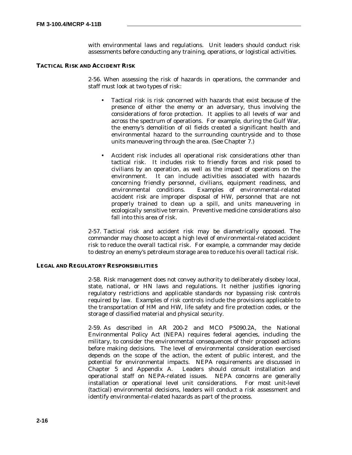with environmental laws and regulations. Unit leaders should conduct risk assessments before conducting any training, operations, or logistical activities.

## **TACTICAL RISK AND ACCIDENT RISK**

2-56. When assessing the risk of hazards in operations, the commander and staff must look at two types of risk:

- Tactical risk is risk concerned with hazards that exist because of the presence of either the enemy or an adversary, thus involving the considerations of force protection. It applies to all levels of war and across the spectrum of operations. For example, during the Gulf War, the enemy's demolition of oil fields created a significant health and environmental hazard to the surrounding countryside and to those units maneuvering through the area. (See Chapter 7.)
- Accident risk includes all operational risk considerations other than tactical risk. It includes risk to friendly forces and risk posed to civilians by an operation, as well as the impact of operations on the environment. It can include activities associated with hazards concerning friendly personnel, civilians, equipment readiness, and Examples of environmental-related accident risk are improper disposal of HW, personnel that are not properly trained to clean up a spill, and units maneuvering in ecologically sensitive terrain. Preventive medicine considerations also fall into this area of risk.

2-57. Tactical risk and accident risk may be diametrically opposed. The commander may choose to accept a high level of environmental-related accident risk to reduce the overall tactical risk. For example, a commander may decide to destroy an enemy's petroleum storage area to reduce his overall tactical risk.

## **LEGAL AND REGULATORY RESPONSIBILITIES**

2-58. Risk management does not convey authority to deliberately disobey local, state, national, or HN laws and regulations. It neither justifies ignoring regulatory restrictions and applicable standards nor bypassing risk controls required by law. Examples of risk controls include the provisions applicable to the transportation of HM and HW, life safety and fire protection codes, or the storage of classified material and physical security.

2-59. As described in AR 200-2 and MCO P5090.2A, the National Environmental Policy Act (NEPA) requires federal agencies, including the military, to consider the environmental consequences of their proposed actions before making decisions. The level of environmental consideration exercised depends on the scope of the action, the extent of public interest, and the potential for environmental impacts. NEPA requirements are discussed in Chapter 5 and Appendix A. Leaders should consult installation and operational staff on NEPA-related issues. NEPA concerns are generally installation or operational level unit considerations. For most unit-level (tactical) environmental decisions, leaders will conduct a risk assessment and identify environmental-related hazards as part of the process.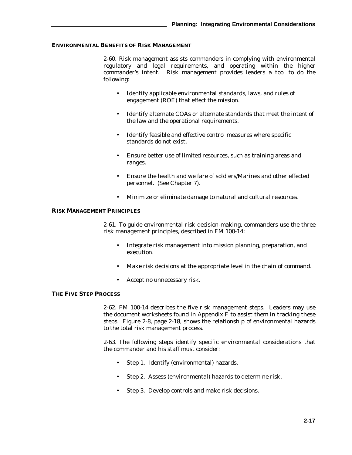## **ENVIRONMENTAL BENEFITS OF RISK MANAGEMENT**

2-60. Risk management assists commanders in complying with environmental regulatory and legal requirements, and operating within the higher commander's intent. Risk management provides leaders a tool to do the following:

- Identify applicable environmental standards, laws, and rules of engagement (ROE) that effect the mission.
- Identify alternate COAs or alternate standards that meet the intent of the law and the operational requirements.
- Identify feasible and effective control measures where specific standards do not exist.
- Ensure better use of limited resources, such as training areas and ranges.
- Ensure the health and welfare of soldiers/Marines and other effected personnel. (See Chapter 7).
- Minimize or eliminate damage to natural and cultural resources.

#### **RISK MANAGEMENT PRINCIPLES**

2-61. To guide environmental risk decision-making, commanders use the three risk management principles, described in FM 100-14:

- Integrate risk management into mission planning, preparation, and execution.
- Make risk decisions at the appropriate level in the chain of command.
- Accept no unnecessary risk.

### **THE FIVE STEP PROCESS**

2-62. FM 100-14 describes the five risk management steps. Leaders may use the document worksheets found in Appendix F to assist them in tracking these steps. Figure 2-8, page 2-18, shows the relationship of environmental hazards to the total risk management process.

2-63. The following steps identify specific environmental considerations that the commander and his staff must consider:

- Step 1.Identify (environmental) hazards.
- Step 2.Assess (environmental) hazards to determine risk.
- Step 3.Develop controls and make risk decisions.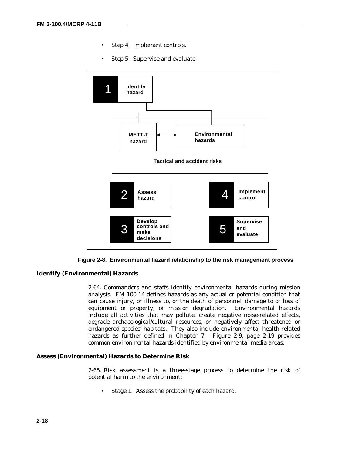- Step 4.Implement controls.
- Step 5.Supervise and evaluate.



**Figure 2-8. Environmental hazard relationship to the risk management process**

## **Identify (Environmental) Hazards**

2-64. Commanders and staffs identify environmental hazards during mission analysis. FM 100-14 defines hazards as any actual or potential condition that can cause injury, or illness to, or the death of personnel; damage to or loss of equipment or property; or mission degradation. Environmental hazards include all activities that may pollute, create negative noise-related effects, degrade archaeological/cultural resources, or negatively affect threatened or endangered species' habitats. They also include environmental health-related hazards as further defined in Chapter 7. Figure 2-9, page 2-19 provides common environmental hazards identified by environmental media areas.

#### **Assess (Environmental) Hazards to Determine Risk**

2-65. Risk assessment is a three-stage process to determine the risk of potential harm to the environment:

• Stage 1.Assess the probability of each hazard.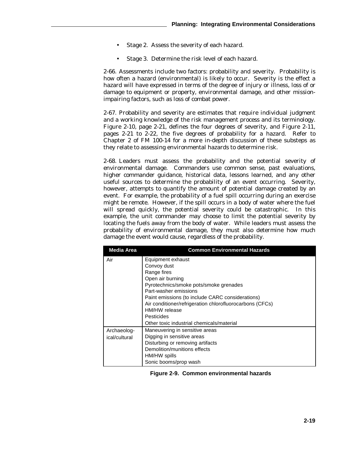- Stage 2.Assess the severity of each hazard.
- Stage 3.Determine the risk level of each hazard.

2-66. Assessments include two factors: probability and severity. Probability is how often a hazard (environmental) is likely to occur. Severity is the effect a hazard will have expressed in terms of the degree of injury or illness, loss of or damage to equipment or property, environmental damage, and other missionimpairing factors, such as loss of combat power.

2-67. Probability and severity are estimates that require individual judgment and a working knowledge of the risk management process and its terminology. Figure 2-10, page 2-21, defines the four degrees of severity, and Figure 2-11, pages 2-21 to 2-22, the five degrees of probability for a hazard. Refer to Chapter 2 of FM 100-14 for a more in-depth discussion of these substeps as they relate to assessing environmental hazards to determine risk.

2-68. Leaders must assess the probability and the potential severity of environmental damage. Commanders use common sense, past evaluations, higher commander guidance, historical data, lessons learned, and any other useful sources to determine the probability of an event occurring. Severity, however, attempts to quantify the amount of potential damage created by an event. For example, the probability of a fuel spill occurring during an exercise might be remote. However, if the spill occurs in a body of water where the fuel will spread quickly, the potential severity could be catastrophic. In this example, the unit commander may choose to limit the potential severity by locating the fuels away from the body of water. While leaders must assess the probability of environmental damage, they must also determine how much damage the event would cause, regardless of the probability.

| <b>Media Area</b>            | <b>Common Environmental Hazards</b>                                                                                                                                                                                                                                                                                                |
|------------------------------|------------------------------------------------------------------------------------------------------------------------------------------------------------------------------------------------------------------------------------------------------------------------------------------------------------------------------------|
| Air                          | Equipment exhaust<br>Convoy dust<br>Range fires<br>Open air burning<br>Pyrotechnics/smoke pots/smoke grenades<br>Part-washer emissions<br>Paint emissions (to include CARC considerations)<br>Air conditioner/refrigeration chlorofluorocarbons (CFCs)<br>HM/HW release<br>Pesticides<br>Other toxic industrial chemicals/material |
| Archaeolog-<br>ical/cultural | Maneuvering in sensitive areas<br>Digging in sensitive areas<br>Disturbing or removing artifacts<br>Demolition/munitions effects<br>HM/HW spills<br>Sonic booms/prop wash                                                                                                                                                          |

|  | Figure 2-9. Common environmental hazards |  |
|--|------------------------------------------|--|
|--|------------------------------------------|--|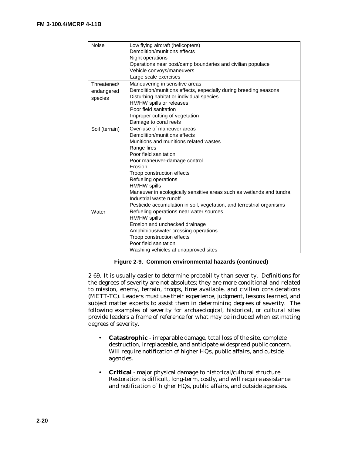| Noise                                | Low flying aircraft (helicopters)<br>Demolition/munitions effects<br>Night operations<br>Operations near post/camp boundaries and civilian populace<br>Vehicle convoys/maneuvers<br>Large scale exercises                                                                                                                                                                                                                                 |
|--------------------------------------|-------------------------------------------------------------------------------------------------------------------------------------------------------------------------------------------------------------------------------------------------------------------------------------------------------------------------------------------------------------------------------------------------------------------------------------------|
| Threatened/<br>endangered<br>species | Maneuvering in sensitive areas<br>Demolition/munitions effects, especially during breeding seasons<br>Disturbing habitat or individual species<br>HM/HW spills or releases<br>Poor field sanitation<br>Improper cutting of vegetation<br>Damage to coral reefs                                                                                                                                                                            |
| Soil (terrain)                       | Over-use of maneuver areas<br>Demolition/munitions effects<br>Munitions and munitions related wastes<br>Range fires<br>Poor field sanitation<br>Poor maneuver-damage control<br>Erosion<br>Troop construction effects<br>Refueling operations<br>HM/HW spills<br>Maneuver in ecologically sensitive areas such as wetlands and tundra<br>Industrial waste runoff<br>Pesticide accumulation in soil, vegetation, and terrestrial organisms |
| Water                                | Refueling operations near water sources<br>HM/HW spills<br>Erosion and unchecked drainage<br>Amphibious/water crossing operations<br>Troop construction effects<br>Poor field sanitation<br>Washing vehicles at unapproved sites                                                                                                                                                                                                          |

**Figure 2-9. Common environmental hazards (continued)**

2-69. It is usually easier to determine probability than severity. Definitions for the degrees of severity are not absolutes; they are more conditional and related to mission, enemy, terrain, troops, time available, and civilian considerations (METT-TC). Leaders must use their experience, judgment, lessons learned, and subject matter experts to assist them in determining degrees of severity. The following examples of severity for archaeological, historical, or cultural sites provide leaders a frame of reference for what may be included when estimating degrees of severity.

- **Catastrophic** irreparable damage, total loss of the site, complete destruction, irreplaceable, and anticipate widespread public concern. Will require notification of higher HQs, public affairs, and outside agencies.
- **Critical** major physical damage to historical/cultural structure. Restoration is difficult, long-term, costly, and will require assistance and notification of higher HQs, public affairs, and outside agencies.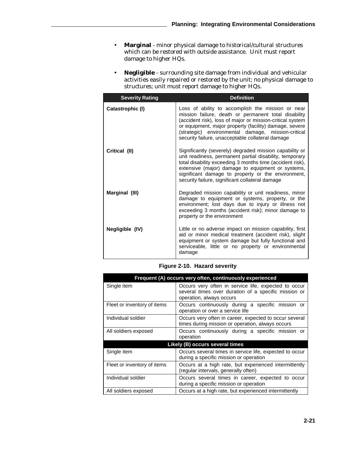- **Marginal** minor physical damage to historical/cultural structures which can be restored with outside assistance. Unit must report damage to higher HQs.
- **Negligible**  surrounding site damage from individual and vehicular activities easily repaired or restored by the unit; no physical damage to structures; unit must report damage to higher HQs.

| <b>Severity Rating</b> | <b>Definition</b>                                                                                                                                                                                                                                                                                                                             |
|------------------------|-----------------------------------------------------------------------------------------------------------------------------------------------------------------------------------------------------------------------------------------------------------------------------------------------------------------------------------------------|
| Catastrophic (I)       | Loss of ability to accomplish the mission or near<br>mission failure, death or permanent total disability<br>(accident risk), loss of major or mission-critical system<br>or equipment, major property (facility) damage, severe<br>(strategic) environmental damage, mission-critical<br>security failure, unacceptable collateral damage    |
| Critical (II)          | Significantly (severely) degraded mission capability or<br>unit readiness, permanent partial disability, temporary<br>total disability exceeding 3 months time (accident risk),<br>extensive (major) damage to equipment or systems,<br>significant damage to property or the environment,<br>security failure, significant collateral damage |
| Marginal (III)         | Degraded mission capability or unit readiness, minor<br>damage to equipment or systems, property, or the<br>environment; lost days due to injury or illness not<br>exceeding 3 months (accident risk); minor damage to<br>property or the environment                                                                                         |
| Negligible (IV)        | Little or no adverse impact on mission capability, first<br>aid or minor medical treatment (accident risk), slight<br>equipment or system damage but fully functional and<br>serviceable, little or no property or environmental<br>damage                                                                                                    |

 **Figure 2-10. Hazard severity**

| Frequent (A) occurs very often, continuously experienced |                                                                                                                                          |  |  |
|----------------------------------------------------------|------------------------------------------------------------------------------------------------------------------------------------------|--|--|
| Single item                                              | Occurs very often in service life, expected to occur<br>several times over duration of a specific mission or<br>operation, always occurs |  |  |
| Fleet or inventory of items                              | Occurs continuously during a specific mission or<br>operation or over a service life                                                     |  |  |
| Individual soldier                                       | Occurs very often in career, expected to occur several<br>times during mission or operation, always occurs                               |  |  |
| All soldiers exposed                                     | Occurs continuously during a specific mission or<br>operation                                                                            |  |  |
| Likely (B) occurs several times                          |                                                                                                                                          |  |  |
| Single item                                              | Occurs several times in service life, expected to occur<br>during a specific mission or operation                                        |  |  |
| Fleet or inventory of items                              | Occurs at a high rate, but experienced intermittently<br>(regular intervals, generally often)                                            |  |  |
| Individual soldier                                       | Occurs several times in career, expected to occur<br>during a specific mission or operation                                              |  |  |
| All soldiers exposed                                     | Occurs at a high rate, but experienced intermittently                                                                                    |  |  |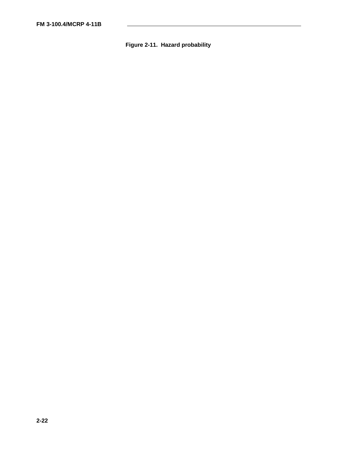# **Figure 2-11. Hazard probability**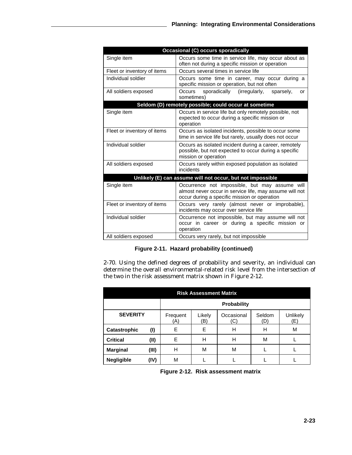| <b>Occasional (C) occurs sporadically</b>                  |                                                                                                                                                           |  |  |
|------------------------------------------------------------|-----------------------------------------------------------------------------------------------------------------------------------------------------------|--|--|
| Single item                                                | Occurs some time in service life, may occur about as<br>often not during a specific mission or operation                                                  |  |  |
| Fleet or inventory of items                                | Occurs several times in service life                                                                                                                      |  |  |
| Individual soldier                                         | Occurs some time in career, may occur during a<br>specific mission or operation, but not often                                                            |  |  |
| All soldiers exposed                                       | sporadically (irregularly,<br>Occurs<br>sparsely,<br>or<br>sometimes)                                                                                     |  |  |
|                                                            | Seldom (D) remotely possible; could occur at sometime                                                                                                     |  |  |
| Single item                                                | Occurs in service life but only remotely possible, not<br>expected to occur during a specific mission or<br>operation                                     |  |  |
| Fleet or inventory of items                                | Occurs as isolated incidents, possible to occur some<br>time in service life but rarely, usually does not occur                                           |  |  |
| Individual soldier                                         | Occurs as isolated incident during a career, remotely<br>possible, but not expected to occur during a specific<br>mission or operation                    |  |  |
| All soldiers exposed                                       | Occurs rarely within exposed population as isolated<br>incidents                                                                                          |  |  |
| Unlikely (E) can assume will not occur, but not impossible |                                                                                                                                                           |  |  |
| Single item                                                | Occurrence not impossible, but may assume will<br>almost never occur in service life, may assume will not<br>occur during a specific mission or operation |  |  |
| Fleet or inventory of items                                | Occurs very rarely (almost never or improbable),<br>incidents may occur over service life                                                                 |  |  |
| Individual soldier                                         | Occurrence not impossible, but may assume will not<br>occur in career or during a specific mission or<br>operation                                        |  |  |
| All soldiers exposed                                       | Occurs very rarely, but not impossible                                                                                                                    |  |  |

# **Figure 2-11. Hazard probability (continued)**

2-70. Using the defined degrees of probability and severity, an individual can determine the overall environmental-related risk level from the intersection of the two in the risk assessment matrix shown in Figure 2-12.

| <b>Risk Assessment Matrix</b> |       |                    |               |                   |              |                |
|-------------------------------|-------|--------------------|---------------|-------------------|--------------|----------------|
|                               |       | <b>Probability</b> |               |                   |              |                |
| <b>SEVERITY</b>               |       | Frequent<br>(A)    | Likely<br>'B) | Occasional<br>(C) | Seldom<br>D) | Unlikely<br>Έ) |
| Catastrophic                  | (1)   | E                  | E             | н                 | н            | М              |
| <b>Critical</b>               | (II)  | E                  | н             | н                 | M            |                |
| <b>Marginal</b>               | (III) | н                  | M             | М                 |              |                |
| <b>Negligible</b>             | (IV)  | М                  |               |                   |              |                |

 **Figure 2-12. Risk assessment matrix**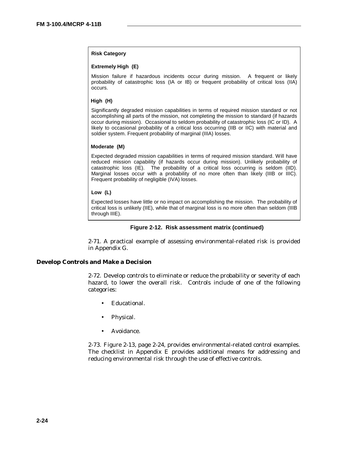## **Risk Category**

#### **Extremely High (E)**

Mission failure if hazardous incidents occur during mission. A frequent or likely probability of catastrophic loss (IA or IB) or frequent probability of critical loss (IIA) occurs.

### **High (H)**

Significantly degraded mission capabilities in terms of required mission standard or not accomplishing all parts of the mission, not completing the mission to standard (if hazards occur during mission). Occasional to seldom probability of catastrophic loss (IC or ID). A likely to occasional probability of a critical loss occurring (IIB or IIC) with material and soldier system. Frequent probability of marginal (IIIA) losses.

#### **Moderate (M)**

Expected degraded mission capabilities in terms of required mission standard. Will have reduced mission capability (if hazards occur during mission). Unlikely probability of catastrophic loss (IE). The probability of a critical loss occurring is seldom (IID). Marginal losses occur with a probability of no more often than likely (IIIB or IIIC). Frequent probability of negligible (IVA) losses.

#### **Low (L)**

Expected losses have little or no impact on accomplishing the mission. The probability of critical loss is unlikely (IIE), while that of marginal loss is no more often than seldom (IIIB through IIIE).

#### **Figure 2-12. Risk assessment matrix (continued)**

2-71. A practical example of assessing environmental-related risk is provided in Appendix G.

#### **Develop Controls and Make a Decision**

2-72. Develop controls to eliminate or reduce the probability or severity of each hazard, to lower the overall risk. Controls include of one of the following categories:

- Educational.
- Physical.
- Avoidance.

2-73. Figure 2-13, page 2-24, provides environmental-related control examples. The checklist in Appendix E provides additional means for addressing and reducing environmental risk through the use of effective controls.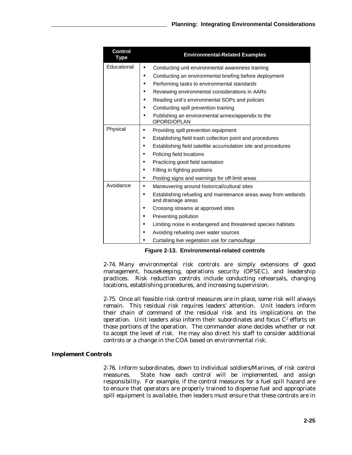| Control<br>Type | <b>Environmental-Related Examples</b>                                                 |
|-----------------|---------------------------------------------------------------------------------------|
| Educational     | Conducting unit environmental awareness training<br>$\bullet$                         |
|                 | Conducting an environmental briefing before deployment<br>٠                           |
|                 | Performing tasks to environmental standards                                           |
|                 | Reviewing environmental considerations in AARs                                        |
|                 | Reading unit's environmental SOPs and policies<br>●                                   |
|                 | Conducting spill prevention training                                                  |
|                 | Publishing an environmental annex/appendix to the<br>OPORD/OPLAN                      |
| Physical        | Providing spill prevention equipment                                                  |
|                 | Establishing field trash collection point and procedures                              |
|                 | Establishing field satellite accumulation site and procedures                         |
|                 | Policing field locations                                                              |
|                 | Practicing good field sanitation                                                      |
|                 | Filling in fighting positions                                                         |
|                 | Posting signs and warnings for off-limit areas                                        |
| Avoidance       | Maneuvering around historical/cultural sites                                          |
|                 | Establishing refueling and maintenance areas away from wetlands<br>and drainage areas |
|                 | Crossing streams at approved sites                                                    |
|                 | Preventing pollution                                                                  |
|                 | Limiting noise in endangered and threatened species habitats                          |
|                 | Avoiding refueling over water sources                                                 |
|                 | Curtailing live vegetation use for camouflage                                         |

**Figure 2-13. Environmental-related controls**

2-74. Many environmental risk controls are simply extensions of good management, housekeeping, operations security (OPSEC), and leadership practices. Risk reduction controls include conducting rehearsals, changing locations, establishing procedures, and increasing supervision.

2-75. Once all feasible risk control measures are in place, some risk will always remain. This residual risk requires leaders' attention. Unit leaders inform their chain of command of the residual risk and its implications on the operation. Unit leaders also inform their subordinates and focus  $C<sup>2</sup>$  efforts on those portions of the operation. The commander alone decides whether or not to accept the level of risk. He may also direct his staff to consider additional controls or a change in the COA based on environmental risk.

## **Implement Controls**

2-76. Inform subordinates, down to individual soldiers/Marines, of risk control measures. State how each control will be implemented, and assign responsibility. For example, if the control measures for a fuel spill hazard are to ensure that operators are properly trained to dispense fuel and appropriate spill equipment is available, then leaders must ensure that these controls are in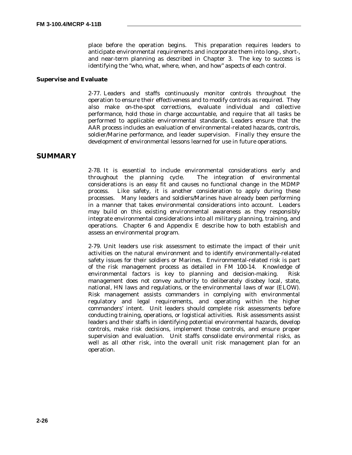place before the operation begins. This preparation requires leaders to anticipate environmental requirements and incorporate them into long-, short-, and near-term planning as described in Chapter 3. The key to success is identifying the "who, what, where, when, and how" aspects of each control.

## **Supervise and Evaluate**

2-77. Leaders and staffs continuously monitor controls throughout the operation to ensure their effectiveness and to modify controls as required. They also make on-the-spot corrections, evaluate individual and collective performance, hold those in charge accountable, and require that all tasks be performed to applicable environmental standards. Leaders ensure that the AAR process includes an evaluation of environmental-related hazards, controls, soldier/Marine performance, and leader supervision. Finally they ensure the development of environmental lessons learned for use in future operations.

## **SUMMARY**

2-78. It is essential to include environmental considerations early and throughout the planning cycle. The integration of environmental considerations is an easy fit and causes no functional change in the MDMP process. Like safety, it is another consideration to apply during these processes. Many leaders and soldiers/Marines have already been performing in a manner that takes environmental considerations into account. Leaders may build on this existing environmental awareness as they responsibly integrate environmental considerations into all military planning, training, and operations. Chapter 6 and Appendix E describe how to both establish and assess an environmental program.

2-79. Unit leaders use risk assessment to estimate the impact of their unit activities on the natural environment and to identify environmentally-related safety issues for their soldiers or Marines. Environmental-related risk is part of the risk management process as detailed in FM 100-14. Knowledge of environmental factors is key to planning and decision-making. Risk management does not convey authority to deliberately disobey local, state, national, HN laws and regulations, or the environmental laws of war (ELOW). Risk management assists commanders in complying with environmental regulatory and legal requirements, and operating within the higher commanders' intent. Unit leaders should complete risk assessments before conducting training, operations, or logistical activities. Risk assessments assist leaders and their staffs in identifying potential environmental hazards, develop controls, make risk decisions, implement those controls, and ensure proper supervision and evaluation. Unit staffs consolidate environmental risks, as well as all other risk, into the overall unit risk management plan for an operation.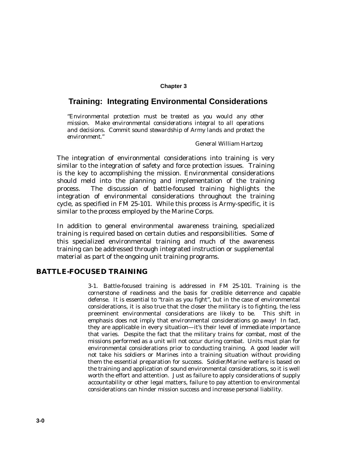## **Chapter 3**

# **Training: Integrating Environmental Considerations**

*"Environmental protection must be treated as you would any other mission. Make environmental considerations integral to all operations and decisions. Commit sound stewardship of Army lands and protect the environment."*

#### General William Hartzog

The integration of environmental considerations into training is very similar to the integration of safety and force protection issues. Training is the key to accomplishing the mission. Environmental considerations should meld into the planning and implementation of the training process. The discussion of battle-focused training highlights the integration of environmental considerations throughout the training cycle, as specified in FM 25-101. While this process is Army-specific, it is similar to the process employed by the Marine Corps.

In addition to general environmental awareness training, specialized training is required based on certain duties and responsibilities. Some of this specialized environmental training and much of the awareness training can be addressed through integrated instruction or supplemental material as part of the ongoing unit training programs.

## **BATTLE-FOCUSED TRAINING**

3-1. Battle-focused training is addressed in FM 25-101. Training is the cornerstone of readiness and the basis for credible deterrence and capable defense. It is essential to "train as you fight", but in the case of environmental considerations, it is also true that the closer the military is to fighting, the less preeminent environmental considerations are likely to be. This shift in emphasis does not imply that environmental considerations go away! In fact, they are applicable in every situation—it's their level of immediate importance that varies. Despite the fact that the military trains for combat, most of the missions performed as a unit will not occur during combat. Units must plan for environmental considerations prior to conducting training. A good leader will not take his soldiers or Marines into a training situation without providing them the essential preparation for success. Soldier/Marine welfare is based on the training and application of sound environmental considerations, so it is well worth the effort and attention. Just as failure to apply considerations of supply accountability or other legal matters, failure to pay attention to environmental considerations can hinder mission success and increase personal liability.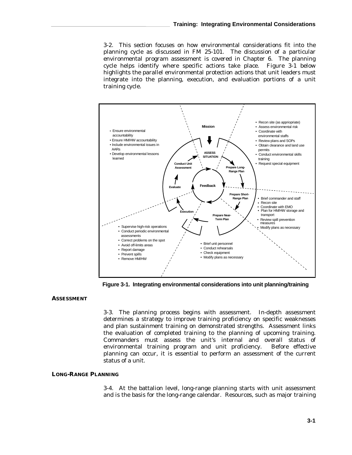3-2. This section focuses on how environmental considerations fit into the planning cycle as discussed in FM 25-101. The discussion of a particular environmental program assessment is covered in Chapter 6. The planning cycle helps identify where specific actions take place. Figure 3-1 below highlights the parallel environmental protection actions that unit leaders must integrate into the planning, execution, and evaluation portions of a unit training cycle.



**Figure 3-1. Integrating environmental considerations into unit planning/training**

## **ASSESSMENT**

3-3. The planning process begins with assessment. In-depth assessment determines a strategy to improve training proficiency on specific weaknesses and plan sustainment training on demonstrated strengths. Assessment links the evaluation of completed training to the planning of upcoming training. Commanders must assess the unit's internal and overall status of environmental training program and unit proficiency. Before effective planning can occur, it is essential to perform an assessment of the current status of a unit.

#### **LONG-RANGE PLANNING**

3-4. At the battalion level, long-range planning starts with unit assessment and is the basis for the long-range calendar. Resources, such as major training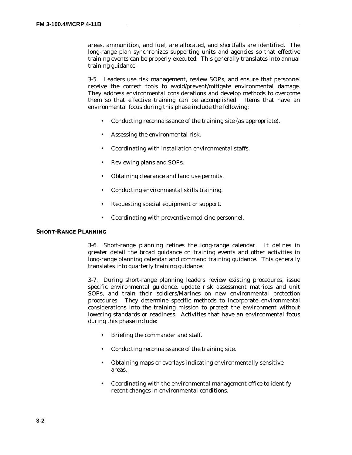areas, ammunition, and fuel, are allocated, and shortfalls are identified. The long-range plan synchronizes supporting units and agencies so that effective training events can be properly executed. This generally translates into annual training guidance.

3-5. Leaders use risk management, review SOPs, and ensure that personnel receive the correct tools to avoid/prevent/mitigate environmental damage. They address environmental considerations and develop methods to overcome them so that effective training can be accomplished. Items that have an environmental focus during this phase include the following:

- Conducting reconnaissance of the training site (as appropriate).
- Assessing the environmental risk.
- Coordinating with installation environmental staffs.
- Reviewing plans and SOPs.
- Obtaining clearance and land use permits.
- Conducting environmental skills training.
- Requesting special equipment or support.
- Coordinating with preventive medicine personnel.

#### **SHORT-RANGE PLANNING**

3-6. Short-range planning refines the long-range calendar. It defines in greater detail the broad guidance on training events and other activities in long-range planning calendar and command training guidance. This generally translates into quarterly training guidance.

3-7. During short-range planning leaders review existing procedures, issue specific environmental guidance, update risk assessment matrices and unit SOPs, and train their soldiers/Marines on new environmental protection procedures. They determine specific methods to incorporate environmental considerations into the training mission to protect the environment without lowering standards or readiness. Activities that have an environmental focus during this phase include:

- Briefing the commander and staff.
- Conducting reconnaissance of the training site.
- Obtaining maps or overlays indicating environmentally sensitive areas.
- Coordinating with the environmental management office to identify recent changes in environmental conditions.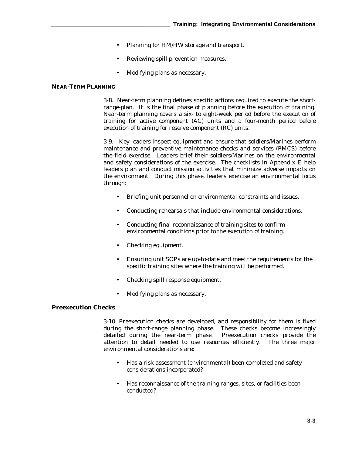- Planning for HM/HW storage and transport.
- Reviewing spill prevention measures.
- Modifying plans as necessary.

## **NEAR-TERM PLANNING**

3-8. Near-term planning defines specific actions required to execute the shortrange-plan. It is the final phase of planning before the execution of training. Near-term planning covers a six- to eight-week period before the execution of training for active component (AC) units and a four-month period before execution of training for reserve component (RC) units.

3-9. Key leaders inspect equipment and ensure that soldiers/Marines perform maintenance and preventive maintenance checks and services (PMCS) before the field exercise. Leaders brief their soldiers/Marines on the environmental and safety considerations of the exercise. The checklists in Appendix E help leaders plan and conduct mission activities that minimize adverse impacts on the environment. During this phase, leaders exercise an environmental focus through:

- Briefing unit personnel on environmental constraints and issues.
- Conducting rehearsals that include environmental considerations.
- Conducting final reconnaissance of training sites to confirm environmental conditions prior to the execution of training.
- Checking equipment.
- Ensuring unit SOPs are up-to-date and meet the requirements for the specific training sites where the training will be performed.
- Checking spill response equipment.
- Modifying plans as necessary.

## **Preexecution Checks**

3-10. Preexecution checks are developed, and responsibility for them is fixed during the short-range planning phase. These checks become increasingly detailed during the near-term phase. Preexecution checks provide the attention to detail needed to use resources efficiently. The three major environmental considerations are:

- Has a risk assessment (environmental) been completed and safety considerations incorporated?
- Has reconnaissance of the training ranges, sites, or facilities been conducted?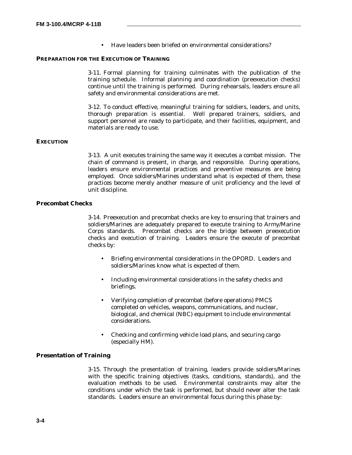• Have leaders been briefed on environmental considerations?

## **PREPARATION FOR THE EXECUTION OF TRAINING**

3-11. Formal planning for training culminates with the publication of the training schedule. Informal planning and coordination (preexecution checks) continue until the training is performed. During rehearsals, leaders ensure all safety and environmental considerations are met.

3-12. To conduct effective, meaningful training for soldiers, leaders, and units, thorough preparation is essential. Well prepared trainers, soldiers, and support personnel are ready to participate, and their facilities, equipment, and materials are ready to use.

## **EXECUTION**

3-13. A unit executes training the same way it executes a combat mission. The chain of command is present, in charge, and responsible. During operations, leaders ensure environmental practices and preventive measures are being employed. Once soldiers/Marines understand what is expected of them, these practices become merely another measure of unit proficiency and the level of unit discipline.

## **Precombat Checks**

3-14. Preexecution and precombat checks are key to ensuring that trainers and soldiers/Marines are adequately prepared to execute training to Army/Marine Corps standards. Precombat checks are the bridge between preexecution checks and execution of training. Leaders ensure the execute of precombat checks by:

- Briefing environmental considerations in the OPORD. Leaders and soldiers/Marines know what is expected of them.
- Including environmental considerations in the safety checks and briefings.
- Verifying completion of precombat (before operations) PMCS completed on vehicles, weapons, communications, and nuclear, biological, and chemical (NBC) equipment to include environmental considerations.
- Checking and confirming vehicle load plans, and securing cargo (especially HM).

## **Presentation of Training**

3-15. Through the presentation of training, leaders provide soldiers/Marines with the specific training objectives (tasks, conditions, standards), and the evaluation methods to be used. Environmental constraints may alter the conditions under which the task is performed, but should never alter the task standards. Leaders ensure an environmental focus during this phase by: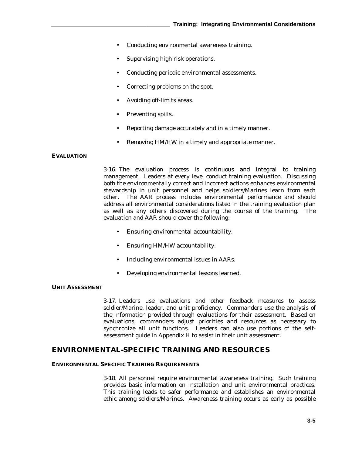- Conducting environmental awareness training.
- Supervising high risk operations.
- Conducting periodic environmental assessments.
- Correcting problems on the spot.
- Avoiding off-limits areas.
- Preventing spills.
- Reporting damage accurately and in a timely manner.
- Removing HM/HW in a timely and appropriate manner.

## **EVALUATION**

3-16. The evaluation process is continuous and integral to training management. Leaders at every level conduct training evaluation. Discussing both the environmentally correct and incorrect actions enhances environmental stewardship in unit personnel and helps soldiers/Marines learn from each other. The AAR process includes environmental performance and should address all environmental considerations listed in the training evaluation plan as well as any others discovered during the course of the training. The evaluation and AAR should cover the following:

- Ensuring environmental accountability.
- Ensuring HM/HW accountability.
- Including environmental issues in AARs.
- Developing environmental lessons learned.

## **UNIT ASSESSMENT**

3-17. Leaders use evaluations and other feedback measures to assess soldier/Marine, leader, and unit proficiency. Commanders use the analysis of the information provided through evaluations for their assessment. Based on evaluations, commanders adjust priorities and resources as necessary to synchronize all unit functions. Leaders can also use portions of the selfassessment guide in Appendix H to assist in their unit assessment.

## **ENVIRONMENTAL-SPECIFIC TRAINING AND RESOURCES**

#### **ENVIRONMENTAL SPECIFIC TRAINING REQUIREMENTS**

3-18. All personnel require environmental awareness training. Such training provides basic information on installation and unit environmental practices. This training leads to safer performance and establishes an environmental ethic among soldiers/Marines. Awareness training occurs as early as possible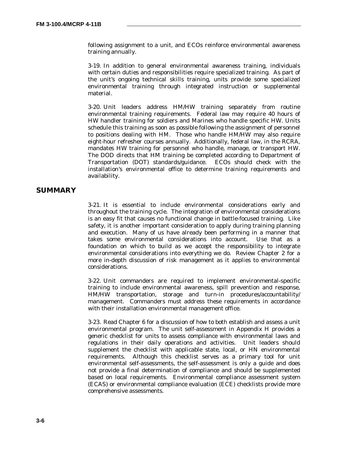following assignment to a unit, and ECOs reinforce environmental awareness training annually.

3-19. In addition to general environmental awareness training, individuals with certain duties and responsibilities require specialized training. As part of the unit's ongoing technical skills training, units provide some specialized environmental training through integrated instruction or supplemental material.

3-20. Unit leaders address HM/HW training separately from routine environmental training requirements. Federal law may require 40 hours of HW handler training for soldiers and Marines who handle specific HW. Units schedule this training as soon as possible following the assignment of personnel to positions dealing with HM. Those who handle HM/HW may also require eight-hour refresher courses annually. Additionally, federal law, in the RCRA, mandates HW training for personnel who handle, manage, or transport HW. The DOD directs that HM training be completed according to Department of Transportation (DOT) standards/guidance. ECOs should check with the installation's environmental office to determine training requirements and availability.

## **SUMMARY**

3-21. It is essential to include environmental considerations early and throughout the training cycle. The integration of environmental considerations is an easy fit that causes no functional change in battle-focused training. Like safety, it is another important consideration to apply during training planning and execution. Many of us have already been performing in a manner that takes some environmental considerations into account. Use that as a foundation on which to build as we accept the responsibility to integrate environmental considerations into everything we do. Review Chapter 2 for a more in-depth discussion of risk management as it applies to environmental considerations.

3-22. Unit commanders are required to implement environmental-specific training to include environmental awareness, spill prevention and response, HM/HW transportation, storage and turn-in procedures/accountability/ management. Commanders must address these requirements in accordance with their installation environmental management office.

3-23. Read Chapter 6 for a discussion of how to both establish and assess a unit environmental program. The unit self-assessment in Appendix H provides a generic checklist for units to assess compliance with environmental laws and regulations in their daily operations and activities. Unit leaders should supplement the checklist with applicable state, local, or HN environmental requirements. Although this checklist serves as a primary tool for unit environmental self-assessments, the self-assessment is only a guide and does not provide a final determination of compliance and should be supplemented based on local requirements. Environmental compliance assessment system (ECAS) or environmental compliance evaluation (ECE) checklists provide more comprehensive assessments.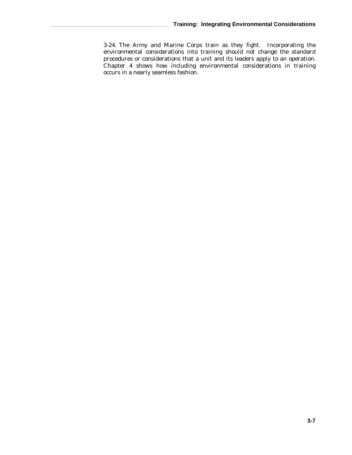3-24. The Army and Marine Corps train as they fight. Incorporating the environmental considerations into training should not change the standard procedures or considerations that a unit and its leaders apply to an operation. Chapter 4 shows how including environmental considerations in training occurs in a nearly seamless fashion.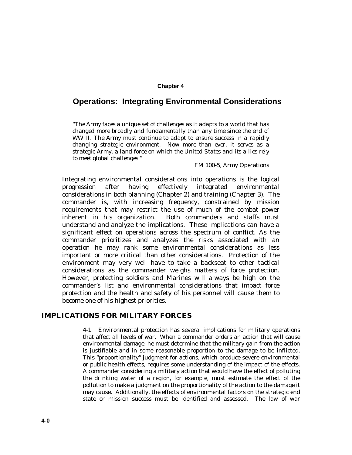#### **Chapter 4**

# **Operations: Integrating Environmental Considerations**

*"The Army faces a unique set of challenges as it adapts to a world that has changed more broadly and fundamentally than any time since the end of WW II. The Army must continue to adapt to ensure success in a rapidly changing strategic environment. Now more than ever, it serves as a strategic Army, a land force on which the United States and its allies rely to meet global challenges."*

#### FM 100-5, Army Operations

Integrating environmental considerations into operations is the logical progression after having effectively integrated environmental considerations in both planning (Chapter 2) and training (Chapter 3). The commander is, with increasing frequency, constrained by mission requirements that may restrict the use of much of the combat power inherent in his organization. Both commanders and staffs must understand and analyze the implications. These implications can have a significant effect on operations across the spectrum of conflict. As the commander prioritizes and analyzes the risks associated with an operation he may rank some environmental considerations as less important or more critical than other considerations. Protection of the environment may very well have to take a backseat to other tactical considerations as the commander weighs matters of force protection. However, protecting soldiers and Marines will always be high on the commander's list and environmental considerations that impact force protection and the health and safety of his personnel will cause them to become one of his highest priorities.

## **IMPLICATIONS FOR MILITARY FORCES**

4-1. Environmental protection has several implications for military operations that affect all levels of war. When a commander orders an action that will cause environmental damage, he must determine that the military gain from the action is justifiable and in some reasonable proportion to the damage to be inflicted. This "proportionality" judgment for actions, which produce severe environmental or public health effects, requires some understanding of the impact of the effects. A commander considering a military action that would have the effect of polluting the drinking water of a region, for example, must estimate the effect of the pollution to make a judgment on the proportionality of the action to the damage it may cause. Additionally, the effects of environmental factors on the strategic end state or mission success must be identified and assessed. The law of war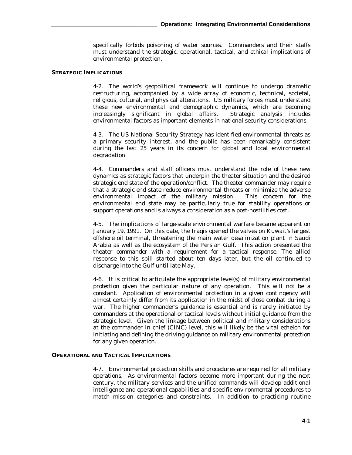specifically forbids poisoning of water sources. Commanders and their staffs must understand the strategic, operational, tactical, and ethical implications of environmental protection.

## **STRATEGIC IMPLICATIONS**

4-2. The world's geopolitical framework will continue to undergo dramatic restructuring, accompanied by a wide array of economic, technical, societal, religious, cultural, and physical alterations. US military forces must understand these new environmental and demographic dynamics, which are becoming increasingly significant in global affairs. Strategic analysis includes environmental factors as important elements in national security considerations.

4-3. The US National Security Strategy has identified environmental threats as a primary security interest, and the public has been remarkably consistent during the last 25 years in its concern for global and local environmental degradation.

4-4. Commanders and staff officers must understand the role of these new dynamics as strategic factors that underpin the theater situation and the desired strategic end state of the operation/conflict. The theater commander may require that a strategic end state reduce environmental threats or minimize the adverse environmental impact of the military mission. This concern for the environmental end state may be particularly true for stability operations or support operations and is always a consideration as a post-hostilities cost.

4-5. The implications of large-scale environmental warfare became apparent on January 19, 1991. On this date, the Iraqis opened the valves on Kuwait's largest offshore oil terminal, threatening the main water desalinization plant in Saudi Arabia as well as the ecosystem of the Persian Gulf. This action presented the theater commander with a requirement for a tactical response. The allied response to this spill started about ten days later, but the oil continued to discharge into the Gulf until late May.

4-6. It is critical to articulate the appropriate level(s) of *military environmental protection* given the particular nature of any operation. This will not be a constant. Application of environmental protection in a given contingency will almost certainly differ from its application in the midst of close combat during a war. The higher commander's guidance is essential and is rarely initiated by commanders at the operational or tactical levels without initial guidance from the strategic level. Given the linkage between political and military considerations at the commander in chief (CINC) level, this will likely be the vital echelon for initiating and defining the driving guidance on military environmental protection for any given operation.

#### **OPERATIONAL AND TACTICAL IMPLICATIONS**

4-7. Environmental protection skills and procedures are required for all military operations. As environmental factors become more important during the next century, the military services and the unified commands will develop additional intelligence and operational capabilities and specific environmental procedures to match mission categories and constraints. In addition to practicing routine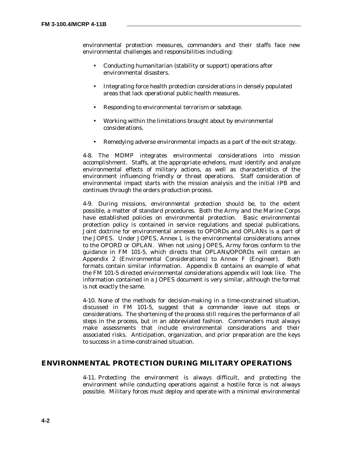environmental protection measures, commanders and their staffs face new environmental challenges and responsibilities including:

- Conducting humanitarian (stability or support) operations after environmental disasters.
- Integrating force health protection considerations in densely populated areas that lack operational public health measures.
- Responding to environmental terrorism or sabotage.
- Working within the limitations brought about by environmental considerations.
- Remedying adverse environmental impacts as a part of the exit strategy.

4-8. The MDMP integrates environmental considerations into mission accomplishment. Staffs, at the appropriate echelons, must identify and analyze environmental effects of military actions, as well as characteristics of the environment influencing friendly or threat operations. Staff consideration of environmental impact starts with the mission analysis and the initial IPB and continues through the orders production process.

4-9. During missions, environmental protection should be, to the extent possible, a matter of standard procedures. Both the Army and the Marine Corps have established policies on environmental protection. Basic environmental protection policy is contained in service regulations and special publications. Joint doctrine for environmental annexes to OPORDs and OPLANs is a part of the JOPES. Under JOPES, Annex L is the environmental considerations annex to the OPORD or OPLAN. When not using JOPES, Army forces conform to the guidance in FM 101-5, which directs that OPLANs/OPORDs will contain an Appendix 2 (Environmental Considerations) to Annex F (Engineer). Both formats contain similar information. Appendix B contains an example of what the FM 101-5 directed environmental considerations appendix will look like. The information contained in a JOPES document is very similar, although the format is not exactly the same.

4-10. None of the methods for decision-making in a time-constrained situation, discussed in FM 101-5, suggest that a commander leave out steps or considerations. The shortening of the process still requires the performance of all steps in the process, but in an abbreviated fashion. Commanders must always make assessments that include environmental considerations and their associated risks. Anticipation, organization, and prior preparation are the keys to success in a time-constrained situation.

## **ENVIRONMENTAL PROTECTION DURING MILITARY OPERATIONS**

4-11. Protecting the environment is always difficult, and protecting the environment while conducting operations against a hostile force is not always possible. Military forces must deploy and operate with a minimal environmental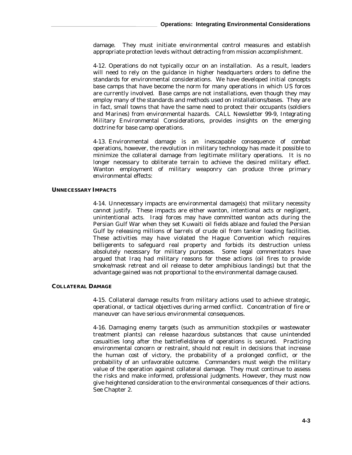damage. They must initiate environmental control measures and establish appropriate protection levels without detracting from mission accomplishment.

4-12. Operations do not typically occur on an installation. As a result, leaders will need to rely on the guidance in higher headquarters orders to define the standards for environmental considerations. We have developed initial concepts base camps that have become the norm for many operations in which US forces are currently involved. Base camps are not installations, even though they may employ many of the standards and methods used on installations/bases. They are in fact, small towns that have the same need to protect their occupants (soldiers and Marines) from environmental hazards. CALL Newsletter 99-9, *Integrating Military Environmental Considerations*, provides insights on the emerging doctrine for base camp operations.

4-13. Environmental damage is an inescapable consequence of combat operations, however, the revolution in military technology has made it possible to minimize the collateral damage from legitimate military operations. It is no longer necessary to obliterate terrain to achieve the desired military effect. Wanton employment of military weaponry can produce three primary environmental effects:

## **UNNECESSARY IMPACTS**

4-14. Unnecessary impacts are environmental damage(s) that military necessity cannot justify. These impacts are either wanton, intentional acts or negligent, unintentional acts. Iraqi forces may have committed wanton acts during the Persian Gulf War when they set Kuwaiti oil fields ablaze and fouled the Persian Gulf by releasing millions of barrels of crude oil from tanker loading facilities. These activities may have violated the Hague Convention which requires belligerents to safeguard real property and forbids its destruction unless absolutely necessary for military purposes. Some legal commentators have argued that Iraq had military reasons for these actions (oil fires to provide smoke/mask retreat and oil release to deter amphibious landings) but that the advantage gained was not proportional to the environmental damage caused.

#### **COLLATERAL DAMAGE**

4-15. Collateral damage results from military actions used to achieve strategic, operational, or tactical objectives during armed conflict. Concentration of fire or maneuver can have serious environmental consequences.

4-16. Damaging enemy targets (such as ammunition stockpiles or wastewater treatment plants) can release hazardous substances that cause unintended casualties long after the battlefield/area of operations is secured. Practicing environmental concern or restraint, should not result in decisions that increase the human cost of victory, the probability of a prolonged conflict, or the probability of an unfavorable outcome. Commanders must weigh the military value of the operation against collateral damage. They must continue to assess the risks and make informed, professional judgments. However, they must now give heightened consideration to the environmental consequences of their actions. See Chapter 2.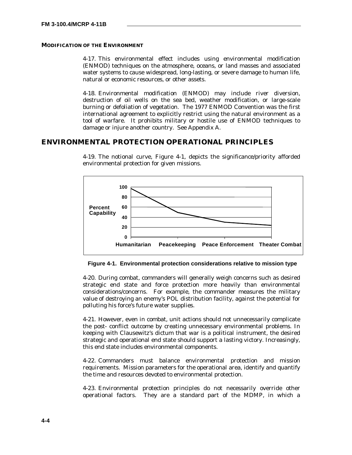## **MODIFICATION OF THE ENVIRONMENT**

4-17. This environmental effect includes using environmental modification (ENMOD) techniques on the atmosphere, oceans, or land masses and associated water systems to cause widespread, long-lasting, or severe damage to human life, natural or economic resources, or other assets.

4-18. Environmental modification (ENMOD) may include river diversion, destruction of oil wells on the sea bed, weather modification, or large-scale burning or defoliation of vegetation. The 1977 ENMOD Convention was the first international agreement to explicitly restrict using the natural environment as a tool of warfare. It prohibits military or hostile use of ENMOD techniques to damage or injure another country. See Appendix A.

## **ENVIRONMENTAL PROTECTION OPERATIONAL PRINCIPLES**



4-19. The notional curve, Figure 4-1, depicts the significance/priority afforded environmental protection for given missions.

**Figure 4-1. Environmental protection considerations relative to mission type**

4-20. During combat, commanders will generally weigh concerns such as desired strategic end state and force protection more heavily than environmental considerations/concerns. For example, the commander measures the military value of destroying an enemy's POL distribution facility, against the potential for polluting his force's future water supplies.

4-21. However, even in combat, unit actions should not unnecessarily complicate the post- conflict outcome by creating unnecessary environmental problems. In keeping with Clausewitz's dictum that war is a political instrument, the desired strategic and operational end state should support a lasting victory. Increasingly, this end state includes environmental components.

4-22. Commanders must balance environmental protection and mission requirements. Mission parameters for the operational area, identify and quantify the time and resources devoted to environmental protection.

4-23. Environmental protection principles do not necessarily override other operational factors. They are a standard part of the MDMP, in which a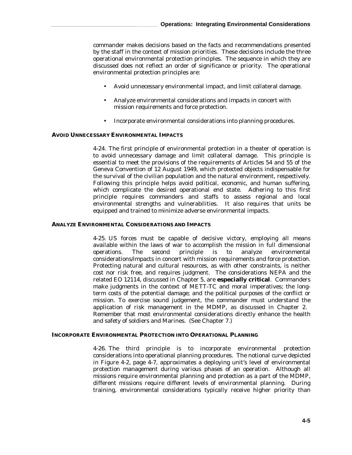commander makes decisions based on the facts and recommendations presented by the staff in the context of mission priorities. These decisions include the three operational environmental protection principles. The sequence in which they are discussed does not reflect an order of significance or priority. The operational environmental protection principles are:

- Avoid unnecessary environmental impact, and limit collateral damage.
- Analyze environmental considerations and impacts in concert with mission requirements and force protection.
- Incorporate environmental considerations into planning procedures.

## **AVOID UNNECESSARY ENVIRONMENTAL IMPACTS**

4-24. The first principle of environmental protection in a theater of operation is to avoid unnecessary damage and limit collateral damage*.* This principle is essential to meet the provisions of the requirements of Articles 54 and 55 of the Geneva Convention of 12 August 1949, which protected objects indispensable for the survival of the civilian population and the natural environment, respectively. Following this principle helps avoid political, economic, and human suffering, which complicate the desired operational end state. Adhering to this first principle requires commanders and staffs to assess regional and local environmental strengths and vulnerabilities. It also requires that units be equipped and trained to minimize adverse environmental impacts.

## **ANALYZE ENVIRONMENTAL CONSIDERATIONS AND IMPACTS**

4-25. US forces must be capable of decisive victory, employing all means available within the laws of war to accomplish the mission in full dimensional operations. The second principle is to analyze environmental considerations/impacts in concert with mission requirements and force protection. Protecting natural and cultural resources, as with other constraints, is neither cost nor risk free, and requires judgment. The considerations NEPA and the related EO 12114, discussed in Chapter 5, are **especially critical**. Commanders make judgments in the context of METT-TC and moral imperatives; the longterm costs of the potential damage; and the political purposes of the conflict or mission. To exercise sound judgement, the commander must understand the application of risk management in the MDMP, as discussed in Chapter 2. Remember that most environmental considerations directly enhance the health and safety of soldiers and Marines. (See Chapter 7.)

#### **INCORPORATE ENVIRONMENTAL PROTECTION INTO OPERATIONAL PLANNING**

4-26. The third principle is to incorporate environmental protection considerations into operational planning procedures*.* The notional curve depicted in Figure 4-2, page 4-7, approximates a deploying unit's level of environmental protection management during various phases of an operation. Although all missions require environmental planning and protection as a part of the MDMP, different missions require different levels of environmental planning. During training, environmental considerations typically receive higher priority than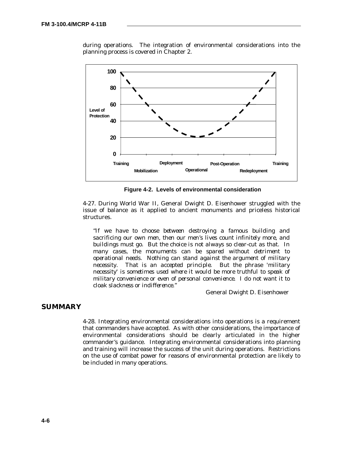

during operations. The integration of environmental considerations into the planning process is covered in Chapter 2.

**Figure 4-2. Levels of environmental consideration**

4-27. During World War II, General Dwight D. Eisenhower struggled with the issue of balance as it applied to ancient monuments and priceless historical structures.

*"If we have to choose between destroying a famous building and sacrificing our own men, then our men's lives count infinitely more, and buildings must go. But the choice is not always so clear-cut as that. In many cases, the monuments can be spared without detriment to operational needs. Nothing can stand against the argument of military necessity. That is an accepted principle. But the phrase 'military necessity' is sometimes used where it would be more truthful to speak of military convenience or even of personal convenience. I do not want it to cloak slackness or indifference."*

General Dwight D. Eisenhower

## **SUMMARY**

4-28. Integrating environmental considerations into operations is a requirement that commanders have accepted. As with other considerations, the importance of environmental considerations should be clearly articulated in the higher commander's guidance. Integrating environmental considerations into planning and training will increase the success of the unit during operations. Restrictions on the use of combat power for reasons of environmental protection are likely to be included in many operations.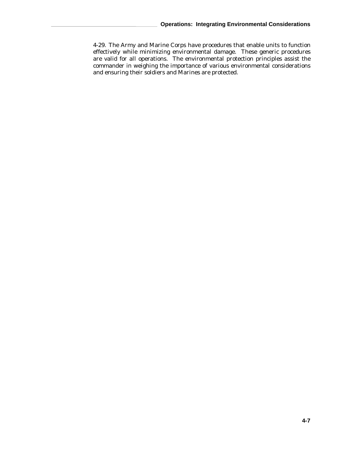4-29. The Army and Marine Corps have procedures that enable units to function effectively while minimizing environmental damage. These generic procedures are valid for all operations. The environmental protection principles assist the commander in weighing the importance of various environmental considerations and ensuring their soldiers and Marines are protected.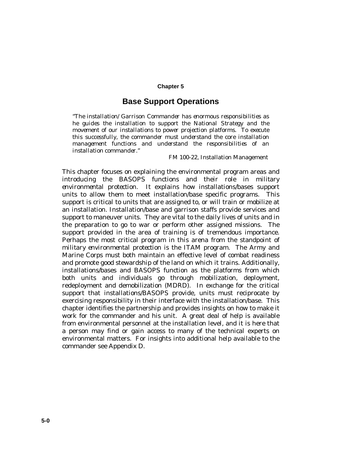## **Chapter 5**

## **Base Support Operations**

*"The installation/Garrison Commander has enormous responsibilities as he guides the installation to support the National Strategy and the movement of our installations to power projection platforms. To execute this successfully, the commander must understand the core installation management functions and understand the responsibilities of an installation commander."*

FM 100-22, Installation Management

This chapter focuses on explaining the environmental program areas and introducing the BASOPS functions and their role in *military environmental protection*. It explains how installations/bases support units to allow them to meet installation/base specific programs. This support is critical to units that are assigned to, or will train or mobilize at an installation. Installation/base and garrison staffs provide services and support to maneuver units. They are vital to the daily lives of units and in the preparation to go to war or perform other assigned missions. The support provided in the area of training is of tremendous importance. Perhaps the most critical program in this arena from the standpoint of *military environmental protection* is the ITAM program. The Army and Marine Corps must both maintain an effective level of combat readiness and promote good stewardship of the land on which it trains. Additionally, installations/bases and BASOPS function as the platforms from which both units and individuals go through mobilization, deployment, redeployment and demobilization (MDRD). In exchange for the critical support that installations/BASOPS provide, units must reciprocate by exercising responsibility in their interface with the installation/base. This chapter identifies the partnership and provides insights on how to make it work for the commander and his unit. A great deal of help is available from environmental personnel at the installation level, and it is here that a person may find or gain access to many of the technical experts on environmental matters. For insights into additional help available to the commander see Appendix D.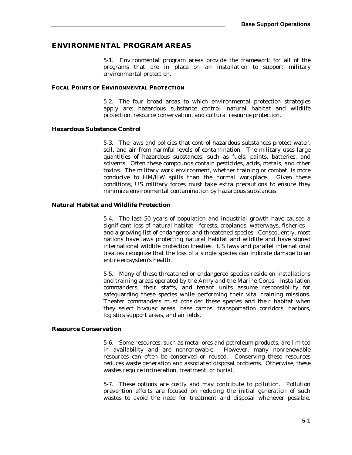# **ENVIRONMENTAL PROGRAM AREAS**

5-1. Environmental program areas provide the framework for all of the programs that are in place on an installation to support *military environmental protection*.

#### **FOCAL POINTS OF ENVIRONMENTAL PROTECTION**

5-2. The four broad areas to which environmental protection strategies apply are: hazardous substance control, natural habitat and wildlife protection, resource conservation, and cultural resource protection.

#### **Hazardous Substance Control**

5-3. The laws and policies that control hazardous substances protect water, soil, and air from harmful levels of contamination. The military uses large quantities of hazardous substances, such as fuels, paints, batteries, and solvents. Often these compounds contain pesticides, acids, metals, and other toxins. The military work environment, whether training or combat, is more conducive to HM/HW spills than the normal workplace. Given these conditions, US military forces must take extra precautions to ensure they minimize environmental contamination by hazardous substances.

### **Natural Habitat and Wildlife Protection**

5-4. The last 50 years of population and industrial growth have caused a significant loss of natural habitat—forests, croplands, waterways, fisheries and a growing list of endangered and threatened species. Consequently, most nations have laws protecting natural habitat and wildlife and have signed international wildlife protection treaties. US laws and parallel international treaties recognize that the loss of a single species can indicate damage to an entire ecosystem's health.

5-5. Many of these threatened or endangered species reside on installations and training areas operated by the Army and the Marine Corps. Installation commanders, their staffs, and tenant units assume responsibility for safeguarding these species while performing their vital training missions. Theater commanders must consider these species and their habitat when they select bivouac areas, base camps, transportation corridors, harbors, logistics support areas, and airfields.

### **Resource Conservation**

5-6. Some resources, such as metal ores and petroleum products, are limited in availability and are nonrenewable. However, many nonrenewable resources can often be conserved or reused. Conserving these resources reduces waste generation and associated disposal problems. Otherwise, these wastes require incineration, treatment, or burial.

5-7. These options are costly and may contribute to pollution. Pollution prevention efforts are focused on reducing the initial generation of such wastes to avoid the need for treatment and disposal whenever possible.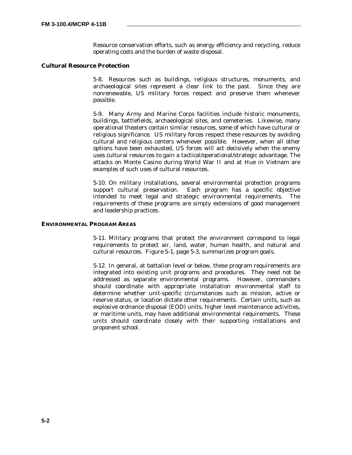Resource conservation efforts, such as energy efficiency and recycling, reduce operating costs and the burden of waste disposal.

# **Cultural Resource Protection**

5-8. Resources such as buildings, religious structures, monuments, and archaeological sites represent a clear link to the past. Since they are nonrenewable, US military forces respect and preserve them whenever possible.

5-9. Many Army and Marine Corps facilities include historic monuments, buildings, battlefields, archaeological sites, and cemeteries. Likewise, many operational theaters contain similar resources, some of which have cultural or religious significance. US military forces respect these resources by avoiding cultural and religious centers whenever possible. However, when all other options have been exhausted, US forces will act decisively when the enemy uses cultural resources to gain a tactical/operational/strategic advantage. The attacks on Monte Casino during World War II and at Hue in Vietnam are examples of such uses of cultural resources.

5-10. On military installations, several environmental protection programs support cultural preservation. Each program has a specific objective intended to meet legal and strategic environmental requirements. The requirements of these programs are simply extensions of good management and leadership practices.

## **ENVIRONMENTAL PROGRAM AREAS**

5-11. Military programs that protect the environment correspond to legal requirements to protect air, land, water, human health, and natural and cultural resources. Figure 5-1, page 5-3, summarizes program goals.

5-12. In general, at battalion level or below, these program requirements are integrated into existing unit programs and procedures. They need not be addressed as separate environmental programs. However, commanders should coordinate with appropriate installation environmental staff to determine whether unit-specific circumstances such as mission, active or reserve status, or location dictate other requirements. Certain units, such as explosive ordnance disposal (EOD) units, higher level maintenance activities, or maritime units, may have additional environmental requirements. These units should coordinate closely with their supporting installations and proponent school.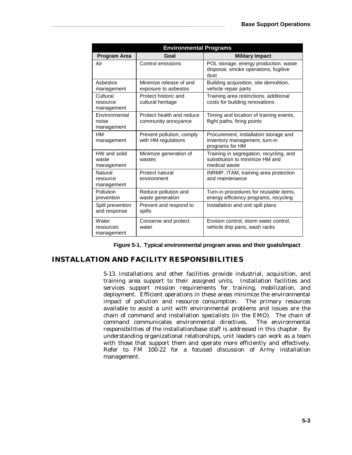| <b>Environmental Programs</b>        |                                                  |                                                                                             |  |  |  |
|--------------------------------------|--------------------------------------------------|---------------------------------------------------------------------------------------------|--|--|--|
| <b>Program Area</b>                  | Goal                                             | <b>Military Impact</b>                                                                      |  |  |  |
| Air                                  | Control emissions                                | POL storage, energy production, waste<br>disposal, smoke operations, fugitive<br>dust       |  |  |  |
| Ashestos<br>management               | Minimize release of and<br>exposure to asbestos  | Building acquisition, site demolition,<br>vehicle repair parts                              |  |  |  |
| Cultural<br>resource<br>management   | Protect historic and<br>cultural heritage        | Training area restrictions, additional<br>costs for building renovations                    |  |  |  |
| Environmental<br>noise<br>management | Protect health and reduce<br>community annoyance | Timing and location of training events,<br>flight paths, firing points                      |  |  |  |
| HМ<br>management                     | Prevent pollution, comply<br>with HM regulations | Procurement, installation storage and<br>inventory management, turn-in<br>programs for HM   |  |  |  |
| HW and solid<br>waste<br>management  | Minimize generation of<br>wastes                 | Training in segregation, recycling, and<br>substitution to minimize HM and<br>medical waste |  |  |  |
| Natural<br>resource<br>management    | Protect natural<br>environment                   | INRMP, ITAM, training area protection<br>and maintenance                                    |  |  |  |
| Pollution<br>prevention              | Reduce pollution and<br>waste generation         | Turn-in procedures for reusable items,<br>energy efficiency programs, recycling             |  |  |  |
| Spill prevention<br>and response     | Prevent and respond to<br>spills                 | Installation and unit spill plans                                                           |  |  |  |
| Water<br>resources<br>management     | Conserve and protect<br>water                    | Erosion control, storm water control,<br>vehicle drip pans, wash racks                      |  |  |  |

|  | Figure 5-1. Typical environmental program areas and their goals/impact |  |  |
|--|------------------------------------------------------------------------|--|--|
|  |                                                                        |  |  |

# **INSTALLATION AND FACILITY RESPONSIBILITIES**

5-13. Installations and other facilities provide industrial, acquisition, and training area support to their assigned units. Installation facilities and services support mission requirements for training, mobilization, and deployment. Efficient operations in these areas minimize the environmental impact of pollution and resource consumption. The primary resources available to assist a unit with environmental problems and issues are the chain of command and installation specialists (in the EMO). The chain of command communicates environmental directives. The environmental responsibilities of the installation/base staff is addressed in this chapter. By understanding organizational relationships, unit leaders can work as a team with those that support them and operate more efficiently and effectively. Refer to FM 100-22 for a focused discussion of Army installation management.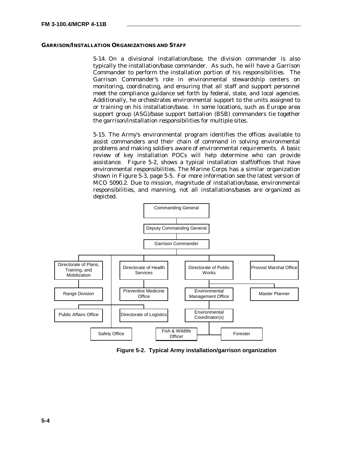#### **GARRISON/INSTALLATION ORGANIZATIONS AND STAFF**

5-14. On a divisional installation/base, the division commander is also typically the installation/base commander. As such, he will have a Garrison Commander to perform the installation portion of his responsibilities. The Garrison Commander's role in environmental stewardship centers on monitoring, coordinating, and ensuring that all staff and support personnel meet the compliance guidance set forth by federal, state, and local agencies. Additionally, he orchestrates environmental support to the units assigned to or training on his installation/base. In some locations, such as Europe area support group (ASG)/base support battalion (BSB) commanders tie together the garrison/installation responsibilities for multiple sites.

5-15. The Army's environmental program identifies the offices available to assist commanders and their chain of command in solving environmental problems and making soldiers aware of environmental requirements. A basic review of key installation POCs will help determine who can provide assistance. Figure 5-2, shows a typical installation staff/offices that have environmental responsibilities. The Marine Corps has a similar organization shown in Figure 5-3, page 5-5. For more information see the latest version of MCO 5090.2. Due to mission, magnitude of installation/base, environmental responsibilities, and manning, not all installations/bases are organized as depicted.



**Figure 5-2. Typical Army installation/garrison organization**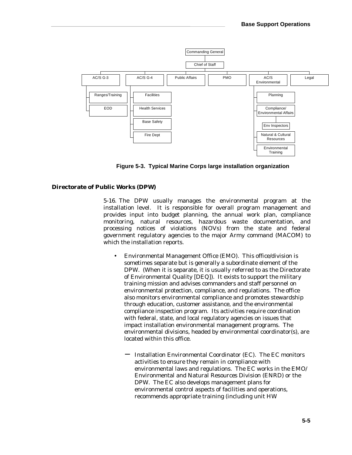

**Figure 5-3. Typical Marine Corps large installation organization**

## **Directorate of Public Works (DPW)**

5-16. The DPW usually manages the environmental program at the installation level. It is responsible for overall program management and provides input into budget planning, the annual work plan, compliance monitoring, natural resources, hazardous waste documentation, and processing notices of violations (NOVs) from the state and federal government regulatory agencies to the major Army command (MACOM) to which the installation reports.

- Environmental Management Office (EMO)*.* This office/division is sometimes separate but is generally a subordinate element of the DPW. (When it is separate, it is usually referred to as the Directorate of Environmental Quality [DEQ]). It exists to support the military training mission and advises commanders and staff personnel on environmental protection, compliance, and regulations. The office also monitors environmental compliance and promotes stewardship through education, customer assistance, and the environmental compliance inspection program. Its activities require coordination with federal, state, and local regulatory agencies on issues that impact installation environmental management programs. The environmental divisions, headed by environmental coordinator(s), are located within this office.
	- − Installation Environmental Coordinator (EC). The EC monitors activities to ensure they remain in compliance with environmental laws and regulations. The EC works in the EMO/ Environmental and Natural Resources Division (ENRD) or the DPW. The EC also develops management plans for environmental control aspects of facilities and operations, recommends appropriate training (including unit HW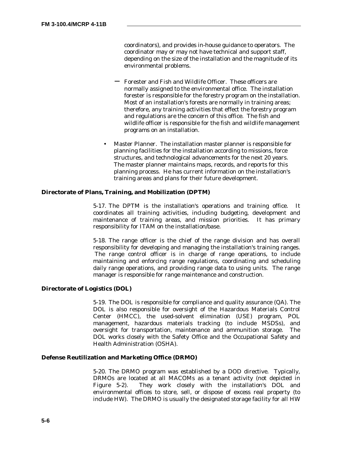coordinators), and provides in-house guidance to operators. The coordinator may or may not have technical and support staff, depending on the size of the installation and the magnitude of its environmental problems.

- Forester and Fish and Wildlife Officer. These officers are normally assigned to the environmental office. The installation forester is responsible for the forestry program on the installation. Most of an installation's forests are normally in training areas; therefore, any training activities that effect the forestry program and regulations are the concern of this office. The fish and wildlife officer is responsible for the fish and wildlife management programs on an installation.
- Master Planner. The installation master planner is responsible for planning facilities for the installation according to missions, force structures, and technological advancements for the next 20 years. The master planner maintains maps, records, and reports for this planning process. He has current information on the installation's training areas and plans for their future development.

## **Directorate of Plans, Training, and Mobilization (DPTM)**

5-17. The DPTM is the installation's operations and training office. It coordinates all training activities, including budgeting, development and maintenance of training areas, and mission priorities. It has primary responsibility for ITAM on the installation/base.

5-18. The range officer is the chief of the range division and has overall responsibility for developing and managing the installation's training ranges. The range control officer is in charge of range operations, to include maintaining and enforcing range regulations, coordinating and scheduling daily range operations, and providing range data to using units. The range manager is responsible for range maintenance and construction.

## **Directorate of Logistics (DOL)**

5-19. The DOL is responsible for compliance and quality assurance (QA). The DOL is also responsible for oversight of the Hazardous Materials Control Center (HMCC), the used-solvent elimination (USE) program, POL management, hazardous materials tracking (to include MSDSs), and oversight for transportation, maintenance and ammunition storage. The DOL works closely with the Safety Office and the Occupational Safety and Health Administration (OSHA).

#### **Defense Reutilization and Marketing Office (DRMO)**

5-20. The DRMO program was established by a DOD directive. Typically, DRMOs are located at all MACOMs as a tenant activity (not depicted in Figure 5-2). They work closely with the installation's DOL and environmental offices to store, sell, or dispose of excess real property (to include HW). The DRMO is usually the designated storage facility for all HW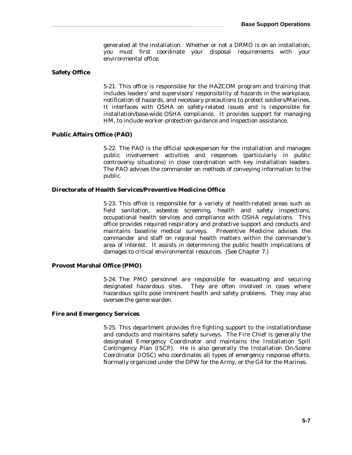generated at the installation. Whether or not a DRMO is on an installation, you must first coordinate your disposal requirements with your environmental office.

## **Safety Office**

5-21. This office is responsible for the HAZCOM program and training that includes leaders' and supervisors' responsibility of hazards in the workplace, notification of hazards, and necessary precautions to protect soldiers/Marines. It interfaces with OSHA on safety-related issues and is responsible for installation/base-wide OSHA compliance. It provides support for managing HM, to include worker-protection guidance and inspection assistance.

#### **Public Affairs Office (PAO)**

5-22. The PAO is the official spokesperson for the installation and manages public involvement activities and responses (particularly in public controversy situations) in close coordination with key installation leaders. The PAO advises the commander on methods of conveying information to the public.

# **Directorate of Health Services/Preventive Medicine Office**

5-23. This office is responsible for a variety of health-related areas such as field sanitation, asbestos screening, health and safety inspections, occupational health services and compliance with OSHA regulations. This office provides required respiratory and protective support and conducts and maintains baseline medical surveys. Preventive Medicine advises the commander and staff on regional health matters within the commander's area of interest. It assists in determining the public health implications of damages to critical environmental resources. (See Chapter 7.)

# **Provost Marshal Office (PMO)**

5-24. The PMO personnel are responsible for evacuating and securing designated hazardous sites. They are often involved in cases where hazardous spills pose imminent health and safety problems. They may also oversee the game warden.

### **Fire and Emergency Services**

5-25. This department provides fire fighting support to the installation/base and conducts and maintains safety surveys. The Fire Chief is generally the designated Emergency Coordinator and maintains the Installation Spill Contingency Plan (ISCP). He is also generally the Installation On-Scene Coordinator (IOSC) who coordinates all types of emergency response efforts. Normally organized under the DPW for the Army, or the G4 for the Marines.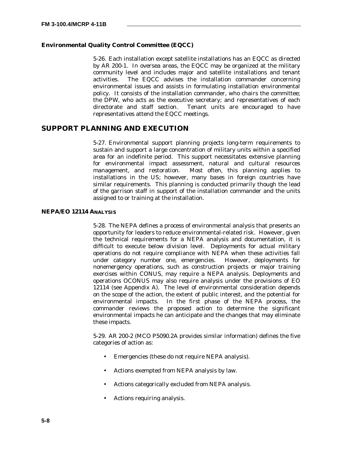# **Environmental Quality Control Committee (EQCC)**

5-26. Each installation except satellite installations has an EQCC as directed by AR 200-1. In oversea areas, the EQCC may be organized at the military community level and includes major and satellite installations and tenant activities. The EQCC advises the installation commander concerning environmental issues and assists in formulating installation environmental policy. It consists of the installation commander, who chairs the committee; the DPW, who acts as the executive secretary; and representatives of each directorate and staff section. Tenant units are encouraged to have representatives attend the EQCC meetings.

# **SUPPORT PLANNING AND EXECUTION**

5-27. Environmental support planning projects long-term requirements to sustain and support a large concentration of military units within a specified area for an indefinite period. This support necessitates extensive planning for environmental impact assessment, natural and cultural resources management, and restoration. Most often, this planning applies to installations in the US; however, many bases in foreign countries have similar requirements. This planning is conducted primarily though the lead of the garrison staff in support of the installation commander and the units assigned to or training at the installation.

# **NEPA/EO 12114 ANALYSIS**

5-28. The NEPA defines a process of environmental analysis that presents an opportunity for leaders to reduce environmental-related risk. However, given the technical requirements for a NEPA analysis and documentation, it is difficult to execute below division level. Deployments for actual military operations do not require compliance with NEPA when these activities fall under category number one, emergencies. However, deployments for nonemergency operations, such as construction projects or major training exercises within CONUS, may require a NEPA analysis. Deployments and operations OCONUS may also require analysis under the provisions of EO 12114 (see Appendix A). The level of environmental consideration depends on the scope of the action, the extent of public interest, and the potential for environmental impacts. In the first phase of the NEPA process, the commander reviews the proposed action to determine the significant environmental impacts he can anticipate and the changes that may eliminate these impacts.

5-29. AR 200-2 (MCO P5090.2A provides similar information) defines the five categories of action as:

- Emergencies (these do not require NEPA analysis).
- Actions exempted from NEPA analysis by law.
- Actions categorically excluded from NEPA analysis.
- Actions requiring analysis.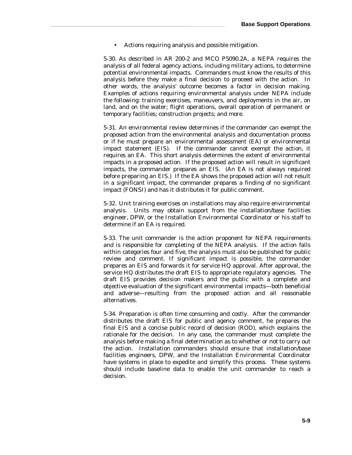• Actions requiring analysis and possible mitigation.

5-30. As described in AR 200-2 and MCO P5090.2A, a NEPA requires the analysis of all federal agency actions, including military actions, to determine potential environmental impacts. Commanders must know the results of this analysis before they make a final decision to proceed with the action. In other words, the analysis' outcome becomes a factor in decision making. Examples of actions requiring environmental analysis under NEPA include the following: training exercises, maneuvers, and deployments in the air, on land, and on the water; flight operations, overall operation of permanent or temporary facilities; construction projects; and more.

5-31. An environmental review determines if the commander can exempt the proposed action from the environmental analysis and documentation process or if he must prepare an environmental assessment (EA) or environmental impact statement (EIS). If the commander cannot exempt the action, it requires an EA. This short analysis determines the extent of environmental impacts in a proposed action. If the proposed action will result in significant impacts, the commander prepares an EIS. (An EA is not always required before preparing an EIS.) If the EA shows the proposed action will not result in a significant impact, the commander prepares a finding of no significant impact (FONSI) and has it distributes it for public comment.

5-32. Unit training exercises on installations may also require environmental analysis. Units may obtain support from the installation/base facilities engineer, DPW, or the Installation Environmental Coordinator or his staff to determine if an EA is required.

5-33. The unit commander is the action proponent for NEPA requirements and is responsible for completing of the NEPA analysis. If the action falls within categories four and five, the analysis must also be published for public review and comment. If significant impact is possible, the commander prepares an EIS and forwards it for service HQ approval. After approval, the service HQ distributes the draft EIS to appropriate regulatory agencies. The draft EIS provides decision makers and the public with a complete and objective evaluation of the significant environmental impacts—both beneficial and adverse—resulting from the proposed action and all reasonable alternatives.

5-34. Preparation is often time consuming and costly. After the commander distributes the draft EIS for public and agency comment, he prepares the final EIS and a concise public record of decision (ROD), which explains the rationale for the decision. In any case, the commander must complete the analysis before making a final determination as to whether or not to carry out the action. Installation commanders should ensure that installation/base facilities engineers, DPW, and the Installation Environmental Coordinator have systems in place to expedite and simplify this process. These systems should include baseline data to enable the unit commander to reach a decision.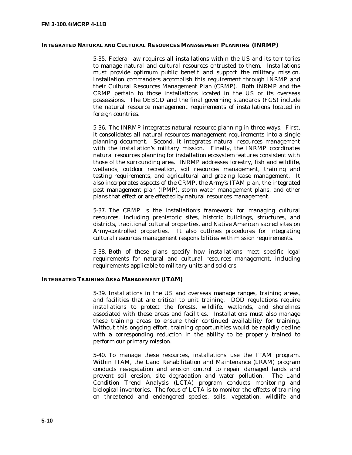### **INTEGRATED NATURAL AND CULTURAL RESOURCES MANAGEMENT PLANNING (INRMP)**

5-35. Federal law requires all installations within the US and its territories to manage natural and cultural resources entrusted to them. Installations must provide optimum public benefit and support the military mission. Installation commanders accomplish this requirement through INRMP and their Cultural Resources Management Plan (CRMP). Both INRMP and the CRMP pertain to those installations located in the US or its overseas possessions. The OEBGD and the final governing standards (FGS) include the natural resource management requirements of installations located in foreign countries.

5-36. The INRMP integrates natural resource planning in three ways. First, it consolidates all natural resources management requirements into a single planning document. Second, it integrates natural resources management with the installation's military mission. Finally, the INRMP coordinates natural resources planning for installation ecosystem features consistent with those of the surrounding area. INRMP addresses forestry, fish and wildlife, wetlands, outdoor recreation, soil resources management, training and testing requirements, and agricultural and grazing lease management. It also incorporates aspects of the CRMP, the Army's ITAM plan, the integrated pest management plan (IPMP), storm water management plans, and other plans that effect or are effected by natural resources management.

5-37. The CRMP is the installation's framework for managing cultural resources, including prehistoric sites, historic buildings, structures, and districts, traditional cultural properties, and Native American sacred sites on Army-controlled properties. It also outlines procedures for integrating cultural resources management responsibilities with mission requirements.

5-38. Both of these plans specify how installations meet specific legal requirements for natural and cultural resources management, including requirements applicable to military units and soldiers.

### **INTEGRATED TRAINING AREA MANAGEMENT (ITAM)**

5-39. Installations in the US and overseas manage ranges, training areas, and facilities that are critical to unit training. DOD regulations require installations to protect the forests, wildlife, wetlands, and shorelines associated with these areas and facilities. Installations must also manage these training areas to ensure their continued availability for training. Without this ongoing effort, training opportunities would be rapidly decline with a corresponding reduction in the ability to be properly trained to perform our primary mission.

5-40. To manage these resources, installations use the ITAM program. Within ITAM, the Land Rehabilitation and Maintenance (LRAM) program conducts revegetation and erosion control to repair damaged lands and prevent soil erosion, site degradation and water pollution. The Land Condition Trend Analysis (LCTA) program conducts monitoring and biological inventories. The focus of  $LCTA$  is to monitor the effects of training on threatened and endangered species, soils, vegetation, wildlife and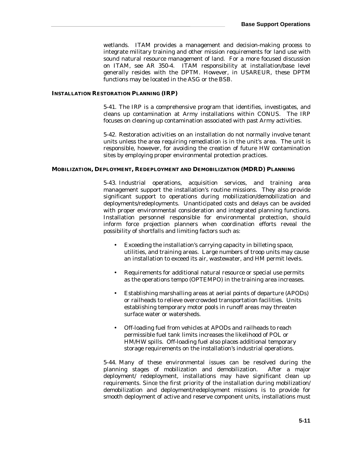wetlands. ITAM provides a management and decision-making process to integrate military training and other mission requirements for land use with sound natural resource management of land. For a more focused discussion on ITAM, see AR 350-4. ITAM responsibility at installation/base level generally resides with the DPTM. However, in USAREUR, these DPTM functions may be located in the ASG or the BSB.

### **INSTALLATION RESTORATION PLANNING (IRP)**

5-41. The IRP is a comprehensive program that identifies, investigates, and cleans up contamination at Army installations within CONUS. The IRP focuses on cleaning up contamination associated with past Army activities.

5-42. Restoration activities on an installation do not normally involve tenant units unless the area requiring remediation is in the unit's area. The unit is responsible, however, for avoiding the creation of future HW contamination sites by employing proper environmental protection practices.

# **MOBILIZATION, DEPLOYMENT, REDEPLOYMENT AND DEMOBILIZATION (MDRD) PLANNING**

5-43. Industrial operations, acquisition services, and training area management support the installation's routine missions. They also provide significant support to operations during mobilization/demobilization and deployments/redeployments. Unanticipated costs and delays can be avoided with proper environmental consideration and integrated planning functions. Installation personnel responsible for environmental protection, should inform force projection planners when coordination efforts reveal the possibility of shortfalls and limiting factors such as:

- Exceeding the installation's carrying capacity in billeting space, utilities, and training areas. Large numbers of troop units may cause an installation to exceed its air, wastewater, and HM permit levels.
- Requirements for additional natural resource or special use permits as the operations tempo (OPTEMPO) in the training area increases.
- Establishing marshalling areas at aerial points of departure (APODs) or railheads to relieve overcrowded transportation facilities. Units establishing temporary motor pools in runoff areas may threaten surface water or watersheds.
- Off-loading fuel from vehicles at APODs and railheads to reach permissible fuel tank limits increases the likelihood of POL or HM/HW spills. Off-loading fuel also places additional temporary storage requirements on the installation's industrial operations.

5-44. Many of these environmental issues can be resolved during the planning stages of mobilization and demobilization. After a major deployment/ redeployment, installations may have significant clean up requirements. Since the first priority of the installation during mobilization/ demobilization and deployment/redeployment missions is to provide for smooth deployment of active and reserve component units, installations must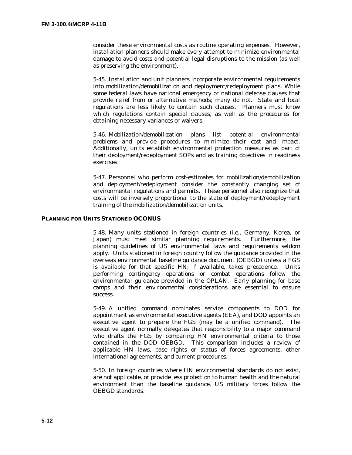consider these environmental costs as routine operating expenses. However, installation planners should make every attempt to minimize environmental damage to avoid costs and potential legal disruptions to the mission (as well as preserving the environment).

5-45. Installation and unit planners incorporate environmental requirements into mobilization/demobilization and deployment/redeployment plans. While some federal laws have national emergency or national defense clauses that provide relief from or alternative methods; many do not. State and local regulations are less likely to contain such clauses. Planners must know which regulations contain special clauses, as well as the procedures for obtaining necessary variances or waivers.

5-46. Mobilization/demobilization plans list potential environmental problems and provide procedures to minimize their cost and impact. Additionally, units establish environmental protection measures as part of their deployment/redeployment SOPs and as training objectives in readiness exercises.

5-47. Personnel who perform cost-estimates for mobilization/demobilization and deployment/redeployment consider the constantly changing set of environmental regulations and permits. These personnel also recognize that costs will be inversely proportional to the state of deployment/redeployment training of the mobilization/demobilization units.

### **PLANNING FOR UNITS STATIONED OCONUS**

5-48. Many units stationed in foreign countries (i.e., Germany, Korea, or Japan) must meet similar planning requirements. Furthermore, the planning guidelines of US environmental laws and requirements seldom apply. Units stationed in foreign country follow the guidance provided in the overseas environmental baseline guidance document (OEBGD) unless a FGS is available for that specific HN; if available, takes precedence. Units performing contingency operations or combat operations follow the environmental guidance provided in the OPLAN. Early planning for base camps and their environmental considerations are essential to ensure success.

5-49. A unified command nominates service components to DOD for appointment as environmental executive agents (EEA), and DOD appoints an executive agent to prepare the FGS (may be a unified command). The executive agent normally delegates that responsibility to a major command who drafts the FGS by comparing HN environmental criteria to those contained in the DOD OEBGD. This comparison includes a review of applicable HN laws, base rights or status of forces agreements, other international agreements, and current procedures.

5-50. In foreign countries where HN environmental standards do not exist, are not applicable, or provide less protection to human health and the natural environment than the baseline guidance, US military forces follow the OEBGD standards.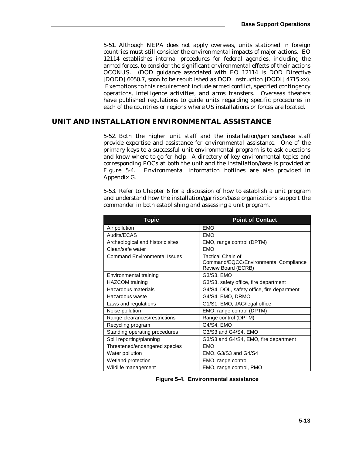5-51. Although NEPA does not apply overseas, units stationed in foreign countries must still consider the environmental impacts of major actions. EO 12114 establishes internal procedures for federal agencies, including the armed forces, to consider the significant environmental effects of their actions OCONUS. (DOD guidance associated with EO 12114 is DOD Directive [DODD] 6050.7, soon to be republished as DOD Instruction [DODI] 4715.xx). Exemptions to this requirement include armed conflict, specified contingency operations, intelligence activities, and arms transfers. Overseas theaters have published regulations to guide units regarding specific procedures in each of the countries or regions where US installations or forces are located.

# **UNIT AND INSTALLATION ENVIRONMENTAL ASSISTANCE**

5-52. Both the higher unit staff and the installation/garrison/base staff provide expertise and assistance for environmental assistance. One of the primary keys to a successful unit environmental program is to ask questions and know where to go for help. A directory of key environmental topics and corresponding POCs at both the unit and the installation/base is provided at Figure 5-4. Environmental information hotlines are also provided in Appendix G.

5-53. Refer to Chapter 6 for a discussion of how to establish a unit program and understand how the installation/garrison/base organizations support the commander in both establishing and assessing a unit program.

| <b>Topic</b>                        | <b>Point of Contact</b>                                                           |  |  |
|-------------------------------------|-----------------------------------------------------------------------------------|--|--|
| Air pollution                       | <b>EMO</b>                                                                        |  |  |
| Audits/ECAS                         | <b>EMO</b>                                                                        |  |  |
| Archeological and historic sites    | EMO, range control (DPTM)                                                         |  |  |
| Clean/safe water                    | <b>EMO</b>                                                                        |  |  |
| <b>Command Environmental Issues</b> | Tactical Chain of<br>Command/EQCC/Environmental Compliance<br>Review Board (ECRB) |  |  |
| Environmental training              | G3/S3, EMO                                                                        |  |  |
| <b>HAZCOM</b> training              | G3/S3, safety office, fire department                                             |  |  |
| Hazardous materials                 | G4/S4, DOL, safety office, fire department                                        |  |  |
| Hazardous waste                     | G4/S4, EMO, DRMO                                                                  |  |  |
| Laws and regulations                | G1/S1, EMO, JAG/legal office                                                      |  |  |
| Noise pollution                     | EMO, range control (DPTM)                                                         |  |  |
| Range clearances/restrictions       | Range control (DPTM)                                                              |  |  |
| Recycling program                   | G4/S4, EMO                                                                        |  |  |
| Standing operating procedures       | G3/S3 and G4/S4, EMO                                                              |  |  |
| Spill reporting/planning            | G3/S3 and G4/S4, EMO, fire department                                             |  |  |
| Threatened/endangered species       | <b>EMO</b>                                                                        |  |  |
| Water pollution                     | EMO, G3/S3 and G4/S4                                                              |  |  |
| Wetland protection                  | EMO, range control                                                                |  |  |
| Wildlife management                 | EMO, range control, PMO                                                           |  |  |

 **Figure 5-4. Environmental assistance Figure 5-4. Environmental assistance**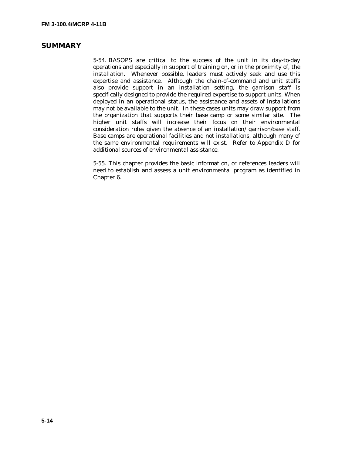# **SUMMARY**

5-54. BASOPS are critical to the success of the unit in its day-to-day operations and especially in support of training on, or in the proximity of, the installation. Whenever possible, leaders must actively seek and use this expertise and assistance. Although the chain-of-command and unit staffs also provide support in an installation setting, the garrison staff is specifically designed to provide the required expertise to support units. When deployed in an operational status, the assistance and assets of installations may not be available to the unit. In these cases units may draw support from the organization that supports their base camp or some similar site. The higher unit staffs will increase their focus on their environmental consideration roles given the absence of an installation/ garrison/base staff. Base camps are operational facilities and not installations, although many of the same environmental requirements will exist. Refer to Appendix D for additional sources of environmental assistance.

5-55. This chapter provides the basic information, or references leaders will need to establish and assess a unit environmental program as identified in Chapter 6.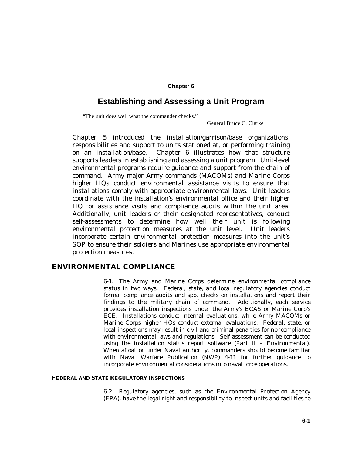# **Chapter 6**

# **Establishing and Assessing a Unit Program**

"The unit does well what the commander checks."

General Bruce C. Clarke

Chapter 5 introduced the installation/garrison/base organizations, responsibilities and support to units stationed at, or performing training on an installation/base. Chapter 6 illustrates how that structure supports leaders in establishing and assessing a unit program. Unit-level environmental programs require guidance and support from the chain of command. Army major Army commands (MACOMs) and Marine Corps higher HQs conduct environmental assistance visits to ensure that installations comply with appropriate environmental laws. Unit leaders coordinate with the installation's environmental office and their higher HQ for assistance visits and compliance audits within the unit area. Additionally, unit leaders or their designated representatives, conduct self-assessments to determine how well their unit is following environmental protection measures at the unit level. Unit leaders incorporate certain environmental protection measures into the unit's SOP to ensure their soldiers and Marines use appropriate environmental protection measures.

# **ENVIRONMENTAL COMPLIANCE**

6-1. The Army and Marine Corps determine environmental compliance status in two ways. Federal, state, and local regulatory agencies conduct formal compliance audits and spot checks on installations and report their findings to the military chain of command. Additionally, each service provides installation inspections under the Army's ECAS or Marine Corp's ECE. Installations conduct internal evaluations, while Army MACOMs or Marine Corps higher HQs conduct external evaluations. Federal, state, or local inspections may result in civil and criminal penalties for noncompliance with environmental laws and regulations. Self-assessment can be conducted using the installation status report software (Part II – Environmental). When afloat or under Naval authority, commanders should become familiar with Naval Warfare Publication (NWP) 4-11 for further guidance to incorporate environmental considerations into naval force operations.

### **FEDERAL AND STATE REGULATORY INSPECTIONS**

6-2. Regulatory agencies, such as the Environmental Protection Agency (EPA), have the legal right and responsibility to inspect units and facilities to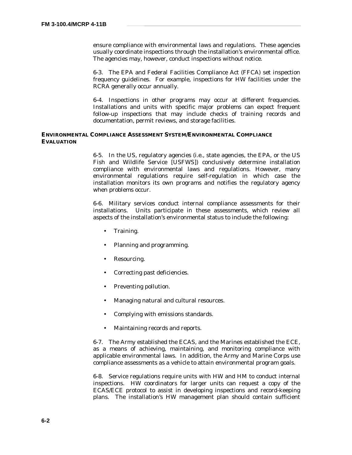ensure compliance with environmental laws and regulations. These agencies usually coordinate inspections through the installation's environmental office. The agencies may, however, conduct inspections without notice.

6-3. The EPA and Federal Facilities Compliance Act (FFCA) set inspection frequency guidelines. For example, inspections for HW facilities under the RCRA generally occur annually.

6-4. Inspections in other programs may occur at different frequencies. Installations and units with specific major problems can expect frequent follow-up inspections that may include checks of training records and documentation, permit reviews, and storage facilities.

## **ENVIRONMENTAL COMPLIANCE ASSESSMENT SYSTEM/ENVIRONMENTAL COMPLIANCE EVALUATION**

6-5. In the US, regulatory agencies (i.e., state agencies, the EPA, or the US Fish and Wildlife Service [USFWS]) conclusively determine installation compliance with environmental laws and regulations. However, many environmental regulations require self-regulation in which case the installation monitors its own programs and notifies the regulatory agency when problems occur.

6-6. Military services conduct internal compliance assessments for their installations. Units participate in these assessments, which review all aspects of the installation's environmental status to include the following:

- Training.
- Planning and programming.
- Resourcing.
- Correcting past deficiencies.
- Preventing pollution.
- Managing natural and cultural resources.
- Complying with emissions standards.
- Maintaining records and reports.

6-7. The Army established the ECAS, and the Marines established the ECE, as a means of achieving, maintaining, and monitoring compliance with applicable environmental laws. In addition, the Army and Marine Corps use compliance assessments as a vehicle to attain environmental program goals.

6-8. Service regulations require units with HW and HM to conduct internal inspections. HW coordinators for larger units can request a copy of the ECAS/ECE protocol to assist in developing inspections and record-keeping plans. The installation's HW management plan should contain sufficient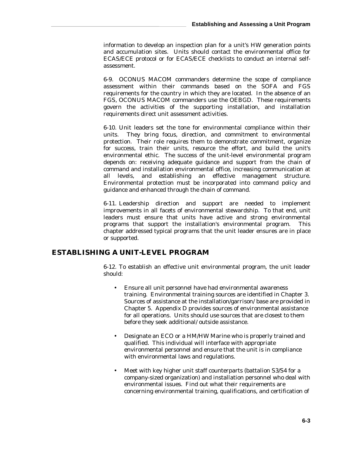information to develop an inspection plan for a unit's HW generation points and accumulation sites. Units should contact the environmental office for ECAS/ECE protocol or for ECAS/ECE checklists to conduct an internal selfassessment.

6-9. OCONUS MACOM commanders determine the scope of compliance assessment within their commands based on the SOFA and FGS requirements for the country in which they are located. In the absence of an FGS, OCONUS MACOM commanders use the OEBGD. These requirements govern the activities of the supporting installation, and installation requirements direct unit assessment activities.

6-10. Unit leaders set the tone for environmental compliance within their units. They bring focus, direction, and commitment to environmental protection. Their role requires them to demonstrate commitment, organize for success, train their units, resource the effort, and build the unit's environmental ethic. The success of the unit-level environmental program depends on: receiving adequate guidance and support from the chain of command and installation environmental office, increasing communication at all levels, and establishing an effective management structure. Environmental protection must be incorporated into command policy and guidance and enhanced through the chain of command.

6-11. Leadership direction and support are needed to implement improvements in all facets of environmental stewardship. To that end, unit leaders must ensure that units have active and strong environmental programs that support the installation's environmental program. This chapter addressed typical programs that the unit leader ensures are in place or supported.

# **ESTABLISHING A UNIT-LEVEL PROGRAM**

6-12. To establish an effective unit environmental program, the unit leader should:

- Ensure all unit personnel have had environmental awareness training. Environmental training sources are identified in Chapter 3. Sources of assistance at the installation/garrison/ base are provided in Chapter 5. Appendix D provides sources of environmental assistance for all operations. Units should use sources that are closest to them before they seek additional/ outside assistance.
- Designate an ECO or a HM/HW Marine who is properly trained and qualified. This individual will interface with appropriate environmental personnel and ensure that the unit is in compliance with environmental laws and regulations.
- Meet with key higher unit staff counterparts (battalion S3/S4 for a company-sized organization) and installation personnel who deal with environmental issues. Find out what their requirements are concerning environmental training, qualifications, and certification of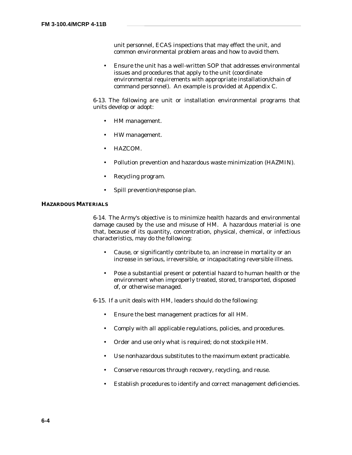unit personnel, ECAS inspections that may effect the unit, and common environmental problem areas and how to avoid them.

• Ensure the unit has a well-written SOP that addresses environmental issues and procedures that apply to the unit (coordinate environmental requirements with appropriate installation/chain of command personnel). An example is provided at Appendix C.

6-13. The following are unit or installation environmental programs that units develop or adopt:

- HM management.
- HW management.
- HAZCOM.
- Pollution prevention and hazardous waste minimization (HAZMIN).
- Recycling program.
- Spill prevention/response plan.

### **HAZARDOUS MATERIALS**

6-14. The Army's objective is to minimize health hazards and environmental damage caused by the use and misuse of HM. A hazardous material is one that, because of its quantity, concentration, physical, chemical, or infectious characteristics, may do the following:

- Cause, or significantly contribute to, an increase in mortality or an increase in serious, irreversible, or incapacitating reversible illness.
- Pose a substantial present or potential hazard to human health or the environment when improperly treated, stored, transported, disposed of, or otherwise managed.

6-15. If a unit deals with HM, leaders should do the following:

- Ensure the best management practices for all HM.
- Comply with all applicable regulations, policies, and procedures.
- Order and use only what is required; do not stockpile HM.
- Use nonhazardous substitutes to the maximum extent practicable.
- Conserve resources through recovery, recycling, and reuse.
- Establish procedures to identify and correct management deficiencies.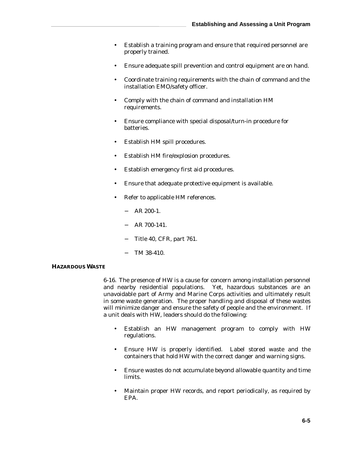- Establish a training program and ensure that required personnel are properly trained.
- Ensure adequate spill prevention and control equipment are on hand.
- Coordinate training requirements with the chain of command and the installation EMO/safety officer.
- Comply with the chain of command and installation HM requirements.
- Ensure compliance with special disposal/turn-in procedure for batteries.
- Establish HM spill procedures.
- Establish HM fire/explosion procedures.
- Establish emergency first aid procedures.
- Ensure that adequate protective equipment is available.
- Refer to applicable HM references.
	- − AR 200-1.
	- − AR 700-141.
	- Title 40, CFR, part 761.
	- TM 38-410.

# **HAZARDOUS WASTE**

6-16. The presence of HW is a cause for concern among installation personnel and nearby residential populations. Yet, hazardous substances are an unavoidable part of Army and Marine Corps activities and ultimately result in some waste generation. The proper handling and disposal of these wastes will minimize danger and ensure the safety of people and the environment. If a unit deals with HW, leaders should do the following:

- Establish an HW management program to comply with HW regulations.
- Ensure HW is properly identified. Label stored waste and the containers that hold HW with the correct danger and warning signs.
- Ensure wastes do not accumulate beyond allowable quantity and time limits.
- Maintain proper HW records, and report periodically, as required by EPA.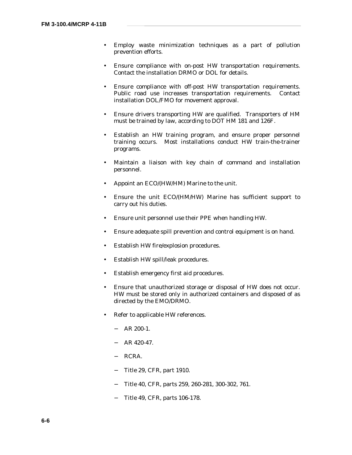- Employ waste minimization techniques as a part of pollution prevention efforts.
- Ensure compliance with on-post HW transportation requirements. Contact the installation DRMO or DOL for details.
- Ensure compliance with off-post HW transportation requirements. Public road use increases transportation requirements. Contact installation DOL/FMO for movement approval.
- Ensure drivers transporting HW are qualified. Transporters of HM must be trained by law, according to DOT HM 181 and 126F.
- Establish an HW training program, and ensure proper personnel training occurs. Most installations conduct HW train-the-trainer programs.
- Maintain a liaison with key chain of command and installation personnel.
- Appoint an ECO/(HW/HM) Marine to the unit.
- Ensure the unit ECO/(HM/HW) Marine has sufficient support to carry out his duties.
- Ensure unit personnel use their PPE when handling HW.
- Ensure adequate spill prevention and control equipment is on hand.
- Establish HW fire/explosion procedures.
- Establish HW spill/leak procedures.
- Establish emergency first aid procedures.
- Ensure that unauthorized storage or disposal of HW does not occur. HW must be stored only in authorized containers and disposed of as directed by the EMO/DRMO.
- Refer to applicable HW references.
	- − AR 200-1.
	- − AR 420-47.
	- − RCRA.
	- − Title 29, CFR, part 1910.
	- − Title 40, CFR, parts 259, 260-281, 300-302, 761.
	- − Title 49, CFR, parts 106-178.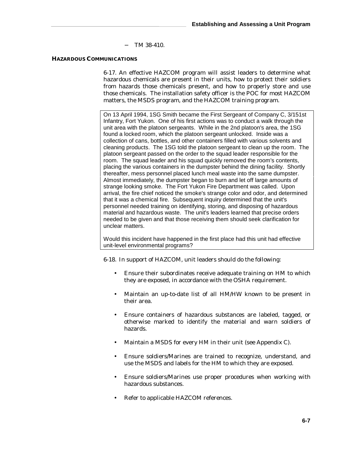TM 38-410.

### **HAZARDOUS COMMUNICATIONS**

6-17. An effective HAZCOM program will assist leaders to determine what hazardous chemicals are present in their units, how to protect their soldiers from hazards those chemicals present, and how to properly store and use those chemicals. The installation safety officer is the POC for most HAZCOM matters, the MSDS program, and the HAZCOM training program.

On 13 April 1994, 1SG Smith became the First Sergeant of Company C, 3/151st Infantry, Fort Yukon. One of his first actions was to conduct a walk through the unit area with the platoon sergeants. While in the 2nd platoon's area, the 1SG found a locked room, which the platoon sergeant unlocked. Inside was a collection of cans, bottles, and other containers filled with various solvents and cleaning products. The 1SG told the platoon sergeant to clean up the room. The platoon sergeant passed on the order to the squad leader responsible for the room. The squad leader and his squad quickly removed the room's contents, placing the various containers in the dumpster behind the dining facility. Shortly thereafter, mess personnel placed lunch meal waste into the same dumpster. Almost immediately, the dumpster began to burn and let off large amounts of strange looking smoke. The Fort Yukon Fire Department was called. Upon arrival, the fire chief noticed the smoke's strange color and odor, and determined that it was a chemical fire. Subsequent inquiry determined that the unit's personnel needed training on identifying, storing, and disposing of hazardous material and hazardous waste. The unit's leaders learned that precise orders needed to be given and that those receiving them should seek clarification for unclear matters.

Would this incident have happened in the first place had this unit had effective unit-level environmental programs?

6-18. In support of HAZCOM, unit leaders should do the following:

- Ensure their subordinates receive adequate training on HM to which they are exposed, in accordance with the OSHA requirement.
- Maintain an up-to-date list of all HM/HW known to be present in their area.
- Ensure containers of hazardous substances are labeled, tagged, or otherwise marked to identify the material and warn soldiers of hazards.
- Maintain a MSDS for every HM in their unit (see Appendix C).
- Ensure soldiers/Marines are trained to recognize, understand, and use the MSDS and labels for the HM to which they are exposed.
- Ensure soldiers/Marines use proper procedures when working with hazardous substances.
- Refer to applicable HAZCOM references.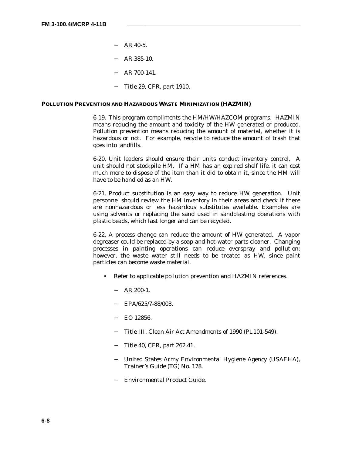- $-$  AR 40-5.
- − AR 385-10.
- − AR 700-141.
- − Title 29, CFR, part 1910.

# **POLLUTION PREVENTION AND HAZARDOUS WASTE MINIMIZATION (HAZMIN)**

6-19. This program compliments the HM/HW/HAZCOM programs. HAZMIN means reducing the amount and toxicity of the HW generated or produced. Pollution prevention means reducing the amount of material, whether it is hazardous or not. For example, recycle to reduce the amount of trash that goes into landfills.

6-20. Unit leaders should ensure their units conduct inventory control. A unit should not stockpile HM. If a HM has an expired shelf life, it can cost much more to dispose of the item than it did to obtain it, since the HM will have to be handled as an HW.

6-21. Product substitution is an easy way to reduce HW generation. Unit personnel should review the HM inventory in their areas and check if there are nonhazardous or less hazardous substitutes available. Examples are using solvents or replacing the sand used in sandblasting operations with plastic beads, which last longer and can be recycled.

6-22. A process change can reduce the amount of HW generated. A vapor degreaser could be replaced by a soap-and-hot-water parts cleaner. Changing processes in painting operations can reduce overspray and pollution; however, the waste water still needs to be treated as HW, since paint particles can become waste material.

- Refer to applicable pollution prevention and HAZMIN references.
	- − AR 200-1.
	- − EPA/625/7-88/003.
	- − EO 12856.
	- − Title III, Clean Air Act Amendments of 1990 (PL101-549).
	- − Title 40, CFR, part 262.41.
	- − United States Army Environmental Hygiene Agency (USAEHA), Trainer's Guide (TG) No. 178.
	- − Environmental Product Guide.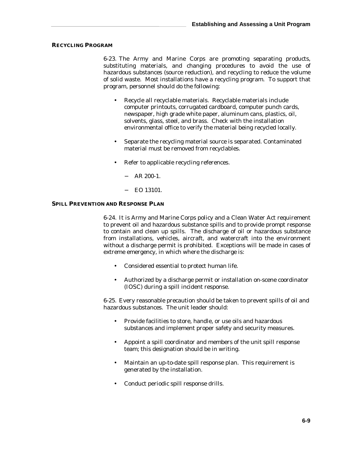# **RECYCLING PROGRAM**

6-23. The Army and Marine Corps are promoting separating products, substituting materials, and changing procedures to avoid the use of hazardous substances (source reduction), and recycling to reduce the volume of solid waste. Most installations have a recycling program. To support that program, personnel should do the following:

- Recycle all recyclable materials. Recyclable materials include computer printouts, corrugated cardboard, computer punch cards, newspaper, high grade white paper, aluminum cans, plastics, oil, solvents, glass, steel, and brass. Check with the installation environmental office to verify the material being recycled locally.
- Separate the recycling material source is separated. Contaminated material must be removed from recyclables.
- Refer to applicable recycling references.
	- − AR 200-1.
	- − EO 13101.

## **SPILL PREVENTION AND RESPONSE PLAN**

6-24. It is Army and Marine Corps policy and a Clean Water Act requirement to prevent oil and hazardous substance spills and to provide prompt response to contain and clean up spills. The discharge of oil or hazardous substance from installations, vehicles, aircraft, and watercraft into the environment without a discharge permit is prohibited. Exceptions will be made in cases of extreme emergency, in which where the discharge is:

- Considered essential to protect human life.
- Authorized by a discharge permit or installation on-scene coordinator (IOSC) during a spill incident response.

6-25. Every reasonable precaution should be taken to prevent spills of oil and hazardous substances. The unit leader should:

- Provide facilities to store, handle, or use oils and hazardous substances and implement proper safety and security measures.
- Appoint a spill coordinator and members of the unit spill response team; this designation should be in writing.
- Maintain an up-to-date spill response plan. This requirement is generated by the installation.
- Conduct periodic spill response drills.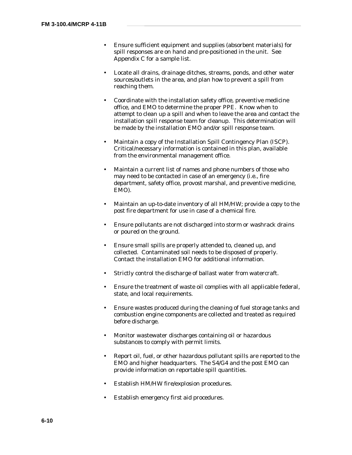- Ensure sufficient equipment and supplies (absorbent materials) for spill responses are on hand and pre-positioned in the unit. See Appendix C for a sample list.
- Locate all drains, drainage ditches, streams, ponds, and other water sources/outlets in the area, and plan how to prevent a spill from reaching them.
- Coordinate with the installation safety office, preventive medicine office, and EMO to determine the proper PPE. Know when to attempt to clean up a spill and when to leave the area and contact the installation spill response team for cleanup. This determination will be made by the installation EMO and/or spill response team.
- Maintain a copy of the Installation Spill Contingency Plan (ISCP). Critical/necessary information is contained in this plan, available from the environmental management office.
- Maintain a current list of names and phone numbers of those who may need to be contacted in case of an emergency (i.e., fire department, safety office, provost marshal, and preventive medicine, EMO).
- Maintain an up-to-date inventory of all HM/HW; provide a copy to the post fire department for use in case of a chemical fire.
- Ensure pollutants are not discharged into storm or washrack drains or poured on the ground.
- Ensure small spills are properly attended to, cleaned up, and collected. Contaminated soil needs to be disposed of properly. Contact the installation EMO for additional information.
- Strictly control the discharge of ballast water from watercraft.
- Ensure the treatment of waste oil complies with all applicable federal, state, and local requirements.
- Ensure wastes produced during the cleaning of fuel storage tanks and combustion engine components are collected and treated as required before discharge.
- Monitor wastewater discharges containing oil or hazardous substances to comply with permit limits.
- Report oil, fuel, or other hazardous pollutant spills are reported to the EMO and higher headquarters. The S4/G4 and the post EMO can provide information on reportable spill quantities.
- Establish HM/HW fire/explosion procedures.
- Establish emergency first aid procedures.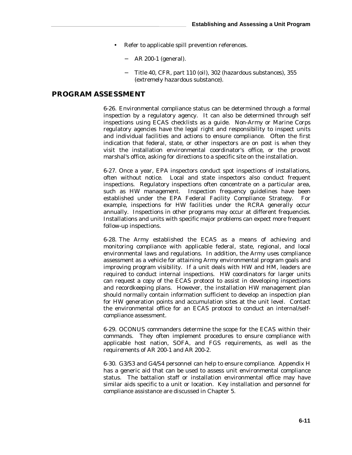- Refer to applicable spill prevention references.
	- − AR 200-1 (general).
	- − Title 40, CFR, part 110 (oil), 302 (hazardous substances), 355 (extremely hazardous substance).

# **PROGRAM ASSESSMENT**

6-26. Environmental compliance status can be determined through a formal inspection by a regulatory agency. It can also be determined through self inspections using ECAS checklists as a guide. Non-Army or Marine Corps regulatory agencies have the legal right and responsibility to inspect units and individual facilities and actions to ensure compliance. Often the first indication that federal, state, or other inspectors are on post is when they visit the installation environmental coordinator's office, or the provost marshal's office, asking for directions to a specific site on the installation.

6-27. Once a year, EPA inspectors conduct spot inspections of installations, often without notice. Local and state inspectors also conduct frequent inspections. Regulatory inspections often concentrate on a particular area, such as HW management. Inspection frequency guidelines have been established under the EPA Federal Facility Compliance Strategy. For example, inspections for HW facilities under the RCRA generally occur annually. Inspections in other programs may occur at different frequencies. Installations and units with specific major problems can expect more frequent follow-up inspections.

6-28. The Army established the ECAS as a means of achieving and monitoring compliance with applicable federal, state, regional, and local environmental laws and regulations. In addition, the Army uses compliance assessment as a vehicle for attaining Army environmental program goals and improving program visibility. If a unit deals with HW and HM, leaders are required to conduct internal inspections. HW coordinators for larger units can request a copy of the ECAS protocol to assist in developing inspections and recordkeeping plans. However, the installation HW management plan should normally contain information sufficient to develop an inspection plan for HW generation points and accumulation sites at the unit level. Contact the environmental office for an ECAS protocol to conduct an internal/selfcompliance assessment.

6-29. OCONUS commanders determine the scope for the ECAS within their commands. They often implement procedures to ensure compliance with applicable host nation, SOFA, and FGS requirements, as well as the requirements of AR 200-1 and AR 200-2.

6-30. G3/S3 and G4/S4 personnel can help to ensure compliance. Appendix H has a generic aid that can be used to assess unit environmental compliance status. The battalion staff or installation environmental office may have similar aids specific to a unit or location. Key installation and personnel for compliance assistance are discussed in Chapter 5.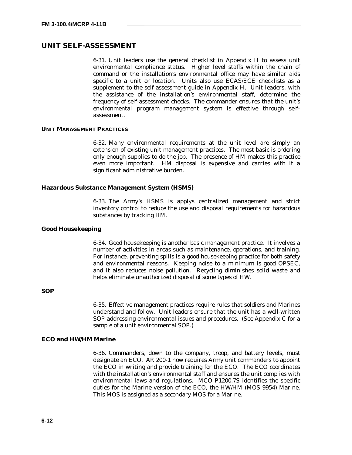# **UNIT SELF-ASSESSMENT**

6-31. Unit leaders use the general checklist in Appendix H to assess unit environmental compliance status. Higher level staffs within the chain of command or the installation's environmental office may have similar aids specific to a unit or location. Units also use ECAS/ECE checklists as a supplement to the self-assessment guide in Appendix H. Unit leaders, with the assistance of the installation's environmental staff, determine the frequency of self-assessment checks. The commander ensures that the unit's environmental program management system is effective through selfassessment.

### **UNIT MANAGEMENT PRACTICES**

6-32. Many environmental requirements at the unit level are simply an extension of existing unit management practices. The most basic is ordering only enough supplies to do the job. The presence of HM makes this practice even more important. HM disposal is expensive and carries with it a significant administrative burden.

### **Hazardous Substance Management System (HSMS)**

6-33. The Army's HSMS is applys centralized management and strict inventory control to reduce the use and disposal requirements for hazardous substances by tracking HM.

#### **Good Housekeeping**

6-34. Good housekeeping is another basic management practice. It involves a number of activities in areas such as maintenance, operations, and training. For instance, preventing spills is a good housekeeping practice for both safety and environmental reasons. Keeping noise to a minimum is good OPSEC, and it also reduces noise pollution. Recycling diminishes solid waste and helps eliminate unauthorized disposal of some types of HW.

## **SOP**

6-35. Effective management practices require rules that soldiers and Marines understand and follow. Unit leaders ensure that the unit has a well-written SOP addressing environmental issues and procedures. (See Appendix C for a sample of a unit environmental SOP.)

# **ECO and HW/HM Marine**

6-36. Commanders, down to the company, troop, and battery levels, must designate an ECO. AR 200-1 now requires Army unit commanders to appoint the ECO in writing and provide training for the ECO. The ECO coordinates with the installation's environmental staff and ensures the unit complies with environmental laws and regulations. MCO P1200.7S identifies the specific duties for the Marine version of the ECO, the HW/HM (MOS 9954) Marine. This MOS is assigned as a secondary MOS for a Marine.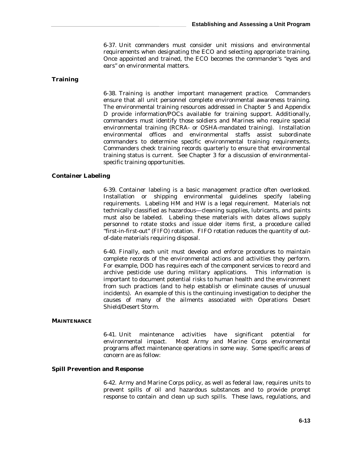6-37. Unit commanders must consider unit missions and environmental requirements when designating the ECO and selecting appropriate training. Once appointed and trained, the ECO becomes the commander's "eyes and ears" on environmental matters.

## **Training**

6-38. Training is another important management practice. Commanders ensure that all unit personnel complete environmental awareness training. The environmental training resources addressed in Chapter 5 and Appendix D provide information/POCs available for training support. Additionally, commanders must identify those soldiers and Marines who require special environmental training (RCRA- or OSHA-mandated training). Installation environmental offices and environmental staffs assist subordinate commanders to determine specific environmental training requirements. Commanders check training records quarterly to ensure that environmental training status is current. See Chapter 3 for a discussion of environmentalspecific training opportunities.

#### **Container Labeling**

6-39. Container labeling is a basic management practice often overlooked. Installation or shipping environmental guidelines specify labeling requirements. Labeling HM and HW is a legal requirement. Materials not technically classified as hazardous—cleaning supplies, lubricants, and paints must also be labeled. Labeling these materials with dates allows supply personnel to rotate stocks and issue older items first, a procedure called "first-in-first-out" (FIFO) rotation. FIFO rotation reduces the quantity of outof-date materials requiring disposal.

6-40. Finally, each unit must develop and enforce procedures to maintain complete records of the environmental actions and activities they perform. For example, DOD has requires each of the component services to record and archive pesticide use during military applications. This information is important to document potential risks to human health and the environment from such practices (and to help establish or eliminate causes of unusual incidents). An example of this is the continuing investigation to decipher the causes of many of the ailments associated with Operations Desert Shield/Desert Storm.

### **MAINTENANCE**

6-41. Unit maintenance activities have significant potential for environmental impact. Most Army and Marine Corps environmental programs affect maintenance operations in some way. Some specific areas of concern are as follow:

### **Spill Prevention and Response**

6-42. Army and Marine Corps policy, as well as federal law, requires units to prevent spills of oil and hazardous substances and to provide prompt response to contain and clean up such spills. These laws, regulations, and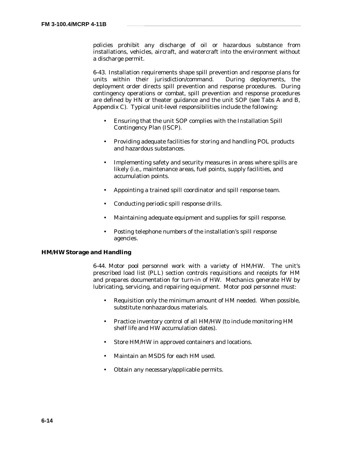policies prohibit any discharge of oil or hazardous substance from installations, vehicles, aircraft, and watercraft into the environment without a discharge permit.

6-43. Installation requirements shape spill prevention and response plans for units within their jurisdiction/command. During deployments, the deployment order directs spill prevention and response procedures. During contingency operations or combat, spill prevention and response procedures are defined by HN or theater guidance and the unit SOP (see Tabs A and B, Appendix C). Typical unit-level responsibilities include the following:

- Ensuring that the unit SOP complies with the Installation Spill Contingency Plan (ISCP).
- Providing adequate facilities for storing and handling POL products and hazardous substances.
- Implementing safety and security measures in areas where spills are likely (i.e., maintenance areas, fuel points, supply facilities, and accumulation points.
- Appointing a trained spill coordinator and spill response team.
- Conducting periodic spill response drills.
- Maintaining adequate equipment and supplies for spill response.
- Posting telephone numbers of the installation's spill response agencies.

## **HM/HW Storage and Handling**

6-44. Motor pool personnel work with a variety of HM/HW. The unit's prescribed load list (PLL) section controls requisitions and receipts for HM and prepares documentation for turn-in of HW. Mechanics generate HW by lubricating, servicing, and repairing equipment. Motor pool personnel must:

- Requisition only the minimum amount of HM needed. When possible, substitute nonhazardous materials.
- Practice inventory control of all HM/HW (to include monitoring HM shelf life and HW accumulation dates).
- Store HM/HW in approved containers and locations.
- Maintain an MSDS for each HM used.
- Obtain any necessary/applicable permits.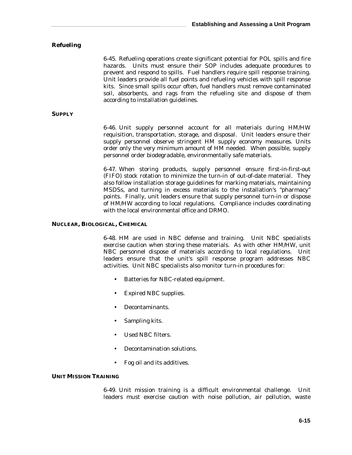## **Refueling**

6-45. Refueling operations create significant potential for POL spills and fire hazards. Units must ensure their SOP includes adequate procedures to prevent and respond to spills. Fuel handlers require spill response training. Unit leaders provide all fuel points and refueling vehicles with spill response kits. Since small spills occur often, fuel handlers must remove contaminated soil, absorbents, and rags from the refueling site and dispose of them according to installation guidelines.

### **SUPPLY**

6-46. Unit supply personnel account for all materials during HM/HW requisition, transportation, storage, and disposal. Unit leaders ensure their supply personnel observe stringent HM supply economy measures. Units order only the very minimum amount of HM needed. When possible, supply personnel order biodegradable, environmentally safe materials.

6-47. When storing products, supply personnel ensure first-in-first-out (FIFO) stock rotation to minimize the turn-in of out-of-date material. They also follow installation storage guidelines for marking materials, maintaining MSDSs, and turning in excess materials to the installation's "pharmacy" points. Finally, unit leaders ensure that supply personnel turn-in or dispose of HM/HW according to local regulations. Compliance includes coordinating with the local environmental office and DRMO.

### **NUCLEAR, BIOLOGICAL, CHEMICAL**

6-48. HM are used in NBC defense and training. Unit NBC specialists exercise caution when storing these materials. As with other HM/HW, unit NBC personnel dispose of materials according to local regulations. Unit leaders ensure that the unit's spill response program addresses NBC activities. Unit NBC specialists also monitor turn-in procedures for:

- Batteries for NBC-related equipment.
- Expired NBC supplies.
- Decontaminants.
- Sampling kits.
- Used NBC filters.
- Decontamination solutions.
- Fog oil and its additives.

# **UNIT MISSION TRAINING**

6-49. Unit mission training is a difficult environmental challenge. Unit leaders must exercise caution with noise pollution, air pollution, waste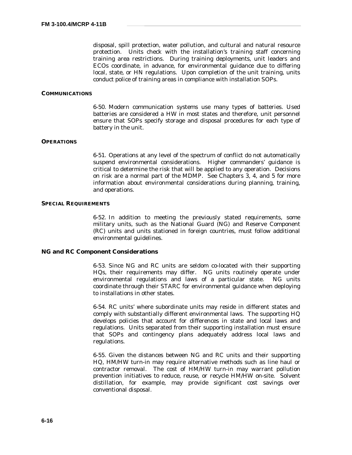disposal, spill protection, water pollution, and cultural and natural resource protection. Units check with the installation's training staff concerning training area restrictions. During training deployments, unit leaders and ECOs coordinate, in advance, for environmental guidance due to differing local, state, or HN regulations. Upon completion of the unit training, units conduct police of training areas in compliance with installation SOPs.

#### **COMMUNICATIONS**

6-50. Modern communication systems use many types of batteries. Used batteries are considered a HW in most states and therefore, unit personnel ensure that SOPs specify storage and disposal procedures for each type of battery in the unit.

#### **OPERATIONS**

6-51. Operations at any level of the spectrum of conflict do not automatically suspend environmental considerations. Higher commanders' guidance is critical to determine the risk that will be applied to any operation. Decisions on risk are a normal part of the MDMP. See Chapters 3, 4, and 5 for more information about environmental considerations during planning, training, and operations.

### **SPECIAL REQUIREMENTS**

6-52. In addition to meeting the previously stated requirements, some military units, such as the National Guard (NG) and Reserve Component (RC) units and units stationed in foreign countries, must follow additional environmental guidelines.

# **NG and RC Component Considerations**

6-53. Since NG and RC units are seldom co-located with their supporting HQs, their requirements may differ. NG units routinely operate under environmental regulations and laws of a particular state. NG units coordinate through their STARC for environmental guidance when deploying to installations in other states.

6-54. RC units' where subordinate units may reside in different states and comply with substantially different environmental laws. The supporting HQ develops policies that account for differences in state and local laws and regulations. Units separated from their supporting installation must ensure that SOPs and contingency plans adequately address local laws and regulations.

6-55. Given the distances between NG and RC units and their supporting HQ, HM/HW turn-in may require alternative methods such as line haul or contractor removal. The cost of HM/HW turn-in may warrant pollution prevention initiatives to reduce, reuse, or recycle HM/HW on-site. Solvent distillation, for example, may provide significant cost savings over conventional disposal.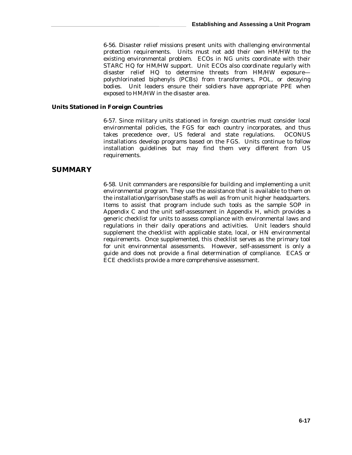6-56. Disaster relief missions present units with challenging environmental protection requirements. Units must not add their own HM/HW to the existing environmental problem. ECOs in NG units coordinate with their STARC HQ for HM/HW support. Unit ECOs also coordinate regularly with disaster relief HQ to determine threats from HM/HW exposure polychlorinated biphenyls (PCBs) from transformers, POL, or decaying bodies. Unit leaders ensure their soldiers have appropriate PPE when exposed to HM/HW in the disaster area.

## **Units Stationed in Foreign Countries**

6-57. Since military units stationed in foreign countries must consider local environmental policies, the FGS for each country incorporates, and thus takes precedence over, US federal and state regulations. OCONUS installations develop programs based on the FGS. Units continue to follow installation guidelines but may find them very different from US requirements.

# **SUMMARY**

6-58. Unit commanders are responsible for building and implementing a unit environmental program. They use the assistance that is available to them on the installation/garrison/base staffs as well as from unit higher headquarters. Items to assist that program include such tools as the sample SOP in Appendix C and the unit self-assessment in Appendix H, which provides a generic checklist for units to assess compliance with environmental laws and regulations in their daily operations and activities. Unit leaders should supplement the checklist with applicable state, local, or HN environmental requirements. Once supplemented, this checklist serves as the primary tool for unit environmental assessments. However, self-assessment is only a guide and does not provide a final determination of compliance. ECAS or ECE checklists provide a more comprehensive assessment.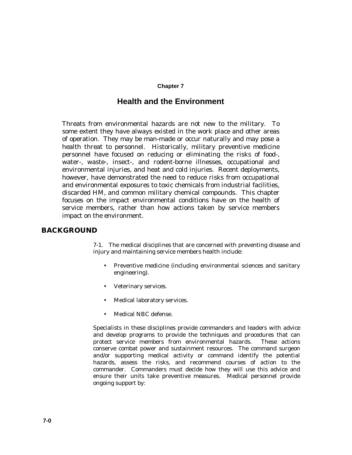### **Chapter 7**

# **Health and the Environment**

Threats from environmental hazards are not new to the military. To some extent they have always existed in the work place and other areas of operation. They may be man-made or occur naturally and may pose a health threat to personnel. Historically, military preventive medicine personnel have focused on reducing or eliminating the risks of food-, water-, waste-, insect-, and rodent-borne illnesses, occupational and environmental injuries, and heat and cold injuries. Recent deployments, however, have demonstrated the need to reduce risks from occupational and environmental exposures to toxic chemicals from industrial facilities, discarded HM, and common military chemical compounds. This chapter focuses on the impact environmental conditions have on the health of service members, rather than how actions taken by service members impact on the environment.

# **BACKGROUND**

7-1. The medical disciplines that are concerned with preventing disease and injury and maintaining service members health include:

- Preventive medicine (including environmental sciences and sanitary engineering).
- Veterinary services.
- Medical laboratory services.
- Medical NBC defense.

Specialists in these disciplines provide commanders and leaders with advice and develop programs to provide the techniques and procedures that can protect service members from environmental hazards. These actions conserve combat power and sustainment resources. The command surgeon and/or supporting medical activity or command identify the potential hazards, assess the risks, and recommend courses of action to the commander. Commanders must decide how they will use this advice and ensure their units take preventive measures. Medical personnel provide ongoing support by: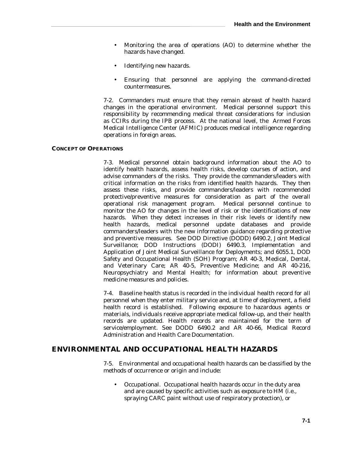- Monitoring the area of operations (AO) to determine whether the hazards have changed.
- Identifying new hazards.
- Ensuring that personnel are applying the command-directed countermeasures.

7-2. Commanders must ensure that they remain abreast of health hazard changes in the operational environment. Medical personnel support this responsibility by recommending medical threat considerations for inclusion as CCIRs during the IPB process. At the national level, the Armed Forces Medical Intelligence Center (AFMIC) produces medical intelligence regarding operations in foreign areas.

## **CONCEPT OF OPERATIONS**

7-3. Medical personnel obtain background information about the AO to identify health hazards, assess health risks, develop courses of action, and advise commanders of the risks. They provide the commanders/leaders with critical information on the risks from identified health hazards. They then assess these risks, and provide commanders/leaders with recommended protective/preventive measures for consideration as part of the overall operational risk management program. Medical personnel continue to monitor the AO for changes in the level of risk or the identifications of new hazards. When they detect increases in their risk levels or identify new health hazards, medical personnel update databases and provide commanders/leaders with the new information guidance regarding protective and preventive measures. See DOD Directive (DODD) 6490.2, Joint Medical Surveillance; DOD Instructions (DODI) 6490.3, Implementation and Application of Joint Medical Surveillance for Deployments; and 6055.1, DOD Safety and Occupational Health (SOH) Program; AR 40-3, Medical, Dental, and Veterinary Care; AR 40-5, Preventive Medicine; and AR 40-216, Neuropsychiatry and Mental Health; for information about preventive medicine measures and policies.

7-4. Baseline health status is recorded in the individual health record for all personnel when they enter military service and, at time of deployment, a field health record is established. Following exposure to hazardous agents or materials, individuals receive appropriate medical follow-up, and their health records are updated. Health records are maintained for the term of service/employment. See DODD 6490.2 and AR 40-66, Medical Record Administration and Health Care Documentation.

# **ENVIRONMENTAL AND OCCUPATIONAL HEALTH HAZARDS**

7-5. Environmental and occupational health hazards can be classified by the methods of occurrence or origin and include:

• Occupational. Occupational health hazards occur in the duty area and are caused by specific activities such as exposure to HM (i.e., spraying CARC paint without use of respiratory protection), or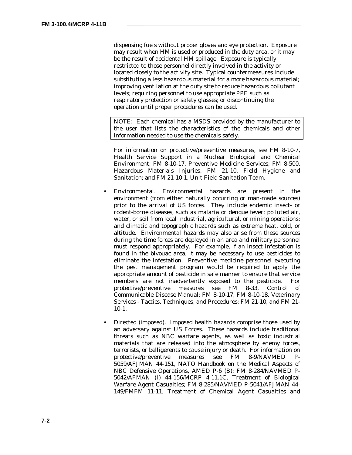dispensing fuels without proper gloves and eye protection. Exposure may result when HM is used or produced in the duty area, or it may be the result of accidental HM spillage. Exposure is typically restricted to those personnel directly involved in the activity or located closely to the activity site. Typical countermeasures include substituting a less hazardous material for a more hazardous material; improving ventilation at the duty site to reduce hazardous pollutant levels; requiring personnel to use appropriate PPE such as respiratory protection or safety glasses; or discontinuing the operation until proper procedures can be used.

NOTE: Each chemical has a MSDS provided by the manufacturer to the user that lists the characteristics of the chemicals and other information needed to use the chemicals safely.

For information on protective/preventive measures, see FM 8-10-7, Health Service Support in a Nuclear Biological and Chemical Environment; FM 8-10-17, Preventive Medicine Services; FM 8-500, Hazardous Materials Injuries, FM 21-10, Field Hygiene and Sanitation; and FM 21-10-1, Unit Field Sanitation Team.

- Environmental. Environmental hazards are present in the environment (from either naturally occurring or man-made sources) prior to the arrival of US forces. They include endemic insect- or rodent-borne diseases, such as malaria or dengue fever; polluted air, water, or soil from local industrial, agricultural, or mining operations; and climatic and topographic hazards such as extreme heat, cold, or altitude. Environmental hazards may also arise from these sources during the time forces are deployed in an area and military personnel must respond appropriately. For example, if an insect infestation is found in the bivouac area, it may be necessary to use pesticides to eliminate the infestation. Preventive medicine personnel executing the pest management program would be required to apply the appropriate amount of pesticide in safe manner to ensure that service members are not inadvertently exposed to the pesticide. For protective/preventive measures see FM 8-33, Control of Communicable Disease Manual; FM 8-10-17, FM 8-10-18, Veterinary Services - Tactics, Techniques, and Procedures; FM 21-10, and FM 21- 10-1.
- Directed (imposed). Imposed health hazards comprise those used by an adversary against US Forces. These hazards include traditional threats such as NBC warfare agents, as well as toxic industrial materials that are released into the atmosphere by enemy forces, terrorists, or belligerents to cause injury or death. For information on protective/preventive measures see FM 8-9/NAVMED P-5059/AFJMAN 44-151, NATO Handbook on the Medical Aspects of NBC Defensive Operations, AMED P-6 (B); FM 8-284/NAVMED P-5042/AFMAN (I) 44-156/MCRP 4-11.1C, Treatment of Biological Warfare Agent Casualties; FM 8-285/NAVMED P-5041/AFJMAN 44- 149/FMFM 11-11, Treatment of Chemical Agent Casualties and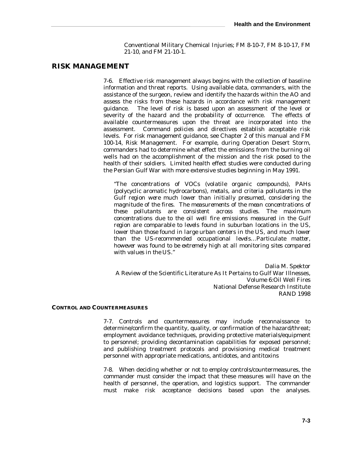Conventional Military Chemical Injuries; FM 8-10-7, FM 8-10-17, FM 21-10, and FM 21-10-1.

# **RISK MANAGEMENT**

7-6. Effective risk management always begins with the collection of baseline information and threat reports. Using available data, commanders, with the assistance of the surgeon, review and identify the hazards within the AO and assess the risks from these hazards in accordance with risk management guidance. The level of risk is based upon an assessment of the level or severity of the hazard and the probability of occurrence. The effects of available countermeasures upon the threat are incorporated into the assessment. Command policies and directives establish acceptable risk levels. For risk management guidance, see Chapter 2 of this manual and FM 100-14, Risk Management. For example, during Operation Desert Storm, commanders had to determine what effect the emissions from the burning oil wells had on the accomplishment of the mission and the risk posed to the health of their soldiers. Limited health effect studies were conducted during the Persian Gulf War with more extensive studies beginning in May 1991.

*"The concentrations of VOCs (volatile organic compounds), PAHs (polycyclic aromatic hydrocarbons), metals, and criteria pollutants in the Gulf region were much lower than initially presumed, considering the magnitude of the fires. The measurements of the mean concentrations of these pollutants are consistent across studies. The maximum concentrations due to the oil well fire emissions measured in the Gulf region are comparable to levels found in suburban locations in the US, lower than those found in large urban centers in the US, and much lower than the US-recommended occupational levels…Particulate matter, however was found to be extremely high at all monitoring sites compared with values in the US."*

Dalia M. Spektor A Review of the Scientific Literature As It Pertains to Gulf War Illnesses, Volume 6:Oil Well Fires National Defense Research Institute RAND 1998

### **CONTROL AND COUNTERMEASURES**

7-7. Controls and countermeasures may include reconnaissance to determine/confirm the quantity, quality, or confirmation of the hazard/threat; employment avoidance techniques, providing protective materials/equipment to personnel; providing decontamination capabilities for exposed personnel; and publishing treatment protocols and provisioning medical treatment personnel with appropriate medications, antidotes, and antitoxins

7-8. When deciding whether or not to employ controls/countermeasures, the commander must consider the impact that these measures will have on the health of personnel, the operation, and logistics support. The commander must make risk acceptance decisions based upon the analyses.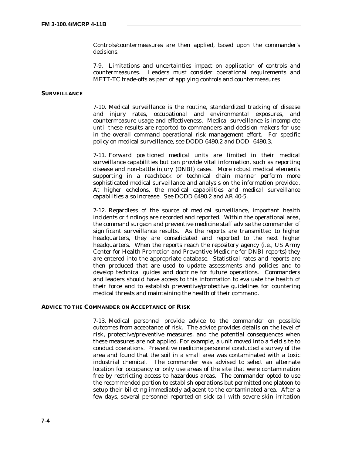Controls/countermeasures are then applied, based upon the commander's decisions.

7-9. Limitations and uncertainties impact on application of controls and countermeasures. Leaders must consider operational requirements and METT-TC trade-offs as part of applying controls and countermeasures

### **SURVEILLANCE**

7-10. Medical surveillance is the routine, standardized tracking of disease and injury rates, occupational and environmental exposures, and countermeasure usage and effectiveness. Medical surveillance is incomplete until these results are reported to commanders and decision-makers for use in the overall command operational risk management effort. For specific policy on medical surveillance, see DODD 6490.2 and DODI 6490.3.

7-11. Forward positioned medical units are limited in their medical surveillance capabilities but can provide vital information, such as reporting disease and non-battle injury (DNBI) cases. More robust medical elements supporting in a reachback or technical chain manner perform more sophisticated medical surveillance and analysis on the information provided. At higher echelons, the medical capabilities and medical surveillance capabilities also increase. See DODD 6490.2 and AR 40-5.

7-12. Regardless of the source of medical surveillance, important health incidents or findings are recorded and reported. Within the operational area, the command surgeon and preventive medicine staff advise the commander of significant surveillance results. As the reports are transmitted to higher headquarters, they are consolidated and reported to the next higher headquarters. When the reports reach the repository agency (i.e., US Army Center for Health Promotion and Preventive Medicine for DNBI reports) they are entered into the appropriate database. Statistical rates and reports are then produced that are used to update assessments and policies and to develop technical guides and doctrine for future operations. Commanders and leaders should have access to this information to evaluate the health of their force and to establish preventive/protective guidelines for countering medical threats and maintaining the health of their command.

#### **ADVICE TO THE COMMANDER ON ACCEPTANCE OF RISK**

7-13. Medical personnel provide advice to the commander on possible outcomes from acceptance of risk. The advice provides details on the level of risk, protective/preventive measures, and the potential consequences when these measures are not applied. For example, a unit moved into a field site to conduct operations. Preventive medicine personnel conducted a survey of the area and found that the soil in a small area was contaminated with a toxic industrial chemical. The commander was advised to select an alternate location for occupancy or only use areas of the site that were contamination free by restricting access to hazardous areas. The commander opted to use the recommended portion to establish operations but permitted one platoon to setup their billeting immediately adjacent to the contaminated area. After a few days, several personnel reported on sick call with severe skin irritation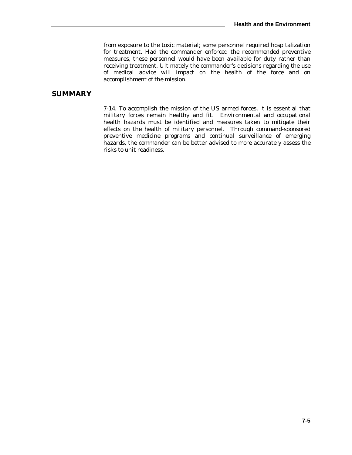from exposure to the toxic material; some personnel required hospitalization for treatment. Had the commander enforced the recommended preventive measures, these personnel would have been available for duty rather than receiving treatment. Ultimately the commander's decisions regarding the use of medical advice will impact on the health of the force and on accomplishment of the mission.

## **SUMMARY**

7-14. To accomplish the mission of the US armed forces, it is essential that military forces remain healthy and fit. Environmental and occupational health hazards must be identified and measures taken to mitigate their effects on the health of military personnel. Through command-sponsored preventive medicine programs and continual surveillance of emerging hazards, the commander can be better advised to more accurately assess the risks to unit readiness.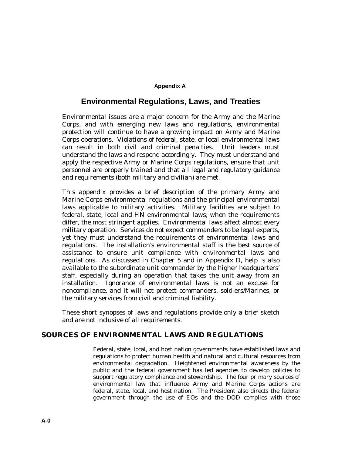### **Appendix A**

## **Environmental Regulations, Laws, and Treaties**

Environmental issues are a major concern for the Army and the Marine Corps, and with emerging new laws and regulations, environmental protection will continue to have a growing impact on Army and Marine Corps operations. Violations of federal, state, or local environmental laws can result in both civil and criminal penalties. Unit leaders must understand the laws and respond accordingly. They must understand and apply the respective Army or Marine Corps regulations, ensure that unit personnel are properly trained and that all legal and regulatory guidance and requirements (both military and civilian) are met.

This appendix provides a brief description of the primary Army and Marine Corps environmental regulations and the principal environmental laws applicable to military activities. Military facilities are subject to federal, state, local and HN environmental laws; when the requirements differ, the most stringent applies. Environmental laws affect almost every military operation. Services do not expect commanders to be legal experts, yet they must understand the requirements of environmental laws and regulations. The installation's environmental staff is the best source of assistance to ensure unit compliance with environmental laws and regulations. As discussed in Chapter 5 and in Appendix D, help is also available to the subordinate unit commander by the higher headquarters' staff, especially during an operation that takes the unit away from an installation. Ignorance of environmental laws is not an excuse for noncompliance, and it will not protect commanders, soldiers/Marines, or the military services from civil and criminal liability.

These short synopses of laws and regulations provide only a brief sketch and are not inclusive of all requirements.

## **SOURCES OF ENVIRONMENTAL LAWS AND REGULATIONS**

Federal, state, local, and host nation governments have established laws and regulations to protect human health and natural and cultural resources from environmental degradation. Heightened environmental awareness by the public and the federal government has led agencies to develop policies to support regulatory compliance and stewardship. The four primary sources of environmental law that influence Army and Marine Corps actions are federal, state, local, and host nation. The President also directs the federal government through the use of EOs and the DOD complies with those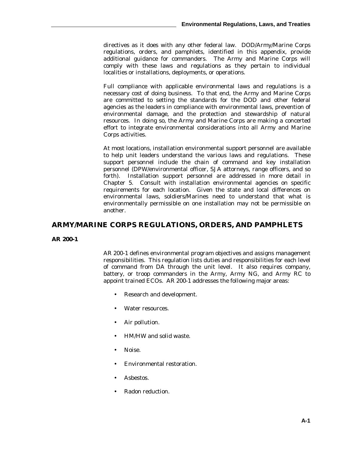directives as it does with any other federal law. DOD/Army/Marine Corps regulations, orders, and pamphlets, identified in this appendix, provide additional guidance for commanders. The Army and Marine Corps will comply with these laws and regulations as they pertain to individual localities or installations, deployments, or operations.

Full compliance with applicable environmental laws and regulations is a necessary cost of doing business. To that end, the Army and Marine Corps are committed to setting the standards for the DOD and other federal agencies as the leaders in compliance with environmental laws, prevention of environmental damage, and the protection and stewardship of natural resources. In doing so, the Army and Marine Corps are making a concerted effort to integrate environmental considerations into all Army and Marine Corps activities.

At most locations, installation environmental support personnel are available to help unit leaders understand the various laws and regulations. These support personnel include the chain of command and key installation personnel (DPW/environmental officer, SJA attorneys, range officers, and so forth). Installation support personnel are addressed in more detail in Chapter 5. Consult with installation environmental agencies on specific requirements for each location. Given the state and local differences on environmental laws, soldiers/Marines need to understand that what is environmentally permissible on one installation may not be permissible on another.

## **ARMY/MARINE CORPS REGULATIONS, ORDERS, AND PAMPHLETS**

### **AR 200-1**

AR 200-1 defines environmental program objectives and assigns management responsibilities. This regulation lists duties and responsibilities for each level of command from DA through the unit level. It also requires company, battery, or troop commanders in the Army, Army NG, and Army RC to appoint trained ECOs. AR 200-1 addresses the following major areas:

- Research and development.
- Water resources.
- Air pollution.
- HM/HW and solid waste.
- Noise.
- Environmental restoration.
- Asbestos.
- Radon reduction.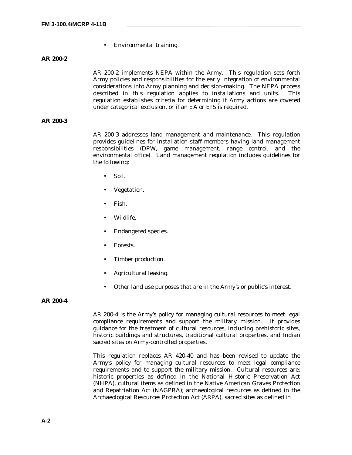• Environmental training.

**AR 200-2**

AR 200-2 implements NEPA within the Army. This regulation sets forth Army policies and responsibilities for the early integration of environmental considerations into Army planning and decision-making. The NEPA process described in this regulation applies to installations and units. This regulation establishes criteria for determining if Army actions are covered under categorical exclusion, or if an EA or EIS is required.

### **AR 200-3**

AR 200-3 addresses land management and maintenance. This regulation provides guidelines for installation staff members having land management responsibilities (DPW, game management, range control, and the environmental office). Land management regulation includes guidelines for the following:

- Soil.
- Vegetation.
- Fish.
- Wildlife.
- Endangered species.
- Forests.
- Timber production.
- Agricultural leasing.
- Other land use purposes that are in the Army's or public's interest.

### **AR 200-4**

AR 200-4 is the Army's policy for managing cultural resources to meet legal compliance requirements and support the military mission. It provides guidance for the treatment of cultural resources, including prehistoric sites, historic buildings and structures, traditional cultural properties, and Indian sacred sites on Army-controlled properties.

This regulation replaces AR 420-40 and has been revised to update the Army's policy for managing cultural resources to meet legal compliance requirements and to support the military mission. Cultural resources are: historic properties as defined in the National Historic Preservation Act (NHPA), cultural items as defined in the Native American Graves Protection and Repatriation Act (NAGPRA); archaeological resources as defined in the Archaeological Resources Protection Act (ARPA), sacred sites as defined in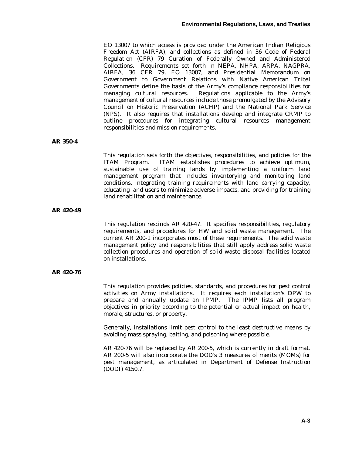EO 13007 to which access is provided under the American Indian Religious Freedom Act (AIRFA), and collections as defined in 36 Code of Federal Regulation (CFR) 79 Curation of Federally Owned and Administered Collections. Requirements set forth in NEPA, NHPA, ARPA, NAGPRA, AIRFA, 36 CFR 79, EO 13007, and Presidential Memorandum on Government to Government Relations with Native American Tribal Governments define the basis of the Army's compliance responsibilities for managing cultural resources. Regulations applicable to the Army's management of cultural resources include those promulgated by the Advisory Council on Historic Preservation (ACHP) and the National Park Service (NPS). It also requires that installations develop and integrate CRMP to outline procedures for integrating cultural resources management responsibilities and mission requirements.

#### **AR 350-4**

This regulation sets forth the objectives, responsibilities, and policies for the ITAM Program. ITAM establishes procedures to achieve optimum, sustainable use of training lands by implementing a uniform land management program that includes inventorying and monitoring land conditions, integrating training requirements with land carrying capacity, educating land users to minimize adverse impacts, and providing for training land rehabilitation and maintenance.

### **AR 420-49**

This regulation rescinds AR 420-47. It specifies responsibilities, regulatory requirements, and procedures for HW and solid waste management. The current AR 200-1 incorporates most of these requirements. The solid waste management policy and responsibilities that still apply address solid waste collection procedures and operation of solid waste disposal facilities located on installations.

### **AR 420-76**

This regulation provides policies, standards, and procedures for pest control activities on Army installations. It requires each installation's DPW to prepare and annually update an IPMP. The IPMP lists all program objectives in priority according to the potential or actual impact on health, morale, structures, or property.

Generally, installations limit pest control to the least destructive means by avoiding mass spraying, baiting, and poisoning where possible.

AR 420-76 will be replaced by AR 200-5, which is currently in draft format. AR 200-5 will also incorporate the DOD's 3 measures of merits (MOMs) for pest management, as articulated in Department of Defense Instruction (DODI) 4150.7.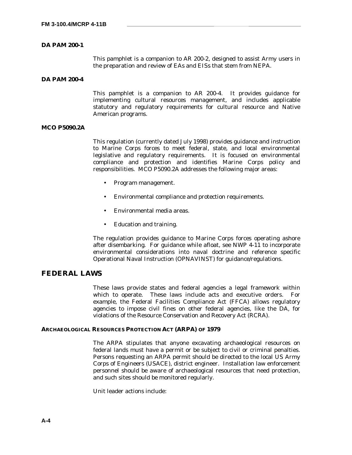### **DA PAM 200-1**

This pamphlet is a companion to AR 200-2, designed to assist Army users in the preparation and review of EAs and EISs that stem from NEPA.

### **DA PAM 200-4**

This pamphlet is a companion to AR 200-4. It provides guidance for implementing cultural resources management, and includes applicable statutory and regulatory requirements for cultural resource and Native American programs.

### **MCO P5090.2A**

This regulation (currently dated July 1998) provides guidance and instruction to Marine Corps forces to meet federal, state, and local environmental legislative and regulatory requirements. It is focused on environmental compliance and protection and identifies Marine Corps policy and responsibilities. MCO P5090.2A addresses the following major areas:

- Program management.
- Environmental compliance and protection requirements.
- Environmental media areas.
- Education and training.

The regulation provides guidance to Marine Corps forces operating ashore after disembarking. For guidance while afloat, see NWP 4-11 to incorporate environmental considerations into naval doctrine and reference specific Operational Naval Instruction (OPNAVINST) for guidance/regulations.

## **FEDERAL LAWS**

These laws provide states and federal agencies a legal framework within which to operate. These laws include acts and executive orders. For example, the Federal Facilities Compliance Act (FFCA) allows regulatory agencies to impose civil fines on other federal agencies, like the DA, for violations of the Resource Conservation and Recovery Act (RCRA).

#### **ARCHAEOLOGICAL RESOURCES PROTECTION ACT (ARPA) OF 1979**

The ARPA stipulates that anyone excavating archaeological resources on federal lands must have a permit or be subject to civil or criminal penalties. Persons requesting an ARPA permit should be directed to the local US Army Corps of Engineers (USACE), district engineer. Installation law enforcement personnel should be aware of archaeological resources that need protection, and such sites should be monitored regularly.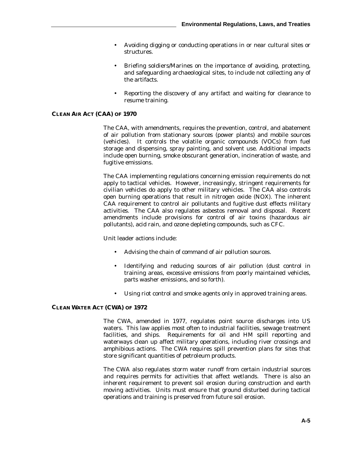- Avoiding digging or conducting operations in or near cultural sites or structures.
- Briefing soldiers/Marines on the importance of avoiding, protecting, and safeguarding archaeological sites, to include not collecting any of the artifacts.
- Reporting the discovery of any artifact and waiting for clearance to resume training.

### **CLEAN AIR ACT (CAA) OF 1970**

The CAA, with amendments, requires the prevention, control, and abatement of air pollution from stationary sources (power plants) and mobile sources (vehicles). It controls the volatile organic compounds (VOCs) from fuel storage and dispensing, spray painting, and solvent use. Additional impacts include open burning, smoke obscurant generation, incineration of waste, and fugitive emissions.

The CAA implementing regulations concerning emission requirements do not apply to tactical vehicles. However, increasingly, stringent requirements for civilian vehicles do apply to other military vehicles. The CAA also controls open burning operations that result in nitrogen oxide (NOX). The inherent CAA requirement to control air pollutants and fugitive dust effects military activities. The CAA also regulates asbestos removal and disposal. Recent amendments include provisions for control of air toxins (hazardous air pollutants), acid rain, and ozone depleting compounds, such as CFC.

Unit leader actions include:

- Advising the chain of command of air pollution sources.
- Identifying and reducing sources of air pollution (dust control in training areas, excessive emissions from poorly maintained vehicles, parts washer emissions, and so forth).
- Using riot control and smoke agents only in approved training areas.

### **CLEAN WATER ACT (CWA) OF 1972**

The CWA, amended in 1977, regulates point source discharges into US waters. This law applies most often to industrial facilities, sewage treatment facilities, and ships. Requirements for oil and HM spill reporting and waterways clean up affect military operations, including river crossings and amphibious actions. The CWA requires spill prevention plans for sites that store significant quantities of petroleum products.

The CWA also regulates storm water runoff from certain industrial sources and requires permits for activities that affect wetlands. There is also an inherent requirement to prevent soil erosion during construction and earth moving activities. Units must ensure that ground disturbed during tactical operations and training is preserved from future soil erosion.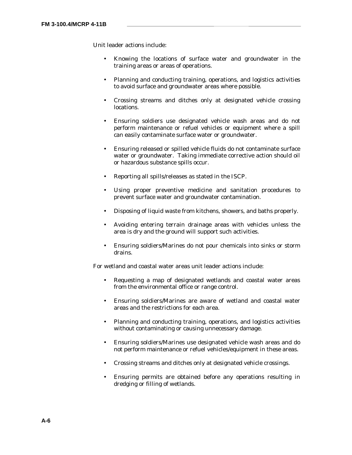- Knowing the locations of surface water and groundwater in the training areas or areas of operations.
- Planning and conducting training, operations, and logistics activities to avoid surface and groundwater areas where possible.
- Crossing streams and ditches only at designated vehicle crossing locations.
- Ensuring soldiers use designated vehicle wash areas and do not perform maintenance or refuel vehicles or equipment where a spill can easily contaminate surface water or groundwater.
- Ensuring released or spilled vehicle fluids do not contaminate surface water or groundwater. Taking immediate corrective action should oil or hazardous substance spills occur.
- Reporting all spills/releases as stated in the ISCP.
- Using proper preventive medicine and sanitation procedures to prevent surface water and groundwater contamination.
- Disposing of liquid waste from kitchens, showers, and baths properly.
- Avoiding entering terrain drainage areas with vehicles unless the area is dry and the ground will support such activities.
- Ensuring soldiers/Marines do not pour chemicals into sinks or storm drains.

For wetland and coastal water areas unit leader actions include:

- Requesting a map of designated wetlands and coastal water areas from the environmental office or range control.
- Ensuring soldiers/Marines are aware of wetland and coastal water areas and the restrictions for each area.
- Planning and conducting training, operations, and logistics activities without contaminating or causing unnecessary damage.
- Ensuring soldiers/Marines use designated vehicle wash areas and do not perform maintenance or refuel vehicles/equipment in these areas.
- Crossing streams and ditches only at designated vehicle crossings.
- Ensuring permits are obtained before any operations resulting in dredging or filling of wetlands.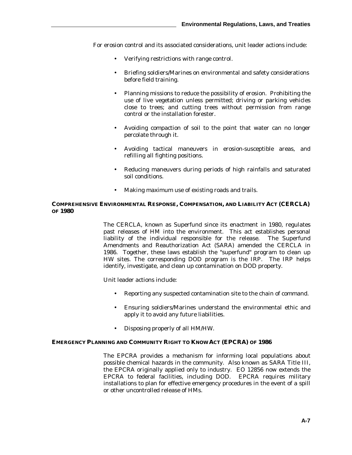For erosion control and its associated considerations, unit leader actions include:

- Verifying restrictions with range control.
- Briefing soldiers/Marines on environmental and safety considerations before field training.
- Planning missions to reduce the possibility of erosion. Prohibiting the use of live vegetation unless permitted; driving or parking vehicles close to trees; and cutting trees without permission from range control or the installation forester.
- Avoiding compaction of soil to the point that water can no longer percolate through it.
- Avoiding tactical maneuvers in erosion-susceptible areas, and refilling all fighting positions.
- Reducing maneuvers during periods of high rainfalls and saturated soil conditions.
- Making maximum use of existing roads and trails.

### **COMPREHENSIVE ENVIRONMENTAL RESPONSE, COMPENSATION, AND LIABILITY ACT (CERCLA) OF 1980**

The CERCLA, known as Superfund since its enactment in 1980, regulates past releases of HM into the environment. This act establishes personal liability of the individual responsible for the release. The Superfund Amendments and Reauthorization Act (SARA) amended the CERCLA in 1986. Together, these laws establish the "superfund" program to clean up HW sites. The corresponding DOD program is the IRP. The IRP helps identify, investigate, and clean up contamination on DOD property.

Unit leader actions include:

- Reporting any suspected contamination site to the chain of command.
- Ensuring soldiers/Marines understand the environmental ethic and apply it to avoid any future liabilities.
- Disposing properly of all HM/HW.

### **EMERGENCY PLANNING AND COMMUNITY RIGHT TO KNOW ACT (EPCRA) OF 1986**

The EPCRA provides a mechanism for informing local populations about possible chemical hazards in the community. Also known as SARA Title III, the EPCRA originally applied only to industry. EO 12856 now extends the EPCRA to federal facilities, including DOD. EPCRA requires military installations to plan for effective emergency procedures in the event of a spill or other uncontrolled release of HMs.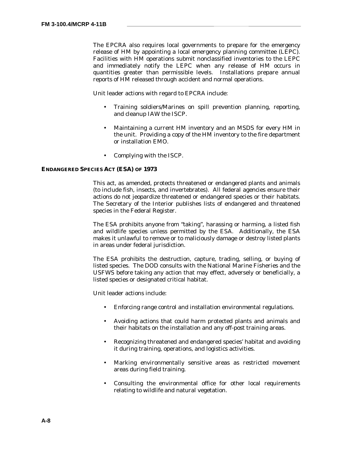The EPCRA also requires local governments to prepare for the emergency release of HM by appointing a local emergency planning committee (LEPC). Facilities with HM operations submit nonclassified inventories to the LEPC and immediately notify the LEPC when any release of HM occurs in quantities greater than permissible levels. Installations prepare annual reports of HM released through accident and normal operations.

Unit leader actions with regard to EPCRA include:

- Training soldiers/Marines on spill prevention planning, reporting, and cleanup IAW the ISCP.
- Maintaining a current HM inventory and an MSDS for every HM in the unit. Providing a copy of the HM inventory to the fire department or installation EMO.
- Complying with the ISCP.

#### **ENDANGERED SPECIES ACT (ESA) OF 1973**

This act, as amended, protects threatened or endangered plants and animals (to include fish, insects, and invertebrates). All federal agencies ensure their actions do not jeopardize threatened or endangered species or their habitats. The Secretary of the Interior publishes lists of endangered and threatened species in the Federal Register.

The ESA prohibits anyone from "taking", harassing or harming, a listed fish and wildlife species unless permitted by the ESA. Additionally, the ESA makes it unlawful to remove or to maliciously damage or destroy listed plants in areas under federal jurisdiction.

The ESA prohibits the destruction, capture, trading, selling, or buying of listed species. The DOD consults with the National Marine Fisheries and the USFWS before taking any action that may effect, adversely or beneficially, a listed species or designated critical habitat.

- Enforcing range control and installation environmental regulations.
- Avoiding actions that could harm protected plants and animals and their habitats on the installation and any off-post training areas.
- Recognizing threatened and endangered species' habitat and avoiding it during training, operations, and logistics activities.
- Marking environmentally sensitive areas as restricted movement areas during field training.
- Consulting the environmental office for other local requirements relating to wildlife and natural vegetation.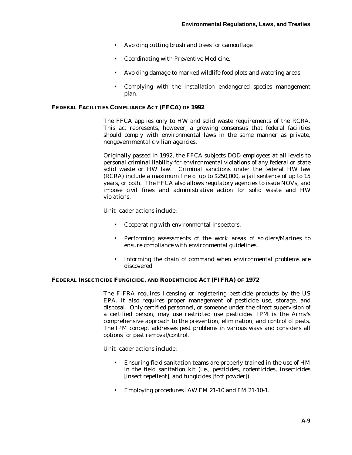- Avoiding cutting brush and trees for camouflage.
- Coordinating with Preventive Medicine.
- Avoiding damage to marked wildlife food plots and watering areas.
- Complying with the installation endangered species management plan.

### **FEDERAL FACILITIES COMPLIANCE ACT (FFCA) OF 1992**

The FFCA applies only to HW and solid waste requirements of the RCRA. This act represents, however, a growing consensus that federal facilities should comply with environmental laws in the same manner as private, nongovernmental civilian agencies.

Originally passed in 1992, the FFCA subjects DOD employees at all levels to personal criminal liability for environmental violations of any federal or state solid waste or HW law. Criminal sanctions under the federal HW law (RCRA) include a maximum fine of up to \$250,000, a jail sentence of up to 15 years, or both. The FFCA also allows regulatory agencies to issue NOVs, and impose civil fines and administrative action for solid waste and HW violations.

Unit leader actions include:

- Cooperating with environmental inspectors.
- Performing assessments of the work areas of soldiers/Marines to ensure compliance with environmental guidelines.
- Informing the chain of command when environmental problems are discovered.

### **FEDERAL INSECTICIDE FUNGICIDE, AND RODENTICIDE ACT (FIFRA) OF 1972**

The FIFRA requires licensing or registering pesticide products by the US EPA. It also requires proper management of pesticide use, storage, and disposal. Only certified personnel, or someone under the direct supervision of a certified person, may use restricted use pesticides. IPM is the Army's comprehensive approach to the prevention, elimination, and control of pests. The IPM concept addresses pest problems in various ways and considers all options for pest removal/control.

- Ensuring field sanitation teams are properly trained in the use of HM in the field sanitation kit (i.e., pesticides, rodenticides, insecticides [insect repellent], and fungicides [foot powder]).
- Employing procedures IAW FM 21-10 and FM 21-10-1.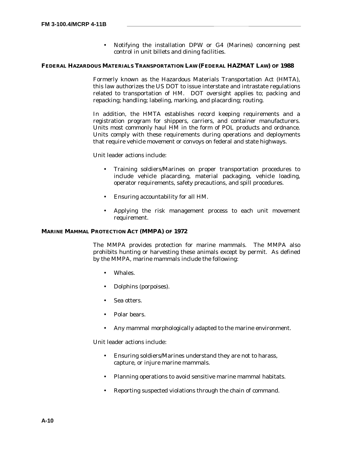• Notifying the installation DPW or G4 (Marines) concerning pest control in unit billets and dining facilities.

#### **FEDERAL HAZARDOUS MATERIALS TRANSPORTATION LAW (FEDERAL HAZMAT LAW) OF 1988**

Formerly known as the Hazardous Materials Transportation Act (HMTA), this law authorizes the US DOT to issue interstate and intrastate regulations related to transportation of HM. DOT oversight applies to; packing and repacking; handling; labeling, marking, and placarding; routing.

In addition, the HMTA establishes record keeping requirements and a registration program for shippers, carriers, and container manufacturers. Units most commonly haul HM in the form of POL products and ordnance. Units comply with these requirements during operations and deployments that require vehicle movement or convoys on federal and state highways.

Unit leader actions include:

- Training soldiers/Marines on proper transportation procedures to include vehicle placarding, material packaging, vehicle loading, operator requirements, safety precautions, and spill procedures.
- Ensuring accountability for all HM.
- Applying the risk management process to each unit movement requirement.

#### **MARINE MAMMAL PROTECTION ACT (MMPA) OF 1972**

The MMPA provides protection for marine mammals. The MMPA also prohibits hunting or harvesting these animals except by permit. As defined by the MMPA, marine mammals include the following:

- Whales.
- Dolphins (porpoises).
- Sea otters.
- Polar bears
- Any mammal morphologically adapted to the marine environment.

- Ensuring soldiers/Marines understand they are not to harass, capture, or injure marine mammals.
- Planning operations to avoid sensitive marine mammal habitats.
- Reporting suspected violations through the chain of command.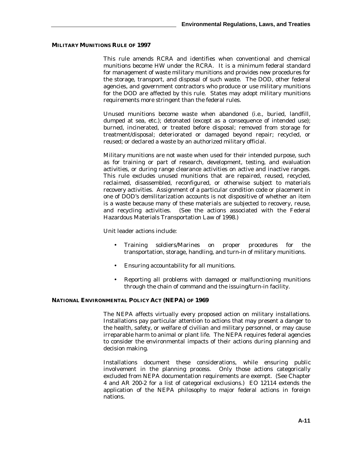### **MILITARY MUNITIONS RULE OF 1997**

This rule amends RCRA and identifies when conventional and chemical munitions become HW under the RCRA. It is a minimum federal standard for management of waste military munitions and provides new procedures for the storage, transport, and disposal of such waste. The DOD, other federal agencies, and government contractors who produce or use military munitions for the DOD are affected by this rule. States may adopt military munitions requirements more stringent than the federal rules.

Unused munitions become waste when abandoned (i.e., buried, landfill, dumped at sea, etc.); detonated (except as a consequence of intended use); burned, incinerated, or treated before disposal; removed from storage for treatment/disposal; deteriorated or damaged beyond repair; recycled, or reused; or declared a waste by an authorized military official.

Military munitions are not waste when used for their intended purpose, such as for training or part of research, development, testing, and evaluation activities, or during range clearance activities on active and inactive ranges. This rule excludes unused munitions that are repaired, reused, recycled, reclaimed, disassembled, reconfigured, or otherwise subject to materials recovery activities. Assignment of a particular condition code or placement in one of DOD's demilitarization accounts is not dispositive of whether an item is a waste because many of these materials are subjected to recovery, reuse, and recycling activities. (See the actions associated with the Federal Hazardous Materials Transportation Law of 1998.)

Unit leader actions include:

- Training soldiers/Marines on proper procedures for the transportation, storage, handling, and turn-in of military munitions.
- Ensuring accountability for all munitions.
- Reporting all problems with damaged or malfunctioning munitions through the chain of command and the issuing/turn-in facility.

### **NATIONAL ENVIRONMENTAL POLICY ACT (NEPA) OF 1969**

The NEPA affects virtually every proposed action on military installations. Installations pay particular attention to actions that may present a danger to the health, safety, or welfare of civilian and military personnel, or may cause irreparable harm to animal or plant life. The NEPA requires federal agencies to consider the environmental impacts of their actions during planning and decision making.

Installations document these considerations, while ensuring public involvement in the planning process. Only those actions categorically excluded from NEPA documentation requirements are exempt. (See Chapter 4 and AR 200-2 for a list of categorical exclusions.) EO 12114 extends the application of the NEPA philosophy to major federal actions in foreign nations.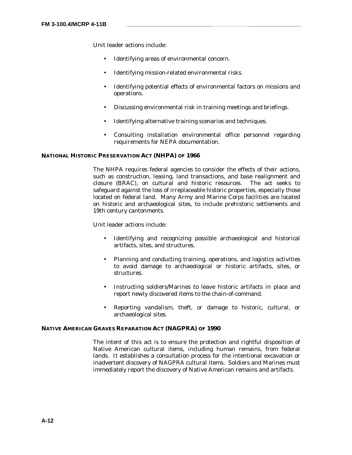- Identifying areas of environmental concern.
- Identifying mission-related environmental risks.
- Identifying potential effects of environmental factors on missions and operations.
- Discussing environmental risk in training meetings and briefings.
- Identifying alternative training scenarios and techniques.
- Consulting installation environmental office personnel regarding requirements for NEPA documentation.

### **NATIONAL HISTORIC PRESERVATION ACT (NHPA) OF 1966**

The NHPA requires federal agencies to consider the effects of their actions, such as construction, leasing, land transactions, and base realignment and closure (BRAC), on cultural and historic resources. The act seeks to safeguard against the loss of irreplaceable historic properties, especially those located on federal land. Many Army and Marine Corps facilities are located on historic and archaeological sites, to include prehistoric settlements and 19th century cantonments.

Unit leader actions include:

- Identifying and recognizing possible archaeological and historical artifacts, sites, and structures.
- Planning and conducting training, operations, and logistics activities to avoid damage to archaeological or historic artifacts, sites, or structures.
- Instructing soldiers/Marines to leave historic artifacts in place and report newly discovered items to the chain-of-command.
- Reporting vandalism, theft, or damage to historic, cultural, or archaeological sites.

### **NATIVE AMERICAN GRAVES REPARATION ACT (NAGPRA) OF 1990**

The intent of this act is to ensure the protection and rightful disposition of Native American cultural items, including human remains, from federal lands. It establishes a consultation process for the intentional excavation or inadvertent discovery of NAGPRA cultural items. Soldiers and Marines must immediately report the discovery of Native American remains and artifacts.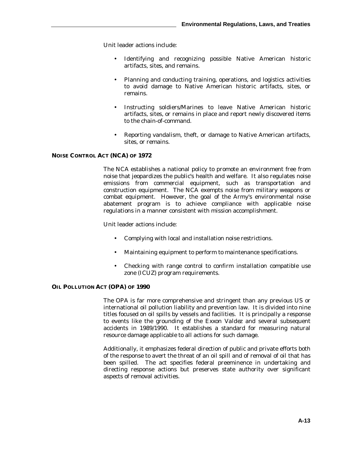- Identifying and recognizing possible Native American historic artifacts, sites, and remains.
- Planning and conducting training, operations, and logistics activities to avoid damage to Native American historic artifacts, sites, or remains.
- Instructing soldiers/Marines to leave Native American historic artifacts, sites, or remains in place and report newly discovered items to the chain-of-command.
- Reporting vandalism, theft, or damage to Native American artifacts, sites, or remains.

### **NOISE CONTROL ACT (NCA) OF 1972**

The NCA establishes a national policy to promote an environment free from noise that jeopardizes the public's health and welfare. It also regulates noise emissions from commercial equipment, such as transportation and construction equipment. The NCA exempts noise from military weapons or combat equipment. However, the goal of the Army's environmental noise abatement program is to achieve compliance with applicable noise regulations in a manner consistent with mission accomplishment.

Unit leader actions include:

- Complying with local and installation noise restrictions.
- Maintaining equipment to perform to maintenance specifications.
- Checking with range control to confirm installation compatible use zone (ICUZ) program requirements.

### **OIL POLLUTION ACT (OPA) OF 1990**

The OPA is far more comprehensive and stringent than any previous US or international oil pollution liability and prevention law. It is divided into nine titles focused on oil spills by vessels and facilities. It is principally a response to events like the grounding of the *Exxon Valdez* and several subsequent accidents in 1989/1990. It establishes a standard for measuring natural resource damage applicable to all actions for such damage.

Additionally, it emphasizes federal direction of public and private efforts both of the response to avert the threat of an oil spill and of removal of oil that has been spilled. The act specifies federal preeminence in undertaking and directing response actions but preserves state authority over significant aspects of removal activities.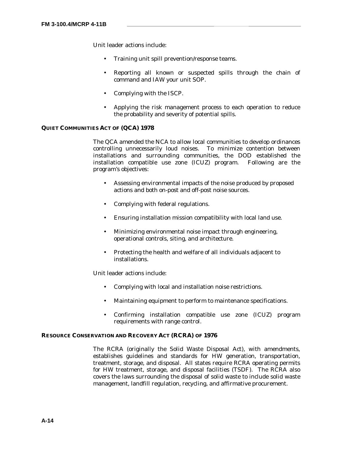- Training unit spill prevention/response teams.
- Reporting all known or suspected spills through the chain of command and IAW your unit SOP.
- Complying with the ISCP.
- Applying the risk management process to each operation to reduce the probability and severity of potential spills.

### **QUIET COMMUNITIES ACT OF (QCA) 1978**

The QCA amended the NCA to allow local communities to develop ordinances controlling unnecessarily loud noises. To minimize contention between installations and surrounding communities, the DOD established the installation compatible use zone (ICUZ) program. Following are the program's objectives:

- Assessing environmental impacts of the noise produced by proposed actions and both on-post and off-post noise sources.
- Complying with federal regulations.
- Ensuring installation mission compatibility with local land use.
- Minimizing environmental noise impact through engineering, operational controls, siting, and architecture.
- Protecting the health and welfare of all individuals adjacent to installations.

Unit leader actions include:

- Complying with local and installation noise restrictions.
- Maintaining equipment to perform to maintenance specifications.
- Confirming installation compatible use zone (ICUZ) program requirements with range control.

### **RESOURCE CONSERVATION AND RECOVERY ACT (RCRA) OF 1976**

The RCRA (originally the Solid Waste Disposal Act), with amendments, establishes guidelines and standards for HW generation, transportation, treatment, storage, and disposal. All states require RCRA operating permits for HW treatment, storage, and disposal facilities (TSDF). The RCRA also covers the laws surrounding the disposal of solid waste to include solid waste management, landfill regulation, recycling, and affirmative procurement.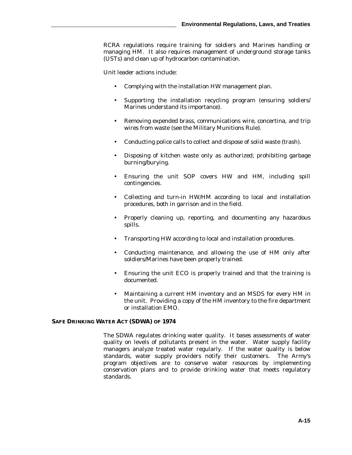RCRA regulations require training for soldiers and Marines handling or managing HM. It also requires management of underground storage tanks (USTs) and clean up of hydrocarbon contamination.

Unit leader actions include:

- Complying with the installation HW management plan.
- Supporting the installation recycling program (ensuring soldiers/ Marines understand its importance).
- Removing expended brass, communications wire, concertina, and trip wires from waste (see the Military Munitions Rule).
- Conducting police calls to collect and dispose of solid waste (trash).
- Disposing of kitchen waste only as authorized; prohibiting garbage burning/burying.
- Ensuring the unit SOP covers HW and HM, including spill contingencies.
- Collecting and turn-in HW/HM according to local and installation procedures, both in garrison and in the field.
- Properly cleaning up, reporting, and documenting any hazardous spills.
- Transporting HW according to local and installation procedures.
- Conducting maintenance, and allowing the use of HM only after soldiers/Marines have been properly trained.
- Ensuring the unit ECO is properly trained and that the training is documented.
- Maintaining a current HM inventory and an MSDS for every HM in the unit. Providing a copy of the HM inventory to the fire department or installation EMO.

### **SAFE DRINKING WATER ACT (SDWA) OF 1974**

The SDWA regulates drinking water quality. It bases assessments of water quality on levels of pollutants present in the water. Water supply facility managers analyze treated water regularly. If the water quality is below standards, water supply providers notify their customers. The Army's program objectives are to conserve water resources by implementing conservation plans and to provide drinking water that meets regulatory standards.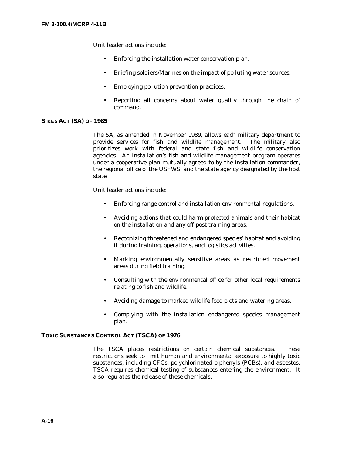- Enforcing the installation water conservation plan.
- Briefing soldiers/Marines on the impact of polluting water sources.
- Employing pollution prevention practices.
- Reporting all concerns about water quality through the chain of command.

#### **SIKES ACT (SA) OF 1985**

The SA, as amended in November 1989, allows each military department to provide services for fish and wildlife management. The military also prioritizes work with federal and state fish and wildlife conservation agencies. An installation's fish and wildlife management program operates under a cooperative plan mutually agreed to by the installation commander, the regional office of the USFWS, and the state agency designated by the host state.

Unit leader actions include:

- Enforcing range control and installation environmental regulations.
- Avoiding actions that could harm protected animals and their habitat on the installation and any off-post training areas.
- Recognizing threatened and endangered species' habitat and avoiding it during training, operations, and logistics activities.
- Marking environmentally sensitive areas as restricted movement areas during field training.
- Consulting with the environmental office for other local requirements relating to fish and wildlife.
- Avoiding damage to marked wildlife food plots and watering areas.
- Complying with the installation endangered species management plan.

### **TOXIC SUBSTANCES CONTROL ACT (TSCA) OF 1976**

The TSCA places restrictions on certain chemical substances. These restrictions seek to limit human and environmental exposure to highly toxic substances, including CFCs, polychlorinated biphenyls (PCBs), and asbestos. TSCA requires chemical testing of substances entering the environment. It also regulates the release of these chemicals.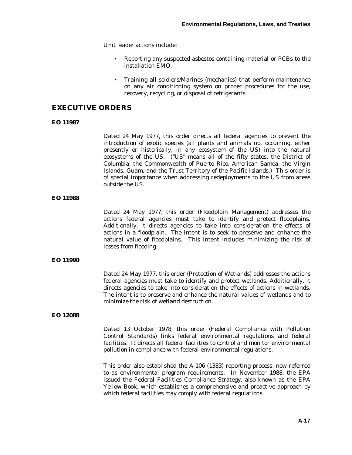- Reporting any suspected asbestos containing material or PCBs to the installation EMO.
- Training all soldiers/Marines (mechanics) that perform maintenance on any air conditioning system on proper procedures for the use, recovery, recycling, or disposal of refrigerants.

### **EXECUTIVE ORDERS**

### **EO 11987**

Dated 24 May 1977, this order directs all federal agencies to prevent the introduction of exotic species (all plants and animals not occurring, either presently or historically, in any ecosystem of the US) into the natural ecosystems of the US. ("US" means all of the fifty states, the District of Columbia, the Commonwealth of Puerto Rico, American Samoa, the Virgin Islands, Guam, and the Trust Territory of the Pacific Islands.) This order is of special importance when addressing redeployments to the US from areas outside the US.

### **EO 11988**

Dated 24 May 1977, this order (Floodplain Management) addresses the actions federal agencies must take to identify and protect floodplains. Additionally, it directs agencies to take into consideration the effects of actions in a floodplain. The intent is to seek to preserve and enhance the natural value of floodplains. This intent includes minimizing the risk of losses from flooding.

### **EO 11990**

Dated 24 May 1977, this order (Protection of Wetlands) addresses the actions federal agencies must take to identify and protect wetlands. Additionally, it directs agencies to take into consideration the effects of actions in wetlands. The intent is to preserve and enhance the natural values of wetlands and to minimize the risk of wetland destruction.

#### **EO 12088**

Dated 13 October 1978, this order (Federal Compliance with Pollution Control Standards) links federal environmental regulations and federal facilities. It directs all federal facilities to control and monitor environmental pollution in compliance with federal environmental regulations.

This order also established the A-106 (1383) reporting process, now referred to as environmental program requirements. In November 1988, the EPA issued the Federal Facilities Compliance Strategy, also known as the EPA Yellow Book, which establishes a comprehensive and proactive approach by which federal facilities may comply with federal regulations.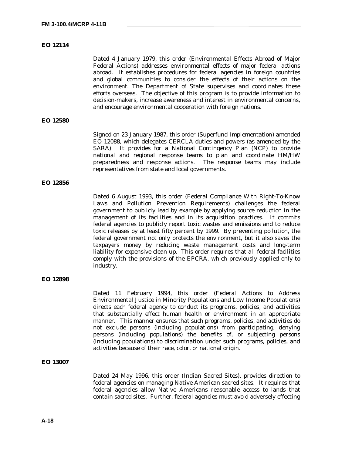### **EO 12114**

Dated 4 January 1979, this order (Environmental Effects Abroad of Major Federal Actions) addresses environmental effects of major federal actions abroad. It establishes procedures for federal agencies in foreign countries and global communities to consider the effects of their actions on the environment. The Department of State supervises and coordinates these efforts overseas. The objective of this program is to provide information to decision-makers, increase awareness and interest in environmental concerns, and encourage environmental cooperation with foreign nations.

### **EO 12580**

Signed on 23 January 1987, this order (Superfund Implementation) amended EO 12088, which delegates CERCLA duties and powers (as amended by the SARA). It provides for a National Contingency Plan (NCP) to provide national and regional response teams to plan and coordinate HM/HW preparedness and response actions. The response teams may include representatives from state and local governments.

#### **EO 12856**

Dated 6 August 1993, this order (Federal Compliance With Right-To-Know Laws and Pollution Prevention Requirements) challenges the federal government to publicly lead by example by applying source reduction in the management of its facilities and in its acquisition practices. It commits federal agencies to publicly report toxic wastes and emissions and to reduce toxic releases by at least fifty percent by 1999. By preventing pollution, the federal government not only protects the environment, but it also saves the taxpayers money by reducing waste management costs and long-term liability for expensive clean up. This order requires that all federal facilities comply with the provisions of the EPCRA, which previously applied only to industry.

### **EO 12898**

Dated 11 February 1994, this order (Federal Actions to Address Environmental Justice in Minority Populations and Low Income Populations) directs each federal agency to conduct its programs, policies, and activities that substantially effect human health or environment in an appropriate manner. This manner ensures that such programs, policies, and activities do not exclude persons (including populations) from participating, denying persons (including populations) the benefits of, or subjecting persons (including populations) to discrimination under such programs, policies, and activities because of their race, color, or national origin.

### **EO 13007**

Dated 24 May 1996, this order (Indian Sacred Sites), provides direction to federal agencies on managing Native American sacred sites. It requires that federal agencies allow Native Americans reasonable access to lands that contain sacred sites. Further, federal agencies must avoid adversely effecting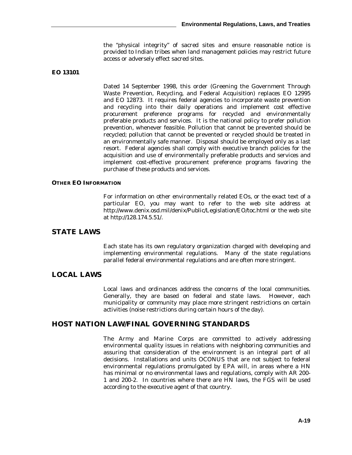the "physical integrity" of sacred sites and ensure reasonable notice is provided to Indian tribes when land management policies may restrict future access or adversely effect sacred sites.

### **EO 13101**

Dated 14 September 1998, this order (Greening the Government Through Waste Prevention, Recycling, and Federal Acquisition) replaces EO 12995 and EO 12873. It requires federal agencies to incorporate waste prevention and recycling into their daily operations and implement cost effective procurement preference programs for recycled and environmentally preferable products and services. It is the national policy to prefer pollution prevention, whenever feasible. Pollution that cannot be prevented should be recycled; pollution that cannot be prevented or recycled should be treated in an environmentally safe manner. Disposal should be employed only as a last resort. Federal agencies shall comply with executive branch policies for the acquisition and use of environmentally preferable products and services and implement cost-effective procurement preference programs favoring the purchase of these products and services.

### **OTHER EO INFORMATION**

For information on other environmentally related EOs, or the exact text of a particular EO, you may want to refer to the web site address at http://www.denix.osd.mil/denix/Public/Legislation/EO/toc.html or the web site at http://128.174.5.51/.

## **STATE LAWS**

Each state has its own regulatory organization charged with developing and implementing environmental regulations. Many of the state regulations parallel federal environmental regulations and are often more stringent.

## **LOCAL LAWS**

Local laws and ordinances address the concerns of the local communities. Generally, they are based on federal and state laws. However, each municipality or community may place more stringent restrictions on certain activities (noise restrictions during certain hours of the day).

## **HOST NATION LAW/FINAL GOVERNING STANDARDS**

The Army and Marine Corps are committed to actively addressing environmental quality issues in relations with neighboring communities and assuring that consideration of the environment is an integral part of all decisions. Installations and units OCONUS that are not subject to federal environmental regulations promulgated by EPA will, in areas where a HN has minimal or no environmental laws and regulations, comply with AR 200- 1 and 200-2. In countries where there are HN laws, the FGS will be used according to the executive agent of that country.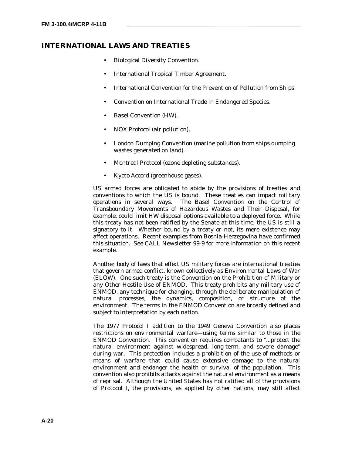## **INTERNATIONAL LAWS AND TREATIES**

- Biological Diversity Convention.
- International Tropical Timber Agreement.
- International Convention for the Prevention of Pollution from Ships.
- Convention on International Trade in Endangered Species.
- Basel Convention (HW).
- NOX Protocol (air pollution).
- London Dumping Convention (marine pollution from ships dumping wastes generated on land).
- Montreal Protocol (ozone depleting substances).
- Kyoto Accord (greenhouse gases).

US armed forces are obligated to abide by the provisions of treaties and conventions to which the US is bound. These treaties can impact military operations in several ways. The Basel Convention on the Control of Transboundary Movements of Hazardous Wastes and Their Disposal, for example, could limit HW disposal options available to a deployed force. While this treaty has not been ratified by the Senate at this time, the US is still a signatory to it. Whether bound by a treaty or not, its mere existence may affect operations. Recent examples from Bosnia-Herzegovina have confirmed this situation. See CALL Newsletter 99-9 for more information on this recent example.

Another body of laws that effect US military forces are international treaties that govern armed conflict, known collectively as Environmental Laws of War (ELOW). One such treaty is the Convention on the Prohibition of Military or any Other Hostile Use of ENMOD. This treaty prohibits any military use of ENMOD, any technique for changing, through the deliberate manipulation of natural processes, the dynamics, composition, or structure of the environment. The terms in the ENMOD Convention are broadly defined and subject to interpretation by each nation.

The 1977 Protocol I addition to the 1949 Geneva Convention also places restrictions on environmental warfare—using terms similar to those in the ENMOD Convention. This convention requires combatants to "...protect the natural environment against widespread, long-term, and severe damage" during war. This protection includes a prohibition of the use of methods or means of warfare that could cause extensive damage to the natural environment and endanger the health or survival of the population. This convention also prohibits attacks against the natural environment as a means of reprisal. Although the United States has not ratified all of the provisions of Protocol I, the provisions, as applied by other nations, may still affect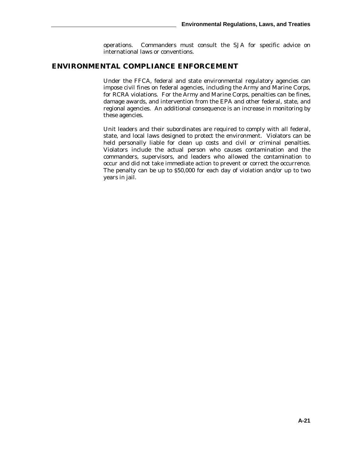operations. Commanders must consult the SJA for specific advice on international laws or conventions.

## **ENVIRONMENTAL COMPLIANCE ENFORCEMENT**

Under the FFCA, federal and state environmental regulatory agencies can impose civil fines on federal agencies, including the Army and Marine Corps, for RCRA violations. For the Army and Marine Corps, penalties can be fines, damage awards, and intervention from the EPA and other federal, state, and regional agencies. An additional consequence is an increase in monitoring by these agencies.

Unit leaders and their subordinates are required to comply with all federal, state, and local laws designed to protect the environment. Violators can be held personally liable for clean up costs and civil or criminal penalties. Violators include the actual person who causes contamination and the commanders, supervisors, and leaders who allowed the contamination to occur and did not take immediate action to prevent or correct the occurrence. The penalty can be up to \$50,000 for each day of violation and/or up to two years in jail.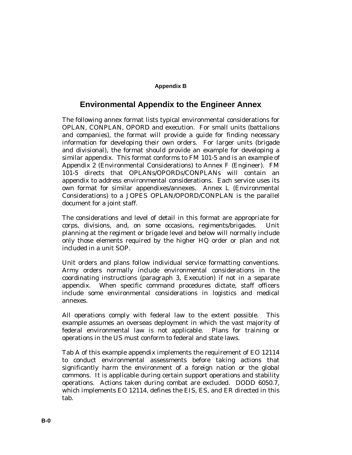## **Appendix B**

# **Environmental Appendix to the Engineer Annex**

The following annex format lists typical environmental considerations for OPLAN, CONPLAN, OPORD and execution. For small units (battalions and companies), the format will provide a guide for finding necessary information for developing their own orders. For larger units (brigade and divisional), the format should provide an example for developing a similar appendix. This format conforms to FM 101-5 and is an example of Appendix 2 (Environmental Considerations) to Annex F (Engineer). FM 101-5 directs that OPLANs/OPORDs/CONPLANs will contain an appendix to address environmental considerations. Each service uses its own format for similar appendixes/annexes. Annex L (Environmental Considerations) to a JOPES OPLAN/OPORD/CONPLAN is the parallel document for a joint staff.

The considerations and level of detail in this format are appropriate for corps, divisions, and, on some occasions, regiments/brigades. Unit planning at the regiment or brigade level and below will normally include only those elements required by the higher HQ order or plan and not included in a unit SOP.

Unit orders and plans follow individual service formatting conventions. Army orders normally include environmental considerations in the coordinating instructions (paragraph 3, Execution) if not in a separate appendix. When specific command procedures dictate, staff officers include some environmental considerations in logistics and medical annexes.

All operations comply with federal law to the extent possible. This example assumes an overseas deployment in which the vast majority of federal environmental law is not applicable. Plans for training or operations in the US must conform to federal and state laws.

Tab A of this example appendix implements the requirement of EO 12114 to conduct environmental assessments before taking actions that significantly harm the environment of a foreign nation or the global commons. It is applicable during certain support operations and stability operations. Actions taken during combat are excluded. DODD 6050.7, which implements EO 12114, defines the EIS, ES, and ER directed in this tab.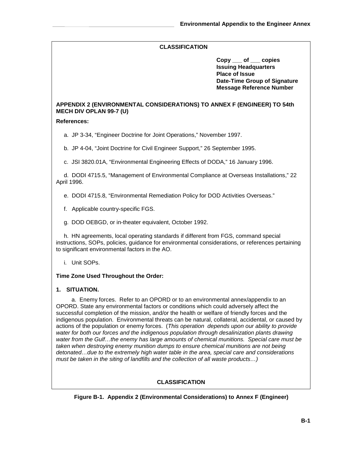**Copy \_\_\_ of \_\_\_ copies Issuing Headquarters Place of Issue Date-Time Group of Signature Message Reference Number**

## **APPENDIX 2 (ENVIRONMENTAL CONSIDERATIONS) TO ANNEX F (ENGINEER) TO 54th MECH DIV OPLAN 99-7 (U)**

### **References:**

a. JP 3-34, "Engineer Doctrine for Joint Operations," November 1997.

b. JP 4-04, "Joint Doctrine for Civil Engineer Support," 26 September 1995.

c. JSI 3820.01A, "Environmental Engineering Effects of DODA," 16 January 1996.

d. DODI 4715.5, "Management of Environmental Compliance at Overseas Installations," 22 April 1996.

e. DODI 4715.8, "Environmental Remediation Policy for DOD Activities Overseas."

- f. Applicable country-specific FGS.
- g. DOD OEBGD, or in-theater equivalent, October 1992.

h. HN agreements, local operating standards if different from FGS, command special instructions, SOPs, policies, guidance for environmental considerations, or references pertaining to significant environmental factors in the AO.

i. Unit SOPs.

## **Time Zone Used Throughout the Order:**

## **1. SITUATION.**

a.Enemy forces. Refer to an OPORD or to an environmental annex/appendix to an OPORD. State any environmental factors or conditions which could adversely affect the successful completion of the mission, and/or the health or welfare of friendly forces and the indigenous population. Environmental threats can be natural, collateral, accidental, or caused by actions of the population or enemy forces. (*This operation depends upon our ability to provide water for both our forces and the indigenous population through desalinization plants drawing* water from the Gulf...the enemy has large amounts of chemical munitions. Special care must be *taken when destroying enemy munition dumps to ensure chemical munitions are not being detonated…due to the extremely high water table in the area, special care and considerations must be taken in the siting of landfills and the collection of all waste products…)*

## **CLASSIFICATION**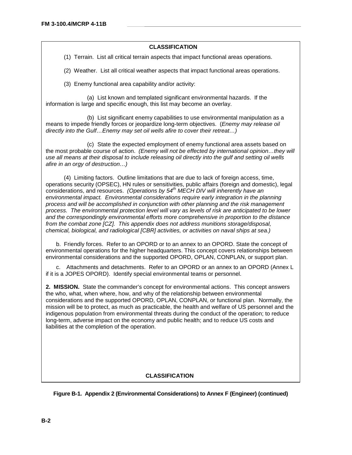(1) Terrain. List all critical terrain aspects that impact functional areas operations.

(2) Weather. List all critical weather aspects that impact functional areas operations.

(3) Enemy functional area capability and/or activity:

(a) List known and templated significant environmental hazards. If the information is large and specific enough, this list may become an overlay.

(b) List significant enemy capabilities to use environmental manipulation as a means to impede friendly forces or jeopardize long-term objectives. (*Enemy may release oil directly into the Gulf…Enemy may set oil wells afire to cover their retreat…)*

(c) State the expected employment of enemy functional area assets based on the most probable course of action. *(Enemy will not be effected by international opinion…they will use all means at their disposal to include releasing oil directly into the gulf and setting oil wells afire in an orgy of destruction…)*

(4) Limiting factors. Outline limitations that are due to lack of foreign access, time, operations security (OPSEC), HN rules or sensitivities, public affairs (foreign and domestic), legal considerations, and resources. *(Operations by 54th MECH DIV will inherently have an environmental impact. Environmental considerations require early integration in the planning process and will be accomplished in conjunction with other planning and the risk management process. The environmental protection level will vary as levels of risk are anticipated to be lower and the correspondingly environmental efforts more comprehensive in proportion to the distance from the combat zone [CZ]. This appendix does not address munitions storage/disposal, chemical, biological, and radiological [CBR] activities, or activities on naval ships at sea.)*

b. Friendly forces. Refer to an OPORD or to an annex to an OPORD. State the concept of environmental operations for the higher headquarters. This concept covers relationships between environmental considerations and the supported OPORD, OPLAN, CONPLAN, or support plan.

c. Attachments and detachments. Refer to an OPORD or an annex to an OPORD (Annex L if it is a JOPES OPORD). Identify special environmental teams or personnel.

**2. MISSION.** State the commander's concept for environmental actions. This concept answers the who, what, when where, how, and why of the relationship between environmental considerations and the supported OPORD, OPLAN, CONPLAN, or functional plan. Normally, the mission will be to protect, as much as practicable, the health and welfare of US personnel and the indigenous population from environmental threats during the conduct of the operation; to reduce long-term, adverse impact on the economy and public health; and to reduce US costs and liabilities at the completion of the operation.

## **CLASSIFICATION**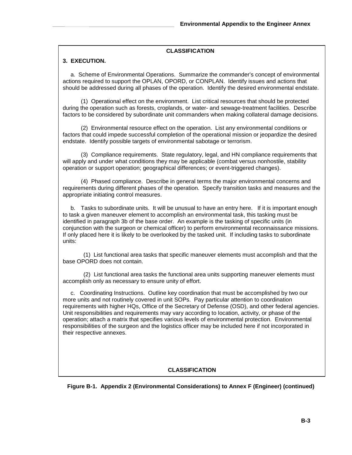### **3. EXECUTION.**

a. Scheme of Environmental Operations. Summarize the commander's concept of environmental actions required to support the OPLAN, OPORD, or CONPLAN. Identify issues and actions that should be addressed during all phases of the operation. Identify the desired environmental endstate.

(1) Operational effect on the environment. List critical resources that should be protected during the operation such as forests, croplands, or water- and sewage-treatment facilities. Describe factors to be considered by subordinate unit commanders when making collateral damage decisions.

(2) Environmental resource effect on the operation. List any environmental conditions or factors that could impede successful completion of the operational mission or jeopardize the desired endstate. Identify possible targets of environmental sabotage or terrorism.

(3) Compliance requirements. State regulatory, legal, and HN compliance requirements that will apply and under what conditions they may be applicable (combat versus nonhostile, stability operation or support operation; geographical differences; or event-triggered changes).

(4) Phased compliance. Describe in general terms the major environmental concerns and requirements during different phases of the operation. Specify transition tasks and measures and the appropriate initiating control measures.

b. Tasks to subordinate units. It will be unusual to have an entry here. If it is important enough to task a given maneuver element to accomplish an environmental task, this tasking must be identified in paragraph 3b of the base order. An example is the tasking of specific units (in conjunction with the surgeon or chemical officer) to perform environmental reconnaissance missions. If only placed here it is likely to be overlooked by the tasked unit. If including tasks to subordinate units:

(1) List functional area tasks that specific maneuver elements must accomplish and that the base OPORD does not contain.

(2) List functional area tasks the functional area units supporting maneuver elements must accomplish only as necessary to ensure unity of effort.

c. Coordinating Instructions. Outline key coordination that must be accomplished by two our more units and not routinely covered in unit SOPs. Pay particular attention to coordination requirements with higher HQs, Office of the Secretary of Defense (OSD), and other federal agencies. Unit responsibilities and requirements may vary according to location, activity, or phase of the operation; attach a matrix that specifies various levels of environmental protection. Environmental responsibilities of the surgeon and the logistics officer may be included here if not incorporated in their respective annexes.

## **CLASSIFICATION**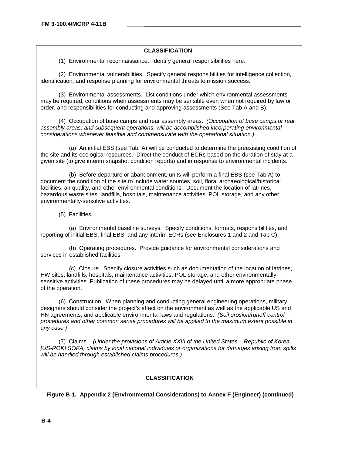(1) Environmental reconnaissance. Identify general responsibilities here.

(2) Environmental vulnerabilities. Specify general responsibilities for intelligence collection, identification, and response planning for environmental threats to mission success.

(3) Environmental assessments. List conditions under which environmental assessments may be required, conditions when assessments may be sensible even when not required by law or order, and responsibilities for conducting and approving assessments (See Tab A and B).

(4) Occupation of base camps and rear assembly areas. *(Occupation of base camps or rear assembly areas, and subsequent operations, will be accomplished incorporating environmental considerations whenever feasible and commensurate with the operational situation.)*

(a) An initial EBS (see Tab A) will be conducted to determine the preexisting condition of the site and its ecological resources. Direct the conduct of ECRs based on the duration of stay at a given site (to give interim snapshot condition reports) and in response to environmental incidents.

(b) Before departure or abandonment, units will perform a final EBS (see Tab A) to document the condition of the site to include water sources, soil, flora, archaeological/historical facilities, air quality, and other environmental conditions. Document the location of latrines, hazardous waste sites, landfills, hospitals, maintenance activities, POL storage, and any other environmentally-sensitive activities.

(5) Facilities.

(a) Environmental baseline surveys. Specify conditions, formats, responsibilities, and reporting of initial EBS, final EBS, and any interim ECRs (see Enclosures 1 and 2 and Tab C).

(b) Operating procedures. Provide guidance for environmental considerations and services in established facilities.

(c) Closure. Specify closure activities such as documentation of the location of latrines, HW sites, landfills, hospitals, maintenance activities, POL storage, and other environmentallysensitive activities. Publication of these procedures may be delayed until a more appropriate phase of the operation.

(6) Construction. When planning and conducting general engineering operations, military designers should consider the project's effect on the environment as well as the applicable US and HN agreements, and applicable environmental laws and regulations. *(Soil erosion/runoff control procedures and other common sense procedures will be applied to the maximum extent possible in any case.)*

(7) Claims. *(Under the provisions of Article XXIII of the United States – Republic of Korea [US-ROK] SOFA, claims by local national individuals or organizations for damages arising from spills will be handled through established claims procedures.)*

## **CLASSIFICATION**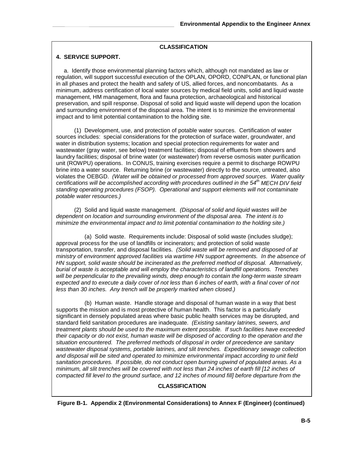### **4. SERVICE SUPPORT.**

a. Identify those environmental planning factors which, although not mandated as law or regulation, will support successful execution of the OPLAN, OPORD, CONPLAN, or functional plan in all phases and protect the health and safety of US, allied forces, and noncombatants. As a minimum, address certification of local water sources by medical field units, solid and liquid waste management, HM management, flora and fauna protection, archaeological and historical preservation, and spill response. Disposal of solid and liquid waste will depend upon the location and surrounding environment of the disposal area. The intent is to minimize the environmental impact and to limit potential contamination to the holding site.

(1) Development, use, and protection of potable water sources. Certification of water sources includes: special considerations for the protection of surface water, groundwater, and water in distribution systems; location and special protection requirements for water and wastewater (gray water, see below) treatment facilities; disposal of effluents from showers and laundry facilities; disposal of brine water (or wastewater) from reverse osmosis water purification unit (ROWPU) operations. In CONUS, training exercises require a permit to discharge ROWPU brine into a water source. Returning brine (or wastewater) directly to the source, untreated, also violates the OEBGD. *(Water will be obtained or processed from approved sources. Water quality certifications will be accomplished according with procedures outlined in the 54th MECH DIV field standing operating procedures (FSOP). Operational and support elements will not contaminate potable water resources.)*

(2) Solid and liquid waste management. *(Disposal of solid and liquid wastes will be dependent on location and surrounding environment of the disposal area. The intent is to minimize the environmental impact and to limit potential contamination to the holding site.)*

(a) Solid waste. Requirements include: Disposal of solid waste (includes sludge); approval process for the use of landfills or incinerators; and protection of solid waste transportation, transfer, and disposal facilities. *(Solid waste will be removed and disposed of at ministry of environment approved facilities via wartime HN support agreements. In the absence of HN support, solid waste should be incinerated as the preferred method of disposal. Alternatively, burial of waste is acceptable and will employ the characteristics of landfill operations. Trenches will be perpendicular to the prevailing winds, deep enough to contain the long-term waste stream expected and to execute a daily cover of not less than 6 inches of earth, with a final cover of not less than 30 inches. Any trench will be properly marked when closed.)*

(b) Human waste. Handle storage and disposal of human waste in a way that best supports the mission and is most protective of human health. This factor is a particularly significant in densely populated areas where basic public health services may be disrupted, and standard field sanitation procedures are inadequate. *(Existing sanitary latrines, sewers, and treatment plants should be used to the maximum extent possible. If such facilities have exceeded their capacity or do not exist, human waste will be disposed of according to the operation and the situation encountered. The preferred methods of disposal in order of precedence are sanitary wastewater disposal systems, portable latrines, and slit trenches. Expeditionary sewage collection and disposal will be sited and operated to minimize environmental impact according to unit field sanitation procedures. If possible, do not conduct open burning upwind of populated areas. As a minimum, all slit trenches will be covered with not less than 24 inches of earth fill [12 inches of compacted fill level to the ground surface, and 12 inches of mound fill] before departure from the*

## **CLASSIFICATION**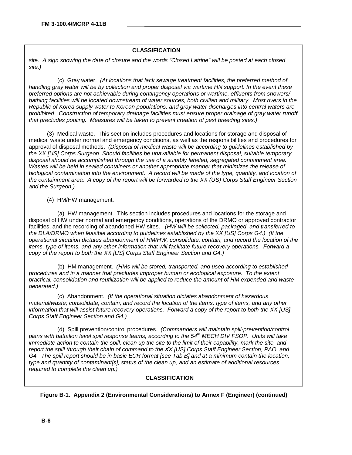*site. A sign showing the date of closure and the words "Closed Latrine" will be posted at each closed site.)*

(c) Gray water. *(At locations that lack sewage treatment facilities, the preferred method of handling gray water will be by collection and proper disposal via wartime HN support. In the event these preferred options are not achievable during contingency operations or wartime, effluents from showers/ bathing facilities will be located downstream of water sources, both civilian and military. Most rivers in the Republic of Korea supply water to Korean populations, and gray water discharges into central waters are prohibited. Construction of temporary drainage facilities must ensure proper drainage of gray water runoff that precludes pooling. Measures will be taken to prevent creation of pest breeding sites.)*

(3) Medical waste. This section includes procedures and locations for storage and disposal of medical waste under normal and emergency conditions, as well as the responsibilities and procedures for approval of disposal methods. *(Disposal of medical waste will be according to guidelines established by the XX [US] Corps Surgeon. Should facilities be unavailable for permanent disposal, suitable temporary disposal should be accomplished through the use of a suitably labeled, segregated containment area. Wastes will be held in sealed containers or another appropriate manner that minimizes the release of biological contamination into the environment. A record will be made of the type, quantity, and location of the containment area. A copy of the report will be forwarded to the XX (US) Corps Staff Engineer Section and the Surgeon.)*

(4) HM/HW management.

(a) HW management. This section includes procedures and locations for the storage and disposal of HW under normal and emergency conditions, operations of the DRMO or approved contractor facilities, and the recording of abandoned HW sites. *(HW will be collected, packaged, and transferred to the DLA/DRMO when feasible according to guidelines established by the XX [US] Corps G4.) (If the operational situation dictates abandonment of HM/HW, consolidate, contain, and record the location of the items, type of items, and any other information that will facilitate future recovery operations. Forward a copy of the report to both the XX [US] Corps Staff Engineer Section and G4.)*

(b) HM management. *(HMs will be stored, transported, and used according to established procedures and in a manner that precludes improper human or ecological exposure. To the extent practical, consolidation and reutilization will be applied to reduce the amount of HM expended and waste generated.)*

(c) Abandonment*. (If the operational situation dictates abandonment of hazardous material/waste; consolidate, contain, and record the location of the items, type of items, and any other information that will assist future recovery operations. Forward a copy of the report to both the XX [US] Corps Staff Engineer Section and G4.)*

(d) Spill prevention/control procedures*. (Commanders will maintain spill-prevention/control* plans with battalion level spill response teams, according to the 54<sup>th</sup> MECH DIV FSOP. Units will take *immediate action to contain the spill, clean up the site to the limit of their capability, mark the site, and report the spill through their chain of command to the XX [US] Corps Staff Engineer Section, PAO, and G4. The spill report should be in basic ECR format [see Tab B] and at a minimum contain the location, type and quantity of contaminant[s], status of the clean up, and an estimate of additional resources required to complete the clean up.)*

## **CLASSIFICATION**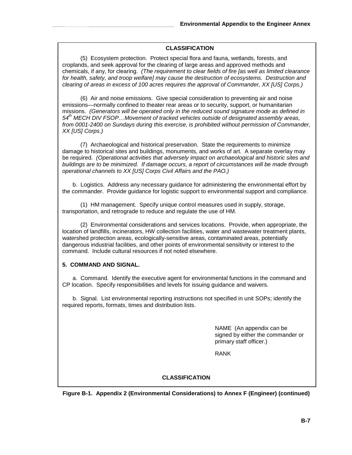(5) Ecosystem protection. Protect special flora and fauna, wetlands, forests, and croplands, and seek approval for the clearing of large areas and approved methods and chemicals, if any, for clearing. *(The requirement to clear fields of fire [as well as limited clearance for health, safety, and troop welfare] may cause the destruction of ecosystems. Destruction and clearing of areas in excess of 100 acres requires the approval of Commander, XX [US] Corps.)*

(6) Air and noise emissions. Give special consideration to preventing air and noise emissions—normally confined to theater rear areas or to security, support, or humanitarian missions. *(Generators will be operated only in the reduced sound signature mode as defined in 54th MECH DIV FSOP…Movement of tracked vehicles outside of designated assembly areas, from 0001-2400 on Sundays during this exercise, is prohibited without permission of Commander, XX [US] Corps.)*

(7) Archaeological and historical preservation. State the requirements to minimize damage to historical sites and buildings, monuments, and works of art. A separate overlay may be required. *(Operational activities that adversely impact on archaeological and historic sites and buildings are to be minimized. If damage occurs, a report of circumstances will be made through operational channels to XX [US] Corps Civil Affairs and the PAO.)*

b. Logistics. Address any necessary guidance for administering the environmental effort by the commander. Provide guidance for logistic support to environmental support and compliance.

(1) HM management. Specify unique control measures used in supply, storage, transportation, and retrograde to reduce and regulate the use of HM.

(2) Environmental considerations and services locations. Provide, when appropriate, the location of landfills, incinerators, HW collection facilities, water and wastewater treatment plants, watershed protection areas, ecologically-sensitive areas, contaminated areas, potentially dangerous industrial facilities, and other points of environmental sensitivity or interest to the command. Include cultural resources if not noted elsewhere.

## **5. COMMAND AND SIGNAL.**

a. Command. Identify the executive agent for environmental functions in the command and CP location. Specify responsibilities and levels for issuing guidance and waivers.

b. Signal. List environmental reporting instructions not specified in unit SOPs; identify the required reports, formats, times and distribution lists.

> NAME (An appendix can be signed by either the commander or primary staff officer.)

RANK

## **CLASSIFICATION**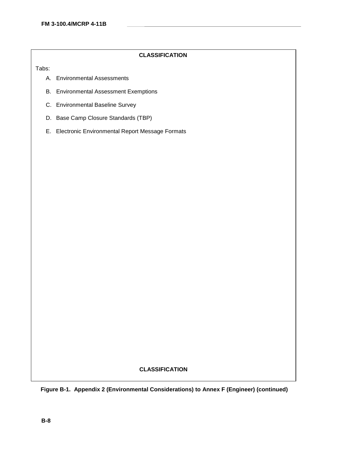Tabs:

- A. Environmental Assessments
- B. Environmental Assessment Exemptions
- C. Environmental Baseline Survey
- D. Base Camp Closure Standards (TBP)
- E. Electronic Environmental Report Message Formats

## **CLASSIFICATION**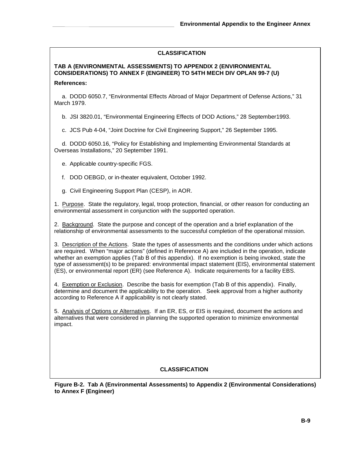# **TAB A (ENVIRONMENTAL ASSESSMENTS) TO APPENDIX 2 (ENVIRONMENTAL CONSIDERATIONS) TO ANNEX F (ENGINEER) TO 54TH MECH DIV OPLAN 99-7 (U)**

### **References:**

a. DODD 6050.7, "Environmental Effects Abroad of Major Department of Defense Actions," 31 March 1979.

b. JSI 3820.01, "Environmental Engineering Effects of DOD Actions," 28 September1993.

c. JCS Pub 4-04, "Joint Doctrine for Civil Engineering Support," 26 September 1995.

d. DODD 6050.16, "Policy for Establishing and Implementing Environmental Standards at Overseas Installations," 20 September 1991.

- e. Applicable country-specific FGS.
- f. DOD OEBGD, or in-theater equivalent, October 1992.
- g. Civil Engineering Support Plan (CESP), in AOR.

1. Purpose. State the regulatory, legal, troop protection, financial, or other reason for conducting an environmental assessment in conjunction with the supported operation.

2. Background. State the purpose and concept of the operation and a brief explanation of the relationship of environmental assessments to the successful completion of the operational mission.

3. Description of the Actions. State the types of assessments and the conditions under which actions are required. When "major actions" (defined in Reference A) are included in the operation, indicate whether an exemption applies (Tab B of this appendix). If no exemption is being invoked, state the type of assessment(s) to be prepared: environmental impact statement (EIS), environmental statement (ES), or environmental report (ER) (see Reference A). Indicate requirements for a facility EBS.

4. Exemption or Exclusion. Describe the basis for exemption (Tab B of this appendix). Finally, determine and document the applicability to the operation. Seek approval from a higher authority according to Reference A if applicability is not clearly stated.

5. Analysis of Options or Alternatives. If an ER, ES, or EIS is required, document the actions and alternatives that were considered in planning the supported operation to minimize environmental impact.

## **CLASSIFICATION**

**Figure B-2. Tab A (Environmental Assessments) to Appendix 2 (Environmental Considerations) to Annex F (Engineer)**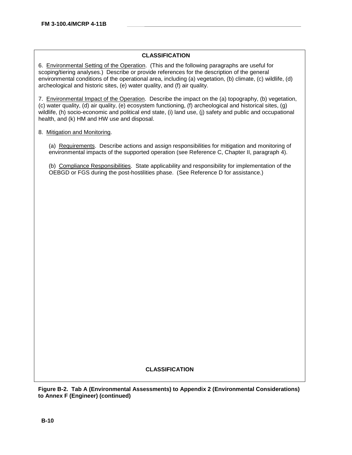6. Environmental Setting of the Operation. (This and the following paragraphs are useful for scoping/tiering analyses.) Describe or provide references for the description of the general environmental conditions of the operational area, including (a) vegetation, (b) climate, (c) wildlife, (d) archeological and historic sites, (e) water quality, and (f) air quality.

7. Environmental Impact of the Operation. Describe the impact on the (a) topography, (b) vegetation, (c) water quality, (d) air quality, (e) ecosystem functioning, (f) archeological and historical sites, (g) wildlife, (h) socio-economic and political end state, (i) land use, (j) safety and public and occupational health, and (k) HM and HW use and disposal.

### 8. Mitigation and Monitoring.

(a) Requirements. Describe actions and assign responsibilities for mitigation and monitoring of environmental impacts of the supported operation (see Reference C, Chapter II, paragraph 4).

(b) Compliance Responsibilities. State applicability and responsibility for implementation of the OEBGD or FGS during the post-hostilities phase. (See Reference D for assistance.)

## **CLASSIFICATION**

**Figure B-2. Tab A (Environmental Assessments) to Appendix 2 (Environmental Considerations) to Annex F (Engineer) (continued)**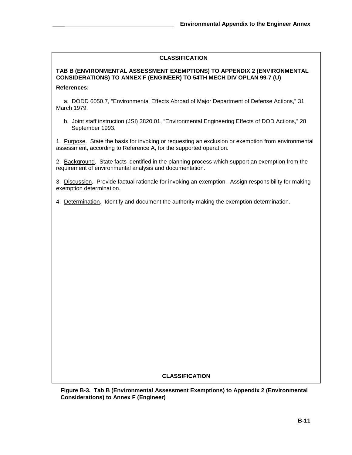## **TAB B (ENVIRONMENTAL ASSESSMENT EXEMPTIONS) TO APPENDIX 2 (ENVIRONMENTAL CONSIDERATIONS) TO ANNEX F (ENGINEER) TO 54TH MECH DIV OPLAN 99-7 (U)**

### **References:**

a. DODD 6050.7, "Environmental Effects Abroad of Major Department of Defense Actions," 31 March 1979.

b. Joint staff instruction (JSI) 3820.01, "Environmental Engineering Effects of DOD Actions," 28 September 1993.

1. Purpose. State the basis for invoking or requesting an exclusion or exemption from environmental assessment, according to Reference A, for the supported operation.

2. Background. State facts identified in the planning process which support an exemption from the requirement of environmental analysis and documentation.

3. Discussion. Provide factual rationale for invoking an exemption. Assign responsibility for making exemption determination.

4. Determination. Identify and document the authority making the exemption determination.

## **CLASSIFICATION**

**Figure B-3. Tab B (Environmental Assessment Exemptions) to Appendix 2 (Environmental Considerations) to Annex F (Engineer)**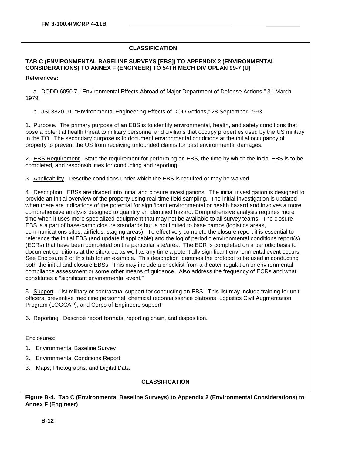## **TAB C (ENVIRONMENTAL BASELINE SURVEYS [EBS]) TO APPENDIX 2 (ENVIRONMENTAL CONSIDERATIONS) TO ANNEX F (ENGINEER) TO 54TH MECH DIV OPLAN 99-7 (U)**

**References:**

a. DODD 6050.7, "Environmental Effects Abroad of Major Department of Defense Actions," 31 March 1979.

b. JSI 3820.01, "Environmental Engineering Effects of DOD Actions," 28 September 1993.

1. Purpose. The primary purpose of an EBS is to identify environmental, health, and safety conditions that pose a potential health threat to military personnel and civilians that occupy properties used by the US military in the TO. The secondary purpose is to document environmental conditions at the initial occupancy of property to prevent the US from receiving unfounded claims for past environmental damages.

2. EBS Requirement. State the requirement for performing an EBS, the time by which the initial EBS is to be completed, and responsibilities for conducting and reporting.

3. Applicability. Describe conditions under which the EBS is required or may be waived.

4. Description. EBSs are divided into initial and closure investigations. The initial investigation is designed to provide an initial overview of the property using real-time field sampling. The initial investigation is updated when there are indications of the potential for significant environmental or health hazard and involves a more comprehensive analysis designed to quantify an identified hazard. Comprehensive analysis requires more time when it uses more specialized equipment that may not be available to all survey teams. The closure EBS is a part of base-camp closure standards but is not limited to base camps (logistics areas, communications sites, airfields, staging areas). To effectively complete the closure report it is essential to reference the initial EBS (and update if applicable) and the log of periodic environmental conditions report(s) (ECRs) that have been completed on the particular site/area. The ECR is completed on a periodic basis to document conditions at the site/area as well as any time a potentially significant environmental event occurs. See Enclosure 2 of this tab for an example. This description identifies the protocol to be used in conducting both the initial and closure EBSs. This may include a checklist from a theater regulation or environmental compliance assessment or some other means of guidance. Also address the frequency of ECRs and what constitutes a "significant environmental event."

5. Support. List military or contractual support for conducting an EBS. This list may include training for unit officers, preventive medicine personnel, chemical reconnaissance platoons, Logistics Civil Augmentation Program (LOGCAP), and Corps of Engineers support.

6. Reporting. Describe report formats, reporting chain, and disposition.

Enclosures:

- 1. Environmental Baseline Survey
- 2. Environmental Conditions Report
- 3. Maps, Photographs, and Digital Data

## **CLASSIFICATION**

**Figure B-4. Tab C (Environmental Baseline Surveys) to Appendix 2 (Environmental Considerations) to Annex F (Engineer)**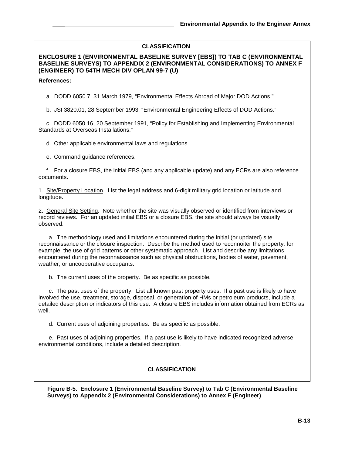**ENCLOSURE 1 (ENVIRONMENTAL BASELINE SURVEY [EBS]) TO TAB C (ENVIRONMENTAL BASELINE SURVEYS) TO APPENDIX 2 (ENVIRONMENTAL CONSIDERATIONS) TO ANNEX F (ENGINEER) TO 54TH MECH DIV OPLAN 99-7 (U)**

**References:**

a. DODD 6050.7, 31 March 1979, "Environmental Effects Abroad of Major DOD Actions."

b. JSI 3820.01, 28 September 1993, "Environmental Engineering Effects of DOD Actions."

c. DODD 6050.16, 20 September 1991, "Policy for Establishing and Implementing Environmental Standards at Overseas Installations."

d. Other applicable environmental laws and regulations.

e. Command guidance references.

f. For a closure EBS, the initial EBS (and any applicable update) and any ECRs are also reference documents.

1. Site/Property Location. List the legal address and 6-digit military grid location or latitude and longitude.

2. General Site Setting. Note whether the site was visually observed or identified from interviews or record reviews. For an updated initial EBS or a closure EBS, the site should always be visually observed.

a. The methodology used and limitations encountered during the initial (or updated) site reconnaissance or the closure inspection. Describe the method used to reconnoiter the property; for example, the use of grid patterns or other systematic approach. List and describe any limitations encountered during the reconnaissance such as physical obstructions, bodies of water, pavement, weather, or uncooperative occupants.

b. The current uses of the property. Be as specific as possible.

c. The past uses of the property. List all known past property uses. If a past use is likely to have involved the use, treatment, storage, disposal, or generation of HMs or petroleum products, include a detailed description or indicators of this use. A closure EBS includes information obtained from ECRs as well.

d. Current uses of adjoining properties. Be as specific as possible.

e. Past uses of adjoining properties. If a past use is likely to have indicated recognized adverse environmental conditions, include a detailed description.

# **CLASSIFICATION**

**Figure B-4. Tab C (Environmental Baseline Surveys) to Appendix 2 (Environmental Considerations) to Annex F (Engineer) (continued) Surveys) to Appendix 2 (Environmental Considerations) to Annex F (Engineer) Figure B-5. Enclosure 1 (Environmental Baseline Survey) to Tab C (Environmental Baseline**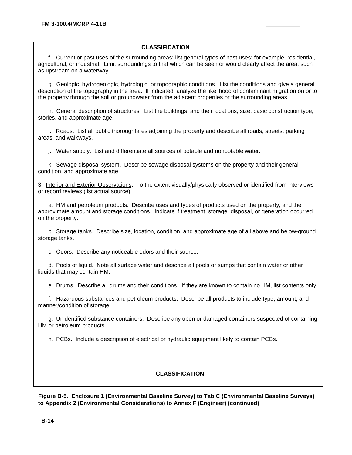f. Current or past uses of the surrounding areas: list general types of past uses; for example, residential, agricultural, or industrial. Limit surroundings to that which can be seen or would clearly affect the area, such as upstream on a waterway.

g. Geologic, hydrogeologic, hydrologic, or topographic conditions. List the conditions and give a general description of the topography in the area. If indicated, analyze the likelihood of contaminant migration on or to the property through the soil or groundwater from the adjacent properties or the surrounding areas.

h. General description of structures. List the buildings, and their locations, size, basic construction type, stories, and approximate age.

i. Roads. List all public thoroughfares adjoining the property and describe all roads, streets, parking areas, and walkways.

j. Water supply. List and differentiate all sources of potable and nonpotable water.

k. Sewage disposal system. Describe sewage disposal systems on the property and their general condition, and approximate age.

3. Interior and Exterior Observations. To the extent visually/physically observed or identified from interviews or record reviews (list actual source).

a. HM and petroleum products. Describe uses and types of products used on the property, and the approximate amount and storage conditions. Indicate if treatment, storage, disposal, or generation occurred on the property.

b. Storage tanks. Describe size, location, condition, and approximate age of all above and below-ground storage tanks.

c. Odors. Describe any noticeable odors and their source.

d. Pools of liquid. Note all surface water and describe all pools or sumps that contain water or other liquids that may contain HM.

e. Drums. Describe all drums and their conditions. If they are known to contain no HM, list contents only.

f. Hazardous substances and petroleum products. Describe all products to include type, amount, and manner/condition of storage.

g. Unidentified substance containers. Describe any open or damaged containers suspected of containing HM or petroleum products.

h. PCBs. Include a description of electrical or hydraulic equipment likely to contain PCBs.

# **CLASSIFICATION**

**Figure B-5. Enclosure 1 (Environmental Baseline Survey) to Tab C (Environmental Baseline Surveys) to Appendix 2 (Environmental Considerations) to Annex F (Engineer) (continued)**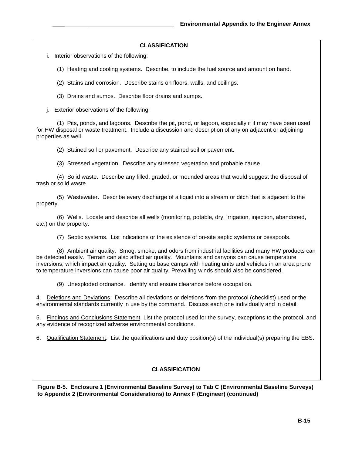i. Interior observations of the following:

(1) Heating and cooling systems. Describe, to include the fuel source and amount on hand.

(2) Stains and corrosion. Describe stains on floors, walls, and ceilings.

(3) Drains and sumps. Describe floor drains and sumps.

j. Exterior observations of the following:

(1) Pits, ponds, and lagoons. Describe the pit, pond, or lagoon, especially if it may have been used for HW disposal or waste treatment. Include a discussion and description of any on adjacent or adjoining properties as well.

(2) Stained soil or pavement. Describe any stained soil or pavement.

(3) Stressed vegetation. Describe any stressed vegetation and probable cause.

(4) Solid waste. Describe any filled, graded, or mounded areas that would suggest the disposal of trash or solid waste.

(5) Wastewater. Describe every discharge of a liquid into a stream or ditch that is adjacent to the property.

(6) Wells. Locate and describe all wells (monitoring, potable, dry, irrigation, injection, abandoned, etc.) on the property.

(7) Septic systems. List indications or the existence of on-site septic systems or cesspools.

(8) Ambient air quality. Smog, smoke, and odors from industrial facilities and many HW products can be detected easily. Terrain can also affect air quality. Mountains and canyons can cause temperature inversions, which impact air quality. Setting up base camps with heating units and vehicles in an area prone to temperature inversions can cause poor air quality. Prevailing winds should also be considered.

(9) Unexploded ordnance. Identify and ensure clearance before occupation.

4. Deletions and Deviations. Describe all deviations or deletions from the protocol (checklist) used or the environmental standards currently in use by the command. Discuss each one individually and in detail.

5. Findings and Conclusions Statement. List the protocol used for the survey, exceptions to the protocol, and any evidence of recognized adverse environmental conditions.

6. Qualification Statement. List the qualifications and duty position(s) of the individual(s) preparing the EBS.

# **CLASSIFICATION**

**Figure B-5. Enclosure 1 (Environmental Baseline Survey) to Tab C (Environmental Baseline Surveys) to Appendix 2 (Environmental Considerations) to Annex F (Engineer) (continued)**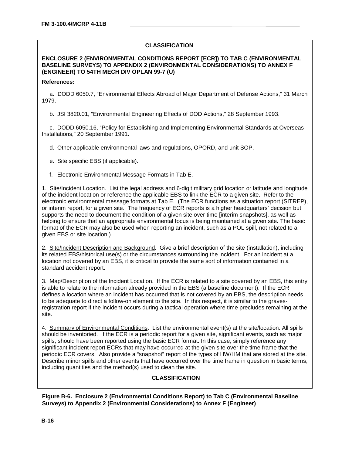#### **ENCLOSURE 2 (ENVIRONMENTAL CONDITIONS REPORT [ECR]) TO TAB C (ENVIRONMENTAL BASELINE SURVEYS) TO APPENDIX 2 (ENVIRONMENTAL CONSIDERATIONS) TO ANNEX F (ENGINEER) TO 54TH MECH DIV OPLAN 99-7 (U)**

#### **References:**

a. DODD 6050.7, "Environmental Effects Abroad of Major Department of Defense Actions," 31 March 1979.

b. JSI 3820.01, "Environmental Engineering Effects of DOD Actions," 28 September 1993.

c. DODD 6050.16, "Policy for Establishing and Implementing Environmental Standards at Overseas Installations," 20 September 1991.

d. Other applicable environmental laws and regulations, OPORD, and unit SOP.

e. Site specific EBS (if applicable).

f. Electronic Environmental Message Formats in Tab E.

1. Site/Incident Location. List the legal address and 6-digit military grid location or latitude and longitude of the incident location or reference the applicable EBS to link the ECR to a given site. Refer to the electronic environmental message formats at Tab E. (The ECR functions as a situation report (SITREP), or interim report, for a given site. The frequency of ECR reports is a higher headquarters' decision but supports the need to document the condition of a given site over time [interim snapshots], as well as helping to ensure that an appropriate environmental focus is being maintained at a given site. The basic format of the ECR may also be used when reporting an incident, such as a POL spill, not related to a given EBS or site location.)

2. Site/Incident Description and Background. Give a brief description of the site (installation), including its related EBS/historical use(s) or the circumstances surrounding the incident. For an incident at a location not covered by an EBS, it is critical to provide the same sort of information contained in a standard accident report.

3. Map/Description of the Incident Location. If the ECR is related to a site covered by an EBS, this entry is able to relate to the information already provided in the EBS (a baseline document). If the ECR defines a location where an incident has occurred that is not covered by an EBS, the description needs to be adequate to direct a follow-on element to the site. In this respect, it is similar to the gravesregistration report if the incident occurs during a tactical operation where time precludes remaining at the site.

4. Summary of Environmental Conditions. List the environmental event(s) at the site/location. All spills should be inventoried. If the ECR is a periodic report for a given site, significant events, such as major spills, should have been reported using the basic ECR format. In this case, simply reference any significant incident report ECRs that may have occurred at the given site over the time frame that the periodic ECR covers. Also provide a "snapshot" report of the types of HW/HM that are stored at the site. Describe minor spills and other events that have occurred over the time frame in question in basic terms, including quantities and the method(s) used to clean the site.

# **CLASSIFICATION**

**Figure B-6. Enclosure 2 (Environmental Conditions Report) to Tab C (Environmental Baseline Surveys) to Appendix 2 (Environmental Considerations) to Annex F (Engineer)**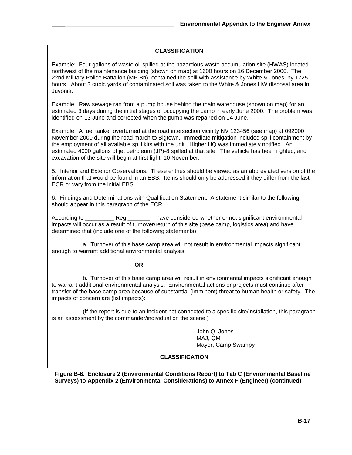Example: Four gallons of waste oil spilled at the hazardous waste accumulation site (HWAS) located northwest of the maintenance building (shown on map) at 1600 hours on 16 December 2000. The 22nd Military Police Battalion (MP Bn), contained the spill with assistance by White & Jones, by 1725 hours. About 3 cubic yards of contaminated soil was taken to the White & Jones HW disposal area in Juvonia.

Example: Raw sewage ran from a pump house behind the main warehouse (shown on map) for an estimated 3 days during the initial stages of occupying the camp in early June 2000. The problem was identified on 13 June and corrected when the pump was repaired on 14 June.

Example: A fuel tanker overturned at the road intersection vicinity NV 123456 (see map) at 092000 November 2000 during the road march to Bigtown. Immediate mitigation included spill containment by the employment of all available spill kits with the unit. Higher HQ was immediately notified. An estimated 4000 gallons of jet petroleum (JP)-8 spilled at that site. The vehicle has been righted, and excavation of the site will begin at first light, 10 November.

5. Interior and Exterior Observations. These entries should be viewed as an abbreviated version of the information that would be found in an EBS. Items should only be addressed if they differ from the last ECR or vary from the initial EBS.

6. Findings and Determinations with Qualification Statement. A statement similar to the following should appear in this paragraph of the ECR:

According to \_\_\_\_\_\_\_\_\_ Reg \_\_\_\_\_\_\_, I have considered whether or not significant environmental impacts will occur as a result of turnover/return of this site (base camp, logistics area) and have determined that (include one of the following statements):

a. Turnover of this base camp area will not result in environmental impacts significant enough to warrant additional environmental analysis.

#### **OR**

b. Turnover of this base camp area will result in environmental impacts significant enough to warrant additional environmental analysis. Environmental actions or projects must continue after transfer of the base camp area because of substantial (imminent) threat to human health or safety. The impacts of concern are (list impacts):

(If the report is due to an incident not connected to a specific site/installation, this paragraph is an assessment by the commander/individual on the scene.)

> John Q. Jones MAJ, QM Mayor, Camp Swampy

# **CLASSIFICATION**

**Figure B-6. Enclosure 2 (Environmental Conditions Report) to Tab C (Environmental Baseline Surveys) to Appendix 2 (Environmental Considerations) to Annex F (Engineer) (continued)**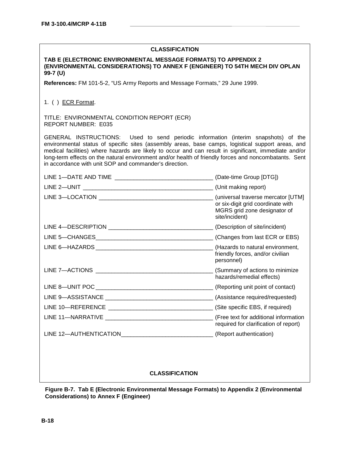#### **TAB E (ELECTRONIC ENVIRONMENTAL MESSAGE FORMATS) TO APPENDIX 2 (ENVIRONMENTAL CONSIDERATIONS) TO ANNEX F (ENGINEER) TO 54TH MECH DIV OPLAN 99-7 (U)**

**References:** FM 101-5-2, "US Army Reports and Message Formats," 29 June 1999.

#### 1. ( ) ECR Format.

TITLE: ENVIRONMENTAL CONDITION REPORT (ECR) REPORT NUMBER: E035

GENERAL INSTRUCTIONS: Used to send periodic information (interim snapshots) of the environmental status of specific sites (assembly areas, base camps, logistical support areas, and medical facilities) where hazards are likely to occur and can result in significant, immediate and/or long-term effects on the natural environment and/or health of friendly forces and noncombatants. Sent in accordance with unit SOP and commander's direction.

|                                                                                  | (Date-time Group [DTG])                                                                                                   |
|----------------------------------------------------------------------------------|---------------------------------------------------------------------------------------------------------------------------|
|                                                                                  | (Unit making report)                                                                                                      |
|                                                                                  | (universal traverse mercator [UTM]<br>or six-digit grid coordinate with<br>MGRS grid zone designator of<br>site/incident) |
|                                                                                  | (Description of site/incident)                                                                                            |
|                                                                                  |                                                                                                                           |
|                                                                                  | friendly forces, and/or civilian<br>personnel)                                                                            |
|                                                                                  | (Summary of actions to minimize)<br>hazards/remedial effects)                                                             |
|                                                                                  |                                                                                                                           |
|                                                                                  |                                                                                                                           |
|                                                                                  |                                                                                                                           |
|                                                                                  | required for clarification of report)                                                                                     |
| LINE 12—AUTHENTICATION___________________________________(Report authentication) |                                                                                                                           |
|                                                                                  |                                                                                                                           |

# **CLASSIFICATION**

**Figure B-7. Tab E (Electronic Environmental Message Formats) to Appendix 2 (Environmental Considerations) to Annex F (Engineer)**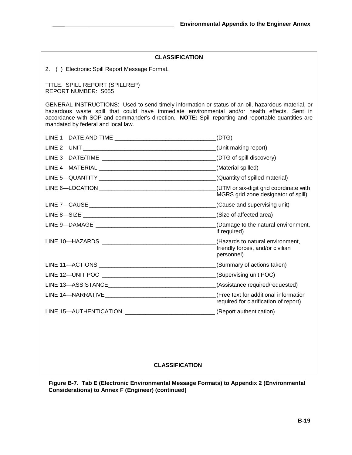2. ( ) Electronic Spill Report Message Format.

TITLE: SPILL REPORT (SPILLREP) REPORT NUMBER: S055

GENERAL INSTRUCTIONS: Used to send timely information or status of an oil, hazardous material, or hazardous waste spill that could have immediate environmental and/or health effects. Sent in accordance with SOP and commander's direction. **NOTE:** Spill reporting and reportable quantities are mandated by federal and local law.

|                                                          | (DTG)                                                                              |
|----------------------------------------------------------|------------------------------------------------------------------------------------|
|                                                          | (Unit making report)                                                               |
|                                                          | (DTG of spill discovery)                                                           |
|                                                          | (Material spilled)                                                                 |
|                                                          | (Quantity of spilled material)                                                     |
|                                                          | (UTM or six-digit grid coordinate with<br>MGRS grid zone designator of spill)      |
|                                                          | (Cause and supervising unit)                                                       |
|                                                          |                                                                                    |
|                                                          | (Damage to the natural environment,<br>if required)                                |
|                                                          | (Hazards to natural environment,<br>friendly forces, and/or civilian<br>personnel) |
|                                                          | (Summary of actions taken)                                                         |
|                                                          | (Supervising unit POC)                                                             |
|                                                          | (Assistance required/requested)                                                    |
|                                                          | (Free text for additional information<br>required for clarification of report)     |
| LINE 15-AUTHENTICATION _________________________________ | (Report authentication)                                                            |
|                                                          |                                                                                    |

# **CLASSIFICATION**

**Figure B-7. Tab E (Electronic Environmental Message Formats) to Appendix 2 (Environmental Considerations) to Annex F (Engineer) (continued)**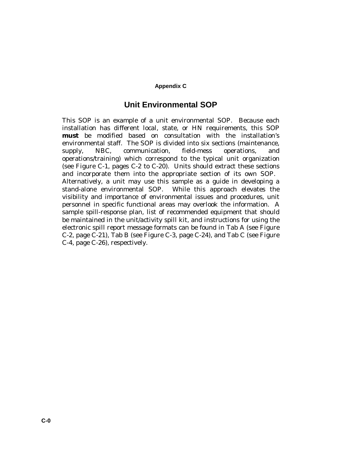# **Appendix C**

# **Unit Environmental SOP**

This SOP is an example of a unit environmental SOP. Because each installation has different local, state, or HN requirements, this SOP **must** be modified based on consultation with the installation's environmental staff. The SOP is divided into six sections (maintenance, supply, NBC, communication, field-mess operations, and operations/training) which correspond to the typical unit organization (see Figure C-1, pages C-2 to C-20). Units should extract these sections and incorporate them into the appropriate section of its own SOP. Alternatively, a unit may use this sample as a guide in developing a stand-alone environmental SOP. While this approach elevates the visibility and importance of environmental issues and procedures, unit personnel in specific functional areas may overlook the information. A sample spill-response plan, list of recommended equipment that should be maintained in the unit/activity spill kit, and instructions for using the electronic spill report message formats can be found in Tab A (see Figure C-2, page C-21), Tab B (see Figure C-3, page C-24), and Tab C (see Figure C-4, page C-26), respectively.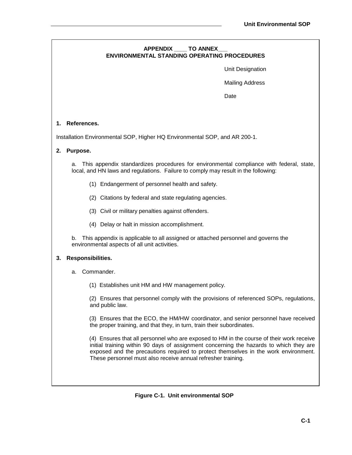# **APPENDIX \_\_\_\_ TO ANNEX\_\_\_ ENVIRONMENTAL STANDING OPERATING PROCEDURES**

Unit Designation

Mailing Address

Date

# **1. References.**

Installation Environmental SOP, Higher HQ Environmental SOP, and AR 200-1.

#### **2. Purpose.**

a. This appendix standardizes procedures for environmental compliance with federal, state, local, and HN laws and regulations. Failure to comply may result in the following:

- (1) Endangerment of personnel health and safety.
- (2) Citations by federal and state regulating agencies.
- (3) Civil or military penalties against offenders.
- (4) Delay or halt in mission accomplishment.

b. This appendix is applicable to all assigned or attached personnel and governs the environmental aspects of all unit activities.

#### **3. Responsibilities.**

- a. Commander.
	- (1) Establishes unit HM and HW management policy.

(2) Ensures that personnel comply with the provisions of referenced SOPs, regulations, and public law.

(3) Ensures that the ECO, the HM/HW coordinator, and senior personnel have received the proper training, and that they, in turn, train their subordinates.

(4) Ensures that all personnel who are exposed to HM in the course of their work receive initial training within 90 days of assignment concerning the hazards to which they are exposed and the precautions required to protect themselves in the work environment. These personnel must also receive annual refresher training.

# **Figure C-1. Unit environmental SOP**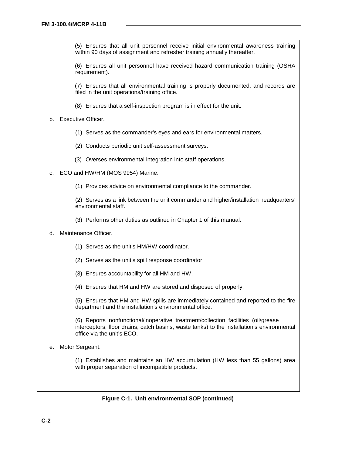(5) Ensures that all unit personnel receive initial environmental awareness training within 90 days of assignment and refresher training annually thereafter.

(6) Ensures all unit personnel have received hazard communication training (OSHA requirement).

(7) Ensures that all environmental training is properly documented, and records are filed in the unit operations/training office.

(8) Ensures that a self-inspection program is in effect for the unit.

#### b. Executive Officer.

- (1) Serves as the commander's eyes and ears for environmental matters.
- (2) Conducts periodic unit self-assessment surveys.
- (3) Overses environmental integration into staff operations.
- c. ECO and HW/HM (MOS 9954) Marine.
	- (1) Provides advice on environmental compliance to the commander.

(2) Serves as a link between the unit commander and higher/installation headquarters' environmental staff.

- (3) Performs other duties as outlined in Chapter 1 of this manual.
- d. Maintenance Officer.
	- (1) Serves as the unit's HM/HW coordinator.
	- (2) Serves as the unit's spill response coordinator.
	- (3) Ensures accountability for all HM and HW.
	- (4) Ensures that HM and HW are stored and disposed of properly.

(5) Ensures that HM and HW spills are immediately contained and reported to the fire department and the installation's environmental office.

(6) Reports nonfunctional/inoperative treatment/collection facilities (oil/grease interceptors, floor drains, catch basins, waste tanks) to the installation's environmental office via the unit's ECO.

e. Motor Sergeant.

(1) Establishes and maintains an HW accumulation (HW less than 55 gallons) area with proper separation of incompatible products.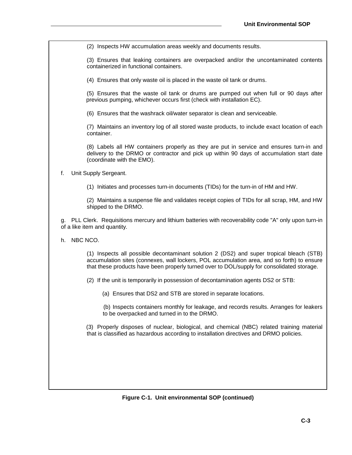(2) Inspects HW accumulation areas weekly and documents results.

(3) Ensures that leaking containers are overpacked and/or the uncontaminated contents containerized in functional containers.

(4) Ensures that only waste oil is placed in the waste oil tank or drums.

(5) Ensures that the waste oil tank or drums are pumped out when full or 90 days after previous pumping, whichever occurs first (check with installation EC).

(6) Ensures that the washrack oil/water separator is clean and serviceable.

(7) Maintains an inventory log of all stored waste products, to include exact location of each container.

(8) Labels all HW containers properly as they are put in service and ensures turn-in and delivery to the DRMO or contractor and pick up within 90 days of accumulation start date (coordinate with the EMO).

f. Unit Supply Sergeant.

(1) Initiates and processes turn-in documents (TIDs) for the turn-in of HM and HW.

(2) Maintains a suspense file and validates receipt copies of TIDs for all scrap, HM, and HW shipped to the DRMO.

g. PLL Clerk. Requisitions mercury and lithium batteries with recoverability code "A" only upon turn-in of a like item and quantity.

h. NBC NCO.

(1) Inspects all possible decontaminant solution 2 (DS2) and super tropical bleach (STB) accumulation sites (connexes, wall lockers, POL accumulation area, and so forth) to ensure that these products have been properly turned over to DOL/supply for consolidated storage.

(2) If the unit is temporarily in possession of decontamination agents DS2 or STB:

(a) Ensures that DS2 and STB are stored in separate locations.

(b) Inspects containers monthly for leakage, and records results. Arranges for leakers to be overpacked and turned in to the DRMO.

(3) Properly disposes of nuclear, biological, and chemical (NBC) related training material that is classified as hazardous according to installation directives and DRMO policies.

**Figure C-1. Unit environmental SOP (continued)**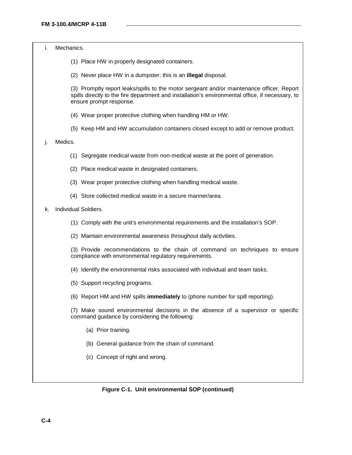i. Mechanics.

- (1) Place HW in properly designated containers.
- (2) Never place HW in a dumpster; this is an **illegal** disposal.

(3) Promptly report leaks/spills to the motor sergeant and/or maintenance officer. Report spills directly to the fire department and installation's environmental office, if necessary, to ensure prompt response.

- (4) Wear proper protective clothing when handling HM or HW.
- (5) Keep HM and HW accumulation containers closed except to add or remove product.

#### j. Medics.

- (1) Segregate medical waste from non-medical waste at the point of generation.
- (2) Place medical waste in designated containers.
- (3) Wear proper protective clothing when handling medical waste.
- (4) Store collected medical waste in a secure manner/area.

k. Individual Soldiers.

- (1) Comply with the unit's environmental requirements and the installation's SOP.
- (2) Maintain environmental awareness throughout daily activities.

(3) Provide recommendations to the chain of command on techniques to ensure compliance with environmental regulatory requirements.

- (4) Identify the environmental risks associated with individual and team tasks.
- (5) Support recycling programs.
- (6) Report HM and HW spills **immediately** to (phone number for spill reporting).

(7) Make sound environmental decisions in the absence of a supervisor or specific command guidance by considering the following:

- (a) Prior training.
- (b) General guidance from the chain of command.
- (c) Concept of right and wrong.

**Figure C-1. Unit environmental SOP (continued)**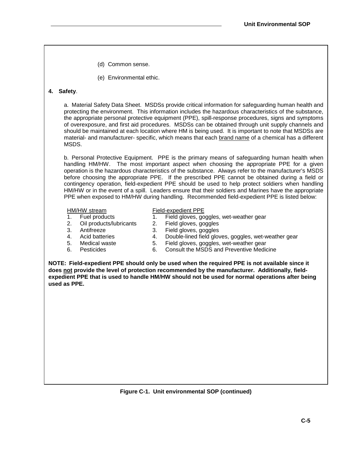- (d) Common sense.
- (e) Environmental ethic.

## **4. Safety**.

a. Material Safety Data Sheet. MSDSs provide critical information for safeguarding human health and protecting the environment. This information includes the hazardous characteristics of the substance, the appropriate personal protective equipment (PPE), spill-response procedures, signs and symptoms of overexposure, and first aid procedures. MSDSs can be obtained through unit supply channels and should be maintained at each location where HM is being used. It is important to note that MSDSs are material- and manufacturer- specific, which means that each brand name of a chemical has a different MSDS.

b. Personal Protective Equipment. PPE is the primary means of safeguarding human health when handling HM/HW. The most important aspect when choosing the appropriate PPE for a given operation is the hazardous characteristics of the substance. Always refer to the manufacturer's MSDS before choosing the appropriate PPE. If the prescribed PPE cannot be obtained during a field or contingency operation, field-expedient PPE should be used to help protect soldiers when handling HM/HW or in the event of a spill. Leaders ensure that their soldiers and Marines have the appropriate PPE when exposed to HM/HW during handling. Recommended field-expedient PPE is listed below:

#### HM/HW stream Field-expedient PPE

- 1. Fuel products 1. Field gloves, goggles, wet-weather gear
- 2. Oil products/lubricants 2. Field gloves, goggles
- 
- 
- 
- 
- 3. Antifreeze 3. Field gloves, goggles<br>4. Acid batteries 4. Double-lined field glov 4. Acid batteries 4. Double-lined field gloves, goggles, wet-weather gear
- 5. Medical waste 5. Field gloves, goggles, wet-weather gear
- 6. Pesticides 6. Consult the MSDS and Preventive Medicine

**NOTE: Field-expedient PPE should only be used when the required PPE is not available since it does not provide the level of protection recommended by the manufacturer. Additionally, fieldexpedient PPE that is used to handle HM/HW should not be used for normal operations after being used as PPE.**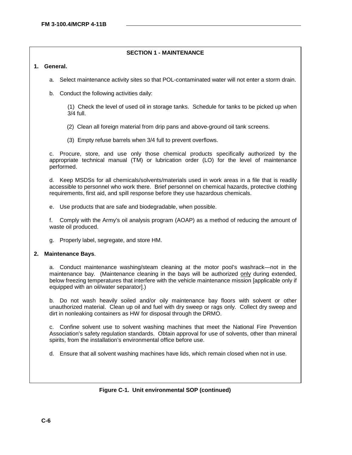# **SECTION 1 - MAINTENANCE**

# **1. General.**

- a. Select maintenance activity sites so that POL-contaminated water will not enter a storm drain.
- b. Conduct the following activities daily:

(1) Check the level of used oil in storage tanks. Schedule for tanks to be picked up when 3/4 full.

- (2) Clean all foreign material from drip pans and above-ground oil tank screens.
- (3) Empty refuse barrels when 3/4 full to prevent overflows.

c. Procure, store, and use only those chemical products specifically authorized by the appropriate technical manual (TM) or lubrication order (LO) for the level of maintenance performed.

d. Keep MSDSs for all chemicals/solvents/materials used in work areas in a file that is readily accessible to personnel who work there. Brief personnel on chemical hazards, protective clothing requirements, first aid, and spill response before they use hazardous chemicals.

e. Use products that are safe and biodegradable, when possible.

f. Comply with the Army's oil analysis program (AOAP) as a method of reducing the amount of waste oil produced.

g. Properly label, segregate, and store HM.

#### **2. Maintenance Bays**.

a. Conduct maintenance washing/steam cleaning at the motor pool's washrack—not in the maintenance bay. (Maintenance cleaning in the bays will be authorized only during extended, below freezing temperatures that interfere with the vehicle maintenance mission [applicable only if equipped with an oil/water separator].)

b. Do not wash heavily soiled and/or oily maintenance bay floors with solvent or other unauthorized material. Clean up oil and fuel with dry sweep or rags only. Collect dry sweep and dirt in nonleaking containers as HW for disposal through the DRMO.

c. Confine solvent use to solvent washing machines that meet the National Fire Prevention Association's safety regulation standards. Obtain approval for use of solvents, other than mineral spirits, from the installation's environmental office before use.

d. Ensure that all solvent washing machines have lids, which remain closed when not in use.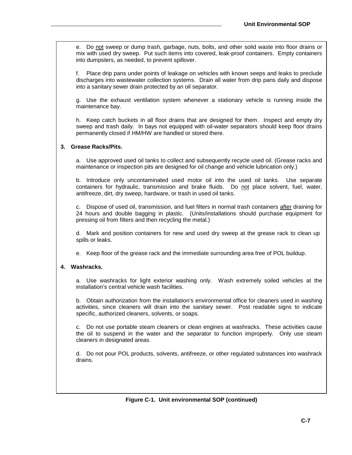e. Do not sweep or dump trash, garbage, nuts, bolts, and other solid waste into floor drains or mix with used dry sweep. Put such items into covered, leak-proof containers. Empty containers into dumpsters, as needed, to prevent spillover.

f. Place drip pans under points of leakage on vehicles with known seeps and leaks to preclude discharges into wastewater collection systems. Drain all water from drip pans daily and dispose into a sanitary sewer drain protected by an oil separator.

g. Use the exhaust ventilation system whenever a stationary vehicle is running inside the maintenance bay.

h. Keep catch buckets in all floor drains that are designed for them. Inspect and empty dry sweep and trash daily. In bays not equipped with oil-water separators should keep floor drains permanently closed if HM/HW are handled or stored there.

# **3. Grease Racks/Pits.**

a. Use approved used oil tanks to collect and subsequently recycle used oil. (Grease racks and maintenance or inspection pits are designed for oil change and vehicle lubrication only.)

b. Introduce only uncontaminated used motor oil into the used oil tanks. Use separate containers for hydraulic, transmission and brake fluids. Do not place solvent, fuel, water, antifreeze, dirt, dry sweep, hardware, or trash in used oil tanks.

c. Dispose of used oil, transmission, and fuel filters in normal trash containers after draining for 24 hours and double bagging in plastic. (Units/installations should purchase equipment for pressing oil from filters and then recycling the metal.)

d. Mark and position containers for new and used dry sweep at the grease rack to clean up spills or leaks.

e. Keep floor of the grease rack and the immediate surrounding area free of POL buildup.

# **4. Washracks.**

a. Use washracks for light exterior washing only. Wash extremely soiled vehicles at the installation's central vehicle wash facilities.

b. Obtain authorization from the installation's environmental office for cleaners used in washing activities, since cleaners will drain into the sanitary sewer. Post readable signs to indicate specific, authorized cleaners, solvents, or soaps.

c. Do not use portable steam cleaners or clean engines at washracks. These activities cause the oil to suspend in the water and the separator to function improperly. Only use steam cleaners in designated areas.

d. Do not pour POL products, solvents, antifreeze, or other regulated substances into washrack drains.

**Figure C-1. Unit environmental SOP (continued)**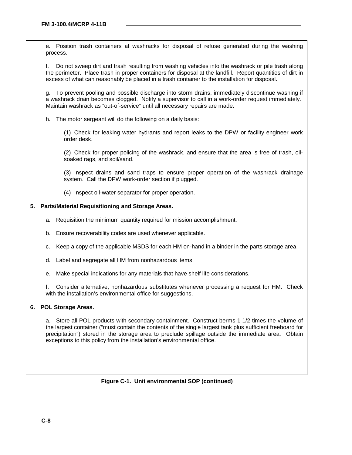e. Position trash containers at washracks for disposal of refuse generated during the washing process.

f. Do not sweep dirt and trash resulting from washing vehicles into the washrack or pile trash along the perimeter. Place trash in proper containers for disposal at the landfill. Report quantities of dirt in excess of what can reasonably be placed in a trash container to the installation for disposal.

g. To prevent pooling and possible discharge into storm drains, immediately discontinue washing if a washrack drain becomes clogged. Notify a supervisor to call in a work-order request immediately. Maintain washrack as "out-of-service" until all necessary repairs are made.

h. The motor sergeant will do the following on a daily basis:

(1) Check for leaking water hydrants and report leaks to the DPW or facility engineer work order desk.

(2) Check for proper policing of the washrack, and ensure that the area is free of trash, oilsoaked rags, and soil/sand.

(3) Inspect drains and sand traps to ensure proper operation of the washrack drainage system. Call the DPW work-order section if plugged.

(4) Inspect oil-water separator for proper operation.

#### **5. Parts/Material Requisitioning and Storage Areas.**

- a. Requisition the minimum quantity required for mission accomplishment.
- b. Ensure recoverability codes are used whenever applicable.
- c. Keep a copy of the applicable MSDS for each HM on-hand in a binder in the parts storage area.
- d. Label and segregate all HM from nonhazardous items.

e. Make special indications for any materials that have shelf life considerations.

f. Consider alternative, nonhazardous substitutes whenever processing a request for HM. Check with the installation's environmental office for suggestions.

#### **6. POL Storage Areas.**

a. Store all POL products with secondary containment. Construct berms 1 1/2 times the volume of the largest container ("must contain the contents of the single largest tank plus sufficient freeboard for precipitation") stored in the storage area to preclude spillage outside the immediate area. Obtain exceptions to this policy from the installation's environmental office.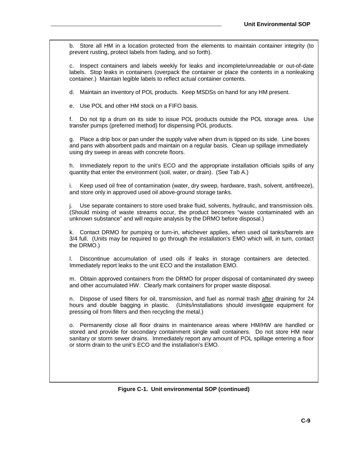b. Store all HM in a location protected from the elements to maintain container integrity (to prevent rusting, protect labels from fading, and so forth).

c. Inspect containers and labels weekly for leaks and incomplete/unreadable or out-of-date labels. Stop leaks in containers (overpack the container or place the contents in a nonleaking container.) Maintain legible labels to reflect actual container contents.

d. Maintain an inventory of POL products. Keep MSDSs on hand for any HM present.

e. Use POL and other HM stock on a FIFO basis.

f. Do not tip a drum on its side to issue POL products outside the POL storage area. Use transfer pumps (preferred method) for dispensing POL products.

g. Place a drip box or pan under the supply valve when drum is tipped on its side. Line boxes and pans with absorbent pads and maintain on a regular basis. Clean up spillage immediately using dry sweep in areas with concrete floors.

h. Immediately report to the unit's ECO and the appropriate installation officials spills of any quantity that enter the environment (soil, water, or drain). (See Tab A.)

i. Keep used oil free of contamination (water, dry sweep, hardware, trash, solvent, antifreeze), and store only in approved used oil above-ground storage tanks.

Use separate containers to store used brake fluid, solvents, hydraulic, and transmission oils. (Should mixing of waste streams occur, the product becomes "waste contaminated with an unknown substance" and will require analysis by the DRMO before disposal.)

k. Contact DRMO for pumping or turn-in, whichever applies, when used oil tanks/barrels are 3/4 full. (Units may be required to go through the installation's EMO which will, in turn, contact the DRMO.)

l. Discontinue accumulation of used oils if leaks in storage containers are detected. Immediately report leaks to the unit ECO and the installation EMO.

m. Obtain approved containers from the DRMO for proper disposal of contaminated dry sweep and other accumulated HW. Clearly mark containers for proper waste disposal.

n. Dispose of used filters for oil, transmission, and fuel as normal trash after draining for 24 hours and double bagging in plastic. (Units/installations should investigate equipment for pressing oil from filters and then recycling the metal.)

o. Permanently close all floor drains in maintenance areas where HM/HW are handled or stored and provide for secondary containment single wall containers. Do not store HM near sanitary or storm sewer drains. Immediately report any amount of POL spillage entering a floor or storm drain to the unit's ECO and the installation's EMO.

**Figure C-1. Unit environmental SOP (continued)**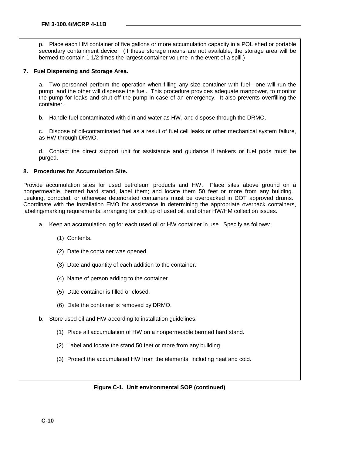p. Place each HM container of five gallons or more accumulation capacity in a POL shed or portable secondary containment device. (If these storage means are not available, the storage area will be bermed to contain 1 1/2 times the largest container volume in the event of a spill.)

## **7. Fuel Dispensing and Storage Area.**

a. Two personnel perform the operation when filling any size container with fuel—one will run the pump, and the other will dispense the fuel. This procedure provides adequate manpower, to monitor the pump for leaks and shut off the pump in case of an emergency. It also prevents overfilling the container.

b. Handle fuel contaminated with dirt and water as HW, and dispose through the DRMO.

c. Dispose of oil-contaminated fuel as a result of fuel cell leaks or other mechanical system failure, as HW through DRMO.

d. Contact the direct support unit for assistance and guidance if tankers or fuel pods must be purged.

#### **8. Procedures for Accumulation Site.**

Provide accumulation sites for used petroleum products and HW. Place sites above ground on a nonpermeable, bermed hard stand, label them; and locate them 50 feet or more from any building. Leaking, corroded, or otherwise deteriorated containers must be overpacked in DOT approved drums. Coordinate with the installation EMO for assistance in determining the appropriate overpack containers, labeling/marking requirements, arranging for pick up of used oil, and other HW/HM collection issues.

- a. Keep an accumulation log for each used oil or HW container in use. Specify as follows:
	- (1) Contents.
	- (2) Date the container was opened.
	- (3) Date and quantity of each addition to the container.
	- (4) Name of person adding to the container.
	- (5) Date container is filled or closed.
	- (6) Date the container is removed by DRMO.
- b. Store used oil and HW according to installation guidelines.
	- (1) Place all accumulation of HW on a nonpermeable bermed hard stand.
	- (2) Label and locate the stand 50 feet or more from any building.
	- (3) Protect the accumulated HW from the elements, including heat and cold.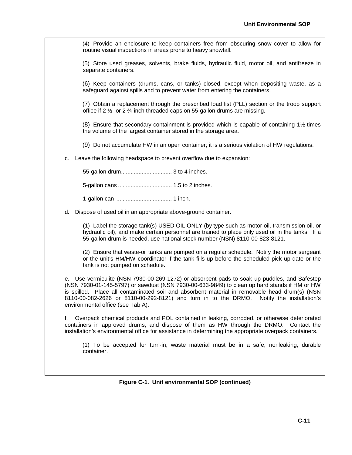(4) Provide an enclosure to keep containers free from obscuring snow cover to allow for routine visual inspections in areas prone to heavy snowfall.

(5) Store used greases, solvents, brake fluids, hydraulic fluid, motor oil, and antifreeze in separate containers.

(6) Keep containers (drums, cans, or tanks) closed, except when depositing waste, as a safeguard against spills and to prevent water from entering the containers.

(7) Obtain a replacement through the prescribed load list (PLL) section or the troop support office if 2 ½- or 2 ¾-inch threaded caps on 55-gallon drums are missing.

(8) Ensure that secondary containment is provided which is capable of containing 1½ times the volume of the largest container stored in the storage area.

(9) Do not accumulate HW in an open container; it is a serious violation of HW regulations.

c. Leave the following headspace to prevent overflow due to expansion:

55-gallon drum................................ 3 to 4 inches.

5-gallon cans .................................. 1.5 to 2 inches.

1-gallon can ................................... 1 inch.

d. Dispose of used oil in an appropriate above-ground container.

(1) Label the storage tank(s) USED OIL ONLY (by type such as motor oil, transmission oil, or hydraulic oil), and make certain personnel are trained to place only used oil in the tanks. If a 55-gallon drum is needed, use national stock number (NSN) 8110-00-823-8121.

(2) Ensure that waste-oil tanks are pumped on a regular schedule. Notify the motor sergeant or the unit's HM/HW coordinator if the tank fills up before the scheduled pick up date or the tank is not pumped on schedule.

e. Use vermiculite (NSN 7930-00-269-1272) or absorbent pads to soak up puddles, and Safestep (NSN 7930-01-145-5797) or sawdust (NSN 7930-00-633-9849) to clean up hard stands if HM or HW is spilled. Place all contaminated soil and absorbent material in removable head drum(s) (NSN 8110-00-082-2626 or 8110-00-292-8121) and turn in to the DRMO. Notify the installation's environmental office (see Tab A).

f. Overpack chemical products and POL contained in leaking, corroded, or otherwise deteriorated containers in approved drums, and dispose of them as HW through the DRMO. Contact the installation's environmental office for assistance in determining the appropriate overpack containers.

(1) To be accepted for turn-in, waste material must be in a safe, nonleaking, durable container.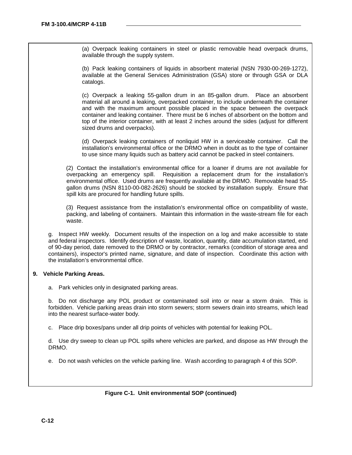(a) Overpack leaking containers in steel or plastic removable head overpack drums, available through the supply system.

(b) Pack leaking containers of liquids in absorbent material (NSN 7930-00-269-1272), available at the General Services Administration (GSA) store or through GSA or DLA catalogs.

(c) Overpack a leaking 55-gallon drum in an 85-gallon drum. Place an absorbent material all around a leaking, overpacked container, to include underneath the container and with the maximum amount possible placed in the space between the overpack container and leaking container. There must be 6 inches of absorbent on the bottom and top of the interior container, with at least 2 inches around the sides (adjust for different sized drums and overpacks).

(d) Overpack leaking containers of nonliquid HW in a serviceable container. Call the installation's environmental office or the DRMO when in doubt as to the type of container to use since many liquids such as battery acid cannot be packed in steel containers.

(2) Contact the installation's environmental office for a loaner if drums are not available for overpacking an emergency spill. Requisition a replacement drum for the installation's environmental office. Used drums are frequently available at the DRMO. Removable head 55 gallon drums (NSN 8110-00-082-2626) should be stocked by installation supply. Ensure that spill kits are procured for handling future spills.

(3) Request assistance from the installation's environmental office on compatibility of waste, packing, and labeling of containers. Maintain this information in the waste-stream file for each waste.

g. Inspect HW weekly. Document results of the inspection on a log and make accessible to state and federal inspectors. Identify description of waste, location, quantity, date accumulation started, end of 90-day period, date removed to the DRMO or by contractor, remarks (condition of storage area and containers), inspector's printed name, signature, and date of inspection. Coordinate this action with the installation's environmental office.

#### **9. Vehicle Parking Areas.**

a. Park vehicles only in designated parking areas.

b. Do not discharge any POL product or contaminated soil into or near a storm drain. This is forbidden. Vehicle parking areas drain into storm sewers; storm sewers drain into streams, which lead into the nearest surface-water body.

c. Place drip boxes/pans under all drip points of vehicles with potential for leaking POL.

d. Use dry sweep to clean up POL spills where vehicles are parked, and dispose as HW through the DRMO.

e. Do not wash vehicles on the vehicle parking line. Wash according to paragraph 4 of this SOP.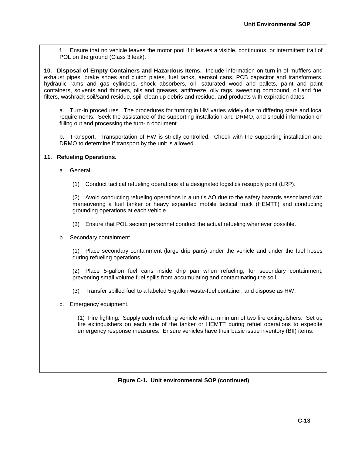f. Ensure that no vehicle leaves the motor pool if it leaves a visible, continuous, or intermittent trail of POL on the ground (Class 3 leak).

**10. Disposal of Empty Containers and Hazardous Items.** Include information on turn-in of mufflers and exhaust pipes, brake shoes and clutch plates, fuel tanks, aerosol cans, PCB capacitor and transformers, hydraulic rams and gas cylinders, shock absorbers, oil- saturated wood and pallets, paint and paint containers, solvents and thinners, oils and greases, antifreeze, oily rags, sweeping compound, oil and fuel filters, washrack soil/sand residue, spill clean up debris and residue, and products with expiration dates.

a. Turn-in procedures. The procedures for turning in HM varies widely due to differing state and local requirements. Seek the assistance of the supporting installation and DRMO, and should information on filling out and processing the turn-in document.

b. Transport. Transportation of HW is strictly controlled. Check with the supporting installation and DRMO to determine if transport by the unit is allowed.

#### **11. Refueling Operations.**

a. General.

(1) Conduct tactical refueling operations at a designated logistics resupply point (LRP).

(2) Avoid conducting refueling operations in a unit's AO due to the safety hazards associated with maneuvering a fuel tanker or heavy expanded mobile tactical truck (HEMTT) and conducting grounding operations at each vehicle.

- (3) Ensure that POL section personnel conduct the actual refueling whenever possible.
- b. Secondary containment.

(1) Place secondary containment (large drip pans) under the vehicle and under the fuel hoses during refueling operations.

(2) Place 5-gallon fuel cans inside drip pan when refueling, for secondary containment, preventing small volume fuel spills from accumulating and contaminating the soil.

- (3) Transfer spilled fuel to a labeled 5-gallon waste-fuel container, and dispose as HW.
- c. Emergency equipment.

(1) Fire fighting. Supply each refueling vehicle with a minimum of two fire extinguishers. Set up fire extinguishers on each side of the tanker or HEMTT during refuel operations to expedite emergency response measures. Ensure vehicles have their basic issue inventory (BII) items.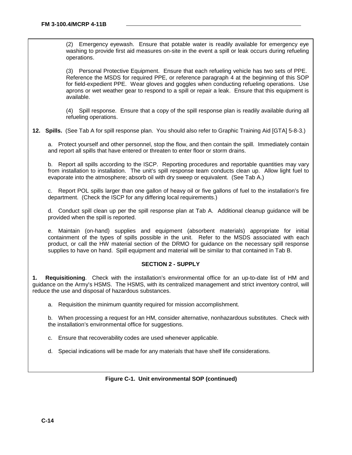(2) Emergency eyewash. Ensure that potable water is readily available for emergency eye washing to provide first aid measures on-site in the event a spill or leak occurs during refueling operations.

(3) Personal Protective Equipment. Ensure that each refueling vehicle has two sets of PPE. Reference the MSDS for required PPE, or reference paragraph 4 at the beginning of this SOP for field-expedient PPE. Wear gloves and goggles when conducting refueling operations. Use aprons or wet weather gear to respond to a spill or repair a leak. Ensure that this equipment is available.

(4) Spill response. Ensure that a copy of the spill response plan is readily available during all refueling operations.

**12. Spills.** (See Tab A for spill response plan. You should also refer to Graphic Training Aid [GTA] 5-8-3.)

a. Protect yourself and other personnel, stop the flow, and then contain the spill. Immediately contain and report all spills that have entered or threaten to enter floor or storm drains.

b. Report all spills according to the ISCP. Reporting procedures and reportable quantities may vary from installation to installation. The unit's spill response team conducts clean up. Allow light fuel to evaporate into the atmosphere; absorb oil with dry sweep or equivalent. (See Tab A.)

c. Report POL spills larger than one gallon of heavy oil or five gallons of fuel to the installation's fire department. (Check the ISCP for any differing local requirements.)

d. Conduct spill clean up per the spill response plan at Tab A. Additional cleanup guidance will be provided when the spill is reported.

e. Maintain (on-hand) supplies and equipment (absorbent materials) appropriate for initial containment of the types of spills possible in the unit. Refer to the MSDS associated with each product, or call the HW material section of the DRMO for guidance on the necessary spill response supplies to have on hand. Spill equipment and material will be similar to that contained in Tab B.

# **SECTION 2 - SUPPLY**

**1. Requisitioning**. Check with the installation's environmental office for an up-to-date list of HM and guidance on the Army's HSMS. The HSMS, with its centralized management and strict inventory control, will reduce the use and disposal of hazardous substances.

a. Requisition the minimum quantity required for mission accomplishment.

b. When processing a request for an HM, consider alternative, nonhazardous substitutes. Check with the installation's environmental office for suggestions.

- c. Ensure that recoverability codes are used whenever applicable.
- d. Special indications will be made for any materials that have shelf life considerations.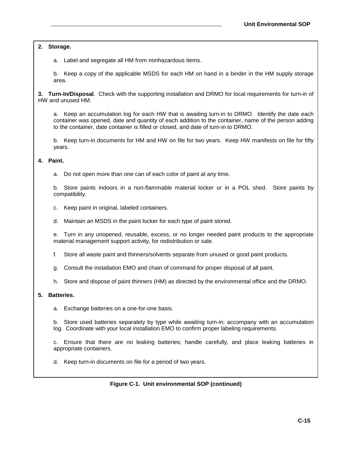**2. Storage.**

a. Label and segregate all HM from nonhazardous items.

b. Keep a copy of the applicable MSDS for each HM on hand in a binder in the HM supply storage area.

**3. Turn-In/Disposal**. Check with the supporting installation and DRMO for local requirements for turn-in of HW and unused HM.

a. Keep an accumulation log for each HW that is awaiting turn-in to DRMO. Identify the date each container was opened, date and quantity of each addition to the container, name of the person adding to the container, date container is filled or closed, and date of turn-in to DRMO.

b. Keep turn-in documents for HM and HW on file for two years. Keep HW manifests on file for fifty years.

#### **4. Paint.**

a. Do not open more than one can of each color of paint at any time.

b. Store paints indoors in a non-flammable material locker or in a POL shed. Store paints by compatibility.

- c. Keep paint in original, labeled containers.
- d. Maintain an MSDS in the paint locker for each type of paint stored.

e. Turn in any unopened, reusable, excess, or no longer needed paint products to the appropriate material management support activity, for redistribution or sale.

- f. Store all waste paint and thinners/solvents separate from unused or good paint products.
- g. Consult the installation EMO and chain of command for proper disposal of all paint.
- h. Store and dispose of paint thinners (HM) as directed by the environmental office and the DRMO.

#### **5. Batteries.**

a. Exchange batteries on a one-for-one basis.

b. Store used batteries separately by type while awaiting turn-in; accompany with an accumulation log. Coordinate with your local installation EMO to confirm proper labeling requirements.

c. Ensure that there are no leaking batteries; handle carefully, and place leaking batteries in appropriate containers.

d. Keep turn-in documents on file for a period of two years.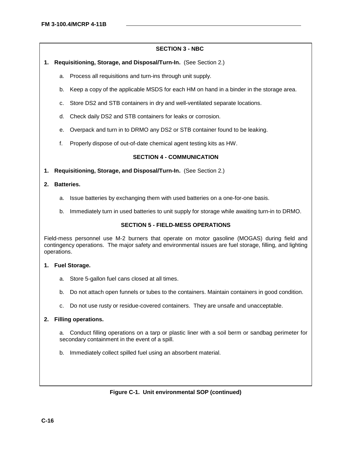# **SECTION 3 - NBC**

- **1. Requisitioning, Storage, and Disposal/Turn-In.** (See Section 2.)
	- a. Process all requisitions and turn-ins through unit supply.
	- b. Keep a copy of the applicable MSDS for each HM on hand in a binder in the storage area.
	- c. Store DS2 and STB containers in dry and well-ventilated separate locations.
	- d. Check daily DS2 and STB containers for leaks or corrosion.
	- e. Overpack and turn in to DRMO any DS2 or STB container found to be leaking.
	- f. Properly dispose of out-of-date chemical agent testing kits as HW.

# **SECTION 4 - COMMUNICATION**

**1. Requisitioning, Storage, and Disposal/Turn-In.** (See Section 2.)

# **2. Batteries.**

- a. Issue batteries by exchanging them with used batteries on a one-for-one basis.
- b. Immediately turn in used batteries to unit supply for storage while awaiting turn-in to DRMO.

## **SECTION 5 - FIELD-MESS OPERATIONS**

Field-mess personnel use M-2 burners that operate on motor gasoline (MOGAS) during field and contingency operations. The major safety and environmental issues are fuel storage, filling, and lighting operations.

#### **1. Fuel Storage.**

- a. Store 5-gallon fuel cans closed at all times.
- b. Do not attach open funnels or tubes to the containers. Maintain containers in good condition.
- c. Do not use rusty or residue-covered containers. They are unsafe and unacceptable.

# **2. Filling operations.**

a. Conduct filling operations on a tarp or plastic liner with a soil berm or sandbag perimeter for secondary containment in the event of a spill.

b. Immediately collect spilled fuel using an absorbent material.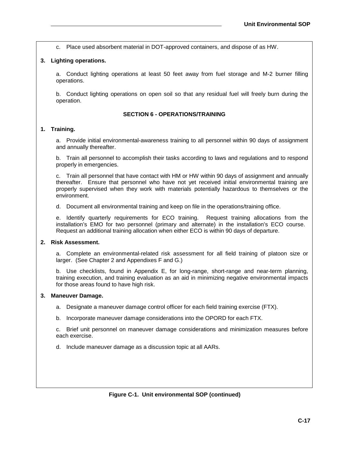c. Place used absorbent material in DOT-approved containers, and dispose of as HW.

# **3. Lighting operations.**

a. Conduct lighting operations at least 50 feet away from fuel storage and M-2 burner filling operations.

b. Conduct lighting operations on open soil so that any residual fuel will freely burn during the operation.

### **SECTION 6 - OPERATIONS/TRAINING**

# **1. Training.**

a. Provide initial environmental-awareness training to all personnel within 90 days of assignment and annually thereafter.

b. Train all personnel to accomplish their tasks according to laws and regulations and to respond properly in emergencies.

c. Train all personnel that have contact with HM or HW within 90 days of assignment and annually thereafter. Ensure that personnel who have not yet received initial environmental training are properly supervised when they work with materials potentially hazardous to themselves or the environment.

d. Document all environmental training and keep on file in the operations/training office.

e. Identify quarterly requirements for ECO training. Request training allocations from the installation's EMO for two personnel (primary and alternate) in the installation's ECO course. Request an additional training allocation when either ECO is within 90 days of departure.

# **2. Risk Assessment.**

a. Complete an environmental-related risk assessment for all field training of platoon size or larger. (See Chapter 2 and Appendixes F and G.)

b. Use checklists, found in Appendix E, for long-range, short-range and near-term planning, training execution, and training evaluation as an aid in minimizing negative environmental impacts for those areas found to have high risk.

#### **3. Maneuver Damage.**

a. Designate a maneuver damage control officer for each field training exercise (FTX).

b. Incorporate maneuver damage considerations into the OPORD for each FTX.

c. Brief unit personnel on maneuver damage considerations and minimization measures before each exercise.

d. Include maneuver damage as a discussion topic at all AARs.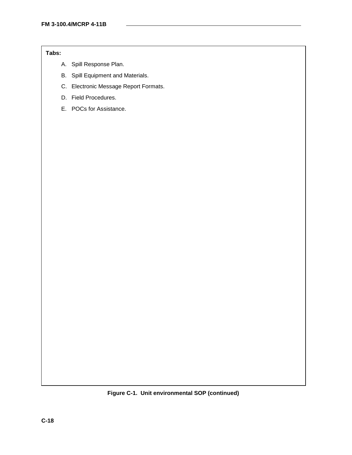# **Tabs:**

- A. Spill Response Plan.
- B. Spill Equipment and Materials.
- C. Electronic Message Report Formats.
- D. Field Procedures.
- E. POCs for Assistance.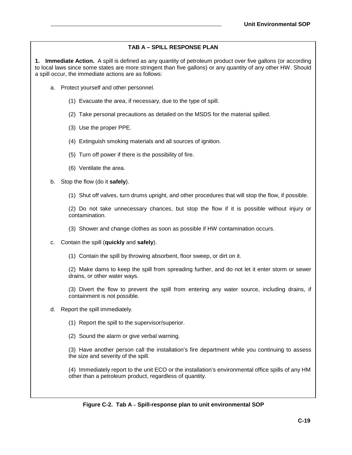# **TAB A – SPILL RESPONSE PLAN**

**1. Immediate Action.** A spill is defined as any quantity of petroleum product over five gallons (or according to local laws since some states are more stringent than five gallons) or any quantity of any other HW. Should a spill occur, the immediate actions are as follows:

- a. Protect yourself and other personnel.
	- (1) Evacuate the area, if necessary, due to the type of spill.
	- (2) Take personal precautions as detailed on the MSDS for the material spilled.
	- (3) Use the proper PPE.
	- (4) Extinguish smoking materials and all sources of ignition.
	- (5) Turn off power if there is the possibility of fire.
	- (6) Ventilate the area.
- b. Stop the flow (do it **safely**).
	- (1) Shut off valves, turn drums upright, and other procedures that will stop the flow, if possible.

(2) Do not take unnecessary chances, but stop the flow if it is possible without injury or contamination.

- (3) Shower and change clothes as soon as possible if HW contamination occurs.
- c. Contain the spill (**quickly** and **safely**).
	- (1) Contain the spill by throwing absorbent, floor sweep, or dirt on it.

(2) Make dams to keep the spill from spreading further, and do not let it enter storm or sewer drains, or other water ways.

(3) Divert the flow to prevent the spill from entering any water source, including drains, if containment is not possible.

- d. Report the spill immediately.
	- (1) Report the spill to the supervisor/superior.
	- (2) Sound the alarm or give verbal warning.

(3) Have another person call the installation's fire department while you continuing to assess the size and severity of the spill.

(4) Immediately report to the unit ECO or the installation's environmental office spills of any HM other than a petroleum product, regardless of quantity.

#### **Figure C-2. Tab A – Spill-response plan to unit environmental SOP**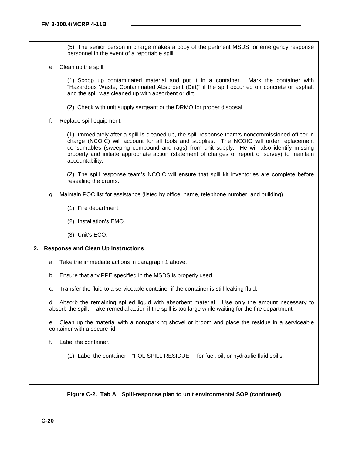(5) The senior person in charge makes a copy of the pertinent MSDS for emergency response personnel in the event of a reportable spill.

e. Clean up the spill.

(1) Scoop up contaminated material and put it in a container. Mark the container with "Hazardous Waste, Contaminated Absorbent (Dirt)" if the spill occurred on concrete or asphalt and the spill was cleaned up with absorbent or dirt.

- (2) Check with unit supply sergeant or the DRMO for proper disposal.
- f. Replace spill equipment.

(1) Immediately after a spill is cleaned up, the spill response team's noncommissioned officer in charge (NCOIC) will account for all tools and supplies. The NCOIC will order replacement consumables (sweeping compound and rags) from unit supply. He will also identify missing property and initiate appropriate action (statement of charges or report of survey) to maintain accountability.

(2) The spill response team's NCOIC will ensure that spill kit inventories are complete before resealing the drums.

- g. Maintain POC list for assistance (listed by office, name, telephone number, and building).
	- (1) Fire department.
	- (2) Installation's EMO.
	- (3) Unit's ECO.

#### **2. Response and Clean Up Instructions**.

- a. Take the immediate actions in paragraph 1 above.
- b. Ensure that any PPE specified in the MSDS is properly used.
- c. Transfer the fluid to a serviceable container if the container is still leaking fluid.

d. Absorb the remaining spilled liquid with absorbent material. Use only the amount necessary to absorb the spill. Take remedial action if the spill is too large while waiting for the fire department.

e. Clean up the material with a nonsparking shovel or broom and place the residue in a serviceable container with a secure lid.

- f. Label the container.
	- (1) Label the container—"POL SPILL RESIDUE"—for fuel, oil, or hydraulic fluid spills.

#### **Figure C-2. Tab A – Spill-response plan to unit environmental SOP (continued)**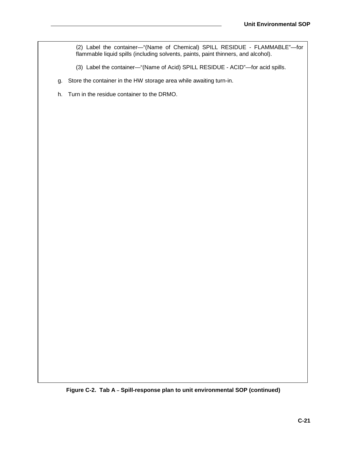(2) Label the container—"(Name of Chemical) SPILL RESIDUE - FLAMMABLE"—for flammable liquid spills (including solvents, paints, paint thinners, and alcohol).

(3) Label the container—"(Name of Acid) SPILL RESIDUE - ACID"—for acid spills.

- g. Store the container in the HW storage area while awaiting turn-in.
- h. Turn in the residue container to the DRMO.

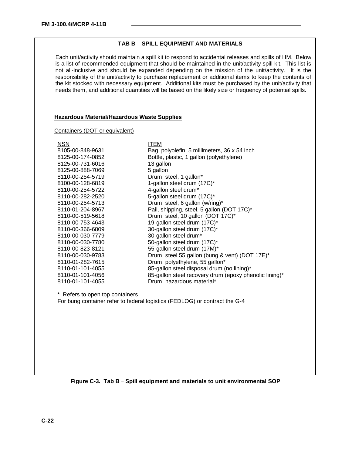# **TAB B – SPILL EQUIPMENT AND MATERIALS**

Each unit/activity should maintain a spill kit to respond to accidental releases and spills of HM. Below is a list of recommended equipment that should be maintained in the unit/activity spill kit. This list is not all-inclusive and should be expanded depending on the mission of the unit/activity. It is the responsibility of the unit/activity to purchase replacement or additional items to keep the contents of the kit stocked with necessary equipment. Additional kits must be purchased by the unit/activity that needs them, and additional quantities will be based on the likely size or frequency of potential spills.

#### **Hazardous Material/Hazardous Waste Supplies**

#### Containers (DOT or equivalent)

| <b>NSN</b>                      | <b>ITEM</b>                                                                |
|---------------------------------|----------------------------------------------------------------------------|
| 8105-00-848-9631                | Bag, polyolefin, 5 millimeters, 36 x 54 inch                               |
| 8125-00-174-0852                | Bottle, plastic, 1 gallon (polyethylene)                                   |
| 8125-00-731-6016                | 13 gallon                                                                  |
| 8125-00-888-7069                | 5 gallon                                                                   |
| 8110-00-254-5719                | Drum, steel, 1 gallon*                                                     |
| 8100-00-128-6819                | 1-gallon steel drum (17C)*                                                 |
| 8110-00-254-5722                | 4-gallon steel drum*                                                       |
| 8110-00-282-2520                | 5-gallon steel drum (17C)*                                                 |
| 8110-00-254-5713                | Drum, steel, 6 gallon (w/ring)*                                            |
| 8110-01-204-8967                | Pail, shipping, steel, 5 gallon (DOT 17C)*                                 |
| 8110-00-519-5618                | Drum, steel, 10 gallon (DOT 17C)*                                          |
| 8110-00-753-4643                | 19-gallon steel drum (17C)*                                                |
| 8110-00-366-6809                | 30-gallon steel drum (17C)*                                                |
| 8110-00-030-7779                | 30-gallon steel drum*                                                      |
| 8110-00-030-7780                | 50-gallon steel drum (17C)*                                                |
| 8110-00-823-8121                | 55-gallon steel drum (17M)*                                                |
| 8110-00-030-9783                | Drum, steel 55 gallon (bung & vent) (DOT 17E)*                             |
| 8110-01-282-7615                | Drum, polyethylene, 55 gallon*                                             |
| 8110-01-101-4055                | 85-gallon steel disposal drum (no lining)*                                 |
| 8110-01-101-4056                | 85-gallon steel recovery drum (epoxy phenolic lining)*                     |
| 8110-01-101-4055                | Drum, hazardous material*                                                  |
|                                 |                                                                            |
| * Refers to open top containers |                                                                            |
|                                 | For bung container refer to federal logistics (FEDLOG) or contract the G-4 |
|                                 |                                                                            |
|                                 |                                                                            |
|                                 |                                                                            |
|                                 |                                                                            |
|                                 |                                                                            |
|                                 |                                                                            |
|                                 |                                                                            |
|                                 |                                                                            |
|                                 |                                                                            |

**Figure C-3. Tab B – Spill equipment and materials to unit environmental SOP**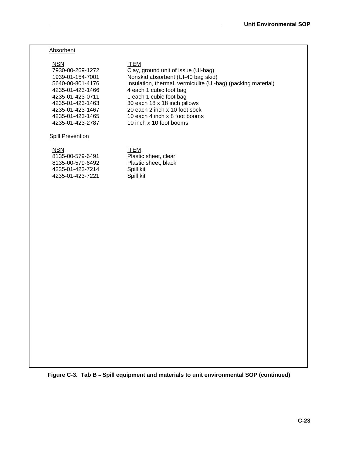#### **Absorbent**

#### NSN ITEM

7930-00-269-1272 Clay, ground unit of issue (UI-bag) 1939-01-154-7001 Nonskid absorbent (UI-40 bag skid) 5640-00-801-4176 Insulation, thermal, vermiculite (UI-bag) (packing material) 4235-01-423-1466 4 each 1 cubic foot bag 4235-01-423-0711 1 each 1 cubic foot bag 4235-01-423-1463 30 each 18 x 18 inch pillows 4235-01-423-1467 20 each 2 inch x 10 foot sock 4235-01-423-1465 10 each 4 inch x 8 foot booms 4235-01-423-2787 10 inch x 10 foot booms

#### **Spill Prevention**

# NSN ITEM

| 8135-00-579-6491 | Plastic sheet, clear |
|------------------|----------------------|
| 8135-00-579-6492 | Plastic sheet, black |
| 4235-01-423-7214 | Spill kit            |
| 4235-01-423-7221 | Spill kit            |

**Figure C-3. Tab B – Spill equipment and materials to unit environmental SOP (continued)**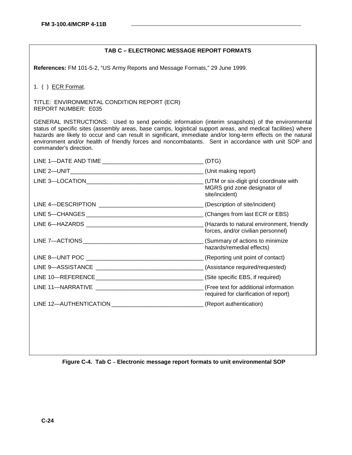# **TAB C – ELECTRONIC MESSAGE REPORT FORMATS**

**References:** FM 101-5-2, "US Army Reports and Message Formats," 29 June 1999.

1. ( ) ECR Format.

TITLE: ENVIRONMENTAL CONDITION REPORT (ECR) REPORT NUMBER: E035

GENERAL INSTRUCTIONS: Used to send periodic information (interim snapshots) of the environmental status of specific sites (assembly areas, base camps, logistical support areas, and medical facilities) where hazards are likely to occur and can result in significant, immediate and/or long-term effects on the natural environment and/or health of friendly forces and noncombatants. Sent in accordance with unit SOP and commander's direction.

| (DTG)                                                                          |
|--------------------------------------------------------------------------------|
| (Unit making report)                                                           |
| MGRS grid zone designator of<br>site/incident)                                 |
| (Description of site/incident)                                                 |
|                                                                                |
| forces, and/or civilian personnel)                                             |
| (Summary of actions to minimize<br>hazards/remedial effects)                   |
|                                                                                |
|                                                                                |
|                                                                                |
| (Free text for additional information<br>required for clarification of report) |
|                                                                                |
|                                                                                |

**Figure C-4. Tab C – Electronic message report formats to unit environmental SOP**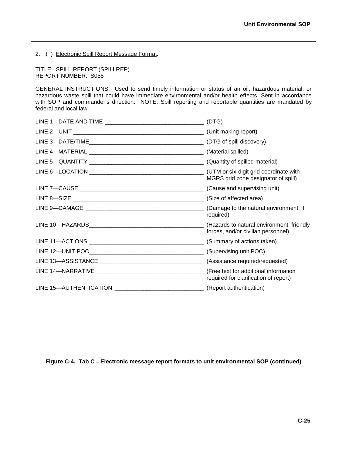| 2. () Electronic Spill Report Message Format.                                                                                                                                                                                                                                                                                                 |                                       |  |  |
|-----------------------------------------------------------------------------------------------------------------------------------------------------------------------------------------------------------------------------------------------------------------------------------------------------------------------------------------------|---------------------------------------|--|--|
| TITLE: SPILL REPORT (SPILLREP)<br><b>REPORT NUMBER: S055</b>                                                                                                                                                                                                                                                                                  |                                       |  |  |
| GENERAL INSTRUCTIONS: Used to send timely information or status of an oil, hazardous material, or<br>hazardous waste spill that could have immediate environmental and/or health effects. Sent in accordance<br>with SOP and commander's direction. NOTE: Spill reporting and reportable quantities are mandated by<br>federal and local law. |                                       |  |  |
|                                                                                                                                                                                                                                                                                                                                               |                                       |  |  |
|                                                                                                                                                                                                                                                                                                                                               |                                       |  |  |
|                                                                                                                                                                                                                                                                                                                                               |                                       |  |  |
|                                                                                                                                                                                                                                                                                                                                               |                                       |  |  |
|                                                                                                                                                                                                                                                                                                                                               |                                       |  |  |
|                                                                                                                                                                                                                                                                                                                                               | MGRS grid zone designator of spill)   |  |  |
|                                                                                                                                                                                                                                                                                                                                               |                                       |  |  |
|                                                                                                                                                                                                                                                                                                                                               |                                       |  |  |
|                                                                                                                                                                                                                                                                                                                                               | required)                             |  |  |
|                                                                                                                                                                                                                                                                                                                                               | forces, and/or civilian personnel)    |  |  |
|                                                                                                                                                                                                                                                                                                                                               |                                       |  |  |
|                                                                                                                                                                                                                                                                                                                                               |                                       |  |  |
|                                                                                                                                                                                                                                                                                                                                               |                                       |  |  |
|                                                                                                                                                                                                                                                                                                                                               | required for clarification of report) |  |  |
|                                                                                                                                                                                                                                                                                                                                               |                                       |  |  |
|                                                                                                                                                                                                                                                                                                                                               |                                       |  |  |

**Figure C-4. Tab C – Electronic message report formats to unit environmental SOP (continued)**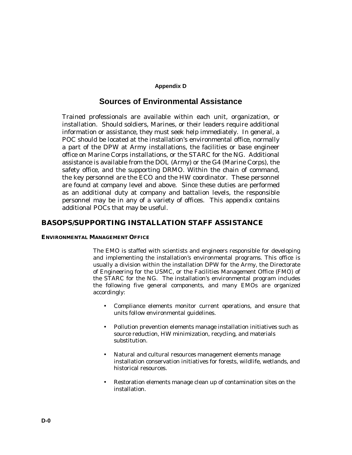#### **Appendix D**

# **Sources of Environmental Assistance**

Trained professionals are available within each unit, organization, or installation. Should soldiers, Marines, or their leaders require additional information or assistance, they must seek help immediately. In general, a POC should be located at the installation's environmental office, normally a part of the DPW at Army installations, the facilities or base engineer office on Marine Corps installations, or the STARC for the NG. Additional assistance is available from the DOL (Army) or the G4 (Marine Corps), the safety office, and the supporting DRMO. Within the chain of command, the key personnel are the ECO and the HW coordinator. These personnel are found at company level and above. Since these duties are performed as an additional duty at company and battalion levels, the responsible personnel may be in any of a variety of offices. This appendix contains additional POCs that may be useful.

# **BASOPS/SUPPORTING INSTALLATION STAFF ASSISTANCE**

# **ENVIRONMENTAL MANAGEMENT OFFICE**

The EMO is staffed with scientists and engineers responsible for developing and implementing the installation's environmental programs. This office is usually a division within the installation DPW for the Army, the Directorate of Engineering for the USMC, or the Facilities Management Office (FMO) of the STARC for the NG. The installation's environmental program includes the following five general components, and many EMOs are organized accordingly:

- Compliance elements monitor current operations, and ensure that units follow environmental guidelines.
- Pollution prevention elements manage installation initiatives such as source reduction, HW minimization, recycling, and materials substitution.
- Natural and cultural resources management elements manage installation conservation initiatives for forests, wildlife, wetlands, and historical resources.
- Restoration elements manage clean up of contamination sites on the installation.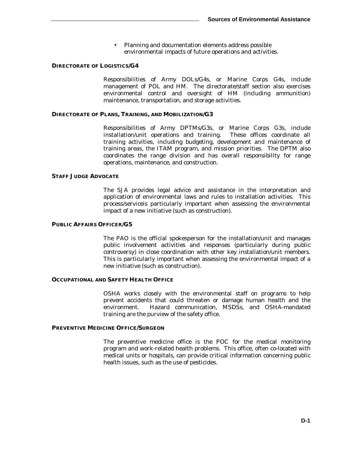• Planning and documentation elements address possible environmental impacts of future operations and activities.

#### **DIRECTORATE OF LOGISTICS/G4**

Responsibilities of Army DOLs/G4s, or Marine Corps G4s, include management of POL and HM. The directorate/staff section also exercises environmental control and oversight of HM (including ammunition) maintenance, transportation, and storage activities.

#### **DIRECTORATE OF PLANS, TRAINING, AND MOBILIZATION/G3**

Responsibilities of Army DPTMs/G3s, or Marine Corps G3s, include installation/unit operations and training. These offices coordinate all training activities, including budgeting, development and maintenance of training areas, the ITAM program, and mission priorities. The DPTM also coordinates the range division and has overall responsibility for range operations, maintenance, and construction.

#### **STAFF JUDGE ADVOCATE**

The SJA provides legal advice and assistance in the interpretation and application of environmental laws and rules to installation activities. This process/serviceis particularly important when assessing the environmental impact of a new initiative (such as construction).

#### **PUBLIC AFFAIRS OFFICER/G5**

The PAO is the official spokesperson for the installation/unit and manages public involvement activities and responses (particularly during public controversy) in close coordination with other key installation/unit members. This is particularly important when assessing the environmental impact of a new initiative (such as construction).

#### **OCCUPATIONAL AND SAFETY HEALTH OFFICE**

OSHA works closely with the environmental staff on programs to help prevent accidents that could threaten or damage human health and the environment. Hazard communication, MSDSs, and OSHA-mandated training are the purview of the safety office.

#### **PREVENTIVE MEDICINE OFFICE/SURGEON**

The preventive medicine office is the POC for the medical monitoring program and work-related health problems. This office, often co-located with medical units or hospitals, can provide critical information concerning public health issues, such as the use of pesticides.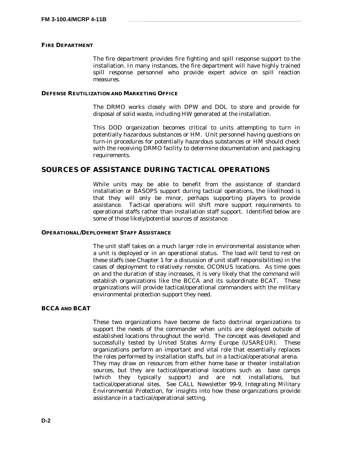#### **FIRE DEPARTMENT**

The fire department provides fire fighting and spill response support to the installation. In many instances, the fire department will have highly trained spill response personnel who provide expert advice on spill reaction measures.

#### **DEFENSE REUTILIZATION AND MARKETING OFFICE**

The DRMO works closely with DPW and DOL to store and provide for disposal of solid waste, including HW generated at the installation.

This DOD organization becomes critical to units attempting to turn in potentially hazardous substances or HM. Unit personnel having questions on turn-in procedures for potentially hazardous substances or HM should check with the receiving DRMO facility to determine documentation and packaging requirements.

# **SOURCES OF ASSISTANCE DURING TACTICAL OPERATIONS**

While units may be able to benefit from the assistance of standard installation or BASOPS support during tactical operations, the likelihood is that they will only be minor, perhaps supporting players to provide assistance. Tactical operations will shift more support requirements to operational staffs rather than installation staff support. Identified below are some of those likely/potential sources of assistance.

#### **OPERATIONAL/DEPLOYMENT STAFF ASSISTANCE**

The unit staff takes on a much larger role in environmental assistance when a unit is deployed or in an operational status. The load will tend to rest on these staffs (see Chapter 1 for a discussion of unit staff responsibilities) in the cases of deployment to relatively remote, OCONUS locations. As time goes on and the duration of stay increases, it is very likely that the command will establish organizations like the BCCA and its subordinate BCAT. These organizations will provide tactical/operational commanders with the military environmental protection support they need.

#### **BCCA AND BCAT**

These two organizations have become de facto doctrinal organizations to support the needs of the commander when units are deployed outside of established locations throughout the world. The concept was developed and successfully tested by United States Army Europe (USAREUR). These organizations perform an important and vital role that essentially replaces the roles performed by installation staffs, but in a tactical/operational arena. They may draw on resources from either home base or theater installation sources, but they are tactical/operational locations such as base camps (which they typically support) and are not installations, but tactical/operational sites. See CALL Newsletter 99-9, *Integrating Military Environmental Protection*, for insights into how these organizations provide assistance in a tactical/operational setting.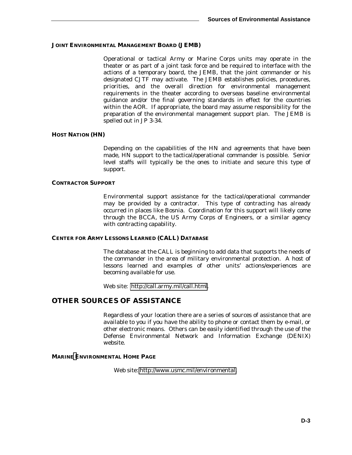#### **JOINT ENVIRONMENTAL MANAGEMENT BOARD (JEMB)**

Operational or tactical Army or Marine Corps units may operate in the theater or as part of a joint task force and be required to interface with the actions of a temporary board, the JEMB, that the joint commander or his designated CJTF may activate. The JEMB establishes policies, procedures, priorities, and the overall direction for environmental management requirements in the theater according to overseas baseline environmental guidance and/or the final governing standards in effect for the countries within the AOR. If appropriate, the board may assume responsibility for the preparation of the environmental management support plan. The JEMB is spelled out in JP 3-34.

#### **HOST NATION (HN)**

Depending on the capabilities of the HN and agreements that have been made, HN support to the tactical/operational commander is possible. Senior level staffs will typically be the ones to initiate and secure this type of support.

#### **CONTRACTOR SUPPORT**

Environmental support assistance for the tactical/operational commander may be provided by a contractor. This type of contracting has already occurred in places like Bosnia. Coordination for this support will likely come through the BCCA, the US Army Corps of Engineers, or a similar agency with contracting capability.

#### **CENTER FOR ARMY LESSONS LEARNED (CALL) DATABASE**

The database at the CALL is beginning to add data that supports the needs of the commander in the area of military environmental protection. A host of lessons learned and examples of other units' actions/experiences are becoming available for use.

Web site: [http://call.army.mil/call.html.](http://call.army.mil/call.html)

## **OTHER SOURCES OF ASSISTANCE**

Regardless of your location there are a series of sources of assistance that are available to you if you have the ability to phone or contact them by e-mail, or other electronic means. Others can be easily identified through the use of the Defense Environmental Network and Information Exchange (DENIX) website.

#### **MARIN[E E](http://_________________________/)NVIRONMENTAL HOME PAGE**

Web site: [http://www.usmc.mil/environmental.](http://www.usmc.mil/environmental)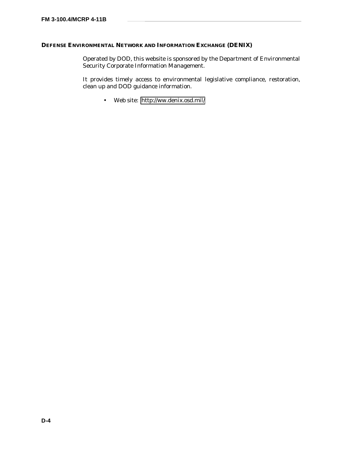## **DEFENSE ENVIRONMENTAL NETWORK AND INFORMATION EXCHANGE (DENIX)**

Operated by DOD, this website is sponsored by the Department of Environmental Security Corporate Information Management.

It provides timely access to environmental legislative compliance, restoration, clean up and DOD guidance information.

• Web site: [http://ww.denix.osd.mil/](http://www.denix.osd.mil/)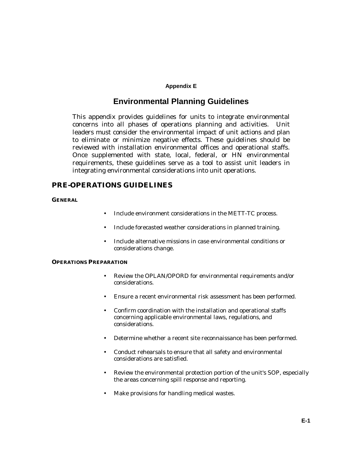### **Appendix E**

# **Environmental Planning Guidelines**

This appendix provides guidelines for units to integrate environmental concerns into all phases of operations planning and activities. Unit leaders must consider the environmental impact of unit actions and plan to eliminate or minimize negative effects. These guidelines should be reviewed with installation environmental offices and operational staffs. Once supplemented with state, local, federal, or HN environmental requirements, these guidelines serve as a tool to assist unit leaders in integrating environmental considerations into unit operations.

## **PRE-OPERATIONS GUIDELINES**

#### **GENERAL**

- Include environment considerations in the METT-TC process.
- Include forecasted weather considerations in planned training.
- Include alternative missions in case environmental conditions or considerations change.

#### **OPERATIONS PREPARATION**

- Review the OPLAN/OPORD for environmental requirements and/or considerations.
- Ensure a recent environmental risk assessment has been performed.
- Confirm coordination with the installation and operational staffs concerning applicable environmental laws, regulations, and considerations.
- Determine whether a recent site reconnaissance has been performed.
- Conduct rehearsals to ensure that all safety and environmental considerations are satisfied.
- Review the environmental protection portion of the unit's SOP, especially the areas concerning spill response and reporting.
- Make provisions for handling medical wastes.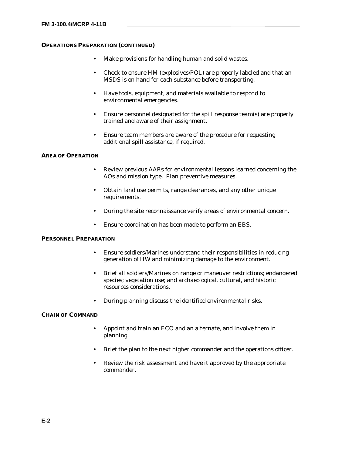#### **OPERATIONS PREPARATION (CONTINUED)**

- Make provisions for handling human and solid wastes.
- Check to ensure HM (explosives/POL) are properly labeled and that an MSDS is on hand for each substance before transporting.
- Have tools, equipment, and materials available to respond to environmental emergencies.
- Ensure personnel designated for the spill response team(s) are properly trained and aware of their assignment.
- Ensure team members are aware of the procedure for requesting additional spill assistance, if required.

#### **AREA OF OPERATION**

- Review previous AARs for environmental lessons learned concerning the AOs and mission type. Plan preventive measures.
- Obtain land use permits, range clearances, and any other unique requirements.
- During the site reconnaissance verify areas of environmental concern.
- Ensure coordination has been made to perform an EBS.

#### **PERSONNEL PREPARATION**

- Ensure soldiers/Marines understand their responsibilities in reducing generation of HW and minimizing damage to the environment.
- Brief all soldiers/Marines on range or maneuver restrictions; endangered species; vegetation use; and archaeological, cultural, and historic resources considerations.
- During planning discuss the identified environmental risks.

#### **CHAIN OF COMMAND**

- Appoint and train an ECO and an alternate, and involve them in planning.
- Brief the plan to the next higher commander and the operations officer.
- Review the risk assessment and have it approved by the appropriate commander.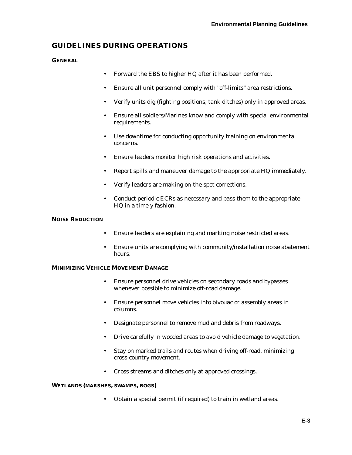## **GUIDELINES DURING OPERATIONS**

**GENERAL**

- Forward the EBS to higher HQ after it has been performed.
- Ensure all unit personnel comply with "off-limits" area restrictions.
- Verify units dig (fighting positions, tank ditches) only in approved areas.
- Ensure all soldiers/Marines know and comply with special environmental requirements.
- Use downtime for conducting opportunity training on environmental concerns.
- Ensure leaders monitor high risk operations and activities.
- Report spills and maneuver damage to the appropriate HQ immediately.
- Verify leaders are making on-the-spot corrections.
- Conduct periodic ECRs as necessary and pass them to the appropriate HQ in a timely fashion.

#### **NOISE REDUCTION**

- Ensure leaders are explaining and marking noise restricted areas.
- Ensure units are complying with community/installation noise abatement hours.

#### **MINIMIZING VEHICLE MOVEMENT DAMAGE**

- Ensure personnel drive vehicles on secondary roads and bypasses whenever possible to minimize off-road damage.
- Ensure personnel move vehicles into bivouac or assembly areas in columns.
- Designate personnel to remove mud and debris from roadways.
- Drive carefully in wooded areas to avoid vehicle damage to vegetation.
- Stay on marked trails and routes when driving off-road, minimizing cross-country movement.
- Cross streams and ditches only at approved crossings.

#### **WETLANDS (MARSHES, SWAMPS, BOGS)**

• Obtain a special permit (if required) to train in wetland areas.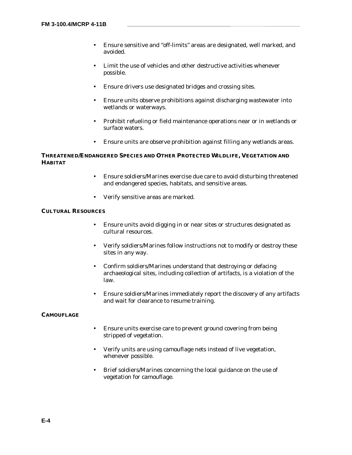- Ensure sensitive and "off-limits" areas are designated, well marked, and avoided.
- Limit the use of vehicles and other destructive activities whenever possible.
- Ensure drivers use designated bridges and crossing sites.
- Ensure units observe prohibitions against discharging wastewater into wetlands or waterways.
- Prohibit refueling or field maintenance operations near or in wetlands or surface waters.
- Ensure units are observe prohibition against filling any wetlands areas.

## **THREATENED/ENDANGERED SPECIES AND OTHER PROTECTED WILDLIFE, VEGETATION AND HABITAT**

- Ensure soldiers/Marines exercise due care to avoid disturbing threatened and endangered species, habitats, and sensitive areas.
- Verify sensitive areas are marked.

#### **CULTURAL RESOURCES**

- Ensure units avoid digging in or near sites or structures designated as cultural resources.
- Verify soldiers/Marines follow instructions not to modify or destroy these sites in any way.
- Confirm soldiers/Marines understand that destroying or defacing archaeological sites, including collection of artifacts, is a violation of the law.
- Ensure soldiers/Marines immediately report the discovery of any artifacts and wait for clearance to resume training.

#### **CAMOUFLAGE**

- Ensure units exercise care to prevent ground covering from being stripped of vegetation.
- Verify units are using camouflage nets instead of live vegetation, whenever possible.
- Brief soldiers/Marines concerning the local guidance on the use of vegetation for camouflage.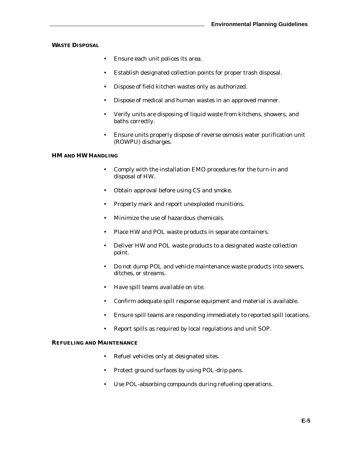### **WASTE DISPOSAL**

- Ensure each unit polices its area.
- Establish designated collection points for proper trash disposal.
- Dispose of field kitchen wastes only as authorized.
- Dispose of medical and human wastes in an approved manner.
- Verify units are disposing of liquid waste from kitchens, showers, and baths correctly.
- Ensure units properly dispose of reverse osmosis water purification unit (ROWPU) discharges.

### **HM AND HW HANDLING**

- Comply with the installation EMO procedures for the turn-in and disposal of HW.
- Obtain approval before using CS and smoke.
- Properly mark and report unexploded munitions.
- Minimize the use of hazardous chemicals.
- Place HW and POL waste products in separate containers.
- Deliver HW and POL waste products to a designated waste collection point.
- Do not dump POL and vehicle maintenance waste products into sewers, ditches, or streams.
- Have spill teams available on site.
- Confirm adequate spill response equipment and material is available.
- Ensure spill teams are responding immediately to reported spill locations.
- Report spills as required by local regulations and unit SOP.

#### **REFUELING AND MAINTENANCE**

- Refuel vehicles only at designated sites.
- Protect ground surfaces by using POL-drip pans.
- Use POL-absorbing compounds during refueling operations.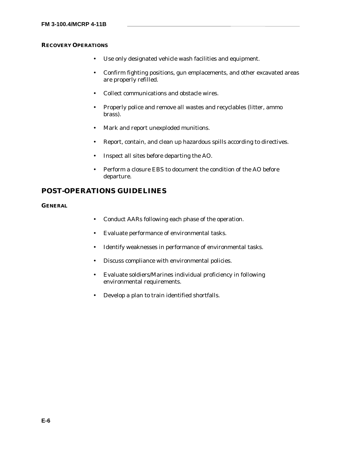## **RECOVERY OPERATIONS**

- Use only designated vehicle wash facilities and equipment.
- Confirm fighting positions, gun emplacements, and other excavated areas are properly refilled.
- Collect communications and obstacle wires.
- Properly police and remove all wastes and recyclables (litter, ammo brass).
- Mark and report unexploded munitions.
- Report, contain, and clean up hazardous spills according to directives.
- Inspect all sites before departing the AO.
- Perform a closure EBS to document the condition of the AO before departure.

## **POST-OPERATIONS GUIDELINES**

**GENERAL**

- Conduct AARs following each phase of the operation.
- Evaluate performance of environmental tasks.
- Identify weaknesses in performance of environmental tasks.
- Discuss compliance with environmental policies.
- Evaluate soldiers/Marines individual proficiency in following environmental requirements.
- Develop a plan to train identified shortfalls.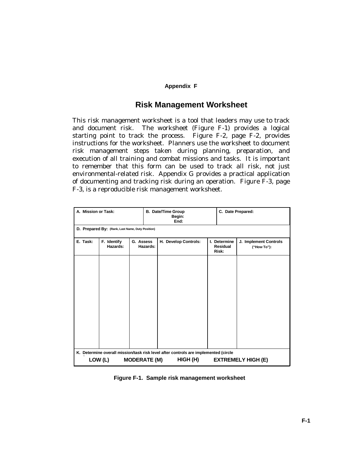### **Appendix F**

## **Risk Management Worksheet**

This risk management worksheet is a tool that leaders may use to track and document risk. The worksheet (Figure F-1) provides a logical starting point to track the process. Figure F-2, page F-2, provides instructions for the worksheet. Planners use the worksheet to document risk management steps taken during planning, preparation, and execution of all training and combat missions and tasks. It is important to remember that this form can be used to track all risk, not just environmental-related risk. Appendix G provides a practical application of documenting and tracking risk during an operation. Figure F-3, page F-3, is a reproducible risk management worksheet.

| A. Mission or Task: |                                                                                                                                                                |                       | <b>B.</b> Date/Time Group<br>Begin:<br>End: |  | C. Date Prepared:                        |                                      |  |  |  |
|---------------------|----------------------------------------------------------------------------------------------------------------------------------------------------------------|-----------------------|---------------------------------------------|--|------------------------------------------|--------------------------------------|--|--|--|
|                     | D. Prepared By: (Rank, Last Name, Duty Position)                                                                                                               |                       |                                             |  |                                          |                                      |  |  |  |
| E. Task:            | F. Identify<br>Hazards:                                                                                                                                        | G. Assess<br>Hazards: | H. Develop Controls:                        |  | I. Determine<br><b>Residual</b><br>Risk: | J. Implement Controls<br>("How To"): |  |  |  |
|                     |                                                                                                                                                                |                       |                                             |  |                                          |                                      |  |  |  |
|                     | K. Determine overall mission/task risk level after controls are implemented (circle<br>LOW (L)<br><b>MODERATE (M)</b><br><b>EXTREMELY HIGH (E)</b><br>HIGH (H) |                       |                                             |  |                                          |                                      |  |  |  |

**Figure F-1. Sample risk management worksheet**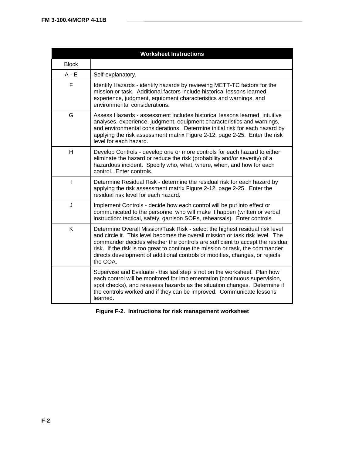|              | <b>Worksheet Instructions</b>                                                                                                                                                                                                                                                                                                                                                                                             |
|--------------|---------------------------------------------------------------------------------------------------------------------------------------------------------------------------------------------------------------------------------------------------------------------------------------------------------------------------------------------------------------------------------------------------------------------------|
| <b>Block</b> |                                                                                                                                                                                                                                                                                                                                                                                                                           |
| $A - E$      | Self-explanatory.                                                                                                                                                                                                                                                                                                                                                                                                         |
| F            | Identify Hazards - identify hazards by reviewing METT-TC factors for the<br>mission or task. Additional factors include historical lessons learned,<br>experience, judgment, equipment characteristics and warnings, and<br>environmental considerations.                                                                                                                                                                 |
| G            | Assess Hazards - assessment includes historical lessons learned, intuitive<br>analyses, experience, judgment, equipment characteristics and warnings,<br>and environmental considerations. Determine initial risk for each hazard by<br>applying the risk assessment matrix Figure 2-12, page 2-25. Enter the risk<br>level for each hazard.                                                                              |
| H            | Develop Controls - develop one or more controls for each hazard to either<br>eliminate the hazard or reduce the risk (probability and/or severity) of a<br>hazardous incident. Specify who, what, where, when, and how for each<br>control. Enter controls.                                                                                                                                                               |
| I            | Determine Residual Risk - determine the residual risk for each hazard by<br>applying the risk assessment matrix Figure 2-12, page 2-25. Enter the<br>residual risk level for each hazard.                                                                                                                                                                                                                                 |
| J            | Implement Controls - decide how each control will be put into effect or<br>communicated to the personnel who will make it happen (written or verbal<br>instruction: tactical, safety, garrison SOPs, rehearsals). Enter controls.                                                                                                                                                                                         |
| Κ            | Determine Overall Mission/Task Risk - select the highest residual risk level<br>and circle it. This level becomes the overall mission or task risk level. The<br>commander decides whether the controls are sufficient to accept the residual<br>risk. If the risk is too great to continue the mission or task, the commander<br>directs development of additional controls or modifies, changes, or rejects<br>the COA. |
|              | Supervise and Evaluate - this last step is not on the worksheet. Plan how<br>each control will be monitored for implementation (continuous supervision,<br>spot checks), and reassess hazards as the situation changes. Determine if<br>the controls worked and if they can be improved. Communicate lessons<br>learned.                                                                                                  |

**Figure F-2. Instructions for risk management worksheet**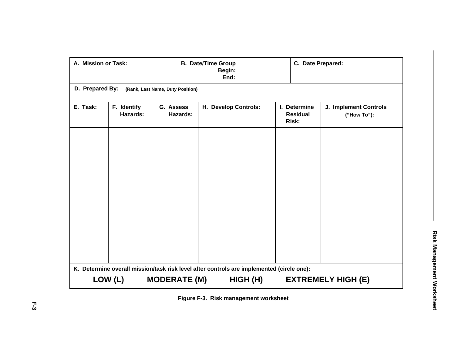| A. Mission or Task:                                 |                         |                       | <b>B. Date/Time Group</b><br>Begin:<br>End:                                                           |  | C. Date Prepared:                        |                                      |  |  |  |
|-----------------------------------------------------|-------------------------|-----------------------|-------------------------------------------------------------------------------------------------------|--|------------------------------------------|--------------------------------------|--|--|--|
| D. Prepared By:<br>(Rank, Last Name, Duty Position) |                         |                       |                                                                                                       |  |                                          |                                      |  |  |  |
| E. Task:                                            | F. Identify<br>Hazards: | G. Assess<br>Hazards: | H. Develop Controls:                                                                                  |  | I. Determine<br><b>Residual</b><br>Risk: | J. Implement Controls<br>("How To"): |  |  |  |
|                                                     | LOW (L)                 | <b>MODERATE (M)</b>   | K. Determine overall mission/task risk level after controls are implemented (circle one):<br>HIGH (H) |  |                                          | <b>EXTREMELY HIGH (E)</b>            |  |  |  |

**Figure F-3. Risk management worksheet**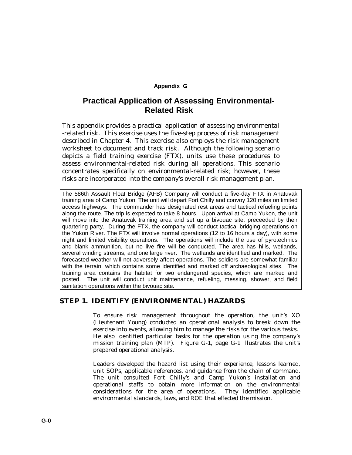### **Appendix G**

# **Practical Application of Assessing Environmental-Related Risk**

This appendix provides a practical application of assessing environmental -related risk. This exercise uses the five-step process of risk management described in Chapter 4. This exercise also employs the risk management worksheet to document and track risk. Although the following scenario depicts a field training exercise (FTX), units use these procedures to assess environmental-related risk during all operations. This scenario concentrates specifically on environmental-related risk; however, these risks are incorporated into the company's overall risk management plan.

The 586th Assault Float Bridge (AFB) Company will conduct a five-day FTX in Anatuvak training area of Camp Yukon. The unit will depart Fort Chilly and convoy 120 miles on limited access highways. The commander has designated rest areas and tactical refueling points along the route. The trip is expected to take 8 hours. Upon arrival at Camp Yukon, the unit will move into the Anatuvak training area and set up a bivouac site, preceeded by their quartering party. During the FTX, the company will conduct tactical bridging operations on the Yukon River. The FTX will involve normal operations (12 to 16 hours a day), with some night and limited visibility operations. The operations will include the use of pyrotechnics and blank ammunition, but no live fire will be conducted. The area has hills, wetlands, several winding streams, and one large river. The wetlands are identified and marked. The forecasted weather will not adversely affect operations. The soldiers are somewhat familiar with the terrain, which contains some identified and marked off archaeological sites. The training area contains the habitat for two endangered species, which are marked and posted. The unit will conduct unit maintenance, refueling, messing, shower, and field sanitation operations within the bivouac site.

## **STEP 1. IDENTIFY (ENVIRONMENTAL) HAZARDS**

To ensure risk management throughout the operation, the unit's XO (Lieutenant Young) conducted an operational analysis to break down the exercise into events, allowing him to manage the risks for the various tasks. He also identified particular tasks for the operation using the company's mission training plan (MTP). Figure G-1, page G-1 illustrates the unit's prepared operational analysis.

Leaders developed the hazard list using their experience, lessons learned, unit SOPs, applicable references, and guidance from the chain of command. The unit consulted Fort Chilly's and Camp Yukon's installation and operational staffs to obtain more information on the environmental considerations for the area of operations. They identified applicable environmental standards, laws, and ROE that effected the mission.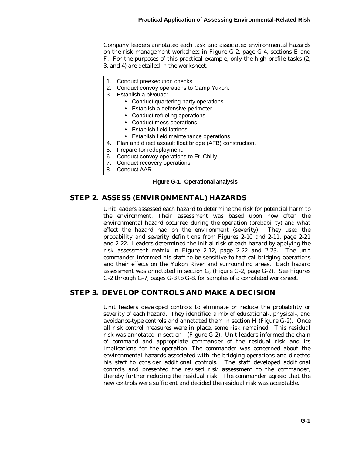Company leaders annotated each task and associated environmental hazards on the risk management worksheet in Figure G-2, page G-4, sections E and F. For the purposes of this practical example, only the high profile tasks (2, 3, and 4) are detailed in the worksheet.

- 1. Conduct preexecution checks.
- 2. Conduct convoy operations to Camp Yukon.
- 3. Establish a bivouac:
	- Conduct quartering party operations.
	- Establish a defensive perimeter.
	- Conduct refueling operations.
	- Conduct mess operations.
	- Establish field latrines.
	- Establish field maintenance operations.
- 4. Plan and direct assault float bridge (AFB) construction.
- 5. Prepare for redeployment.
- 6. Conduct convoy operations to Ft. Chilly.
- 7. Conduct recovery operations.
- 8. Conduct AAR.

#### **Figure G-1. Operational analysis**

## **STEP 2. ASSESS (ENVIRONMENTAL) HAZARDS**

Unit leaders assessed each hazard to determine the risk for potential harm to the environment. Their assessment was based upon how often the environmental hazard occurred during the operation (probability) and what effect the hazard had on the environment (severity). They used the probability and severity definitions from Figures 2-10 and 2-11, page 2-21 and 2-22. Leaders determined the initial risk of each hazard by applying the risk assessment matrix in Figure 2-12, page 2-22 and 2-23. The unit commander informed his staff to be sensitive to tactical bridging operations and their effects on the Yukon River and surrounding areas. Each hazard assessment was annotated in section G, (Figure G-2, page G-2). See Figures G-2 through G-7, pages G-3 to G-8, for samples of a completed worksheet.

## **STEP 3. DEVELOP CONTROLS AND MAKE A DECISION**

Unit leaders developed controls to eliminate or reduce the probability or severity of each hazard. They identified a mix of educational-, physical-, and avoidance-type controls and annotated them in section H (Figure G-2). Once all risk control measures were in place, some risk remained. This residual risk was annotated in section I (Figure G-2). Unit leaders informed the chain of command and appropriate commander of the residual risk and its implications for the operation. The commander was concerned about the environmental hazards associated with the bridging operations and directed his staff to consider additional controls. The staff developed additional controls and presented the revised risk assessment to the commander, thereby further reducing the residual risk. The commander agreed that the new controls were sufficient and decided the residual risk was acceptable.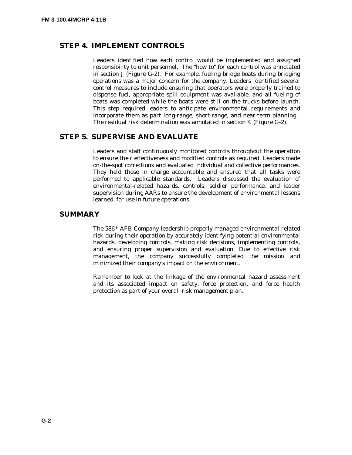## **STEP 4. IMPLEMENT CONTROLS**

Leaders identified how each control would be implemented and assigned responsibility to unit personnel. The "how to" for each control was annotated in section J (Figure G-2). For example, fueling bridge boats during bridging operations was a major concern for the company. Leaders identified several control measures to include ensuring that operators were properly trained to dispense fuel, appropriate spill equipment was available, and all fueling of boats was completed while the boats were still on the trucks before launch. This step required leaders to anticipate environmental requirements and incorporate them as part long-range, short-range, and near-term planning. The residual risk determination was annotated in section K (Figure G-2).

## **STEP 5. SUPERVISE AND EVALUATE**

Leaders and staff continuously monitored controls throughout the operation to ensure their effectiveness and modified controls as required. Leaders made on-the-spot corrections and evaluated individual and collective performances. They held those in charge accountable and ensured that all tasks were performed to applicable standards. Leaders discussed the evaluation of environmental-related hazards, controls, soldier performance, and leader supervision during AARs to ensure the development of environmental lessons learned, for use in future operations.

### **SUMMARY**

The 586th AFB Company leadership properly managed environmental-related risk during their operation by accurately identifying potential environmental hazards, developing controls, making risk decisions, implementing controls, and ensuring proper supervision and evaluation. Due to effective risk management, the company successfully completed the mission and minimized their company's impact on the environment.

Remember to look at the linkage of the environmental hazard assessment and its associated impact on safety, force protection, and force health protection as part of your overall risk management plan.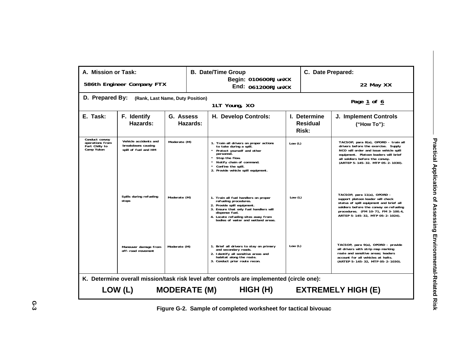| A. Mission or Task:                                               |                                                                     |                                  | <b>B. Date/Time Group</b>                                                                                                                                                                                                             |                                          | C. Date Prepared:                                                                                                                                                                                                                     |  |  |
|-------------------------------------------------------------------|---------------------------------------------------------------------|----------------------------------|---------------------------------------------------------------------------------------------------------------------------------------------------------------------------------------------------------------------------------------|------------------------------------------|---------------------------------------------------------------------------------------------------------------------------------------------------------------------------------------------------------------------------------------|--|--|
|                                                                   | 586th Engineer Company FTX                                          |                                  | Begin: 010600RJunXX<br>End: 061200RJunXX                                                                                                                                                                                              |                                          | 22 May XX                                                                                                                                                                                                                             |  |  |
| D. Prepared By:                                                   |                                                                     | (Rank, Last Name, Duty Position) | 1LT Young, XO                                                                                                                                                                                                                         |                                          | Page 1 of 6                                                                                                                                                                                                                           |  |  |
| E. Task:                                                          | F. Identify<br>Hazards:                                             | G. Assess<br>Hazards:            | H. Develop Controls:                                                                                                                                                                                                                  | I. Determine<br><b>Residual</b><br>Risk: | <b>J. Implement Controls</b><br>("How To"):                                                                                                                                                                                           |  |  |
| Conduct convov<br>operations from<br>Fort Chilly to<br>Camp Yukon | Vehicle accidents and<br>breakdowns causing<br>spill of fuel and HM | Moderate (M)                     | 1. Train all drivers on proper actions<br>to take during a spill.<br>Protect yourself and other<br>personnel.<br>Stop the flow.<br>Notify chain of command.<br>Confine the spill.<br>2. Provide vehicle spill equipment.              | Low $(L)$                                | TACSOP, para 8(a), OPORD - train all<br>drivers before the exercise. Supply<br>NCO will order and issue vehicle spill<br>equipment. Platoon leaders will brief<br>all soldiers before the convoy.<br>(ARTEP 5-145-32. MTP 05-2-1030). |  |  |
|                                                                   | Spills during refueling<br>stops                                    | Moderate (M)                     | 1. Train all fuel handlers on proper<br>refueling procedures.<br>2. Provide spill equipment.<br>3. Ensure that only fuel handlers will<br>dispense fuel.<br>4. Locate refueling sites away from<br>bodies of water and wetland areas. | Low $(L)$                                | TACSOP, para 11(a), OPORD -<br>support platoon leader will check<br>status of spill equipment and brief all<br>soldiers before the convoy on refueling<br>procedures. (FM 10-71, FM 3-100.4,<br>ARTEP 5-145-32. MTP 05-2-1024).       |  |  |
|                                                                   | Maneuver damage from<br>off-road movement                           | Moderate (M)                     | 1. Brief all drivers to stay on primary<br>and secondary roads.<br>2. Identify all sensitive areas and<br>habitat along the route.<br>3. Conduct prior route recon.                                                                   | Low $(L)$                                | TACSOP, para 9(a), OPORD - provide<br>all drivers with strip map marking<br>route and sensitive areas; leaders<br>account for all vehicles at halts.<br>(ARTEP 5-145-32, MTP 05-2-1030).                                              |  |  |
|                                                                   | LOW (L)                                                             | <b>MODERATE (M)</b>              | K. Determine overall mission/task risk level after controls are implemented (circle one):<br>HIGH (H)                                                                                                                                 |                                          | <b>EXTREMELY HIGH (E)</b>                                                                                                                                                                                                             |  |  |
|                                                                   |                                                                     |                                  |                                                                                                                                                                                                                                       |                                          |                                                                                                                                                                                                                                       |  |  |

**Figure G-2. Sample of completed worksheet for tactical bivouac**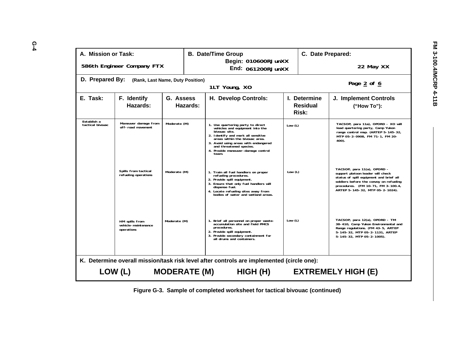| A. Mission or Task:                                                                       |                                                     |              |          | <b>B. Date/Time Group</b><br>Begin: 010600RJunXX                                                                                                                                                                                                                                |           |                                          | C. Date Prepared:                                                                                                                                                                                                               |  |  |  |
|-------------------------------------------------------------------------------------------|-----------------------------------------------------|--------------|----------|---------------------------------------------------------------------------------------------------------------------------------------------------------------------------------------------------------------------------------------------------------------------------------|-----------|------------------------------------------|---------------------------------------------------------------------------------------------------------------------------------------------------------------------------------------------------------------------------------|--|--|--|
|                                                                                           | 586th Engineer Company FTX                          |              |          | End: 061200RJunXX                                                                                                                                                                                                                                                               |           |                                          | 22 May XX                                                                                                                                                                                                                       |  |  |  |
| D. Prepared By:                                                                           | (Rank, Last Name, Duty Position)                    |              |          | 1LT Young, XO                                                                                                                                                                                                                                                                   |           |                                          | Page $2$ of $6$                                                                                                                                                                                                                 |  |  |  |
| E. Task:                                                                                  | F. Identify<br>Hazards:                             | G. Assess    | Hazards: | H. Develop Controls:                                                                                                                                                                                                                                                            |           | I. Determine<br><b>Residual</b><br>Risk: | <b>J. Implement Controls</b><br>("How To"):                                                                                                                                                                                     |  |  |  |
| Establish a<br>tactical bivouac                                                           | Maneuver damage from<br>off-road movement           | Moderate (M) |          | 1. Use quartering party to direct<br>vehicles and equipment into the<br>bivouac site.<br>2. Identify and mark all sensitive<br>areas within the bivouac area.<br>3. Avoid using areas with endangered<br>and threatened species.<br>4. Provide maneuver-damage control<br>team. | Low $(L)$ |                                          | TACSOP, para 11a), OPORD - XO will<br>lead quartering party, Camp Yukon<br>range control map. (ARTEP 5-145-32,<br>MTP 05-2-0908, FM 71-1, FM 20-<br>400).                                                                       |  |  |  |
|                                                                                           | Spills from tactical<br>refueling operations        | Moderate (M) |          | 1. Train all fuel handlers on proper<br>refueling procedures.<br>2. Provide spill equipment.<br>3. Ensure that only fuel handlers will<br>dispense fuel.<br>4. Locate refueling sites away from<br>bodies of water and wetland areas.                                           | Low $(L)$ |                                          | TACSOP, para 11(a), OPORD -<br>support platoon leader will check<br>status of spill equipment and brief all<br>soldiers before the convoy on refueling<br>procedures. (FM 10-71, FM 3-100.4,<br>ARTEP 5-145-32, MTP 05-2-1024). |  |  |  |
|                                                                                           | HM spills from<br>vehicle-maintenance<br>operations | Moderate (M) |          | 1. Brief all personnel on proper waste-<br>accumulation site and field PMCS<br>procedures.<br>2. Provide spill equipment.<br>3. Provide secondary containment for<br>all drums and containers.                                                                                  | Low $(L)$ |                                          | TACSOP, para 12(a), OPORD - TM<br>38-410, Camp Yukon Environmental and<br>Range regulations. (FM 43-5, ARTEP<br>5-145-32, MTP 05-2-1131, ARTEP<br>5-145-32, MTP 05-2-1005).                                                     |  |  |  |
| K. Determine overall mission/task risk level after controls are implemented (circle one): |                                                     |              |          |                                                                                                                                                                                                                                                                                 |           |                                          |                                                                                                                                                                                                                                 |  |  |  |
|                                                                                           | LOW (L) MODERATE (M)                                |              |          | HIGH (H)                                                                                                                                                                                                                                                                        |           |                                          | <b>EXTREMELY HIGH (E)</b>                                                                                                                                                                                                       |  |  |  |

**Figure G-3. Sample of completed worksheet for tactical bivouac (continued)**

**G-4**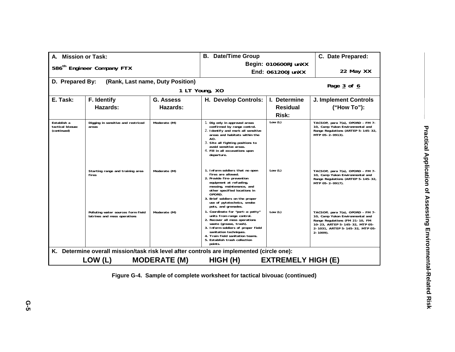| A. Mission or Task:                            |                                                                    |                                  | <b>B.</b> Date/Time Group                                                                                                                                                                                                                                                     | C. Date Prepared:         |                                                                                                                                                                                               |
|------------------------------------------------|--------------------------------------------------------------------|----------------------------------|-------------------------------------------------------------------------------------------------------------------------------------------------------------------------------------------------------------------------------------------------------------------------------|---------------------------|-----------------------------------------------------------------------------------------------------------------------------------------------------------------------------------------------|
|                                                |                                                                    |                                  | Begin: 010600RJunXX                                                                                                                                                                                                                                                           |                           |                                                                                                                                                                                               |
|                                                | 586 <sup>th</sup> Engineer Company FTX                             |                                  |                                                                                                                                                                                                                                                                               | End: 061200JunXX          | 22 May XX                                                                                                                                                                                     |
| D. Prepared By:                                |                                                                    | (Rank, Last name, Duty Position) |                                                                                                                                                                                                                                                                               |                           | Page 3 of 6                                                                                                                                                                                   |
|                                                |                                                                    |                                  | 1 LT Young, XO                                                                                                                                                                                                                                                                |                           |                                                                                                                                                                                               |
| E. Task:                                       | F. Identify                                                        | <b>G. Assess</b>                 | H. Develop Controls:                                                                                                                                                                                                                                                          | I. Determine              | <b>J. Implement Controls</b>                                                                                                                                                                  |
|                                                | <b>Hazards:</b>                                                    | Hazards:                         |                                                                                                                                                                                                                                                                               | <b>Residual</b>           | ("How To"):                                                                                                                                                                                   |
|                                                |                                                                    |                                  |                                                                                                                                                                                                                                                                               | Risk:                     |                                                                                                                                                                                               |
| Establish a<br>tactical bivouac<br>(continued) | Digging in sensitive and restriced<br>areas                        | Moderate (M)                     | 1. Dig only in approved areas<br>confirmed by range control.<br>2. Identify and mark all sensitive<br>areas and habitats within the<br>AO.<br>3. Site all fighting positions to<br>avoid sensitive areas.<br>4. Fill in all excavations upon<br>departure.                    | Low $(L)$                 | TACSOP, para 7(a), OPORD - FM 7-<br>10, Camp Yukon Environmental and<br>Range Regulations (ARTEP 5-145-32,<br>MTP 05-2-0913).                                                                 |
|                                                | Starting range and training area<br>fires                          | Moderate (M)                     | 1. Inform soldiers that no open<br>fires are allowed.<br>2. Provide fire-prevention<br>equipment at refueling,<br>messing, maintenance, and<br>other specified locations in<br>OPORD.<br>3. Brief soldiers on the proper<br>use of pytotechnics, smoke<br>pots, and grenades. | Low $(L)$                 | TACSOP, para 7(a), OPORD - FM 7-<br>10, Camp Yukon Environmental and<br>Range Regulations (ARTEP 5-145-32,<br>MTP 05-2-0917).                                                                 |
|                                                | Polluting water sources form field<br>latrines and mess operations | Moderate (M)                     | 1. Coordinate for "port-a-potty"<br>units from range control.<br>2. Recover all mess operations<br>waste (grease, trash).<br>3. Inform soldiers of proper field<br>sanitation techniques.<br>4. Train field sanitation teams.<br>5. Establish trash collection<br>points.     | Low $(L)$                 | TACSOP, para 7(a), OPORD - FM 7-<br>10, Camp Yukon Environmental and<br>Range Regulations (FM 21-10, FM<br>10-23, ARTEP 5-145-32, MTP 05-<br>2-1031, ARTEP 5-145-32, MTP 05-<br>$2 - 1009$ ). |
|                                                |                                                                    |                                  | K. Determine overall mission/task risk level after controls are implemented (circle one):                                                                                                                                                                                     |                           |                                                                                                                                                                                               |
|                                                | LOW (L)                                                            | <b>MODERATE (M)</b>              | HIGH(H)                                                                                                                                                                                                                                                                       | <b>EXTREMELY HIGH (E)</b> |                                                                                                                                                                                               |

**Figure G-4. Sample of complete worksheet for tactical bivouac (continued)**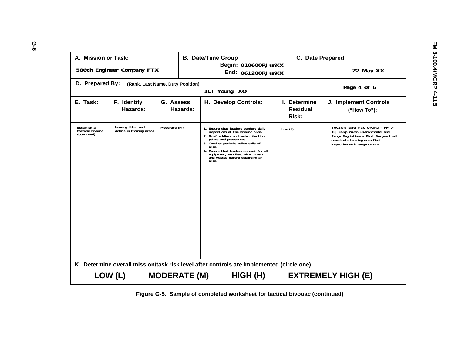| A. Mission or Task:                            |                                                                                                                                                                      |                                  | <b>B. Date/Time Group</b><br>Begin: 010600RJunXX                                                                                                                                                                                                                                                                      |           |                                                 | C. Date Prepared:                                                                                                                                                                   |  |  |  |
|------------------------------------------------|----------------------------------------------------------------------------------------------------------------------------------------------------------------------|----------------------------------|-----------------------------------------------------------------------------------------------------------------------------------------------------------------------------------------------------------------------------------------------------------------------------------------------------------------------|-----------|-------------------------------------------------|-------------------------------------------------------------------------------------------------------------------------------------------------------------------------------------|--|--|--|
|                                                | 586th Engineer Company FTX                                                                                                                                           |                                  | End: 061200RJunXX                                                                                                                                                                                                                                                                                                     |           |                                                 | 22 May XX                                                                                                                                                                           |  |  |  |
| D. Prepared By:                                |                                                                                                                                                                      | (Rank, Last Name, Duty Position) | 1LT Young, XO                                                                                                                                                                                                                                                                                                         |           |                                                 | Page 4 of 6                                                                                                                                                                         |  |  |  |
| E. Task:                                       | F. Identify<br>Hazards:                                                                                                                                              | G. Assess<br>Hazards:            | H. Develop Controls:                                                                                                                                                                                                                                                                                                  |           | I. Determine<br><b>Residual</b><br><b>Risk:</b> | J. Implement Controls<br>("How To"):                                                                                                                                                |  |  |  |
| Establish a<br>tactical bivouac<br>(continued) | Leaving litter and<br>debris in training areas                                                                                                                       | Moderate (M)                     | 1. Ensure that leaders conduct daily<br>inspections of the bivouac area.<br>2. Brief soldiers on trash-collection<br>points and procedures.<br>3. Conduct periodic police calls of<br>area.<br>4. Ensure that leaders account for all<br>equipment, supplies, wire, trash,<br>and wastes before departing an<br>area. | Low $(L)$ |                                                 | TACSOP, para 7(a), OPORD - FM 7-<br>10, Camp Yukon Environmental and<br>Range Regulations - First Sergeant will<br>coordinate training area final<br>inspection with range control. |  |  |  |
|                                                | K. Determine overall mission/task risk level after controls are implemented (circle one):<br>LOW (L)<br><b>MODERATE (M)</b><br>HIGH (H)<br><b>EXTREMELY HIGH (E)</b> |                                  |                                                                                                                                                                                                                                                                                                                       |           |                                                 |                                                                                                                                                                                     |  |  |  |
|                                                |                                                                                                                                                                      |                                  |                                                                                                                                                                                                                                                                                                                       |           |                                                 |                                                                                                                                                                                     |  |  |  |

**Figure G-5. Sample of completed worksheet for tactical bivouac (continued)**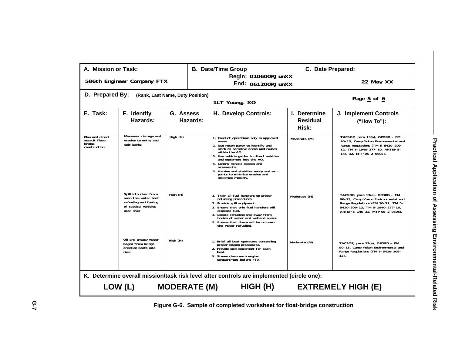| A. Mission or Task:                                         |                                                                                                             |           | <b>B. Date/Time Group</b>                |                                                                                                                                                                                                                                                                                                                                                                            |              | C. Date Prepared:                        |                                                                                                                                                                                  |  |  |  |
|-------------------------------------------------------------|-------------------------------------------------------------------------------------------------------------|-----------|------------------------------------------|----------------------------------------------------------------------------------------------------------------------------------------------------------------------------------------------------------------------------------------------------------------------------------------------------------------------------------------------------------------------------|--------------|------------------------------------------|----------------------------------------------------------------------------------------------------------------------------------------------------------------------------------|--|--|--|
|                                                             | 586th Engineer Company FTX                                                                                  |           | Begin: 010600RJunXX<br>End: 061200RJunXX |                                                                                                                                                                                                                                                                                                                                                                            |              |                                          | 22 May XX                                                                                                                                                                        |  |  |  |
| D. Prepared By:                                             | (Rank, Last Name, Duty Position)                                                                            |           |                                          | 1LT Young, XO                                                                                                                                                                                                                                                                                                                                                              |              |                                          | Page 5 of 6                                                                                                                                                                      |  |  |  |
| E. Task:                                                    | F. Identify<br>Hazards:                                                                                     | G. Assess | Hazards:                                 | H. Develop Controls:                                                                                                                                                                                                                                                                                                                                                       |              | I. Determine<br><b>Residual</b><br>Risk: | J. Implement Controls<br>("How To"):                                                                                                                                             |  |  |  |
| Plan and direct<br>assault float-<br>bridge<br>construction | Maneuver damage and<br>erosion to entry and<br>exit banks                                                   | High (H)  |                                          | 1. Conduct operations only in approved<br>areas.<br>2. Use recon party to identify and<br>mark all sensitive areas and routes<br>within the AO.<br>3. Use vehicle guides to direct vehicles<br>and equipment into the AO.<br>4. Control vehicle speeds and<br>movements.<br>5. Harden and stabilize entry and exit<br>points to minimize erosion and<br>maximize mobility. |              | Moderate (M)                             | TACSOP, para 13(a), OPORD - FM<br>90-13, Camp Yukon Environmental and<br>Range Regulations (TM 5-5420-209-<br>12, TM 5-1940-277-10, ARTEP 5-<br>145-32, MTP 05-2-0605).          |  |  |  |
|                                                             | Spill into river from<br>over-the-water boat<br>refueling and fueling<br>of tactical vehicles<br>near river | High (H)  |                                          | 1. Train all fuel handlers on proper<br>refueling procedures.<br>2. Provide spill equipment.<br>3. Ensure that only fuel handlers will<br>dispense fuel.<br>4. Locate refueling site away from<br>bodies of water and wetland areas.<br>5. Ensure that there will be no over-<br>the-water refueling.                                                                      |              | Moderate (M)                             | TACSOP, para 13(a), OPORD - FM<br>90-13, Camp Yukon Environmental and<br>Range Regulations (FM 10-71, TM 5-<br>5420-209-12, TM 5-1940-277-10,<br>ARTEP 5-145-32, MTP 05-2-0605). |  |  |  |
|                                                             | Oil and greasy water<br>bilged from bridge-<br>erection boats into<br>river                                 | High (H)  |                                          | 1. Brief all boat operators concerning<br>proper bilging procedures.<br>2. Provide spill equipment for each<br>boat.<br>3. Steam clean each engine<br>compartment before FTX.                                                                                                                                                                                              | Moderate (M) |                                          | TACSOP, para 13(a), OPORD - FM<br>90-13, Camp Yukon Environmental and<br>Range Regulations (TM 5-5420-209-<br>$12$ .                                                             |  |  |  |
|                                                             | K. Determine overall mission/task risk level after controls are implemented (circle one):                   |           |                                          |                                                                                                                                                                                                                                                                                                                                                                            |              |                                          |                                                                                                                                                                                  |  |  |  |
|                                                             | LOW (L)<br><b>MODERATE (M)</b><br>HIGH (H)<br><b>EXTREMELY HIGH (E)</b>                                     |           |                                          |                                                                                                                                                                                                                                                                                                                                                                            |              |                                          |                                                                                                                                                                                  |  |  |  |

**Figure G-6. Sample of completed worksheet for float-bridge construction**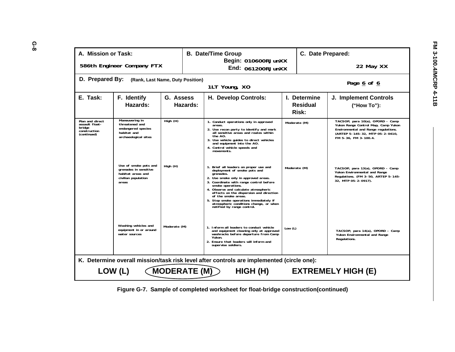| A. Mission or Task:<br>C. Date Prepared:<br><b>B. Date/Time Group</b><br>Begin: 010600RJunXX<br>586th Engineer Company FTX<br>22 May XX<br><b>End: 061200RJunXX</b><br>D. Prepared By:<br>(Rank, Last Name, Duty Position)<br>Page 6 of 6<br>1LT Young, XO<br>E. Task:<br>F. Identify<br>H. Develop Controls:<br>I. Determine<br>G. Assess<br>J. Implement Controls<br>Hazards:<br>Hazards:<br><b>Residual</b><br>("How To"):<br>Risk:<br>Maneuvering in<br>Plan and direct<br>TACSOP, para 10(a), OPORD - Camp<br>High (H)<br>1. Conduct operations only in approved<br>Moderate (M)<br>assault float-<br>threatened and<br>Yukon Range Control Map, Camp Yukon<br>areas.<br>bridge<br>endangered species<br>2. Use recon party to identify and mark<br>Environmental and Range regulations.<br>construction<br>all sensitive areas and routes within<br>habitat and<br>(ARTEP 5-145-32, MTP 05-2-0410,<br>(continued)<br>the AO.<br>archaeological sites<br>FM 5-36, FM 3-100.4.<br>3. Use vehicle guides to direct vehicles<br>and equipment into the AO.<br>4. Control vehicle speeds and<br>movements.<br>Use of smoke pots and<br>High (H)<br>1. Brief all leaders on proper use and<br>Moderate (M)<br>TACSOP, para 13(a), OPORD - Camp<br>grenades in sensitive<br>deployment of smoke pots and<br>Yukon Environmental and Range<br>habitat areas and<br>grenades.<br>Regulations. (FM 3-50, ARTEP 5-145-<br>civilian population<br>2. Use smoke only in approved areas.<br>32, MTP 05-2-0917).<br>3. Coordinate with range control before<br>areas<br>smoke operations.<br>4. Observe and calculate atmospheric<br>effects on the dispersion and direction<br>of the smoke areas.<br>5. Stop smoke operations immediately if<br>atmospheric conditions change, or when<br>notified by range control.<br>Washing vehicles and<br>Moderate (M)<br>1. Inform all leaders to conduct vehicle<br>Low $(L)$<br>equipment in or around<br>TACSOP, para 14(a), OPORD - Camp<br>and equipment cleaning only at approved<br>washracks before departure from Camp<br>water sources<br>Yukon Environmental and Range<br>Yukon.<br>Regulations.<br>2. Ensure that leaders will inform and<br>supervise soldiers.<br>K. Determine overall mission/task risk level after controls are implemented (circle one):<br><b>MODERATE (M)</b><br>LOW (L)<br>HIGH (H)<br><b>EXTREMELY HIGH (E)</b> |  |  |  |  |  |  |  |  |  |  |
|--------------------------------------------------------------------------------------------------------------------------------------------------------------------------------------------------------------------------------------------------------------------------------------------------------------------------------------------------------------------------------------------------------------------------------------------------------------------------------------------------------------------------------------------------------------------------------------------------------------------------------------------------------------------------------------------------------------------------------------------------------------------------------------------------------------------------------------------------------------------------------------------------------------------------------------------------------------------------------------------------------------------------------------------------------------------------------------------------------------------------------------------------------------------------------------------------------------------------------------------------------------------------------------------------------------------------------------------------------------------------------------------------------------------------------------------------------------------------------------------------------------------------------------------------------------------------------------------------------------------------------------------------------------------------------------------------------------------------------------------------------------------------------------------------------------------------------------------------------------------------------------------------------------------------------------------------------------------------------------------------------------------------------------------------------------------------------------------------------------------------------------------------------------------------------------------------------------------------------------------------------------------------------------------------------------------------------------------------------------------------------------|--|--|--|--|--|--|--|--|--|--|
|                                                                                                                                                                                                                                                                                                                                                                                                                                                                                                                                                                                                                                                                                                                                                                                                                                                                                                                                                                                                                                                                                                                                                                                                                                                                                                                                                                                                                                                                                                                                                                                                                                                                                                                                                                                                                                                                                                                                                                                                                                                                                                                                                                                                                                                                                                                                                                                      |  |  |  |  |  |  |  |  |  |  |
|                                                                                                                                                                                                                                                                                                                                                                                                                                                                                                                                                                                                                                                                                                                                                                                                                                                                                                                                                                                                                                                                                                                                                                                                                                                                                                                                                                                                                                                                                                                                                                                                                                                                                                                                                                                                                                                                                                                                                                                                                                                                                                                                                                                                                                                                                                                                                                                      |  |  |  |  |  |  |  |  |  |  |
|                                                                                                                                                                                                                                                                                                                                                                                                                                                                                                                                                                                                                                                                                                                                                                                                                                                                                                                                                                                                                                                                                                                                                                                                                                                                                                                                                                                                                                                                                                                                                                                                                                                                                                                                                                                                                                                                                                                                                                                                                                                                                                                                                                                                                                                                                                                                                                                      |  |  |  |  |  |  |  |  |  |  |
|                                                                                                                                                                                                                                                                                                                                                                                                                                                                                                                                                                                                                                                                                                                                                                                                                                                                                                                                                                                                                                                                                                                                                                                                                                                                                                                                                                                                                                                                                                                                                                                                                                                                                                                                                                                                                                                                                                                                                                                                                                                                                                                                                                                                                                                                                                                                                                                      |  |  |  |  |  |  |  |  |  |  |
|                                                                                                                                                                                                                                                                                                                                                                                                                                                                                                                                                                                                                                                                                                                                                                                                                                                                                                                                                                                                                                                                                                                                                                                                                                                                                                                                                                                                                                                                                                                                                                                                                                                                                                                                                                                                                                                                                                                                                                                                                                                                                                                                                                                                                                                                                                                                                                                      |  |  |  |  |  |  |  |  |  |  |
|                                                                                                                                                                                                                                                                                                                                                                                                                                                                                                                                                                                                                                                                                                                                                                                                                                                                                                                                                                                                                                                                                                                                                                                                                                                                                                                                                                                                                                                                                                                                                                                                                                                                                                                                                                                                                                                                                                                                                                                                                                                                                                                                                                                                                                                                                                                                                                                      |  |  |  |  |  |  |  |  |  |  |
|                                                                                                                                                                                                                                                                                                                                                                                                                                                                                                                                                                                                                                                                                                                                                                                                                                                                                                                                                                                                                                                                                                                                                                                                                                                                                                                                                                                                                                                                                                                                                                                                                                                                                                                                                                                                                                                                                                                                                                                                                                                                                                                                                                                                                                                                                                                                                                                      |  |  |  |  |  |  |  |  |  |  |
|                                                                                                                                                                                                                                                                                                                                                                                                                                                                                                                                                                                                                                                                                                                                                                                                                                                                                                                                                                                                                                                                                                                                                                                                                                                                                                                                                                                                                                                                                                                                                                                                                                                                                                                                                                                                                                                                                                                                                                                                                                                                                                                                                                                                                                                                                                                                                                                      |  |  |  |  |  |  |  |  |  |  |
|                                                                                                                                                                                                                                                                                                                                                                                                                                                                                                                                                                                                                                                                                                                                                                                                                                                                                                                                                                                                                                                                                                                                                                                                                                                                                                                                                                                                                                                                                                                                                                                                                                                                                                                                                                                                                                                                                                                                                                                                                                                                                                                                                                                                                                                                                                                                                                                      |  |  |  |  |  |  |  |  |  |  |

**Figure G-7. Sample of completed worksheet for float-bridge construction(continued)**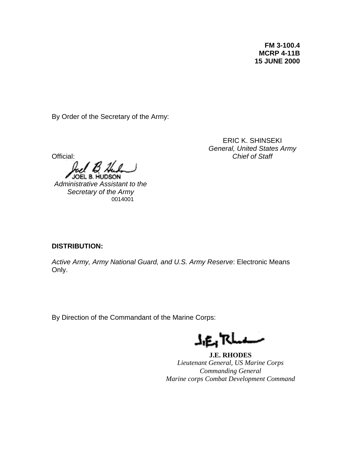**FM 3-100.4 MCRP 4-11B 15 JUNE 2000**

By Order of the Secretary of the Army:

Official:

*Administrative Assistant to the Secretary of the Army* 0014001

*General, United States Army Chief of Staff*

ERIC K. SHINSEKI

## **DISTRIBUTION:**

*Active Army, Army National Guard, and U.S. Army Reserve*: Electronic Means Only.

By Direction of the Commandant of the Marine Corps:

J.E. Rhan

**J.E. RHODES** *Lieutenant General, US Marine Corps Commanding General Marine corps Combat Development Command*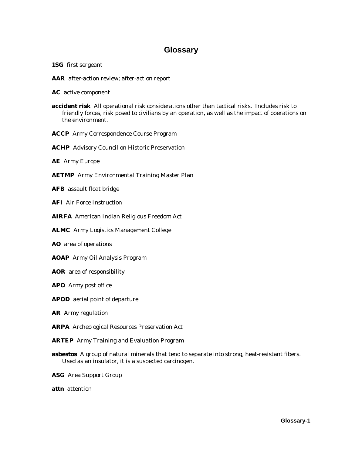# **Glossary**

- **1SG** first sergeant
- **AAR** after-action review; after-action report

**AC** active component

- **accident risk** All operational risk considerations other than tactical risks. Includes risk to friendly forces, risk posed to civilians by an operation, as well as the impact of operations on the environment.
- **ACCP** Army Correspondence Course Program
- **ACHP** Advisory Council on Historic Preservation
- **AE** Army Europe
- **AETMP** Army Environmental Training Master Plan
- **AFB** assault float bridge
- **AFI** Air Force Instruction
- **AIRFA** American Indian Religious Freedom Act
- **ALMC** Army Logistics Management College
- **AO** area of operations
- **AOAP** Army Oil Analysis Program
- **AOR** area of responsibility
- **APO** Army post office
- **APOD** aerial point of departure
- **AR** Army regulation
- **ARPA** Archeological Resources Preservation Act
- **ARTEP** Army Training and Evaluation Program
- **asbestos** A group of natural minerals that tend to separate into strong, heat-resistant fibers. Used as an insulator, it is a suspected carcinogen.
- **ASG** Area Support Group
- **attn** attention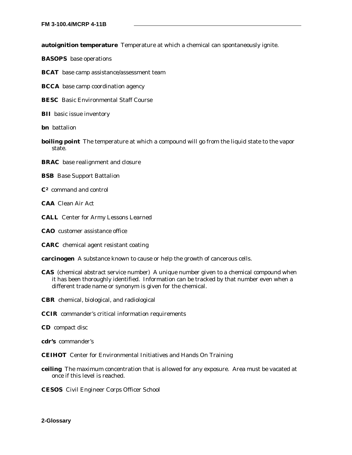**autoignition temperature** Temperature at which a chemical can spontaneously ignite.

**BASOPS** base operations

**BCAT** base camp assistance/assessment team

**BCCA** base camp coordination agency

**BESC** Basic Environmental Staff Course

**BII** basic issue inventory

**bn** battalion

**boiling point** The temperature at which a compound will go from the liquid state to the vapor state.

**BRAC** base realignment and closure

**BSB** Base Support Battalion

**C2** command and control

**CAA** Clean Air Act

**CALL** Center for Army Lessons Learned

**CAO** customer assistance office

**CARC** chemical agent resistant coating

**carcinogen** A substance known to cause or help the growth of cancerous cells.

**CAS** (chemical abstract service number) A unique number given to a chemical compound when it has been thoroughly identified. Information can be tracked by that number even when a different trade name or synonym is given for the chemical.

**CBR** chemical, biological, and radiological

**CCIR** commander's critical information requirements

**CD** compact disc

**cdr's** commander's

**CEIHOT** Center for Environmental Initiatives and Hands On Training

- **ceiling** The maximum concentration that is allowed for any exposure. Area must be vacated at once if this level is reached.
- **CESOS** Civil Engineer Corps Officer School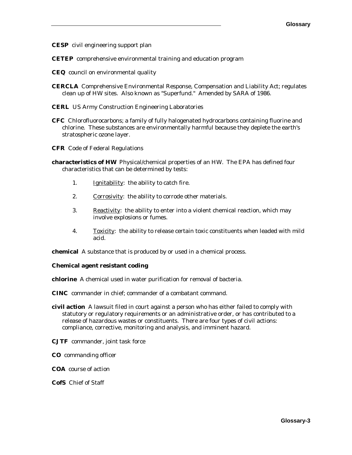**CESP** civil engineering support plan

**CETEP** comprehensive environmental training and education program

- **CEQ** council on environmental quality
- **CERCLA** Comprehensive Environmental Response, Compensation and Liability Act; regulates clean up of HW sites. Also known as "Superfund." Amended by SARA of 1986.
- **CERL** US Army Construction Engineering Laboratories
- **CFC** Chlorofluorocarbons; a family of fully halogenated hydrocarbons containing fluorine and chlorine. These substances are environmentally harmful because they deplete the earth's stratospheric ozone layer.
- **CFR** Code of Federal Regulations
- **characteristics of HW** Physical/chemical properties of an HW. The EPA has defined four characteristics that can be determined by tests:
	- 1. **Ignitability:** the ability to catch fire.
	- 2. Corrosivity: the ability to corrode other materials.
	- 3. Reactivity: the ability to enter into a violent chemical reaction, which may involve explosions or fumes.
	- 4. Toxicity: the ability to release certain toxic constituents when leaded with mild acid.

**chemical** A substance that is produced by or used in a chemical process.

#### **Chemical agent resistant coding**

**chlorine** A chemical used in water purification for removal of bacteria.

**CINC** commander in chief; commander of a combatant command.

- **civil action** A lawsuit filed in court against a person who has either failed to comply with statutory or regulatory requirements or an administrative order, or has contributed to a release of hazardous wastes or constituents. There are four types of civil actions: compliance, corrective, monitoring and analysis, and imminent hazard.
- **CJTF** commander, joint task force
- **CO** commanding officer
- **COA** course of action

#### **CofS** Chief of Staff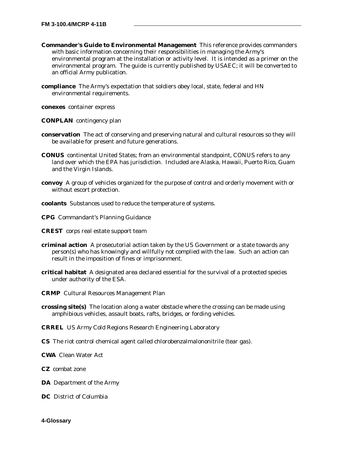- **Commander's Guide to Environmental Management** This reference provides commanders with basic information concerning their responsibilities in managing the Army's environmental program at the installation or activity level. It is intended as a primer on the environmental program. The guide is currently published by USAEC; it will be converted to an official Army publication.
- **compliance** The Army's expectation that soldiers obey local, state, federal and HN environmental requirements.

**conexes** container express

**CONPLAN** contingency plan

- **conservation** The act of conserving and preserving natural and cultural resources so they will be available for present and future generations.
- **CONUS** continental United States; from an environmental standpoint, CONUS refers to any land over which the EPA has jurisdiction. Included are Alaska, Hawaii, Puerto Rico, Guam and the Virgin Islands.
- **convoy** A group of vehicles organized for the purpose of control and orderly movement with or without escort protection.
- **coolants** Substances used to reduce the temperature of systems.

**CPG** Commandant's Planning Guidance

- **CREST** corps real estate support team
- **criminal action** A prosecutorial action taken by the US Government or a state towards any person(s) who has knowingly and willfully not complied with the law. Such an action can result in the imposition of fines or imprisonment.
- **critical habitat** A designated area declared essential for the survival of a protected species under authority of the ESA.
- **CRMP** Cultural Resources Management Plan
- **crossing site(s)** The location along a water obstacle where the crossing can be made using amphibious vehicles, assault boats, rafts, bridges, or fording vehicles.
- **CRREL** US Army Cold Regions Research Engineering Laboratory
- **CS** The riot control chemical agent called chlorobenzalmalononitrile (tear gas).
- **CWA** Clean Water Act
- **CZ** combat zone
- **DA** Department of the Army
- **DC** District of Columbia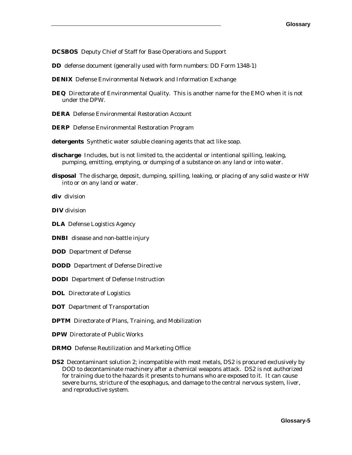**DCSBOS** Deputy Chief of Staff for Base Operations and Support

**DD** defense document (generally used with form numbers: DD Form 1348-1)

- **DENIX** Defense Environmental Network and Information Exchange
- **DEQ** Directorate of Environmental Quality. This is another name for the EMO when it is not under the DPW.
- **DERA** Defense Environmental Restoration Account
- **DERP** Defense Environmental Restoration Program
- **detergents** Synthetic water soluble cleaning agents that act like soap.
- **discharge** Includes, but is not limited to, the accidental or intentional spilling, leaking, pumping, emitting, emptying, or dumping of a substance on any land or into water.
- **disposal** The discharge, deposit, dumping, spilling, leaking, or placing of any solid waste or HW into or on any land or water.

**div** division

**DIV** division

**DLA** Defense Logistics Agency

**DNBI** disease and non-battle injury

- **DOD** Department of Defense
- **DODD** Department of Defense Directive
- **DODI** Department of Defense Instruction

**DOL** Directorate of Logistics

**DOT** Department of Transportation

**DPTM** Directorate of Plans, Training, and Mobilization

- **DPW** Directorate of Public Works
- **DRMO** Defense Reutilization and Marketing Office
- **DS2** Decontaminant solution 2; incompatible with most metals, DS2 is procured exclusively by DOD to decontaminate machinery after a chemical weapons attack. DS2 is not authorized for training due to the hazards it presents to humans who are exposed to it. It can cause severe burns, stricture of the esophagus, and damage to the central nervous system, liver, and reproductive system.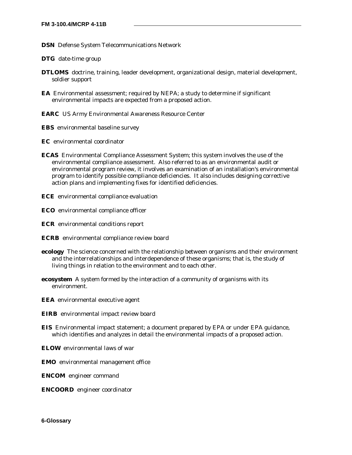- **DSN** Defense System Telecommunications Network
- **DTG** date-time group
- **DTLOMS** doctrine, training, leader development, organizational design, material development, soldier support
- **EA** Environmental assessment; required by NEPA; a study to determine if significant environmental impacts are expected from a proposed action.
- **EARC** US Army Environmental Awareness Resource Center
- **EBS** environmental baseline survey
- **EC** environmental coordinator
- **ECAS** Environmental Compliance Assessment System; this system involves the use of the environmental compliance assessment. Also referred to as an environmental audit or environmental program review, it involves an examination of an installation's environmental program to identify possible compliance deficiencies. It also includes designing corrective action plans and implementing fixes for identified deficiencies.
- **ECE** environmental compliance evaluation
- **ECO** environmental compliance officer
- **ECR** environmental conditions report
- **ECRB** environmental compliance review board
- **ecology** The science concerned with the relationship between organisms and their environment and the interrelationships and interdependence of these organisms; that is, the study of living things in relation to the environment and to each other.
- **ecosystem** A system formed by the interaction of a community of organisms with its environment.
- **EEA** environmental executive agent
- **EIRB** environmental impact review board
- **EIS** Environmental impact statement; a document prepared by EPA or under EPA guidance, which identifies and analyzes in detail the environmental impacts of a proposed action.
- **ELOW** environmental laws of war
- **EMO** environmental management office
- **ENCOM** engineer command
- **ENCOORD** engineer coordinator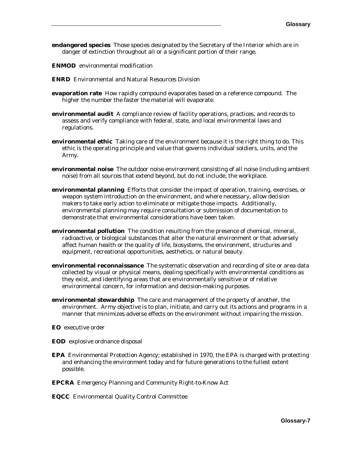- **endangered species** Those species designated by the Secretary of the Interior which are in danger of extinction throughout all or a significant portion of their range.
- **ENMOD** environmental modification
- **ENRD** Environmental and Natural Resources Division
- **evaporation rate** How rapidly compound evaporates based on a reference compound. The higher the number the faster the material will evaporate.
- **environmental audit** A compliance review of facility operations, practices, and records to assess and verify compliance with federal, state, and local environmental laws and regulations.
- **environmental ethic** Taking care of the environment because it is the right thing to do. This ethic is the operating principle and value that governs individual soldiers, units, and the Army.
- **environmental noise** The outdoor noise environment consisting of all noise (including ambient noise) from all sources that extend beyond, but do not include, the workplace.
- **environmental planning** Efforts that consider the impact of operation, training, exercises, or weapon system introduction on the environment, and where necessary, allow decision makers to take early action to eliminate or mitigate those impacts. Additionally, environmental planning may require consultation or submission of documentation to demonstrate that environmental considerations have been taken.
- **environmental pollution** The condition resulting from the presence of chemical, mineral, radioactive, or biological substances that alter the natural environment or that adversely affect human health or the quality of life, biosystems, the environment, structures and equipment, recreational opportunities, aesthetics, or natural beauty.
- **environmental reconnaissance** The systematic observation and recording of site or area data collected by visual or physical means, dealing specifically with environmental conditions as they exist, and identifying areas that are environmentally sensitive or of relative environmental concern, for information and decision-making purposes.
- **environmental stewardship** The care and management of the property of another, the environment. Army objective is to plan, initiate, and carry out its actions and programs in a manner that minimizes adverse effects on the environment without impairing the mission.
- **EO** executive order
- **EOD** explosive ordnance disposal
- **EPA** Environmental Protection Agency; established in 1970, the EPA is charged with protecting and enhancing the environment today and for future generations to the fullest extent possible.
- **EPCRA** Emergency Planning and Community Right-to-Know Act
- **EQCC** Environmental Quality Control Committee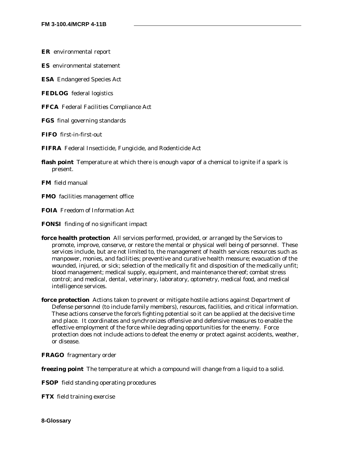**ER** environmental report

**ES** environmental statement

**ESA** Endangered Species Act

**FEDLOG** federal logistics

**FFCA** Federal Facilities Compliance Act

**FGS** final governing standards

**FIFO** first-in-first-out

**FIFRA** Federal Insecticide, Fungicide, and Rodenticide Act

**flash point** Temperature at which there is enough vapor of a chemical to ignite if a spark is present.

**FM** field manual

**FMO** facilities management office

**FOIA** Freedom of Information Act

**FONSI** finding of no significant impact

**force health protection** All services performed, provided, or arranged by the Services to promote, improve, conserve, or restore the mental or physical well being of personnel. These services include, but are not limited to, the management of health services resources such as manpower, monies, and facilities; preventive and curative health measure; evacuation of the wounded, injured, or sick; selection of the medically fit and disposition of the medically unfit; blood management; medical supply, equipment, and maintenance thereof; combat stress control; and medical, dental, veterinary, laboratory, optometry, medical food, and medical intelligence services.

**force protection** Actions taken to prevent or mitigate hostile actions against Department of Defense personnel (to include family members), resources, facilities, and critical information. These actions conserve the force's fighting potential so it can be applied at the decisive time and place. It coordinates and synchronizes offensive and defensive measures to enable the effective employment of the force while degrading opportunities for the enemy. Force protection does not include actions to defeat the enemy or protect against accidents, weather, or disease.

**FRAGO** fragmentary order

**freezing point** The temperature at which a compound will change from a liquid to a solid.

**FSOP** field standing operating procedures

**FTX** field training exercise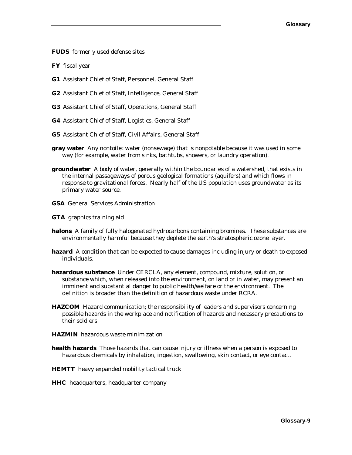**FUDS** formerly used defense sites

**FY** fiscal year

- **G1** Assistant Chief of Staff, Personnel, General Staff
- **G2** Assistant Chief of Staff, Intelligence, General Staff
- **G3** Assistant Chief of Staff, Operations, General Staff
- **G4** Assistant Chief of Staff, Logistics, General Staff
- **G5** Assistant Chief of Staff, Civil Affairs, General Staff
- **gray water** Any nontoilet water (nonsewage) that is nonpotable because it was used in some way (for example, water from sinks, bathtubs, showers, or laundry operation).
- **groundwater** A body of water, generally within the boundaries of a watershed, that exists in the internal passageways of porous geological formations (aquifers) and which flows in response to gravitational forces. Nearly half of the US population uses groundwater as its primary water source.
- **GSA** General Services Administration

**GTA** graphics training aid

- **halons** A family of fully halogenated hydrocarbons containing bromines. These substances are environmentally harmful because they deplete the earth's stratospheric ozone layer.
- **hazard** A condition that can be expected to cause damages including injury or death to exposed individuals.
- **hazardous substance** Under CERCLA, any element, compound, mixture, solution, or substance which, when released into the environment, on land or in water, may present an imminent and substantial danger to public health/welfare or the environment. The definition is broader than the definition of hazardous waste under RCRA.
- **HAZCOM** Hazard communication; the responsibility of leaders and supervisors concerning possible hazards in the workplace and notification of hazards and necessary precautions to their soldiers.
- **HAZMIN** hazardous waste minimization
- **health hazards** Those hazards that can cause injury or illness when a person is exposed to hazardous chemicals by inhalation, ingestion, swallowing, skin contact, or eye contact.
- **HEMTT** heavy expanded mobility tactical truck
- **HHC** headquarters, headquarter company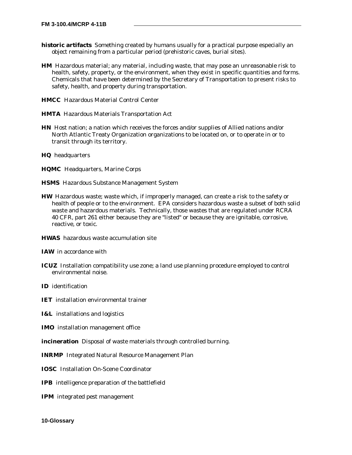- **historic artifacts** Something created by humans usually for a practical purpose especially an object remaining from a particular period (prehistoric caves, burial sites).
- **HM** Hazardous material; any material, including waste, that may pose an unreasonable risk to health, safety, property, or the environment, when they exist in specific quantities and forms. Chemicals that have been determined by the Secretary of Transportation to present risks to safety, health, and property during transportation.
- **HMCC** Hazardous Material Control Center
- **HMTA** Hazardous Materials Transportation Act
- **HN** Host nation; a nation which receives the forces and/or supplies of Allied nations and/or North Atlantic Treaty Organization organizations to be located on, or to operate in or to transit through its territory.
- **HQ** headquarters
- **HQMC** Headquarters, Marine Corps
- **HSMS** Hazardous Substance Management System
- **HW** Hazardous waste; waste which, if improperly managed, can create a risk to the safety or health of people or to the environment. EPA considers hazardous waste a subset of both solid waste and hazardous materials. Technically, those wastes that are regulated under RCRA 40 CFR, part 261 either because they are "listed" or because they are ignitable, corrosive, reactive, or toxic.
- **HWAS** hazardous waste accumulation site
- **IAW** in accordance with
- **ICUZ** Installation compatibility use zone; a land use planning procedure employed to control environmental noise.
- **ID** identification
- **IET** installation environmental trainer
- **I&L** installations and logistics
- **IMO** installation management office
- **incineration** Disposal of waste materials through controlled burning.
- **INRMP** Integrated Natural Resource Management Plan
- **IOSC** Installation On-Scene Coordinator
- **IPB** intelligence preparation of the battlefield
- **IPM** integrated pest management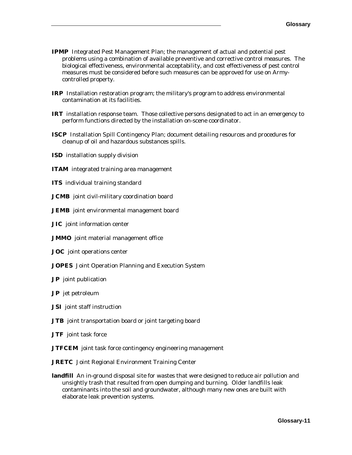- **IPMP** Integrated Pest Management Plan; the management of actual and potential pest problems using a combination of available preventive and corrective control measures. The biological effectiveness, environmental acceptability, and cost effectiveness of pest control measures must be considered before such measures can be approved for use on Armycontrolled property.
- **IRP** Installation restoration program; the military's program to address environmental contamination at its facilities.
- **IRT** installation response team. Those collective persons designated to act in an emergency to perform functions directed by the installation on-scene coordinator.
- **ISCP** Installation Spill Contingency Plan; document detailing resources and procedures for cleanup of oil and hazardous substances spills.
- **ISD** installation supply division
- **ITAM** integrated training area management
- **ITS** individual training standard
- **JCMB** joint civil-military coordination board
- **JEMB** joint environmental management board
- **JIC** joint information center
- **JMMO** joint material management office
- **JOC** joint operations center
- **JOPES** Joint Operation Planning and Execution System
- **JP** joint publication
- **JP** jet petroleum
- **JSI** joint staff instruction
- **JTB** joint transportation board or joint targeting board
- **JTF** joint task force
- **JTFCEM** joint task force contingency engineering management
- **JRETC** Joint Regional Environment Training Center
- **landfill** An in-ground disposal site for wastes that were designed to reduce air pollution and unsightly trash that resulted from open dumping and burning. Older landfills leak contaminants into the soil and groundwater, although many new ones are built with elaborate leak prevention systems.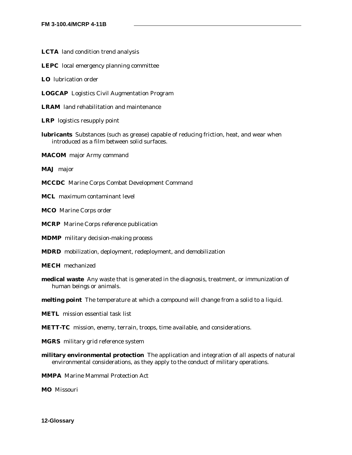- **LCTA** land condition trend analysis
- **LEPC** local emergency planning committee
- **LO** lubrication order
- **LOGCAP** Logistics Civil Augmentation Program

**LRAM** land rehabilitation and maintenance

- **LRP** logistics resupply point
- **lubricants** Substances (such as grease) capable of reducing friction, heat, and wear when introduced as a film between solid surfaces.
- **MACOM** major Army command
- **MAJ** major
- **MCCDC** Marine Corps Combat Development Command
- **MCL** maximum contaminant level
- **MCO** Marine Corps order
- **MCRP** Marine Corps reference publication
- **MDMP** military decision-making process
- **MDRD** mobilization, deployment, redeployment, and demobilization
- **MECH** mechanized
- **medical waste** Any waste that is generated in the diagnosis, treatment, or immunization of human beings or animals.
- **melting point** The temperature at which a compound will change from a solid to a liquid.
- **METL** mission essential task list
- **METT-TC** mission, enemy, terrain, troops, time available, and considerations.
- **MGRS** military grid reference system
- **military environmental protection** The application and integration of all aspects of natural environmental considerations, as they apply to the conduct of military operations.
- **MMPA** Marine Mammal Protection Act
- **MO** Missouri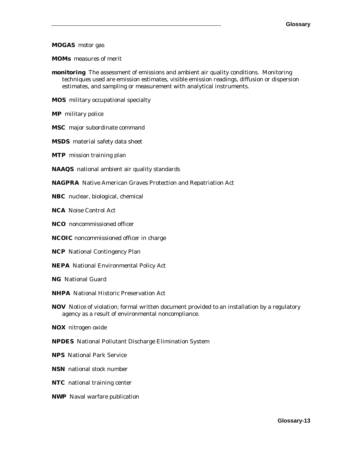#### **MOGAS** motor gas

**MOMs** measures of merit

- **monitoring** The assessment of emissions and ambient air quality conditions. Monitoring techniques used are emission estimates, visible emission readings, diffusion or dispersion estimates, and sampling or measurement with analytical instruments.
- **MOS** military occupational specialty
- **MP** military police
- **MSC** major subordinate command
- **MSDS** material safety data sheet
- **MTP** mission training plan
- **NAAQS** national ambient air quality standards
- **NAGPRA** Native American Graves Protection and Repatriation Act
- **NBC** nuclear, biological, chemical
- **NCA** Noise Control Act
- **NCO** noncommissioned officer
- **NCOIC** noncommissioned officer in charge
- **NCP** National Contingency Plan
- **NEPA** National Environmental Policy Act
- **NG** National Guard
- **NHPA** National Historic Preservation Act
- **NOV** Notice of violation; formal written document provided to an installation by a regulatory agency as a result of environmental noncompliance.
- **NOX** nitrogen oxide
- **NPDES** National Pollutant Discharge Elimination System
- **NPS** National Park Service
- **NSN** national stock number
- **NTC** national training center
- **NWP** Naval warfare publication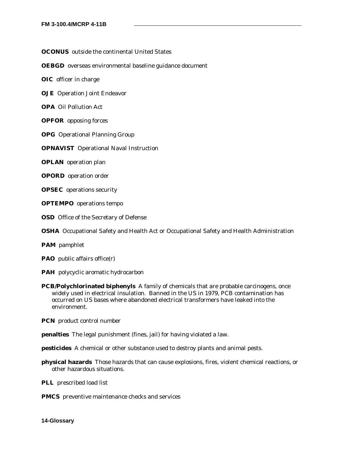#### **OCONUS** outside the continental United States

#### **OEBGD** overseas environmental baseline guidance document

**OIC** officer in charge

- **OJE** Operation Joint Endeavor
- **OPA** Oil Pollution Act
- **OPFOR** opposing forces
- **OPG** Operational Planning Group
- **OPNAVIST** Operational Naval Instruction
- **OPLAN** operation plan
- **OPORD** operation order
- **OPSEC** operations security
- **OPTEMPO** operations tempo
- **OSD** Office of the Secretary of Defense
- **OSHA** Occupational Safety and Health Act or Occupational Safety and Health Administration
- **PAM** pamphlet
- **PAO** public affairs office(r)
- **PAH** polycyclic aromatic hydrocarbon
- **PCB/Polychlorinated biphenyls** A family of chemicals that are probable carcinogens, once widely used in electrical insulation. Banned in the US in 1979, PCB contamination has occurred on US bases where abandoned electrical transformers have leaked into the environment.
- **PCN** product control number
- **penalties** The legal punishment (fines, jail) for having violated a law.
- **pesticides** A chemical or other substance used to destroy plants and animal pests.
- **physical hazards** Those hazards that can cause explosions, fires, violent chemical reactions, or other hazardous situations.
- **PLL** prescribed load list
- **PMCS** preventive maintenance checks and services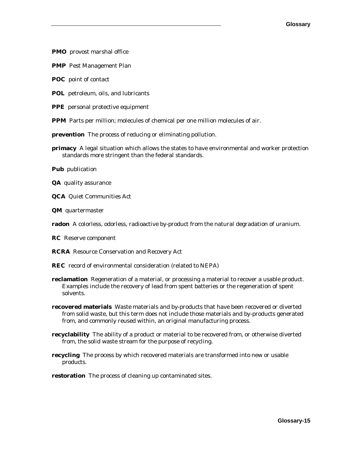**PMO** provost marshal office

**PMP** Pest Management Plan

**POC** point of contact

- **POL** petroleum, oils, and lubricants
- **PPE** personal protective equipment

**PPM** Parts per million; molecules of chemical per one million molecules of air.

- **prevention** The process of reducing or eliminating pollution.
- **primacy** A legal situation which allows the states to have environmental and worker protection standards more stringent than the federal standards.

**Pub** publication

- **QA** quality assurance
- **QCA** Quiet Communities Act
- **QM** quartermaster
- **radon** A colorless, odorless, radioactive by-product from the natural degradation of uranium.
- **RC** Reserve component
- **RCRA** Resource Conservation and Recovery Act
- **REC** record of environmental consideration (related to NEPA)
- **reclamation** Regeneration of a material, or processing a material to recover a usable product. Examples include the recovery of lead from spent batteries or the regeneration of spent solvents.
- **recovered materials** Waste materials and by-products that have been recovered or diverted from solid waste, but this term does not include those materials and by-products generated from, and commonly reused within, an original manufacturing process.
- **recyclability** The ability of a product or material to be recovered from, or otherwise diverted from, the solid waste stream for the purpose of recycling.
- **recycling** The process by which recovered materials are transformed into new or usable products.
- **restoration** The process of cleaning up contaminated sites.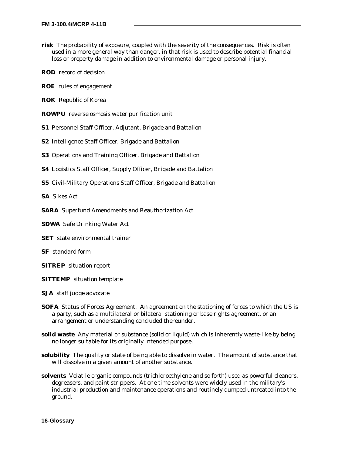- **risk** The probability of exposure, coupled with the severity of the consequences. Risk is often used in a more general way than danger, in that risk is used to describe potential financial loss or property damage in addition to environmental damage or personal injury.
- **ROD** record of decision
- **ROE** rules of engagement
- **ROK** Republic of Korea
- **ROWPU** reverse osmosis water purification unit
- **S1** Personnel Staff Officer, Adjutant, Brigade and Battalion
- **S2** Intelligence Staff Officer, Brigade and Battalion
- **S3** Operations and Training Officer, Brigade and Battalion
- **S4** Logistics Staff Officer, Supply Officer, Brigade and Battalion
- **S5** Civil-Military Operations Staff Officer, Brigade and Battalion

**SA** Sikes Act

**SARA** Superfund Amendments and Reauthorization Act

**SDWA** Safe Drinking Water Act

- **SET** state environmental trainer
- **SF** standard form
- **SITREP** situation report
- **SITTEMP** situation template
- **SJA** staff judge advocate
- **SOFA** Status of Forces Agreement.An agreement on the stationing of forces to which the US is a party, such as a multilateral or bilateral stationing or base rights agreement, or an arrangement or understanding concluded thereunder.
- **solid waste** Any material or substance (solid or liquid) which is inherently waste-like by being no longer suitable for its originally intended purpose.
- **solubility** The quality or state of being able to dissolve in water. The amount of substance that will dissolve in a given amount of another substance.
- **solvents** Volatile organic compounds (trichloroethylene and so forth) used as powerful cleaners, degreasers, and paint strippers. At one time solvents were widely used in the military's industrial production and maintenance operations and routinely dumped untreated into the ground.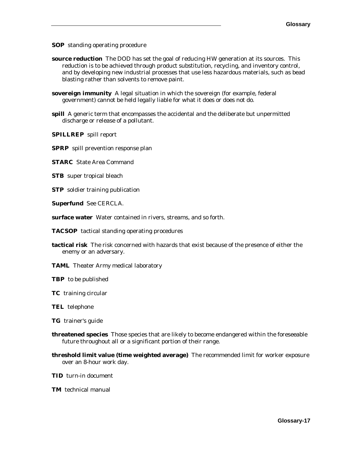**SOP** standing operating procedure

- **source reduction** The DOD has set the goal of reducing HW generation at its sources. This reduction is to be achieved through product substitution, recycling, and inventory control, and by developing new industrial processes that use less hazardous materials, such as bead blasting rather than solvents to remove paint.
- **sovereign immunity** A legal situation in which the sovereign (for example, federal government) cannot be held legally liable for what it does or does not do.
- **spill** A generic term that encompasses the accidental and the deliberate but unpermitted discharge or release of a pollutant.

**SPILLREP** spill report

- **SPRP** spill prevention response plan
- **STARC** State Area Command
- **STB** super tropical bleach
- **STP** soldier training publication
- **Superfund** See CERCLA.
- **surface water** Water contained in rivers, streams, and so forth.
- **TACSOP** tactical standing operating procedures
- **tactical risk** The risk concerned with hazards that exist because of the presence of either the enemy or an adversary.
- **TAML** Theater Army medical laboratory
- **TBP** to be published
- **TC** training circular
- **TEL** telephone
- **TG** trainer's guide
- **threatened species** Those species that are likely to become endangered within the foreseeable future throughout all or a significant portion of their range.
- **threshold limit value (time weighted average)** The recommended limit for worker exposure over an 8-hour work day.
- **TID** turn-in document
- **TM** technical manual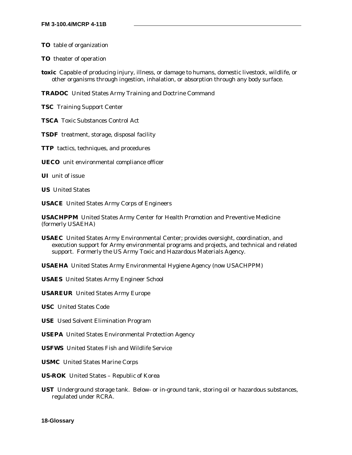**TO** table of organization

**TO** theater of operation

**toxic** Capable of producing injury, illness, or damage to humans, domestic livestock, wildlife, or other organisms through ingestion, inhalation, or absorption through any body surface.

**TRADOC** United States Army Training and Doctrine Command

**TSC** Training Support Center

**TSCA** Toxic Substances Control Act

**TSDF** treatment, storage, disposal facility

**TTP** tactics, techniques, and procedures

**UECO** unit environmental compliance officer

**UI** unit of issue

**US** United States

**USACE** United States Army Corps of Engineers

**USACHPPM** United States Army Center for Health Promotion and Preventive Medicine (formerly USAEHA)

**USAEC** United States Army Environmental Center; provides oversight, coordination, and execution support for Army environmental programs and projects, and technical and related support. Formerly the US Army Toxic and Hazardous Materials Agency.

**USAEHA** United States Army Environmental Hygiene Agency (now USACHPPM)

**USAES** United States Army Engineer School

**USAREUR** United States Army Europe

**USC** United States Code

**USE** Used Solvent Elimination Program

**USEPA** United States Environmental Protection Agency

**USFWS** United States Fish and Wildlife Service

**USMC** United States Marine Corps

**US-ROK** United States – Republic of Korea

**UST** Underground storage tank. Below- or in-ground tank, storing oil or hazardous substances, regulated under RCRA.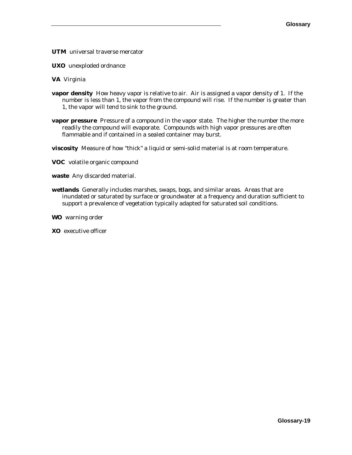**UTM** universal traverse mercator

**UXO** unexploded ordnance

**VA** Virginia

- **vapor density** How heavy vapor is relative to air. Air is assigned a vapor density of 1. If the number is less than 1, the vapor from the compound will rise. If the number is greater than 1, the vapor will tend to sink to the ground.
- **vapor pressure** Pressure of a compound in the vapor state. The higher the number the more readily the compound will evaporate. Compounds with high vapor pressures are often flammable and if contained in a sealed container may burst.

**viscosity** Measure of how "thick" a liquid or semi-solid material is at room temperature.

**VOC** volatile organic compound

**waste** Any discarded material.

**wetlands** Generally includes marshes, swaps, bogs, and similar areas. Areas that are inundated or saturated by surface or groundwater at a frequency and duration sufficient to support a prevalence of vegetation typically adapted for saturated soil conditions.

**WO** warning order

**XO** executive officer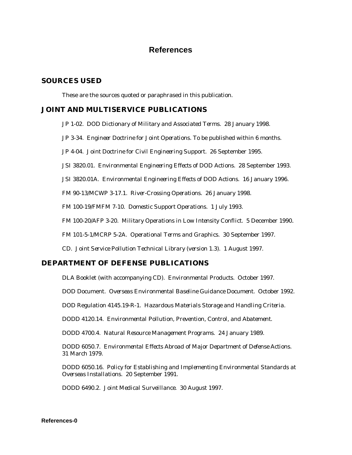# **References**

#### **SOURCES USED**

These are the sources quoted or paraphrased in this publication.

#### **JOINT AND MULTISERVICE PUBLICATIONS**

- JP 1-02. *DOD Dictionary of Military and Associated Terms.* 28 January 1998.
- JP 3-34. *Engineer Doctrine for Joint Operations.* To be published within 6 months.
- JP 4-04. *Joint Doctrine for Civil Engineering Support.* 26 September 1995.
- JSI 3820.01. *Environmental Engineering Effects of DOD Actions.* 28 September 1993.

JSI 3820.01A. *Environmental Engineering Effects of DOD Actions.* 16 January 1996.

FM 90-13/MCWP 3-17.1. *River-Crossing Operations.* 26 January 1998.

FM 100-19/FMFM 7-10. *Domestic Support Operations.* 1 July 1993.

FM 100-20/AFP 3-20. *Military Operations in Low Intensity Conflict.* 5 December 1990.

FM 101-5-1/MCRP 5-2A. *Operational Terms and Graphics*. 30 September 1997.

CD. *Joint Service Pollution Technical Library (version 1.3).* 1 August 1997.

#### **DEPARTMENT OF DEFENSE PUBLICATIONS**

DLA Booklet (with accompanying CD). *Environmental Products*. October 1997.

DOD Document. *Overseas Environmental Baseline Guidance Document.* October 1992.

DOD Regulation 4145.19-R-1. *Hazardous Materials Storage and Handling Criteria.*

DODD 4120.14. *Environmental Pollution, Prevention, Control, and Abatement.*

DODD 4700.4. *Natural Resource Management Programs*. 24 January 1989.

DODD 6050.7. *Environmental Effects Abroad of Major Department of Defense Actions.* 31 March 1979.

DODD 6050.16. *Policy for Establishing and Implementing Environmental Standards at Overseas Installations.* 20 September 1991.

DODD 6490.2. *Joint Medical Surveillance*. 30 August 1997.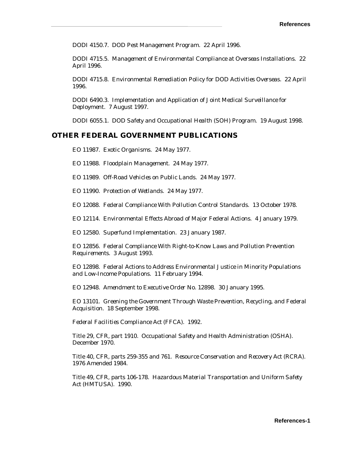DODI 4150.7. *DOD Pest Management Program*. 22 April 1996.

DODI 4715.5. *Management of Environmental Compliance at Overseas Installations.* 22 April 1996.

DODI 4715.8. *Environmental Remediation Policy for DOD Activities Overseas.* 22 April 1996.

DODI 6490.3. *Implementation and Application of Joint Medical Surveillance for Deploymen*t. 7 August 1997.

DODI 6055.1. *DOD Safety and Occupational Health (SOH) Program*. 19 August 1998.

#### **OTHER FEDERAL GOVERNMENT PUBLICATIONS**

EO 11987. *Exotic Organisms.* 24 May 1977.

EO 11988. *Floodplain Management.* 24 May 1977.

EO 11989. *Off-Road Vehicles on Public Lands.* 24 May 1977.

EO 11990. *Protection of Wetlands.* 24 May 1977.

EO 12088. *Federal Compliance With Pollution Control Standards.* 13 October 1978.

EO 12114. *Environmental Effects Abroad of Major Federal Actions.* 4 January 1979.

EO 12580. *Superfund Implementation.* 23 January 1987.

EO 12856. *Federal Compliance With Right-to-Know Laws and Pollution Prevention Requirements.* 3 August 1993.

EO 12898. *Federal Actions to Address Environmental Justice in Minority Populations and Low-Income Populations.* 11 February 1994.

EO 12948. *Amendment to Executive Order No. 12898.* 30 January 1995.

EO 13101. *Greening the Government Through Waste Prevention, Recycling, and Federal Acquisition.* 18 September 1998.

*Federal Facilities Compliance Act (FFCA).* 1992.

Title 29, CFR, part 1910. *Occupational Safety and Health Administration (OSHA*). December 1970.

Title 40, CFR, parts 259-355 and 761. *Resource Conservation and Recovery Act (RCRA).*  1976 Amended 1984.

Title 49, CFR, parts 106-178. *Hazardous Material Transportation and Uniform Safety Act (HMTUSA)*. 1990.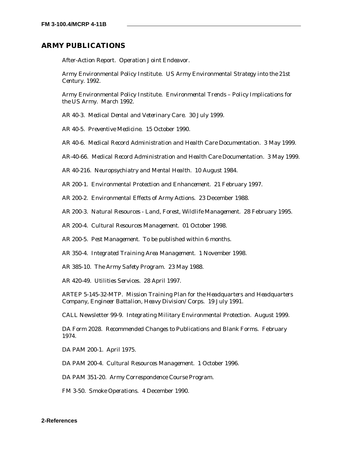#### **ARMY PUBLICATIONS**

After-Action Report. *Operation Joint Endeavor*.

Army Environmental Policy Institute. *US Army Environmental Strategy into the 21st Century.* 1992.

Army Environmental Policy Institute. *Environmental Trends – Policy Implications for the US Army.* March 1992.

AR 40-3. *Medical Dental and Veterinary Care*. 30 July 1999.

AR 40-5. *Preventive Medicine.* 15 October 1990.

AR 40-6. *Medical Record Administration and Health Care Documentation*. 3 May 1999.

AR-40-66. *Medical Record Administration and Health Care Documentation*. 3 May 1999.

AR 40-216. *Neuropsychiatry and Mental Health*. 10 August 1984.

AR 200-1. *Environmental Protection and Enhancement.* 21 February 1997.

AR 200-2. *Environmental Effects of Army Actions.* 23 December 1988.

AR 200-3. *Natural Resources - Land, Forest, Wildlife Management.* 28 February 1995.

AR 200-4. *Cultural Resources Management.* 01 October 1998.

AR 200-5. *Pest Management.* To be published within 6 months.

AR 350-4. *Integrated Training Area Management.* 1 November 1998.

AR 385-10. *The Army Safety Program.* 23 May 1988.

AR 420-49. *Utilities Services*. 28 April 1997.

ARTEP 5-145-32-MTP. *Mission Training Plan for the Headquarters and Headquarters Company, Engineer Battalion, Heavy Division/Corps.* 19 July 1991.

CALL Newsletter 99-9. *Integrating Military Environmental Protection*. August 1999.

DA Form 2028. *Recommended Changes to Publications and Blank Forms.* February 1974.

DA PAM 200-1. April 1975.

DA PAM 200-4. *Cultural Resources Management*. 1 October 1996.

DA PAM 351-20. *Army Correspondence Course Program*.

FM 3-50. *Smoke Operations.* 4 December 1990.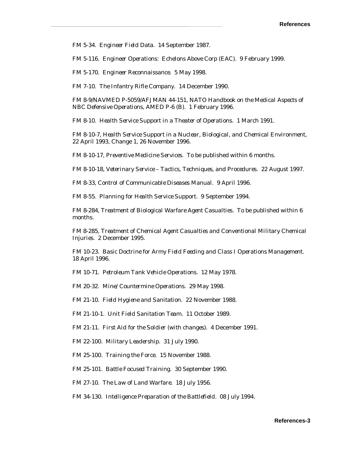FM 5-34. *Engineer Field Data.* 14 September 1987.

FM 5-116. *Engineer Operations: Echelons Above Corp (EAC).* 9 February 1999.

FM 5-170. *Engineer Reconnaissance.* 5 May 1998.

FM 7-10. *The Infantry Rifle Company.* 14 December 1990.

FM 8-9/NAVMED P-5059/AFJMAN 44-151*, NATO Handbook on the Medical Aspects of NBC Defensive Operations*, AMED P-6 (B). 1 February 1996.

FM 8-10. *Health Service Support in a Theater of Operations*. 1 March 1991.

FM 8-10-7, *Health Service Support in a Nuclear, Biological, and Chemical Environment*, 22 April 1993, Change 1, 26 November 1996.

FM 8-10-17, *Preventive Medicine Services*. To be published within 6 months.

FM 8-10-18, *Veterinary Service – Tactics, Techniques, and Procedures*. 22 August 1997.

FM 8-33, *Control of Communicable Diseases Manual*. 9 April 1996.

FM 8-55. *Planning for Health Service Support*. 9 September 1994.

FM 8-284, *Treatment of Biological Warfare Agent Casualties*. To be published within 6 months.

FM 8-285*, Treatment of Chemical Agent Casualties and Conventional Military Chemical Injuries*. 2 December 1995.

FM 10-23. *Basic Doctrine for Army Field Feeding and Class I Operations Management.*  18 April 1996.

FM 10-71. *Petroleum Tank Vehicle Operations.* 12 May 1978.

FM 20-32. *Mine/Countermine Operations.* 29 May 1998.

FM 21-10. *Field Hygiene and Sanitation.* 22 November 1988.

FM 21-10-1. *Unit Field Sanitation Team.* 11 October 1989.

FM 21-11. *First Aid for the Soldier (with changes)*. 4 December 1991.

FM 22-100. *Military Leadership.* 31 July 1990.

FM 25-100. *Training the Force.* 15 November 1988.

FM 25-101. *Battle Focused Training.* 30 September 1990.

FM 27-10. *The Law of Land Warfare.* 18 July 1956.

FM 34-130. *Intelligence Preparation of the Battlefield.* 08 July 1994.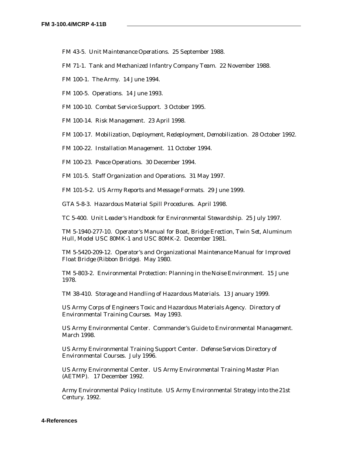- FM 43-5. *Unit Maintenance Operations.* 25 September 1988.
- FM 71-1. *Tank and Mechanized Infantry Company Team.* 22 November 1988.
- FM 100-1. *The Army.* 14 June 1994.
- FM 100-5. *Operations.* 14 June 1993.
- FM 100-10. *Combat Service Support*. 3 October 1995.
- FM 100-14. *Risk Managemen*t. 23 April 1998.
- FM 100-17. *Mobilization, Deployment, Redeployment, Demobilization.* 28 October 1992.
- FM 100-22. *Installation Management.* 11 October 1994.
- FM 100-23. *Peace Operations.* 30 December 1994.
- FM 101-5. *Staff Organization and Operations.* 31 May 1997.

FM 101-5-2. *US Army Reports and Message Formats*. 29 June 1999.

GTA 5-8-3. *Hazardous Material Spill Procedures*. April 1998.

TC 5-400. *Unit Leader's Handbook for Environmental Stewardship.* 25 July 1997.

TM 5-1940-277-10. *Operator's Manual for Boat, Bridge Erection, Twin Set, Aluminum Hull, Model USC 80MK-1 and USC 80MK-2*. December 1981.

TM 5-5420-209-12. *Operator's and Organizational Maintenance Manual for Improved Float Bridge (Ribbon Bridge).* May 1980.

TM 5-803-2. *Environmental Protection: Planning in the Noise Environment.* 15 June 1978.

TM 38-410. *Storage and Handling of Hazardous Materials.* 13 January 1999.

US Army Corps of Engineers Toxic and Hazardous Materials Agency. *Directory of Environmental Training Courses.* May 1993.

US Army Environmental Center. *Commander's Guide to Environmental Management.*  March 1998.

US Army Environmental Training Support Center. *Defense Services Directory of Environmental Courses.* July 1996.

US Army Environmental Center. *US Army Environmental Training Master Plan (AETMP).* 17 December 1992.

Army Environmental Policy Institute. *US Army Environmental Strategy into the 21st Century.* 1992.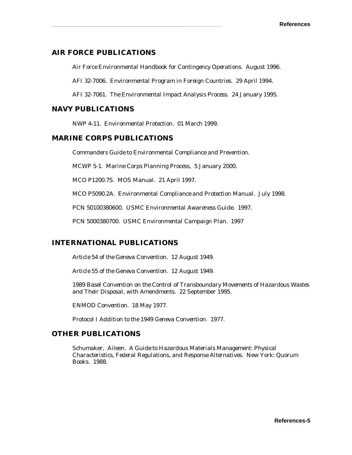### **AIR FORCE PUBLICATIONS**

*Air Force Environmental Handbook for Contingency Operations.* August 1996.

AFI 32-7006. *Environmental Program in Foreign Countries.* 29 April 1994.

AFI 32-7061. *The Environmental Impact Analysis Process.* 24 January 1995.

### **NAVY PUBLICATIONS**

NWP 4-11. *Environmental Protection.* 01 March 1999.

### **MARINE CORPS PUBLICATIONS**

*Commanders Guide to Environmental Compliance and Prevention.*

MCWP 5-1. *Marine Corps Planning Process*, 5 January 2000.

MCO P1200.7S. *MOS Manual*. 21 April 1997.

MCO P5090.2A. *Environmental Compliance and Protection Manual.* July 1998.

PCN 50100380600. *USMC Environmental Awareness Guide*. 1997.

PCN 5000380700. U*SMC Environmental Campaign Plan*. 1997

## **INTERNATIONAL PUBLICATIONS**

*Article 54 of the Geneva Convention.* 12 August 1949.

*Article 55 of the Geneva Convention.* 12 August 1949.

*1989 Basel Convention on the Control of Transboundary Movements of Hazardous Wastes and Their Disposal, with Amendments.* 22 September 1995.

*ENMOD Convention*. 18 May 1977.

*Protocol I Addition to the 1949 Geneva Convention.* 1977.

### **OTHER PUBLICATIONS**

Schumaker, Aileen. *A Guide to Hazardous Materials Management: Physical Characteristics, Federal Regulations, and Response Alternatives*. New York: Quorum Books. 1988.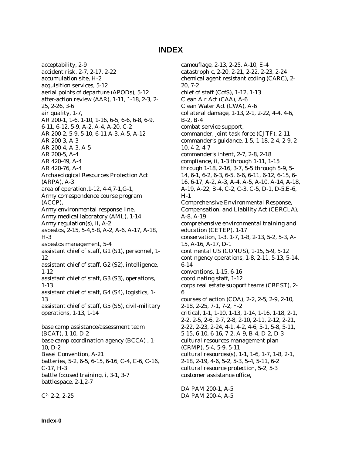## **INDEX**

acceptability, 2-9 accident risk, 2-7, 2-17, 2-22 accumulation site, H-2 acquisition services, 5-12 aerial points of departure (APODs), 5-12 after-action review (AAR), 1-11, 1-18, 2-3, 2- 25, 2-26, 3-6 air quality, 1-7, AR 200-1, 1-6, 1-10, 1-16, 6-5, 6-6, 6-8, 6-9, 6-11, 6-12, 5-9, A-2, A-4, A-20, C-2 AR 200-2, 5-9, 5-10, 6-11 A-3, A-5, A-12 AR 200-3, A-3 AR 200-4, A-3, A-5 AR 200-5, A-4 AR 420-49, A-4 AR 420-76, A-4 Archaeological Resources Protection Act (ARPA), A-3 area of operation,1-12, 4-4,7-1,G-1, Army correspondence course program (ACCP), Army environmental response line, Army medical laboratory (AML), 1-14 Army regulation(s), ii, A-2 asbestos, 2-15, 5-4,5-8, A-2, A-6, A-17, A-18, H-3 asbestos management, 5-4 assistant chief of staff, G1 (S1), personnel, 1- 12 assistant chief of staff, G2 (S2), intelligence, 1-12 assistant chief of staff, G3 (S3), operations, 1-13 assistant chief of staff, G4 (S4), logistics, 1- 13 assistant chief of staff, G5 (S5), civil-military operations, 1-13, 1-14 base camp assistance/assessment team (BCAT), 1-10, D-2 base camp coordination agency (BCCA) , 1- 10, D-2 Basel Convention, A-21 batteries, 5-2, 6-5, 6-15, 6-16, C-4, C-6, C-16, C-17, H-3 battle focused training, i, 3-1, 3-7 battlespace, 2-1,2-7

C2, 2-2, 2-25

camouflage, 2-13, 2-25, A-10, E-4 catastrophic, 2-20, 2-21, 2-22, 2-23, 2-24 chemical agent resistant coding (CARC), 2- 20, 7-2 chief of staff (CofS), 1-12, 1-13 Clean Air Act (CAA), A-6 Clean Water Act (CWA), A-6 collateral damage, 1-13, 2-1, 2-22, 4-4, 4-6, B-2, B-4 combat service support, commander, joint task force (CJTF), 2-11 commander's guidance, 1-5, 1-18, 2-4, 2-9, 2- 10, 4-2, 4-7 commander's intent, 2-7, 2-8, 2-18 compliance, ii, 1-3 through 1-11, 1-15 through 1-18, 2-16, 3-7, 5-5 through 5-9, 5- 14, 6-1, 6-2, 6-3, 6-5, 6-6, 6-11, 6-12, 6-15, 6- 16, 6-17, A-2, A-3, A-4, A-5, A-10, A-14, A-18, A-19, A-22, B-4, C-2, C-3, C-5, D-1, D-5,E-6, H-1 Comprehensive Environmental Response, Compensation, and Liability Act (CERCLA), A-8, A-19 comprehensive environmental training and education (CETEP), 1-17 conservation, 1-3, 1-7, 1-8, 2-13, 5-2, 5-3, A-15, A-16, A-17, D-1 continental US (CONUS), 1-15, 5-9, 5-12 contingency operations, 1-8, 2-11, 5-13, 5-14, 6-14 conventions, 1-15, 6-16 coordinating staff, 1-12 corps real estate support teams (CREST), 2- 6 courses of action (COA), 2-2, 2-5, 2-9, 2-10, 2-18, 2-25, 7-1, 7-2, F-2 critical, 1-1, 1-10, 1-13, 1-14, 1-16, 1-18, 2-1, 2-2, 2-5, 2-6, 2-7, 2-8, 2-10, 2-11, 2-12, 2-21, 2-22, 2-23, 2-24, 4-1, 4-2, 4-6, 5-1, 5-8, 5-11, 5-15, 6-10, 6-16, 7-2, A-9, B-4, D-2, D-3 cultural resources management plan (CRMP), 5-4, 5-9, 5-11 cultural resources(s), 1-1, 1-6, 1-7, 1-8, 2-1, 2-18, 2-19, 4-6, 5-2, 5-3, 5-4, 5-11, 6-2 cultural resource protection, 5-2, 5-3 customer assistance office,

DA PAM 200-1, A-5 DA PAM 200-4, A-5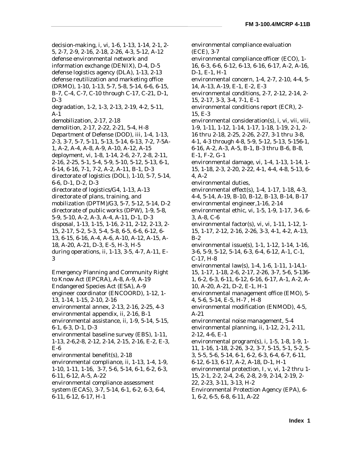decision-making, i, vi, 1-6, 1-13, 1-14, 2-1, 2- 5, 2-7, 2-9, 2-16, 2-18, 2-26, 4-3, 5-12, A-12 defense environmental network and information exchange (DENIX), D-4, D-5 defense logistics agency (DLA), 1-13, 2-13 defense reutilization and marketing office (DRMO), 1-10, 1-13, 5-7, 5-8, 5-14, 6-6, 6-15, B-7, C-4, C-7, C-10 through C-17, C-21, D-1, D-3 degradation, 1-2, 1-3, 2-13, 2-19, 4-2, 5-11, A-1 demobilization, 2-17, 2-18 demolition, 2-17, 2-22, 2-21, 5-4, H-8 Department of Defense (DOD), iii, 1-4, 1-13, 2-3, 3-7, 5-7, 5-11, 5-13, 5-14, 6-13, 7-2, 7-5A-1, A-2, A-4, A-8, A-9, A-10, A-12, A-15 deployment, vi, 1-8, 1-14, 2-6, 2-7, 2-8, 2-11, 2-16, 2-25, 5-1, 5-4, 5-9, 5-10, 5-12, 5-13, 6-1, 6-14, 6-16, 7-1, 7-2, A-2, A-11, B-1, D-3 directorate of logistics (DOL), 1-10, 5-7, 5-14, 6-6, D-1, D-2, D-3 directorate of logistics/G4, 1-13, A-13 directorate of plans, training, and mobilization (DPTM)/G3, 5-7, 5-12, 5-14, D-2 directorate of public works (DPW), 1-9, 5-8, 5-9, 5-10, A-2, A-3, A-4, A-11, D-1, D-3 disposal, 1-13, 1-15, 1-16, 2-11, 2-12, 2-13, 2- 15, 2-17, 5-2, 5-3, 5-4, 5-8, 6-5, 6-6, 6-12, 6- 13, 6-15, 6-16, A-4, A-6, A-10, A-12, A-15, A-18, A-20, A-21, D-3, E-5, H-3, H-5 during operations, ii, 1-13, 3-5, 4-7, A-11, E-3

Emergency Planning and Community Right to Know Act (EPCRA), A-8, A-9, A-19 Endangered Species Act (ESA), A-9 engineer coordinator (ENCOORD), 1-12, 1- 13, 1-14, 1-15, 2-10, 2-16 environmental annex, 2-13, 2-16, 2-25, 4-3 environmental appendix, ii, 2-16, B-1 environmental assistance, ii, 1-9, 5-14, 5-15, 6-1, 6-3, D-1, D-3 environmental baseline survey (EBS), 1-11, 1-13, 2-6,2-8, 2-12, 2-14, 2-15, 2-16, E-2, E-3, E-6 environmental benefit(s), 2-18 environmental compliance, ii, 1-13, 1-4, 1-9, 1-10, 1-11, 1-16, 3-7, 5-6, 5-14, 6-1, 6-2, 6-3, 6-11, 6-12, A-5, A-22 environmental compliance assessment system (ECAS), 3-7, 5-14, 6-1, 6-2, 6-3, 6-4, 6-11, 6-12, 6-17, H-1

environmental compliance evaluation (ECE), 3-7 environmental compliance officer (ECO), 1- 16, 6-3, 6-6, 6-12, 6-13, 6-16, 6-17, A-2, A-16, D-1, E-1, H-1 environmental concern, 1-4, 2-7, 2-10, 4-4, 5- 14, A-13, A-19, E-1, E-2, E-3 environmental conditions, 2-7, 2-12, 2-14, 2- 15, 2-17, 3-3, 3-4, 7-1, E-1 environmental conditions report (ECR), 2- 15, E-3 environmental consideration(s), i, vi, vii, viii, 1-9, 1-11, 1-12, 1-14, 1-17, 1-18, 1-19, 2-1, 2- 16 thru 2-18, 2-25, 2-26, 2-27, 3-1 thru 3-8, 4-1, 4-3 through 4-8, 5-9, 5-12, 5-13, 5-156-1, 6-16, A-2, A-3, A-5, B-1, B-3 thru B-6, B-8, E-1, F-2, G-1 environmental damage, vi, 1-4, 1-13, 1-14, 1- 15, 1-18, 2-3, 2-20, 2-22, 4-1, 4-4, 4-8, 5-13, 6- 4, A-2 environmental duties, environmental effect(s), 1-4, 1-17, 1-18, 4-3, 4-4, 5-14, A-19, B-10, B-12, B-13, B-14, B-17 environmental engineer,1-16, 2-14 environmental ethic, vi, 1-5, 1-9, 1-17, 3-6, 6- 3, A-8, C-6 environmental factor(s), vi, vi, 1-11, 1-12, 1- 15, 1-17, 2-12, 2-16, 2-26, 3-3, 4-1, 4-2, A-13, B-2 environmental issue(s), 1-1, 1-12, 1-14, 1-16, 3-6, 5-9, 5-12, 5-14, 6-3, 6-4, 6-12, A-1, C-1, C-17, H-8 environmental law(s), 1-4, 1-6, 1-11, 1-14,1- 15, 1-17, 1-18, 2-6, 2-17, 2-26, 3-7, 5-6, 5-136- 1, 6-2, 6-3, 6-11, 6-12, 6-16, 6-17, A-1, A-2, A-10, A-20, A-21, D-2, E-1, H-1 environmental management office (EMO), 5- 4, 5-6, 5-14, E-5, H-7 , H-8 environmental modification (ENMOD), 4-5, A-21 environmental noise management, 5-4 environmental planning, ii, 1-12, 2-1, 2-11, 2-12, 4-6, E-1 environmental program(s), i, 1-5, 1-8, 1-9, 1- 11, 1-16, 1-18, 2-26, 3-2, 3-7, 5-15, 5-1, 5-2, 5- 3, 5-5, 5-6, 5-14, 6-1, 6-2, 6-3, 6-4, 6-7, 6-11, 6-12, 6-13, 6-17, A-2, A-18, D-1, H-1 environmental protection, I, v, vi, 1-2 thru 1- 15, 2-1, 2-2, 2-4, 2-6, 2-8, 2-9, 2-14, 2-19, 2- 22, 2-23, 3-11, 3-13, H-2 Environmental Protection Agency (EPA), 6- 1, 6-2, 6-5, 6-8, 6-11, A-22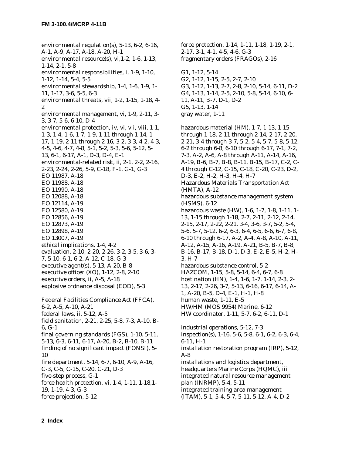environmental regulation(s), 5-13, 6-2, 6-16, A-1, A-9, A-17, A-18, A-20, H-1 environmental resource(s), vi,1-2, 1-6, 1-13, 1-14, 2-1, 5-8 environmental responsibilities, i, 1-9, 1-10, 1-12, 1-14, 5-4, 5-5 environmental stewardship, 1-4, 1-6, 1-9, 1- 11, 1-17, 3-6, 5-5, 6-3 environmental threats, vii, 1-2, 1-15, 1-18, 4- 2 environmental management, vi, 1-9, 2-11, 3- 3, 3-7, 5-6, 6-10, D-4 environmental protection, iv, vi, vii, viii, 1-1, 1-3, 1-4, 1-6, 1-7, 1-9, 1-11 through 1-14, 1- 17, 1-19, 2-11 through 2-16, 3-2, 3-3, 4-2, 4-3, 4-5, 4-6, 4-7, 4-8, 5-1, 5-2, 5-3, 5-6, 5-12, 5- 13, 6-1, 6-17, A-1, D-3, D-4, E-1 environmental-related risk, ii, 2-1, 2-2, 2-16, 2-23, 2-24, 2-26, 5-9, C-18, F-1, G-1, G-3 EO 11987, A-18 EO 11988, A-18 EO 11990, A-18 EO 12088, A-18 EO 12114, A-19 EO 12580, A-19 EO 12856, A-19 EO 12873, A-19 EO 12898, A-19 EO 13007, A-19 ethical implications, 1-4, 4-2 evaluation, 2-10, 2-20, 2-26, 3-2, 3-5, 3-6, 3- 7, 5-10, 6-1, 6-2, A-12, C-18, G-3 executive agent(s), 5-13, A-20, B-8 executive officer (XO), 1-12, 2-8, 2-10 executive orders, ii, A-5, A-18 explosive ordnance disposal (EOD), 5-3 Federal Facilities Compliance Act (FFCA), 6-2, A-5, A-10, A-21 federal laws, ii, 5-12, A-5 field sanitation, 2-21, 2-25, 5-8, 7-3, A-10, B-6, G-1 final governing standards (FGS), 1-10. 5-11, 5-13, 6-3, 6-11, 6-17, A-20, B-2, B-10, B-11 finding of no significant impact (FONSI), 5- 10 fire department, 5-14, 6-7, 6-10, A-9, A-16,

C-3, C-5, C-15, C-20, C-21, D-3 five-step process, G-1 force health protection, vi, 1-4, 1-11, 1-18,1- 19, 1-19, 4-3, G-3

force projection, 5-12

force protection, 1-14, 1-11, 1-18, 1-19, 2-1, 2-17, 3-1, 4-1, 4-5, 4-6, G-3 fragmentary orders (FRAGOs), 2-16 G1, 1-12, 5-14 G2, 1-12, 1-15, 2-5, 2-7, 2-10 G3, 1-12, 1-13, 2-7, 2-8, 2-10, 5-14, 6-11, D-2 G4, 1-13, 1-14, 2-5, 2-10, 5-8, 5-14, 6-10, 6- 11, A-11, B-7, D-1, D-2 G5, 1-13, 1-14 gray water, 1-11 hazardous material (HM), 1-7, 1-13, 1-15 through 1-18, 2-11 through 2-14, 2-17, 2-20, 2-21, 3-4 through 3-7, 5-2, 5-4, 5-7, 5-8, 5-12, 6-2 through 6-8, 6-10 through 6-17, 7-1, 7-2, 7-3, A-2, A-6, A-8 through A-11, A-14, A-16, A-19, B-6, B-7, B-8, B-11, B-15, B-17, C-2, C-4 through C-12, C-15, C-18, C-20, C-23, D-2, D-3, E-2, H-2, H-3, H-4, H-7 Hazardous Materials Transportation Act (HMTA), A-12 hazardous substance management system (HSMS), 6-12 hazardous waste (HW), 1-6, 1-7, 1-8, 1-11, 1- 13, 1-15 through 1-18, 2-7, 2-11, 2-12, 2-14, 2-15, 2-17, 2-22, 2-21, 3-4, 3-6, 3-7, 5-2, 5-4, 5-6, 5-7, 5-12, 6-2, 6-3, 6-4, 6-5, 6-6, 6-7, 6-8, 6-10 through 6-17, A-2, A-4, A-8, A-10, A-11, A-12, A-15, A-16, A-19, A-21, B-5, B-7, B-8, B-16, B-17, B-18, D-1, D-3, E-2, E-5, H-2, H-3, H-7 hazardous substance control, 5-2 HAZCOM, 1-15, 5-8, 5-14, 6-4, 6-7, 6-8 host nation (HN), 1-4, 1-6, 1-7, 1-14, 2-3, 2- 13, 2-17, 2-26, 3-7, 5-13, 6-16, 6-17, 6-14, A-1, A-20, B-5, D-4, E-1, H-1, H-8 human waste, 1-11, E-5 HW/HM (MOS 9954) Marine, 6-12 HW coordinator, 1-11, 5-7, 6-2, 6-11, D-1 industrial operations, 5-12, 7-3 inspection(s), 1-16, 5-6, 5-8, 6-1, 6-2, 6-3, 6-4,

6-11, H-1 installation restoration program (IRP), 5-12, A-8 installations and logistics department, headquarters Marine Corps (HQMC), iii integrated natural resource management plan (INRMP), 5-4, 5-11 integrated training area management

(ITAM), 5-1, 5-4, 5-7, 5-11, 5-12, A-4, D-2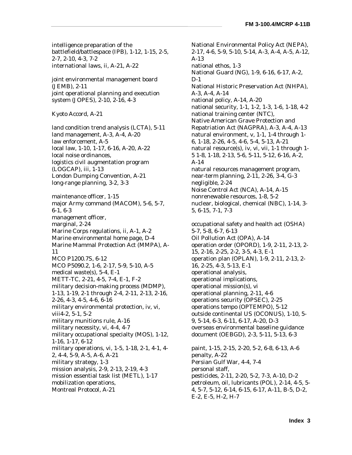intelligence preparation of the battlefield/battlespace (IPB), 1-12, 1-15, 2-5, 2-7, 2-10, 4-3, 7-2 international laws, ii, A-21, A-22

joint environmental management board (JEMB), 2-11 joint operational planning and execution system (JOPES), 2-10, 2-16, 4-3

Kyoto Accord, A-21

land condition trend analysis (LCTA), 5-11 land management, A-3, A-4, A-20 law enforcement, A-5 local law, 1-10, 1-17, 6-16, A-20, A-22 local noise ordinances, logistics civil augmentation program (LOGCAP), iii, 1-13 London Dumping Convention, A-21 long-range planning, 3-2, 3-3

maintenance officer, 1-15 major Army command (MACOM), 5-6, 5-7, 6-1, 6-3 management officer, marginal, 2-24 Marine Corps regulations, ii, A-1, A-2 Marine environmental home page, D-4 Marine Mammal Protection Act (MMPA), A-11 MCO P1200.7S, 6-12 MCO P5090.2, 1-6, 2-17, 5-9, 5-10, A-5 medical waste(s), 5-4, E-1 METT-TC, 2-21, 4-5, 7-4, E-1, F-2 military decision-making process (MDMP), 1-13, 1-19, 2-1 through 2-4, 2-11, 2-13, 2-16, 2-26, 4-3, 4-5, 4-6, 6-16 military environmental protection, iv, vi, viii4-2, 5-1, 5-2 military munitions rule, A-16 military necessity, vi, 4-4, 4-7 military occupational specialty (MOS), 1-12, 1-16, 1-17, 6-12 military operations, vi, 1-5, 1-18, 2-1, 4-1, 4- 2, 4-4, 5-9, A-5, A-6, A-21 military strategy, 1-3 mission analysis, 2-9, 2-13, 2-19, 4-3 mission essential task list (METL), 1-17 mobilization operations, Montreal Protocol, A-21

National Environmental Policy Act (NEPA), 2-17, 4-6, 5-9, 5-10, 5-14, A-3, A-4, A-5, A-12, A-13 national ethos, 1-3 National Guard (NG), 1-9, 6-16, 6-17, A-2, D-1 National Historic Preservation Act (NHPA), A-3, A-4, A-14 national policy, A-14, A-20 national security, 1-1, 1-2, 1-3, 1-6, 1-18, 4-2 national training center (NTC), Native American Grave Protection and Repatriation Act (NAGPRA), A-3, A-4, A-13 natural environment, v, 1-1, 1-4 through 1- 6, 1-18, 2-26, 4-5, 4-6, 5-4, 5-13, A-21 natural resource(s), iv, vi, vii, 1-1 through 1- 5 1-8, 1-18, 2-13, 5-6, 5-11, 5-12, 6-16, A-2, A-14 natural resources management program, near-term planning, 2-11, 2-26, 3-4, G-3 negligible, 2-24 Noise Control Act (NCA), A-14, A-15 nonrenewable resources, 1-8, 5-2 nuclear, biological, chemical (NBC), 1-14, 3- 5, 6-15, 7-1, 7-3 occupational safety and health act (OSHA) 5-7, 5-8, 6-7, 6-13 Oil Pollution Act (OPA), A-14 operation order (OPORD), 1-9, 2-11, 2-13, 2- 15, 2-16, 2-25, 2-2, 3-5, 4-3, E-1 operation plan (OPLAN), 1-9, 2-11, 2-13, 2- 16, 2-25, 4-3, 5-13, E-1 operational analysis, operational implications, operational mission(s), vi operational planning, 2-11, 4-6 operations security (OPSEC), 2-25

operations tempo (OPTEMPO), 5-12 outside continental US (OCONUS), 1-10, 5- 9, 5-14, 6-3, 6-11, 6-17, A-20, D-3 overseas environmental baseline guidance document (OEBGD), 2-3, 5-11, 5-13, 6-3

paint, 1-15, 2-15, 2-20, 5-2, 6-8, 6-13, A-6 penalty, A-22 Persian Gulf War, 4-4, 7-4 personal staff, pesticides, 2-11, 2-20, 5-2, 7-3, A-10, D-2 petroleum, oil, lubricants (POL), 2-14, 4-5, 5- 4, 5-7, 5-12, 6-14, 6-15, 6-17, A-11, B-5, D-2, E-2, E-5, H-2, H-7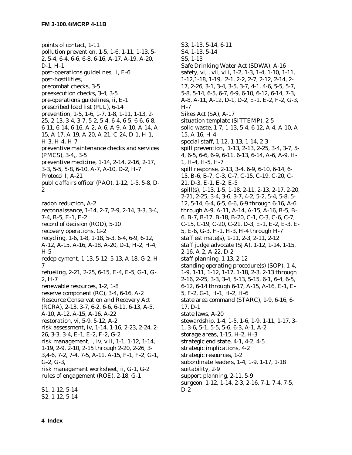points of contact, 1-11 pollution prevention, 1-5, 1-6, 1-11, 1-13, 5- 2, 5-4, 6-4, 6-6, 6-8, 6-16, A-17, A-19, A-20, D-1, H-1 post-operations guidelines, ii, E-6 post-hostilities, precombat checks, 3-5 preexecution checks, 3-4, 3-5 pre-operations guidelines, ii, E-1 prescribed load list (PLL), 6-14 prevention, 1-5, 1-6, 1-7, 1-8, 1-11, 1-13, 2- 25, 2-13, 3-4, 3-7, 5-2, 5-4, 6-4, 6-5, 6-6, 6-8, 6-11, 6-14, 6-16, A-2, A-6, A-9, A-10, A-14, A-15, A-17, A-19, A-20, A-21, C-24, D-1, H-1, H-3, H-4, H-7 preventive maintenance checks and services (PMCS), 3-4,, 3-5 preventive medicine, 1-14, 2-14, 2-16, 2-17, 3-3, 5-5, 5-8, 6-10, A-7, A-10, D-2, H-7 Protocol I, A-21 public affairs officer (PAO), 1-12, 1-5, 5-8, D-2 radon reduction, A-2 reconnaissance, 1-14, 2-7, 2-9, 2-14, 3-3, 3-4, 7-4, B-5, E-1, E-2 record of decision (ROD), 5-10 recovery operations, G-2 recycling, 1-6, 1-8, 1-18, 5-3, 6-4, 6-9, 6-12, A-12, A-15, A-16, A-18, A-20, D-1, H-2, H-4, H-5 redeployment, 1-13, 5-12, 5-13, A-18, G-2, H-7 refueling, 2-21, 2-25, 6-15, E-4, E-5, G-1, G-2, H-7 renewable resources, 1-2, 1-8 reserve component (RC), 3-4, 6-16, A-2 Resource Conservation and Recovery Act (RCRA), 2-13, 3-7, 6-2, 6-6, 6-11, 6-13, A-5, A-10, A-12, A-15, A-16, A-22 restoration, vi, 5-9, 5-12, A-2 risk assessment, iv, 1-14, 1-16, 2-23, 2-24, 2- 26, 3-3, 3-4, E-1, E-2, F-2, G-2 risk management, i, iv, viii, 1-1, 1-12, 1-14, 1-19, 2-9, 2-10, 2-15 through 2-20, 2-26, 3- 3,4-6, 7-2, 7-4, 7-5, A-11, A-15, F-1, F-2, G-1, G-2, G-3, risk management worksheet, ii, G-1, G-2 rules of engagement (ROE), 2-18, G-1

S1, 1-12, 5-14 S2, 1-12, 5-14 S3, 1-13, 5-14, 6-11 S4, 1-13, 5-14 S5, 1-13 Safe Drinking Water Act (SDWA), A-16 safety, vi, , vii, viii, 1-2, 1-3, 1-4, 1-10, 1-11, 1-12,1-18, 1-19, 2-1, 2-2, 2-7, 2-12, 2-14, 2- 17, 2-26, 3-1, 3-4, 3-5, 3-7, 4-1, 4-6, 5-5, 5-7, 5-8, 5-14, 6-5, 6-7, 6-9, 6-10, 6-12, 6-14, 7-3, A-8, A-11, A-12, D-1, D-2, E-1, E-2, F-2, G-3, H-7 Sikes Act (SA), A-17 situation template (SITTEMP), 2-5 solid waste, 1-7, 1-13, 5-4, 6-12, A-4, A-10, A-15, A-16, H-4 special staff, 1-12, 1-13, 1-14, 2-3 spill prevention, 1-13, 2-13, 2-25, 3-4, 3-7, 5- 4, 6-5, 6-6, 6-9, 6-11, 6-13, 6-14, A-6, A-9, H-1, H-4, H-5, H-7 spill response, 2-13, 3-4, 6-9, 6-10, 6-14, 6- 15, B-6, B-7, C-3, C-7, C-15, C-19, C-20, C-21, D-3, E-1, E-2, E-5 spill(s), 1-13, 1-5, 1-18, 2-11, 2-13, 2-17, 2-20, 2-21, 2-25, 3-4, 3-6, 3-7, 4-2, 5-2, 5-4, 5-8, 5- 12, 5-14, 6-4, 6-5, 6-6, 6-9 through 6-16, A-6 through A-9, A-11, A-14, A-15, A-16, B-5, B-6, B-7, B-17, B-18, B-20, C-1, C-3, C-6, C-7, C-15, C-19, C-20, C-21, D-3, E-1, E-2, E-3, E-5, E-6, G-3, H-1, H-3, H-4 through H-7 staff estimate(s), 1-11, 2-3, 2-11, 2-12 staff judge advocate (SJA), 1-12, 1-14, 1-15, 2-16, A-2, A-22, D-2 staff planning, 1-13, 2-12 standing operating procedure(s) (SOP), 1-4, 1-9, 1-11, 1-12, 1-17, 1-18, 2-3, 2-13 through 2-16, 2-25, 3-3, 3-4, 5-13, 5-15, 6-1, 6-4, 6-5, 6-12, 6-14 through 6-17, A-15, A-16, E-1, E-5, F-2, G-1, H-1, H-2, H-6 state area command (STARC), 1-9, 6-16, 6- 17, D-1 state laws, A-20 stewardship, 1-4, 1-5, 1-6, 1-9, 1-11, 1-17, 3- 1, 3-6, 5-1, 5-5, 5-6, 6-3, A-1, A-2 storage areas, 1-15, H-2, H-3 strategic end state, 4-1, 4-2, 4-5 strategic implications, 4-2 strategic resources, 1-2 subordinate leaders, 1-4, 1-9, 1-17, 1-18 suitability, 2-9 support planning, 2-11, 5-9 surgeon, 1-12, 1-14, 2-3, 2-16, 7-1, 7-4, 7-5, D-2